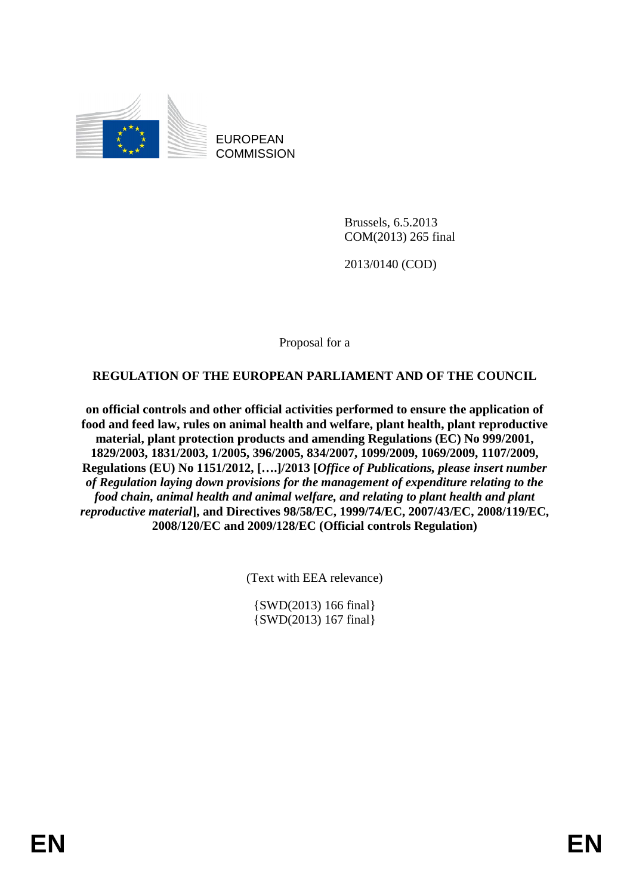

EUROPEAN **COMMISSION** 

> Brussels, 6.5.2013 COM(2013) 265 final

2013/0140 (COD)

Proposal for a

**REGULATION OF THE EUROPEAN PARLIAMENT AND OF THE COUNCIL** 

**on official controls and other official activities performed to ensure the application of food and feed law, rules on animal health and welfare, plant health, plant reproductive material, plant protection products and amending Regulations (EC) No 999/2001, 1829/2003, 1831/2003, 1/2005, 396/2005, 834/2007, 1099/2009, 1069/2009, 1107/2009, Regulations (EU) No 1151/2012, [….]/2013 [***Office of Publications, please insert number of Regulation laying down provisions for the management of expenditure relating to the food chain, animal health and animal welfare, and relating to plant health and plant reproductive material***], and Directives 98/58/EC, 1999/74/EC, 2007/43/EC, 2008/119/EC, 2008/120/EC and 2009/128/EC (Official controls Regulation)** 

(Text with EEA relevance)

{SWD(2013) 166 final} {SWD(2013) 167 final}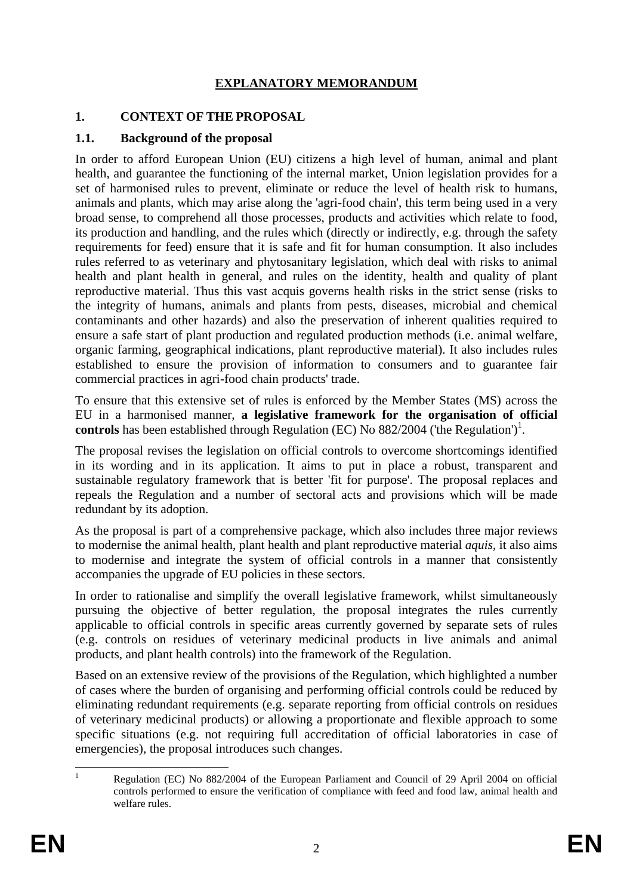#### **EXPLANATORY MEMORANDUM**

#### **1. CONTEXT OF THE PROPOSAL**

#### **1.1. Background of the proposal**

In order to afford European Union (EU) citizens a high level of human, animal and plant health, and guarantee the functioning of the internal market, Union legislation provides for a set of harmonised rules to prevent, eliminate or reduce the level of health risk to humans, animals and plants, which may arise along the 'agri-food chain', this term being used in a very broad sense, to comprehend all those processes, products and activities which relate to food, its production and handling, and the rules which (directly or indirectly, e.g. through the safety requirements for feed) ensure that it is safe and fit for human consumption. It also includes rules referred to as veterinary and phytosanitary legislation, which deal with risks to animal health and plant health in general, and rules on the identity, health and quality of plant reproductive material. Thus this vast acquis governs health risks in the strict sense (risks to the integrity of humans, animals and plants from pests, diseases, microbial and chemical contaminants and other hazards) and also the preservation of inherent qualities required to ensure a safe start of plant production and regulated production methods (i.e. animal welfare, organic farming, geographical indications, plant reproductive material). It also includes rules established to ensure the provision of information to consumers and to guarantee fair commercial practices in agri-food chain products' trade.

To ensure that this extensive set of rules is enforced by the Member States (MS) across the EU in a harmonised manner, **a legislative framework for the organisation of official**  controls has been established through Regulation (EC) No  $882/2004$  ('the Regulation')<sup>1</sup>.

The proposal revises the legislation on official controls to overcome shortcomings identified in its wording and in its application. It aims to put in place a robust, transparent and sustainable regulatory framework that is better 'fit for purpose'. The proposal replaces and repeals the Regulation and a number of sectoral acts and provisions which will be made redundant by its adoption.

As the proposal is part of a comprehensive package, which also includes three major reviews to modernise the animal health, plant health and plant reproductive material *aquis*, it also aims to modernise and integrate the system of official controls in a manner that consistently accompanies the upgrade of EU policies in these sectors.

In order to rationalise and simplify the overall legislative framework, whilst simultaneously pursuing the objective of better regulation, the proposal integrates the rules currently applicable to official controls in specific areas currently governed by separate sets of rules (e.g. controls on residues of veterinary medicinal products in live animals and animal products, and plant health controls) into the framework of the Regulation.

Based on an extensive review of the provisions of the Regulation, which highlighted a number of cases where the burden of organising and performing official controls could be reduced by eliminating redundant requirements (e.g. separate reporting from official controls on residues of veterinary medicinal products) or allowing a proportionate and flexible approach to some specific situations (e.g. not requiring full accreditation of official laboratories in case of emergencies), the proposal introduces such changes.

<sup>1</sup> 1 Regulation (EC) No 882/2004 of the European Parliament and Council of 29 April 2004 on official controls performed to ensure the verification of compliance with feed and food law, animal health and welfare rules.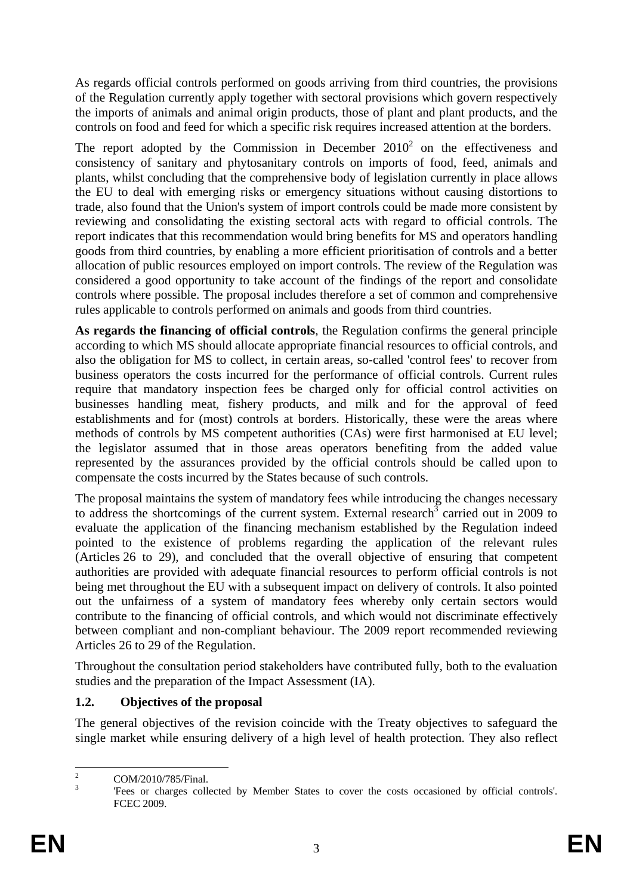As regards official controls performed on goods arriving from third countries, the provisions of the Regulation currently apply together with sectoral provisions which govern respectively the imports of animals and animal origin products, those of plant and plant products, and the controls on food and feed for which a specific risk requires increased attention at the borders.

The report adopted by the Commission in December  $2010<sup>2</sup>$  on the effectiveness and consistency of sanitary and phytosanitary controls on imports of food, feed, animals and plants, whilst concluding that the comprehensive body of legislation currently in place allows the EU to deal with emerging risks or emergency situations without causing distortions to trade, also found that the Union's system of import controls could be made more consistent by reviewing and consolidating the existing sectoral acts with regard to official controls. The report indicates that this recommendation would bring benefits for MS and operators handling goods from third countries, by enabling a more efficient prioritisation of controls and a better allocation of public resources employed on import controls. The review of the Regulation was considered a good opportunity to take account of the findings of the report and consolidate controls where possible. The proposal includes therefore a set of common and comprehensive rules applicable to controls performed on animals and goods from third countries.

**As regards the financing of official controls**, the Regulation confirms the general principle according to which MS should allocate appropriate financial resources to official controls, and also the obligation for MS to collect, in certain areas, so-called 'control fees' to recover from business operators the costs incurred for the performance of official controls. Current rules require that mandatory inspection fees be charged only for official control activities on businesses handling meat, fishery products, and milk and for the approval of feed establishments and for (most) controls at borders. Historically, these were the areas where methods of controls by MS competent authorities (CAs) were first harmonised at EU level; the legislator assumed that in those areas operators benefiting from the added value represented by the assurances provided by the official controls should be called upon to compensate the costs incurred by the States because of such controls.

The proposal maintains the system of mandatory fees while introducing the changes necessary to address the shortcomings of the current system. External research  $\overline{3}$  carried out in 2009 to evaluate the application of the financing mechanism established by the Regulation indeed pointed to the existence of problems regarding the application of the relevant rules (Articles 26 to 29), and concluded that the overall objective of ensuring that competent authorities are provided with adequate financial resources to perform official controls is not being met throughout the EU with a subsequent impact on delivery of controls. It also pointed out the unfairness of a system of mandatory fees whereby only certain sectors would contribute to the financing of official controls, and which would not discriminate effectively between compliant and non-compliant behaviour. The 2009 report recommended reviewing Articles 26 to 29 of the Regulation.

Throughout the consultation period stakeholders have contributed fully, both to the evaluation studies and the preparation of the Impact Assessment (IA).

### **1.2. Objectives of the proposal**

The general objectives of the revision coincide with the Treaty objectives to safeguard the single market while ensuring delivery of a high level of health protection. They also reflect

 $\frac{1}{2}$ COM/2010/785/Final.

<sup>3</sup> 'Fees or charges collected by Member States to cover the costs occasioned by official controls'. FCEC 2009.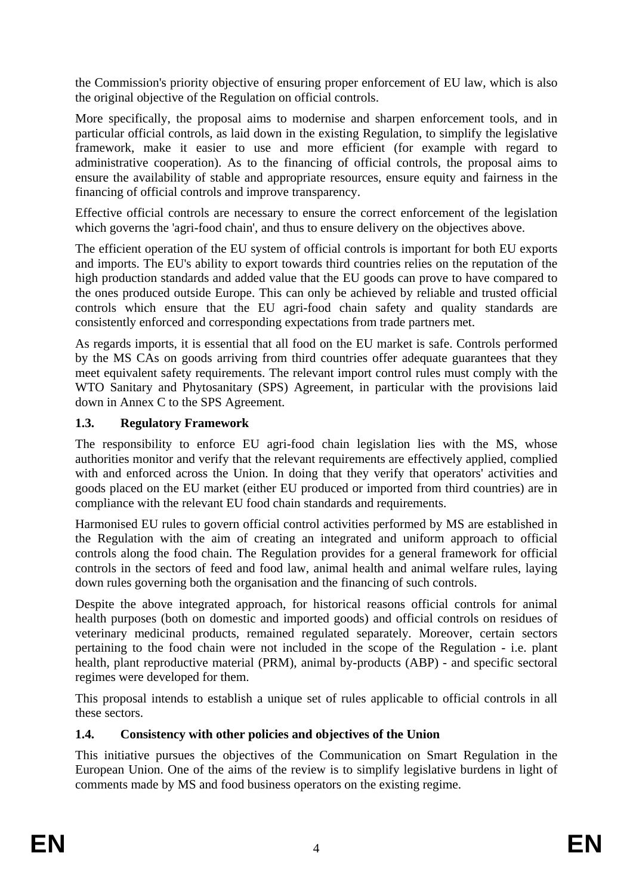the Commission's priority objective of ensuring proper enforcement of EU law, which is also the original objective of the Regulation on official controls.

More specifically, the proposal aims to modernise and sharpen enforcement tools, and in particular official controls, as laid down in the existing Regulation, to simplify the legislative framework, make it easier to use and more efficient (for example with regard to administrative cooperation). As to the financing of official controls, the proposal aims to ensure the availability of stable and appropriate resources, ensure equity and fairness in the financing of official controls and improve transparency.

Effective official controls are necessary to ensure the correct enforcement of the legislation which governs the 'agri-food chain', and thus to ensure delivery on the objectives above.

The efficient operation of the EU system of official controls is important for both EU exports and imports. The EU's ability to export towards third countries relies on the reputation of the high production standards and added value that the EU goods can prove to have compared to the ones produced outside Europe. This can only be achieved by reliable and trusted official controls which ensure that the EU agri-food chain safety and quality standards are consistently enforced and corresponding expectations from trade partners met.

As regards imports, it is essential that all food on the EU market is safe. Controls performed by the MS CAs on goods arriving from third countries offer adequate guarantees that they meet equivalent safety requirements. The relevant import control rules must comply with the WTO Sanitary and Phytosanitary (SPS) Agreement, in particular with the provisions laid down in Annex C to the SPS Agreement.

#### **1.3. Regulatory Framework**

The responsibility to enforce EU agri-food chain legislation lies with the MS, whose authorities monitor and verify that the relevant requirements are effectively applied, complied with and enforced across the Union. In doing that they verify that operators' activities and goods placed on the EU market (either EU produced or imported from third countries) are in compliance with the relevant EU food chain standards and requirements.

Harmonised EU rules to govern official control activities performed by MS are established in the Regulation with the aim of creating an integrated and uniform approach to official controls along the food chain. The Regulation provides for a general framework for official controls in the sectors of feed and food law, animal health and animal welfare rules, laying down rules governing both the organisation and the financing of such controls.

Despite the above integrated approach, for historical reasons official controls for animal health purposes (both on domestic and imported goods) and official controls on residues of veterinary medicinal products, remained regulated separately. Moreover, certain sectors pertaining to the food chain were not included in the scope of the Regulation - i.e. plant health, plant reproductive material (PRM), animal by-products (ABP) - and specific sectoral regimes were developed for them.

This proposal intends to establish a unique set of rules applicable to official controls in all these sectors.

### **1.4. Consistency with other policies and objectives of the Union**

This initiative pursues the objectives of the Communication on Smart Regulation in the European Union. One of the aims of the review is to simplify legislative burdens in light of comments made by MS and food business operators on the existing regime.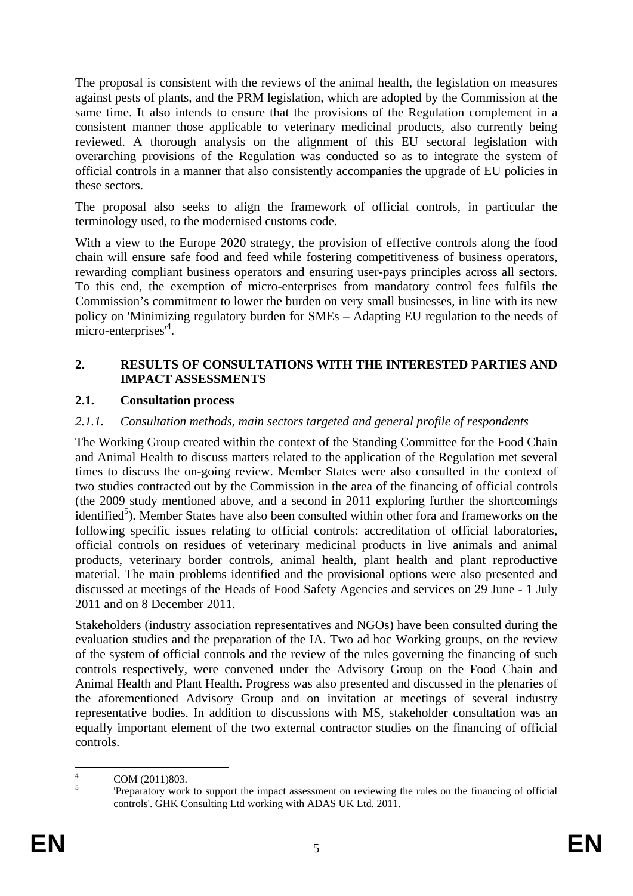The proposal is consistent with the reviews of the animal health, the legislation on measures against pests of plants, and the PRM legislation, which are adopted by the Commission at the same time. It also intends to ensure that the provisions of the Regulation complement in a consistent manner those applicable to veterinary medicinal products, also currently being reviewed. A thorough analysis on the alignment of this EU sectoral legislation with overarching provisions of the Regulation was conducted so as to integrate the system of official controls in a manner that also consistently accompanies the upgrade of EU policies in these sectors.

The proposal also seeks to align the framework of official controls, in particular the terminology used, to the modernised customs code.

With a view to the Europe 2020 strategy, the provision of effective controls along the food chain will ensure safe food and feed while fostering competitiveness of business operators, rewarding compliant business operators and ensuring user-pays principles across all sectors. To this end, the exemption of micro-enterprises from mandatory control fees fulfils the Commission's commitment to lower the burden on very small businesses, in line with its new policy on 'Minimizing regulatory burden for SMEs – Adapting EU regulation to the needs of micro-enterprises<sup>14</sup>.

#### **2. RESULTS OF CONSULTATIONS WITH THE INTERESTED PARTIES AND IMPACT ASSESSMENTS**

#### **2.1. Consultation process**

#### *2.1.1. Consultation methods, main sectors targeted and general profile of respondents*

The Working Group created within the context of the Standing Committee for the Food Chain and Animal Health to discuss matters related to the application of the Regulation met several times to discuss the on-going review. Member States were also consulted in the context of two studies contracted out by the Commission in the area of the financing of official controls (the 2009 study mentioned above, and a second in 2011 exploring further the shortcomings identified<sup>5</sup>). Member States have also been consulted within other fora and frameworks on the following specific issues relating to official controls: accreditation of official laboratories, official controls on residues of veterinary medicinal products in live animals and animal products, veterinary border controls, animal health, plant health and plant reproductive material. The main problems identified and the provisional options were also presented and discussed at meetings of the Heads of Food Safety Agencies and services on 29 June - 1 July 2011 and on 8 December 2011.

Stakeholders (industry association representatives and NGOs) have been consulted during the evaluation studies and the preparation of the IA. Two ad hoc Working groups, on the review of the system of official controls and the review of the rules governing the financing of such controls respectively, were convened under the Advisory Group on the Food Chain and Animal Health and Plant Health. Progress was also presented and discussed in the plenaries of the aforementioned Advisory Group and on invitation at meetings of several industry representative bodies. In addition to discussions with MS, stakeholder consultation was an equally important element of the two external contractor studies on the financing of official controls.

 $\frac{1}{4}$ COM (2011)803.

<sup>5</sup> 'Preparatory work to support the impact assessment on reviewing the rules on the financing of official controls'. GHK Consulting Ltd working with ADAS UK Ltd. 2011.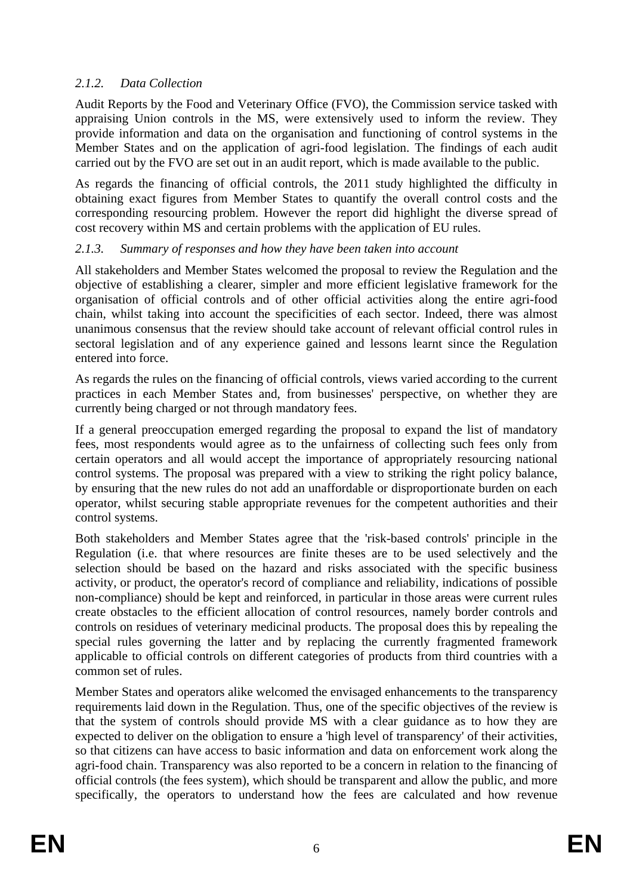#### *2.1.2. Data Collection*

Audit Reports by the Food and Veterinary Office (FVO), the Commission service tasked with appraising Union controls in the MS, were extensively used to inform the review. They provide information and data on the organisation and functioning of control systems in the Member States and on the application of agri-food legislation. The findings of each audit carried out by the FVO are set out in an audit report, which is made available to the public.

As regards the financing of official controls, the 2011 study highlighted the difficulty in obtaining exact figures from Member States to quantify the overall control costs and the corresponding resourcing problem. However the report did highlight the diverse spread of cost recovery within MS and certain problems with the application of EU rules.

#### *2.1.3. Summary of responses and how they have been taken into account*

All stakeholders and Member States welcomed the proposal to review the Regulation and the objective of establishing a clearer, simpler and more efficient legislative framework for the organisation of official controls and of other official activities along the entire agri-food chain, whilst taking into account the specificities of each sector. Indeed, there was almost unanimous consensus that the review should take account of relevant official control rules in sectoral legislation and of any experience gained and lessons learnt since the Regulation entered into force.

As regards the rules on the financing of official controls, views varied according to the current practices in each Member States and, from businesses' perspective, on whether they are currently being charged or not through mandatory fees.

If a general preoccupation emerged regarding the proposal to expand the list of mandatory fees, most respondents would agree as to the unfairness of collecting such fees only from certain operators and all would accept the importance of appropriately resourcing national control systems. The proposal was prepared with a view to striking the right policy balance, by ensuring that the new rules do not add an unaffordable or disproportionate burden on each operator, whilst securing stable appropriate revenues for the competent authorities and their control systems.

Both stakeholders and Member States agree that the 'risk-based controls' principle in the Regulation (i.e. that where resources are finite theses are to be used selectively and the selection should be based on the hazard and risks associated with the specific business activity, or product, the operator's record of compliance and reliability, indications of possible non-compliance) should be kept and reinforced, in particular in those areas were current rules create obstacles to the efficient allocation of control resources, namely border controls and controls on residues of veterinary medicinal products. The proposal does this by repealing the special rules governing the latter and by replacing the currently fragmented framework applicable to official controls on different categories of products from third countries with a common set of rules.

Member States and operators alike welcomed the envisaged enhancements to the transparency requirements laid down in the Regulation. Thus, one of the specific objectives of the review is that the system of controls should provide MS with a clear guidance as to how they are expected to deliver on the obligation to ensure a 'high level of transparency' of their activities, so that citizens can have access to basic information and data on enforcement work along the agri-food chain. Transparency was also reported to be a concern in relation to the financing of official controls (the fees system), which should be transparent and allow the public, and more specifically, the operators to understand how the fees are calculated and how revenue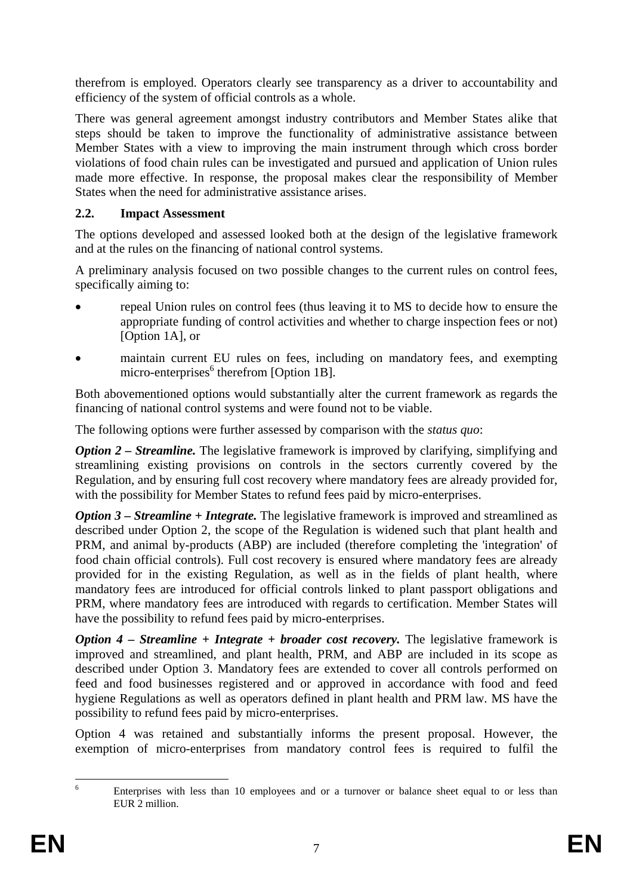therefrom is employed. Operators clearly see transparency as a driver to accountability and efficiency of the system of official controls as a whole.

There was general agreement amongst industry contributors and Member States alike that steps should be taken to improve the functionality of administrative assistance between Member States with a view to improving the main instrument through which cross border violations of food chain rules can be investigated and pursued and application of Union rules made more effective. In response, the proposal makes clear the responsibility of Member States when the need for administrative assistance arises.

#### **2.2. Impact Assessment**

The options developed and assessed looked both at the design of the legislative framework and at the rules on the financing of national control systems.

A preliminary analysis focused on two possible changes to the current rules on control fees, specifically aiming to:

- repeal Union rules on control fees (thus leaving it to MS to decide how to ensure the appropriate funding of control activities and whether to charge inspection fees or not) [Option 1A], or
- maintain current EU rules on fees, including on mandatory fees, and exempting micro-enterprises<sup>6</sup> therefrom [Option 1B].

Both abovementioned options would substantially alter the current framework as regards the financing of national control systems and were found not to be viable.

The following options were further assessed by comparison with the *status quo*:

*Option 2 – Streamline.* The legislative framework is improved by clarifying, simplifying and streamlining existing provisions on controls in the sectors currently covered by the Regulation, and by ensuring full cost recovery where mandatory fees are already provided for, with the possibility for Member States to refund fees paid by micro-enterprises.

*Option 3 – Streamline + Integrate.* The legislative framework is improved and streamlined as described under Option 2, the scope of the Regulation is widened such that plant health and PRM, and animal by-products (ABP) are included (therefore completing the 'integration' of food chain official controls). Full cost recovery is ensured where mandatory fees are already provided for in the existing Regulation, as well as in the fields of plant health, where mandatory fees are introduced for official controls linked to plant passport obligations and PRM, where mandatory fees are introduced with regards to certification. Member States will have the possibility to refund fees paid by micro-enterprises.

*Option 4 – Streamline + Integrate + broader cost recovery.* The legislative framework is improved and streamlined, and plant health, PRM, and ABP are included in its scope as described under Option 3. Mandatory fees are extended to cover all controls performed on feed and food businesses registered and or approved in accordance with food and feed hygiene Regulations as well as operators defined in plant health and PRM law. MS have the possibility to refund fees paid by micro-enterprises.

Option 4 was retained and substantially informs the present proposal. However, the exemption of micro-enterprises from mandatory control fees is required to fulfil the

 $\frac{1}{6}$  Enterprises with less than 10 employees and or a turnover or balance sheet equal to or less than EUR 2 million.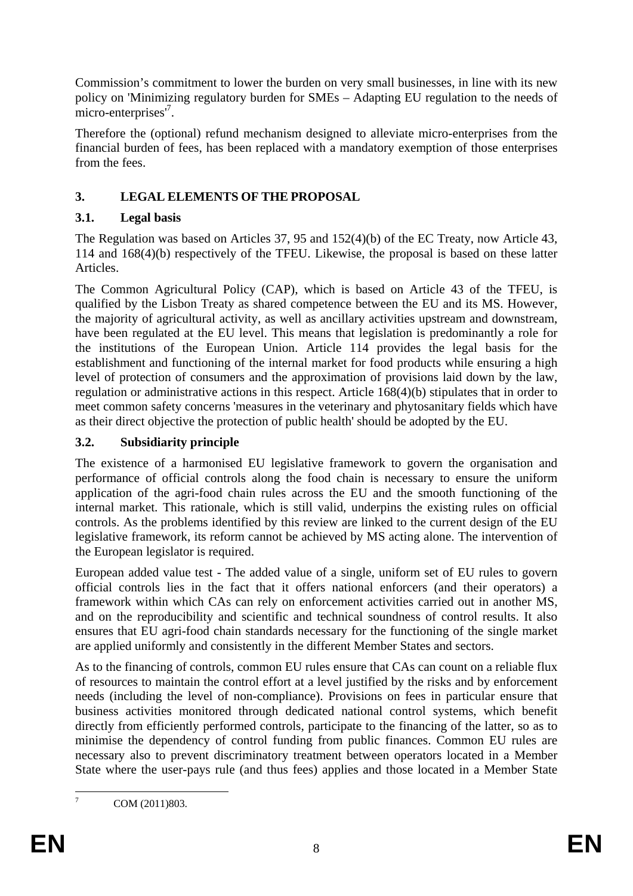Commission's commitment to lower the burden on very small businesses, in line with its new policy on 'Minimizing regulatory burden for SMEs – Adapting EU regulation to the needs of micro-enterprises<sup>7</sup>.

Therefore the (optional) refund mechanism designed to alleviate micro-enterprises from the financial burden of fees, has been replaced with a mandatory exemption of those enterprises from the fees.

### **3. LEGAL ELEMENTS OF THE PROPOSAL**

### **3.1. Legal basis**

The Regulation was based on Articles 37, 95 and 152(4)(b) of the EC Treaty, now Article 43, 114 and 168(4)(b) respectively of the TFEU. Likewise, the proposal is based on these latter Articles.

The Common Agricultural Policy (CAP), which is based on Article 43 of the TFEU, is qualified by the Lisbon Treaty as shared competence between the EU and its MS. However, the majority of agricultural activity, as well as ancillary activities upstream and downstream, have been regulated at the EU level. This means that legislation is predominantly a role for the institutions of the European Union. Article 114 provides the legal basis for the establishment and functioning of the internal market for food products while ensuring a high level of protection of consumers and the approximation of provisions laid down by the law, regulation or administrative actions in this respect. Article 168(4)(b) stipulates that in order to meet common safety concerns 'measures in the veterinary and phytosanitary fields which have as their direct objective the protection of public health' should be adopted by the EU.

## **3.2. Subsidiarity principle**

The existence of a harmonised EU legislative framework to govern the organisation and performance of official controls along the food chain is necessary to ensure the uniform application of the agri-food chain rules across the EU and the smooth functioning of the internal market. This rationale, which is still valid, underpins the existing rules on official controls. As the problems identified by this review are linked to the current design of the EU legislative framework, its reform cannot be achieved by MS acting alone. The intervention of the European legislator is required.

European added value test - The added value of a single, uniform set of EU rules to govern official controls lies in the fact that it offers national enforcers (and their operators) a framework within which CAs can rely on enforcement activities carried out in another MS, and on the reproducibility and scientific and technical soundness of control results. It also ensures that EU agri-food chain standards necessary for the functioning of the single market are applied uniformly and consistently in the different Member States and sectors.

As to the financing of controls, common EU rules ensure that CAs can count on a reliable flux of resources to maintain the control effort at a level justified by the risks and by enforcement needs (including the level of non-compliance). Provisions on fees in particular ensure that business activities monitored through dedicated national control systems, which benefit directly from efficiently performed controls, participate to the financing of the latter, so as to minimise the dependency of control funding from public finances. Common EU rules are necessary also to prevent discriminatory treatment between operators located in a Member State where the user-pays rule (and thus fees) applies and those located in a Member State

COM (2011)803.

 $\frac{1}{7}$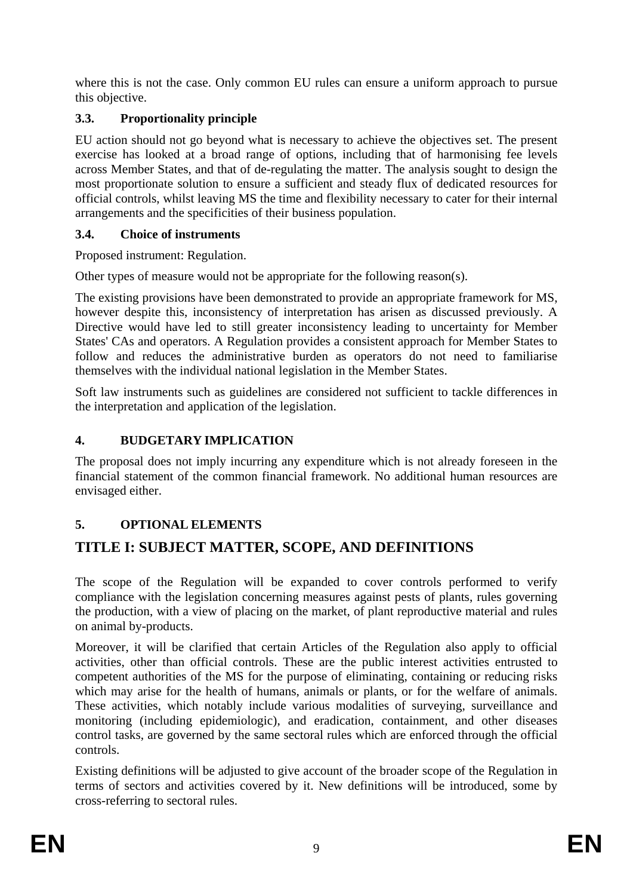where this is not the case. Only common EU rules can ensure a uniform approach to pursue this objective.

### **3.3. Proportionality principle**

EU action should not go beyond what is necessary to achieve the objectives set. The present exercise has looked at a broad range of options, including that of harmonising fee levels across Member States, and that of de-regulating the matter. The analysis sought to design the most proportionate solution to ensure a sufficient and steady flux of dedicated resources for official controls, whilst leaving MS the time and flexibility necessary to cater for their internal arrangements and the specificities of their business population.

### **3.4. Choice of instruments**

Proposed instrument: Regulation.

Other types of measure would not be appropriate for the following reason(s).

The existing provisions have been demonstrated to provide an appropriate framework for MS, however despite this, inconsistency of interpretation has arisen as discussed previously. A Directive would have led to still greater inconsistency leading to uncertainty for Member States' CAs and operators. A Regulation provides a consistent approach for Member States to follow and reduces the administrative burden as operators do not need to familiarise themselves with the individual national legislation in the Member States.

Soft law instruments such as guidelines are considered not sufficient to tackle differences in the interpretation and application of the legislation.

### **4. BUDGETARY IMPLICATION**

The proposal does not imply incurring any expenditure which is not already foreseen in the financial statement of the common financial framework. No additional human resources are envisaged either.

### **5. OPTIONAL ELEMENTS**

# **TITLE I: SUBJECT MATTER, SCOPE, AND DEFINITIONS**

The scope of the Regulation will be expanded to cover controls performed to verify compliance with the legislation concerning measures against pests of plants, rules governing the production, with a view of placing on the market, of plant reproductive material and rules on animal by-products.

Moreover, it will be clarified that certain Articles of the Regulation also apply to official activities, other than official controls. These are the public interest activities entrusted to competent authorities of the MS for the purpose of eliminating, containing or reducing risks which may arise for the health of humans, animals or plants, or for the welfare of animals. These activities, which notably include various modalities of surveying, surveillance and monitoring (including epidemiologic), and eradication, containment, and other diseases control tasks, are governed by the same sectoral rules which are enforced through the official controls.

Existing definitions will be adjusted to give account of the broader scope of the Regulation in terms of sectors and activities covered by it. New definitions will be introduced, some by cross-referring to sectoral rules.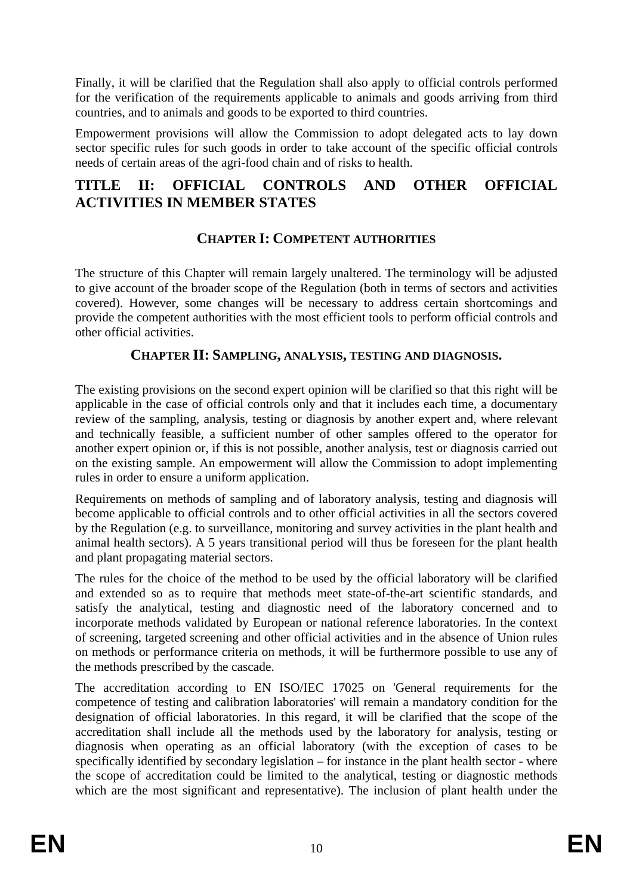Finally, it will be clarified that the Regulation shall also apply to official controls performed for the verification of the requirements applicable to animals and goods arriving from third countries, and to animals and goods to be exported to third countries.

Empowerment provisions will allow the Commission to adopt delegated acts to lay down sector specific rules for such goods in order to take account of the specific official controls needs of certain areas of the agri-food chain and of risks to health.

# **TITLE II: OFFICIAL CONTROLS AND OTHER OFFICIAL ACTIVITIES IN MEMBER STATES**

### **CHAPTER I: COMPETENT AUTHORITIES**

The structure of this Chapter will remain largely unaltered. The terminology will be adjusted to give account of the broader scope of the Regulation (both in terms of sectors and activities covered). However, some changes will be necessary to address certain shortcomings and provide the competent authorities with the most efficient tools to perform official controls and other official activities.

### **CHAPTER II: SAMPLING, ANALYSIS, TESTING AND DIAGNOSIS.**

The existing provisions on the second expert opinion will be clarified so that this right will be applicable in the case of official controls only and that it includes each time, a documentary review of the sampling, analysis, testing or diagnosis by another expert and, where relevant and technically feasible, a sufficient number of other samples offered to the operator for another expert opinion or, if this is not possible, another analysis, test or diagnosis carried out on the existing sample. An empowerment will allow the Commission to adopt implementing rules in order to ensure a uniform application.

Requirements on methods of sampling and of laboratory analysis, testing and diagnosis will become applicable to official controls and to other official activities in all the sectors covered by the Regulation (e.g. to surveillance, monitoring and survey activities in the plant health and animal health sectors). A 5 years transitional period will thus be foreseen for the plant health and plant propagating material sectors.

The rules for the choice of the method to be used by the official laboratory will be clarified and extended so as to require that methods meet state-of-the-art scientific standards, and satisfy the analytical, testing and diagnostic need of the laboratory concerned and to incorporate methods validated by European or national reference laboratories. In the context of screening, targeted screening and other official activities and in the absence of Union rules on methods or performance criteria on methods, it will be furthermore possible to use any of the methods prescribed by the cascade.

The accreditation according to EN ISO/IEC 17025 on 'General requirements for the competence of testing and calibration laboratories' will remain a mandatory condition for the designation of official laboratories. In this regard, it will be clarified that the scope of the accreditation shall include all the methods used by the laboratory for analysis, testing or diagnosis when operating as an official laboratory (with the exception of cases to be specifically identified by secondary legislation – for instance in the plant health sector - where the scope of accreditation could be limited to the analytical, testing or diagnostic methods which are the most significant and representative). The inclusion of plant health under the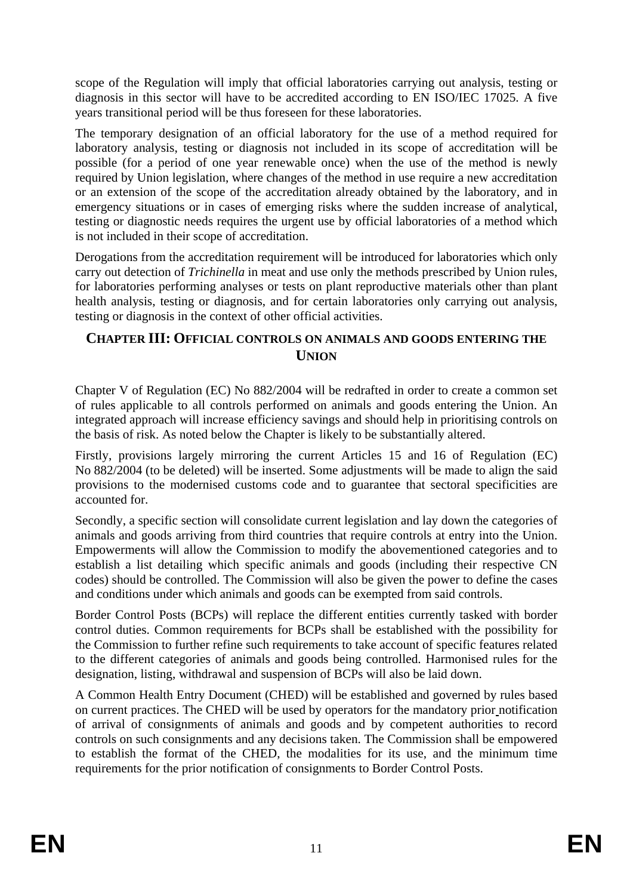scope of the Regulation will imply that official laboratories carrying out analysis, testing or diagnosis in this sector will have to be accredited according to EN ISO/IEC 17025. A five years transitional period will be thus foreseen for these laboratories.

The temporary designation of an official laboratory for the use of a method required for laboratory analysis, testing or diagnosis not included in its scope of accreditation will be possible (for a period of one year renewable once) when the use of the method is newly required by Union legislation, where changes of the method in use require a new accreditation or an extension of the scope of the accreditation already obtained by the laboratory, and in emergency situations or in cases of emerging risks where the sudden increase of analytical, testing or diagnostic needs requires the urgent use by official laboratories of a method which is not included in their scope of accreditation.

Derogations from the accreditation requirement will be introduced for laboratories which only carry out detection of *Trichinella* in meat and use only the methods prescribed by Union rules, for laboratories performing analyses or tests on plant reproductive materials other than plant health analysis, testing or diagnosis, and for certain laboratories only carrying out analysis, testing or diagnosis in the context of other official activities.

### **CHAPTER III: OFFICIAL CONTROLS ON ANIMALS AND GOODS ENTERING THE UNION**

Chapter V of Regulation (EC) No 882/2004 will be redrafted in order to create a common set of rules applicable to all controls performed on animals and goods entering the Union. An integrated approach will increase efficiency savings and should help in prioritising controls on the basis of risk. As noted below the Chapter is likely to be substantially altered.

Firstly, provisions largely mirroring the current Articles 15 and 16 of Regulation (EC) No 882/2004 (to be deleted) will be inserted. Some adjustments will be made to align the said provisions to the modernised customs code and to guarantee that sectoral specificities are accounted for.

Secondly, a specific section will consolidate current legislation and lay down the categories of animals and goods arriving from third countries that require controls at entry into the Union. Empowerments will allow the Commission to modify the abovementioned categories and to establish a list detailing which specific animals and goods (including their respective CN codes) should be controlled. The Commission will also be given the power to define the cases and conditions under which animals and goods can be exempted from said controls.

Border Control Posts (BCPs) will replace the different entities currently tasked with border control duties. Common requirements for BCPs shall be established with the possibility for the Commission to further refine such requirements to take account of specific features related to the different categories of animals and goods being controlled. Harmonised rules for the designation, listing, withdrawal and suspension of BCPs will also be laid down.

A Common Health Entry Document (CHED) will be established and governed by rules based on current practices. The CHED will be used by operators for the mandatory prior notification of arrival of consignments of animals and goods and by competent authorities to record controls on such consignments and any decisions taken. The Commission shall be empowered to establish the format of the CHED, the modalities for its use, and the minimum time requirements for the prior notification of consignments to Border Control Posts.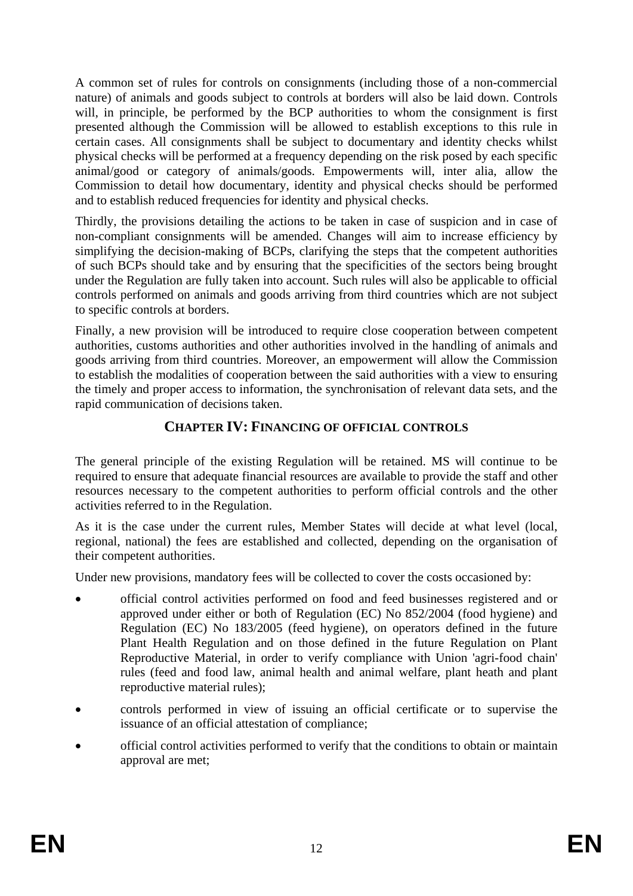A common set of rules for controls on consignments (including those of a non-commercial nature) of animals and goods subject to controls at borders will also be laid down. Controls will, in principle, be performed by the BCP authorities to whom the consignment is first presented although the Commission will be allowed to establish exceptions to this rule in certain cases. All consignments shall be subject to documentary and identity checks whilst physical checks will be performed at a frequency depending on the risk posed by each specific animal/good or category of animals/goods. Empowerments will, inter alia, allow the Commission to detail how documentary, identity and physical checks should be performed and to establish reduced frequencies for identity and physical checks.

Thirdly, the provisions detailing the actions to be taken in case of suspicion and in case of non-compliant consignments will be amended. Changes will aim to increase efficiency by simplifying the decision-making of BCPs, clarifying the steps that the competent authorities of such BCPs should take and by ensuring that the specificities of the sectors being brought under the Regulation are fully taken into account. Such rules will also be applicable to official controls performed on animals and goods arriving from third countries which are not subject to specific controls at borders.

Finally*,* a new provision will be introduced to require close cooperation between competent authorities, customs authorities and other authorities involved in the handling of animals and goods arriving from third countries. Moreover, an empowerment will allow the Commission to establish the modalities of cooperation between the said authorities with a view to ensuring the timely and proper access to information, the synchronisation of relevant data sets, and the rapid communication of decisions taken.

### **CHAPTER IV: FINANCING OF OFFICIAL CONTROLS**

The general principle of the existing Regulation will be retained. MS will continue to be required to ensure that adequate financial resources are available to provide the staff and other resources necessary to the competent authorities to perform official controls and the other activities referred to in the Regulation.

As it is the case under the current rules, Member States will decide at what level (local, regional, national) the fees are established and collected, depending on the organisation of their competent authorities.

Under new provisions, mandatory fees will be collected to cover the costs occasioned by:

- official control activities performed on food and feed businesses registered and or approved under either or both of Regulation (EC) No 852/2004 (food hygiene) and Regulation (EC) No 183/2005 (feed hygiene), on operators defined in the future Plant Health Regulation and on those defined in the future Regulation on Plant Reproductive Material, in order to verify compliance with Union 'agri-food chain' rules (feed and food law, animal health and animal welfare, plant heath and plant reproductive material rules);
- controls performed in view of issuing an official certificate or to supervise the issuance of an official attestation of compliance;
- official control activities performed to verify that the conditions to obtain or maintain approval are met;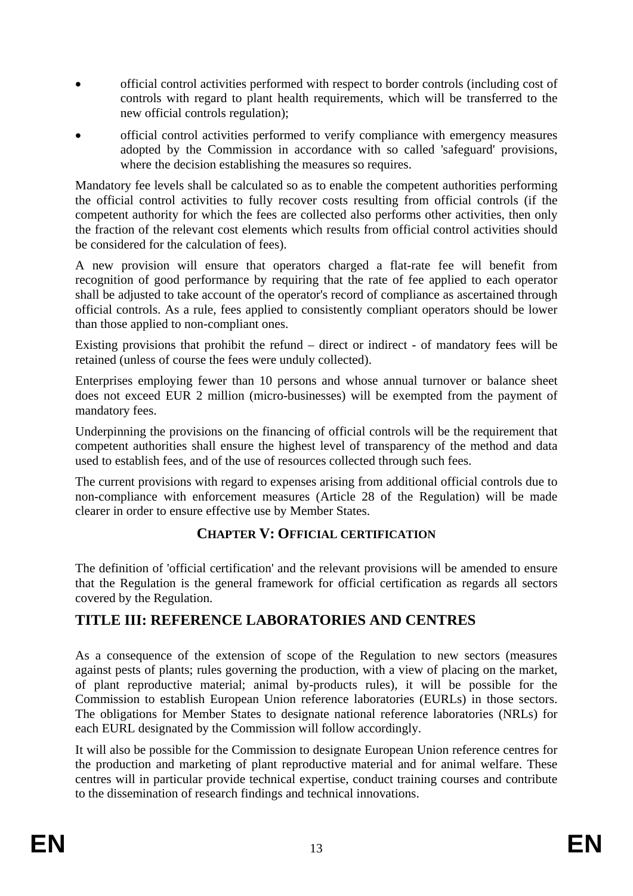- official control activities performed with respect to border controls (including cost of controls with regard to plant health requirements, which will be transferred to the new official controls regulation);
- official control activities performed to verify compliance with emergency measures adopted by the Commission in accordance with so called 'safeguard' provisions, where the decision establishing the measures so requires.

Mandatory fee levels shall be calculated so as to enable the competent authorities performing the official control activities to fully recover costs resulting from official controls (if the competent authority for which the fees are collected also performs other activities, then only the fraction of the relevant cost elements which results from official control activities should be considered for the calculation of fees).

A new provision will ensure that operators charged a flat-rate fee will benefit from recognition of good performance by requiring that the rate of fee applied to each operator shall be adjusted to take account of the operator's record of compliance as ascertained through official controls. As a rule, fees applied to consistently compliant operators should be lower than those applied to non-compliant ones.

Existing provisions that prohibit the refund – direct or indirect - of mandatory fees will be retained (unless of course the fees were unduly collected).

Enterprises employing fewer than 10 persons and whose annual turnover or balance sheet does not exceed EUR 2 million (micro-businesses) will be exempted from the payment of mandatory fees.

Underpinning the provisions on the financing of official controls will be the requirement that competent authorities shall ensure the highest level of transparency of the method and data used to establish fees, and of the use of resources collected through such fees.

The current provisions with regard to expenses arising from additional official controls due to non-compliance with enforcement measures (Article 28 of the Regulation) will be made clearer in order to ensure effective use by Member States.

### **CHAPTER V: OFFICIAL CERTIFICATION**

The definition of 'official certification' and the relevant provisions will be amended to ensure that the Regulation is the general framework for official certification as regards all sectors covered by the Regulation.

### **TITLE III: REFERENCE LABORATORIES AND CENTRES**

As a consequence of the extension of scope of the Regulation to new sectors (measures against pests of plants; rules governing the production, with a view of placing on the market, of plant reproductive material; animal by-products rules), it will be possible for the Commission to establish European Union reference laboratories (EURLs) in those sectors. The obligations for Member States to designate national reference laboratories (NRLs) for each EURL designated by the Commission will follow accordingly.

It will also be possible for the Commission to designate European Union reference centres for the production and marketing of plant reproductive material and for animal welfare. These centres will in particular provide technical expertise, conduct training courses and contribute to the dissemination of research findings and technical innovations.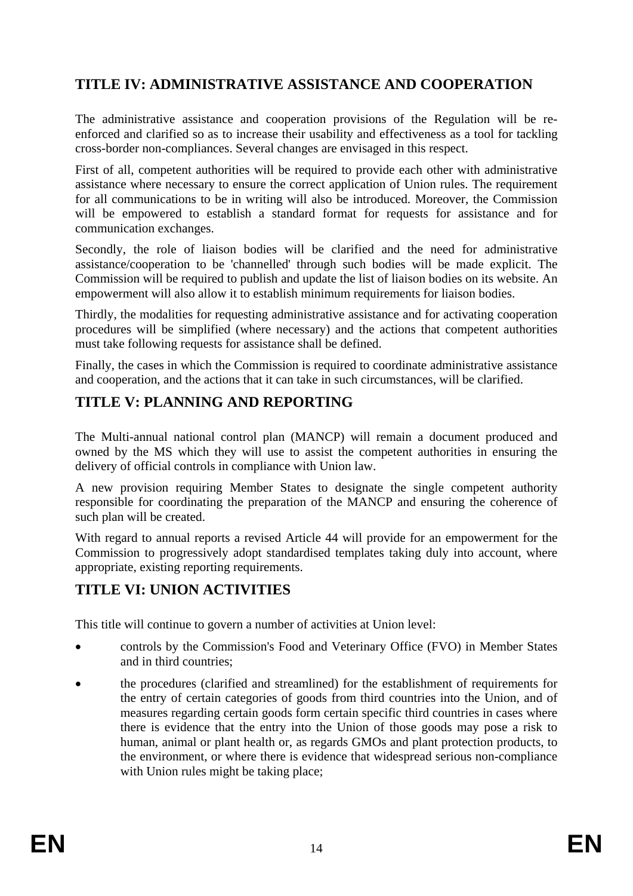# **TITLE IV: ADMINISTRATIVE ASSISTANCE AND COOPERATION**

The administrative assistance and cooperation provisions of the Regulation will be reenforced and clarified so as to increase their usability and effectiveness as a tool for tackling cross-border non-compliances. Several changes are envisaged in this respect.

First of all, competent authorities will be required to provide each other with administrative assistance where necessary to ensure the correct application of Union rules. The requirement for all communications to be in writing will also be introduced. Moreover, the Commission will be empowered to establish a standard format for requests for assistance and for communication exchanges.

Secondly, the role of liaison bodies will be clarified and the need for administrative assistance/cooperation to be 'channelled' through such bodies will be made explicit. The Commission will be required to publish and update the list of liaison bodies on its website. An empowerment will also allow it to establish minimum requirements for liaison bodies.

Thirdly, the modalities for requesting administrative assistance and for activating cooperation procedures will be simplified (where necessary) and the actions that competent authorities must take following requests for assistance shall be defined.

Finally, the cases in which the Commission is required to coordinate administrative assistance and cooperation, and the actions that it can take in such circumstances, will be clarified.

# **TITLE V: PLANNING AND REPORTING**

The Multi-annual national control plan (MANCP) will remain a document produced and owned by the MS which they will use to assist the competent authorities in ensuring the delivery of official controls in compliance with Union law.

A new provision requiring Member States to designate the single competent authority responsible for coordinating the preparation of the MANCP and ensuring the coherence of such plan will be created.

With regard to annual reports a revised Article 44 will provide for an empowerment for the Commission to progressively adopt standardised templates taking duly into account, where appropriate, existing reporting requirements.

### **TITLE VI: UNION ACTIVITIES**

This title will continue to govern a number of activities at Union level:

- controls by the Commission's Food and Veterinary Office (FVO) in Member States and in third countries;
- the procedures (clarified and streamlined) for the establishment of requirements for the entry of certain categories of goods from third countries into the Union, and of measures regarding certain goods form certain specific third countries in cases where there is evidence that the entry into the Union of those goods may pose a risk to human, animal or plant health or, as regards GMOs and plant protection products, to the environment, or where there is evidence that widespread serious non-compliance with Union rules might be taking place;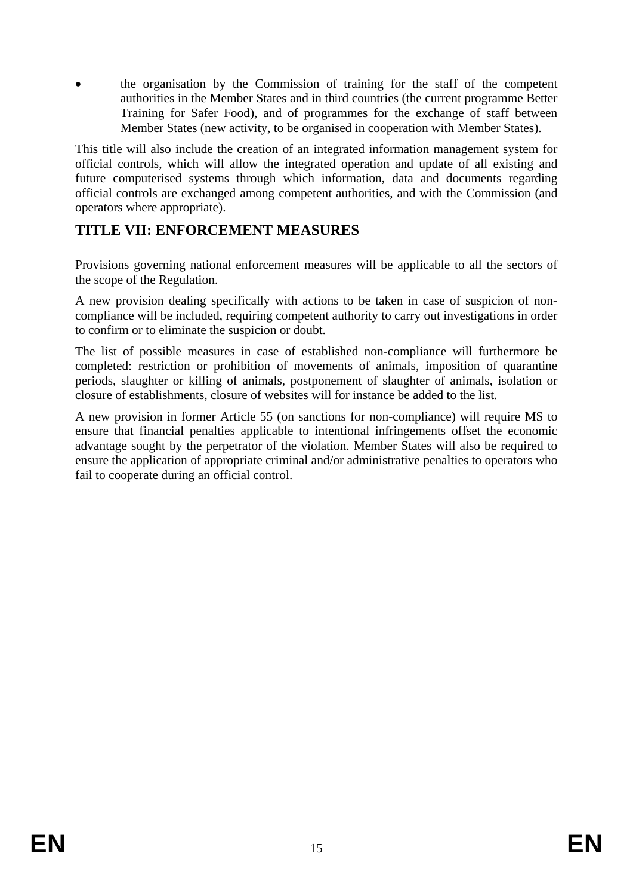• the organisation by the Commission of training for the staff of the competent authorities in the Member States and in third countries (the current programme Better Training for Safer Food), and of programmes for the exchange of staff between Member States (new activity, to be organised in cooperation with Member States).

This title will also include the creation of an integrated information management system for official controls, which will allow the integrated operation and update of all existing and future computerised systems through which information, data and documents regarding official controls are exchanged among competent authorities, and with the Commission (and operators where appropriate).

# **TITLE VII: ENFORCEMENT MEASURES**

Provisions governing national enforcement measures will be applicable to all the sectors of the scope of the Regulation.

A new provision dealing specifically with actions to be taken in case of suspicion of noncompliance will be included, requiring competent authority to carry out investigations in order to confirm or to eliminate the suspicion or doubt.

The list of possible measures in case of established non-compliance will furthermore be completed: restriction or prohibition of movements of animals, imposition of quarantine periods, slaughter or killing of animals, postponement of slaughter of animals, isolation or closure of establishments, closure of websites will for instance be added to the list.

A new provision in former Article 55 (on sanctions for non-compliance) will require MS to ensure that financial penalties applicable to intentional infringements offset the economic advantage sought by the perpetrator of the violation. Member States will also be required to ensure the application of appropriate criminal and/or administrative penalties to operators who fail to cooperate during an official control.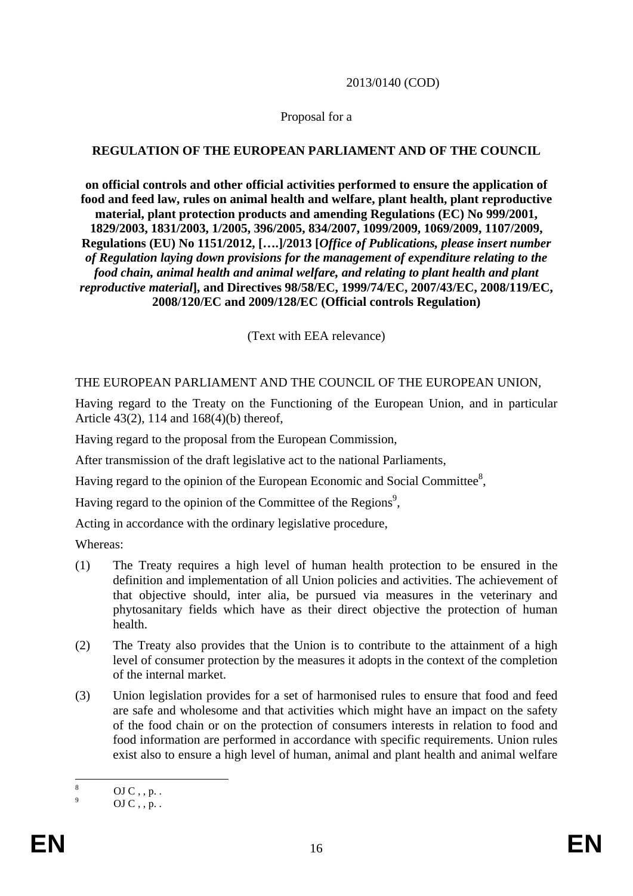#### 2013/0140 (COD)

#### Proposal for a

#### **REGULATION OF THE EUROPEAN PARLIAMENT AND OF THE COUNCIL**

**on official controls and other official activities performed to ensure the application of food and feed law, rules on animal health and welfare, plant health, plant reproductive material, plant protection products and amending Regulations (EC) No 999/2001, 1829/2003, 1831/2003, 1/2005, 396/2005, 834/2007, 1099/2009, 1069/2009, 1107/2009, Regulations (EU) No 1151/2012, [….]/2013 [***Office of Publications, please insert number of Regulation laying down provisions for the management of expenditure relating to the food chain, animal health and animal welfare, and relating to plant health and plant reproductive material***], and Directives 98/58/EC, 1999/74/EC, 2007/43/EC, 2008/119/EC, 2008/120/EC and 2009/128/EC (Official controls Regulation)** 

(Text with EEA relevance)

#### THE EUROPEAN PARLIAMENT AND THE COUNCIL OF THE EUROPEAN UNION,

Having regard to the Treaty on the Functioning of the European Union, and in particular Article 43(2), 114 and 168(4)(b) thereof,

Having regard to the proposal from the European Commission,

After transmission of the draft legislative act to the national Parliaments,

Having regard to the opinion of the European Economic and Social Committee $\delta$ ,

Having regard to the opinion of the Committee of the Regions<sup>9</sup>,

Acting in accordance with the ordinary legislative procedure,

Whereas:

- (1) The Treaty requires a high level of human health protection to be ensured in the definition and implementation of all Union policies and activities. The achievement of that objective should, inter alia, be pursued via measures in the veterinary and phytosanitary fields which have as their direct objective the protection of human health.
- (2) The Treaty also provides that the Union is to contribute to the attainment of a high level of consumer protection by the measures it adopts in the context of the completion of the internal market.
- (3) Union legislation provides for a set of harmonised rules to ensure that food and feed are safe and wholesome and that activities which might have an impact on the safety of the food chain or on the protection of consumers interests in relation to food and food information are performed in accordance with specific requirements. Union rules exist also to ensure a high level of human, animal and plant health and animal welfare

 $\frac{1}{8}$  $OJC$ , , p. .

<sup>9</sup> OJ  $C$ , , p. .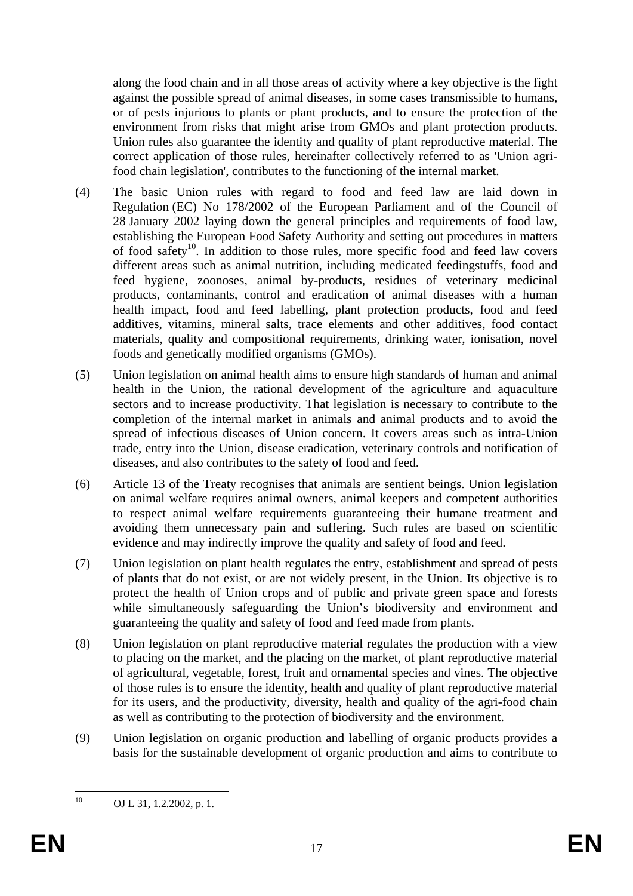along the food chain and in all those areas of activity where a key objective is the fight against the possible spread of animal diseases, in some cases transmissible to humans, or of pests injurious to plants or plant products, and to ensure the protection of the environment from risks that might arise from GMOs and plant protection products. Union rules also guarantee the identity and quality of plant reproductive material. The correct application of those rules, hereinafter collectively referred to as 'Union agrifood chain legislation', contributes to the functioning of the internal market.

- (4) The basic Union rules with regard to food and feed law are laid down in Regulation (EC) No 178/2002 of the European Parliament and of the Council of 28 January 2002 laying down the general principles and requirements of food law, establishing the European Food Safety Authority and setting out procedures in matters of food safety<sup>10</sup>. In addition to those rules, more specific food and feed law covers different areas such as animal nutrition, including medicated feedingstuffs, food and feed hygiene, zoonoses, animal by-products, residues of veterinary medicinal products, contaminants, control and eradication of animal diseases with a human health impact, food and feed labelling, plant protection products, food and feed additives, vitamins, mineral salts, trace elements and other additives, food contact materials, quality and compositional requirements, drinking water, ionisation, novel foods and genetically modified organisms (GMOs).
- (5) Union legislation on animal health aims to ensure high standards of human and animal health in the Union, the rational development of the agriculture and aquaculture sectors and to increase productivity. That legislation is necessary to contribute to the completion of the internal market in animals and animal products and to avoid the spread of infectious diseases of Union concern. It covers areas such as intra-Union trade, entry into the Union, disease eradication, veterinary controls and notification of diseases, and also contributes to the safety of food and feed.
- (6) Article 13 of the Treaty recognises that animals are sentient beings. Union legislation on animal welfare requires animal owners, animal keepers and competent authorities to respect animal welfare requirements guaranteeing their humane treatment and avoiding them unnecessary pain and suffering. Such rules are based on scientific evidence and may indirectly improve the quality and safety of food and feed.
- (7) Union legislation on plant health regulates the entry, establishment and spread of pests of plants that do not exist, or are not widely present, in the Union. Its objective is to protect the health of Union crops and of public and private green space and forests while simultaneously safeguarding the Union's biodiversity and environment and guaranteeing the quality and safety of food and feed made from plants.
- (8) Union legislation on plant reproductive material regulates the production with a view to placing on the market, and the placing on the market, of plant reproductive material of agricultural, vegetable, forest, fruit and ornamental species and vines. The objective of those rules is to ensure the identity, health and quality of plant reproductive material for its users, and the productivity, diversity, health and quality of the agri-food chain as well as contributing to the protection of biodiversity and the environment.
- (9) Union legislation on organic production and labelling of organic products provides a basis for the sustainable development of organic production and aims to contribute to

 $10\,$ OJ L 31, 1.2.2002, p. 1.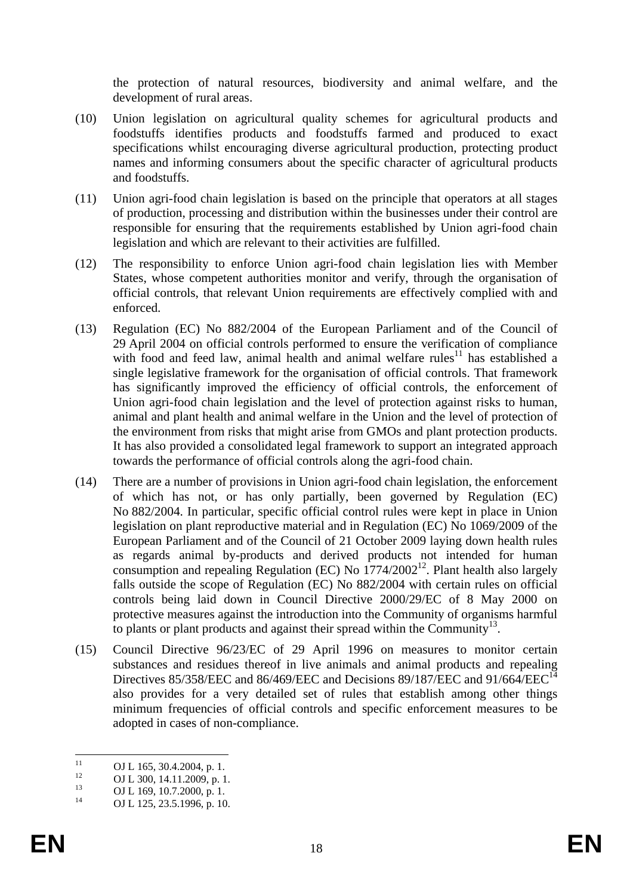the protection of natural resources, [biodiversity](http://ec.europa.eu/agriculture/organic/environment/biodiversity_en) and [animal welfare,](http://ec.europa.eu/agriculture/organic/animal-welfare_en) and the [development of rural areas.](http://ec.europa.eu/agriculture/organic/society-economy/rural-development_en)

- (10) Union legislation on agricultural quality schemes for agricultural products and foodstuffs identifies products and foodstuffs farmed and produced to exact specifications whilst encouraging diverse agricultural production, protecting product names and informing consumers about the specific character of agricultural products and foodstuffs.
- (11) Union agri-food chain legislation is based on the principle that operators at all stages of production, processing and distribution within the businesses under their control are responsible for ensuring that the requirements established by Union agri-food chain legislation and which are relevant to their activities are fulfilled.
- (12) The responsibility to enforce Union agri-food chain legislation lies with Member States, whose competent authorities monitor and verify, through the organisation of official controls, that relevant Union requirements are effectively complied with and enforced.
- (13) Regulation (EC) No 882/2004 of the European Parliament and of the Council of 29 April 2004 on official controls performed to ensure the verification of compliance with food and feed law, animal health and animal welfare rules<sup>11</sup> has established a single legislative framework for the organisation of official controls. That framework has significantly improved the efficiency of official controls, the enforcement of Union agri-food chain legislation and the level of protection against risks to human, animal and plant health and animal welfare in the Union and the level of protection of the environment from risks that might arise from GMOs and plant protection products. It has also provided a consolidated legal framework to support an integrated approach towards the performance of official controls along the agri-food chain.
- (14) There are a number of provisions in Union agri-food chain legislation, the enforcement of which has not, or has only partially, been governed by Regulation (EC) No 882/2004. In particular, specific official control rules were kept in place in Union legislation on plant reproductive material and in Regulation (EC) No 1069/2009 of the European Parliament and of the Council of 21 October 2009 laying down health rules as regards animal by-products and derived products not intended for human consumption and repealing Regulation (EC) No  $1774/2002^{12}$ . Plant health also largely falls outside the scope of Regulation (EC) No 882/2004 with certain rules on official controls being laid down in Council Directive 2000/29/EC of 8 May 2000 on protective measures against the introduction into the Community of organisms harmful to plants or plant products and against their spread within the Community<sup>13</sup>.
- (15) Council Directive 96/23/EC of 29 April 1996 on measures to monitor certain substances and residues thereof in live animals and animal products and repealing Directives 85/358/EEC and 86/469/EEC and Decisions 89/187/EEC and 91/664/EEC<sup>14</sup> also provides for a very detailed set of rules that establish among other things minimum frequencies of official controls and specific enforcement measures to be adopted in cases of non-compliance.

 $11$  $11$  OJ L 165, 30.4.2004, p. 1.

<sup>&</sup>lt;sup>12</sup> OJ L 300, 14.11.2009, p. 1.<br>
<sup>13</sup> OJ L 300, 19.7.2000, 1.

<sup>&</sup>lt;sup>13</sup> OJ L 169, 10.7.2000, p. 1.<br>
OJ L 125, 22, 5, 1006, p. 10

OJ L 125, 23.5.1996, p. 10.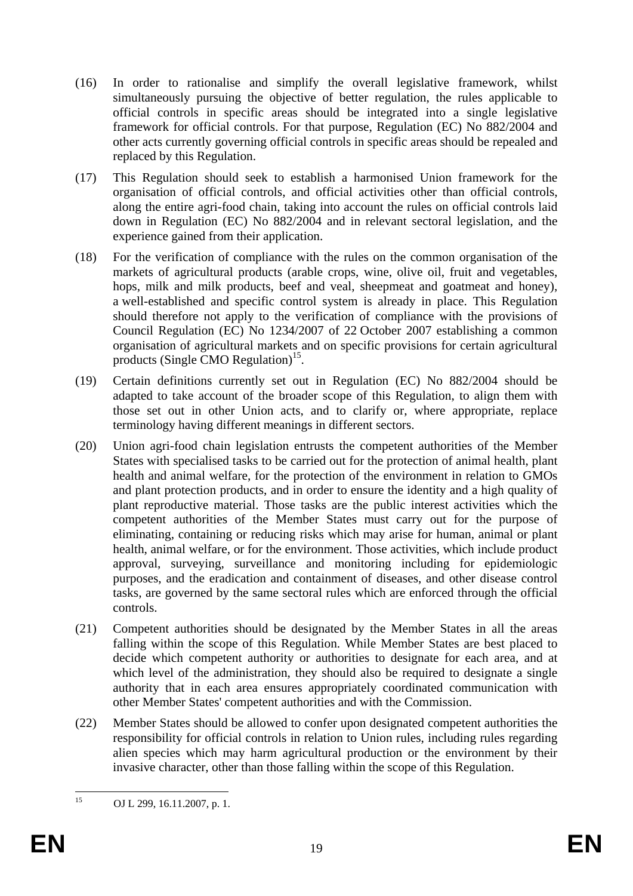- (16) In order to rationalise and simplify the overall legislative framework, whilst simultaneously pursuing the objective of better regulation, the rules applicable to official controls in specific areas should be integrated into a single legislative framework for official controls. For that purpose, Regulation (EC) No 882/2004 and other acts currently governing official controls in specific areas should be repealed and replaced by this Regulation.
- (17) This Regulation should seek to establish a harmonised Union framework for the organisation of official controls, and official activities other than official controls, along the entire agri-food chain, taking into account the rules on official controls laid down in Regulation (EC) No 882/2004 and in relevant sectoral legislation, and the experience gained from their application.
- (18) For the verification of compliance with the rules on the common organisation of the markets of agricultural products (arable crops, wine, olive oil, fruit and vegetables, hops, milk and milk products, beef and veal, sheepmeat and goatmeat and honey), a well-established and specific control system is already in place. This Regulation should therefore not apply to the verification of compliance with the provisions of Council Regulation (EC) No 1234/2007 of 22 October 2007 establishing a common organisation of agricultural markets and on specific provisions for certain agricultural products (Single CMO Regulation)<sup>15</sup>.
- (19) Certain definitions currently set out in Regulation (EC) No 882/2004 should be adapted to take account of the broader scope of this Regulation, to align them with those set out in other Union acts, and to clarify or, where appropriate, replace terminology having different meanings in different sectors.
- (20) Union agri-food chain legislation entrusts the competent authorities of the Member States with specialised tasks to be carried out for the protection of animal health, plant health and animal welfare, for the protection of the environment in relation to GMOs and plant protection products, and in order to ensure the identity and a high quality of plant reproductive material. Those tasks are the public interest activities which the competent authorities of the Member States must carry out for the purpose of eliminating, containing or reducing risks which may arise for human, animal or plant health, animal welfare, or for the environment. Those activities, which include product approval, surveying, surveillance and monitoring including for epidemiologic purposes, and the eradication and containment of diseases, and other disease control tasks, are governed by the same sectoral rules which are enforced through the official controls.
- (21) Competent authorities should be designated by the Member States in all the areas falling within the scope of this Regulation. While Member States are best placed to decide which competent authority or authorities to designate for each area, and at which level of the administration, they should also be required to designate a single authority that in each area ensures appropriately coordinated communication with other Member States' competent authorities and with the Commission.
- (22) Member States should be allowed to confer upon designated competent authorities the responsibility for official controls in relation to Union rules, including rules regarding alien species which may harm agricultural production or the environment by their invasive character, other than those falling within the scope of this Regulation.

 $15$ OJ L 299, 16.11.2007, p. 1.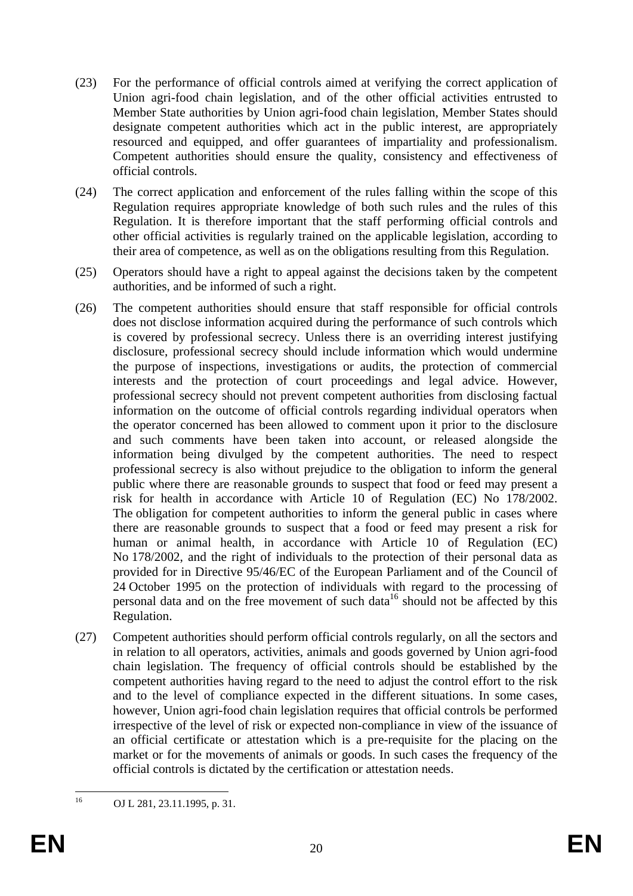- (23) For the performance of official controls aimed at verifying the correct application of Union agri-food chain legislation, and of the other official activities entrusted to Member State authorities by Union agri-food chain legislation, Member States should designate competent authorities which act in the public interest, are appropriately resourced and equipped, and offer guarantees of impartiality and professionalism. Competent authorities should ensure the quality, consistency and effectiveness of official controls.
- (24) The correct application and enforcement of the rules falling within the scope of this Regulation requires appropriate knowledge of both such rules and the rules of this Regulation. It is therefore important that the staff performing official controls and other official activities is regularly trained on the applicable legislation, according to their area of competence, as well as on the obligations resulting from this Regulation.
- (25) Operators should have a right to appeal against the decisions taken by the competent authorities, and be informed of such a right.
- (26) The competent authorities should ensure that staff responsible for official controls does not disclose information acquired during the performance of such controls which is covered by professional secrecy. Unless there is an overriding interest justifying disclosure, professional secrecy should include information which would undermine the purpose of inspections, investigations or audits, the protection of commercial interests and the protection of court proceedings and legal advice. However, professional secrecy should not prevent competent authorities from disclosing factual information on the outcome of official controls regarding individual operators when the operator concerned has been allowed to comment upon it prior to the disclosure and such comments have been taken into account, or released alongside the information being divulged by the competent authorities. The need to respect professional secrecy is also without prejudice to the obligation to inform the general public where there are reasonable grounds to suspect that food or feed may present a risk for health in accordance with Article 10 of Regulation (EC) No 178/2002. The obligation for competent authorities to inform the general public in cases where there are reasonable grounds to suspect that a food or feed may present a risk for human or animal health, in accordance with Article 10 of Regulation (EC) No 178/2002, and the right of individuals to the protection of their personal data as provided for in Directive 95/46/EC of the European Parliament and of the Council of 24 October 1995 on the protection of individuals with regard to the processing of personal data and on the free movement of such data<sup>16</sup> should not be affected by this Regulation.
- (27) Competent authorities should perform official controls regularly, on all the sectors and in relation to all operators, activities, animals and goods governed by Union agri-food chain legislation. The frequency of official controls should be established by the competent authorities having regard to the need to adjust the control effort to the risk and to the level of compliance expected in the different situations. In some cases, however, Union agri-food chain legislation requires that official controls be performed irrespective of the level of risk or expected non-compliance in view of the issuance of an official certificate or attestation which is a pre-requisite for the placing on the market or for the movements of animals or goods. In such cases the frequency of the official controls is dictated by the certification or attestation needs.

<sup>16</sup> OJ L 281, 23.11.1995, p. 31.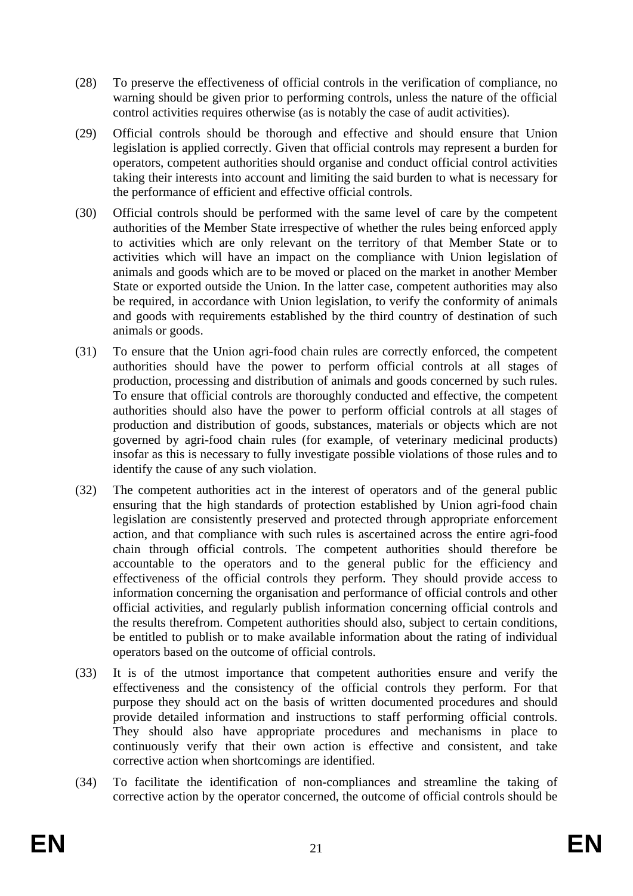- (28) To preserve the effectiveness of official controls in the verification of compliance, no warning should be given prior to performing controls, unless the nature of the official control activities requires otherwise (as is notably the case of audit activities).
- (29) Official controls should be thorough and effective and should ensure that Union legislation is applied correctly. Given that official controls may represent a burden for operators, competent authorities should organise and conduct official control activities taking their interests into account and limiting the said burden to what is necessary for the performance of efficient and effective official controls.
- (30) Official controls should be performed with the same level of care by the competent authorities of the Member State irrespective of whether the rules being enforced apply to activities which are only relevant on the territory of that Member State or to activities which will have an impact on the compliance with Union legislation of animals and goods which are to be moved or placed on the market in another Member State or exported outside the Union. In the latter case, competent authorities may also be required, in accordance with Union legislation, to verify the conformity of animals and goods with requirements established by the third country of destination of such animals or goods.
- (31) To ensure that the Union agri-food chain rules are correctly enforced, the competent authorities should have the power to perform official controls at all stages of production, processing and distribution of animals and goods concerned by such rules. To ensure that official controls are thoroughly conducted and effective, the competent authorities should also have the power to perform official controls at all stages of production and distribution of goods, substances, materials or objects which are not governed by agri-food chain rules (for example, of veterinary medicinal products) insofar as this is necessary to fully investigate possible violations of those rules and to identify the cause of any such violation.
- (32) The competent authorities act in the interest of operators and of the general public ensuring that the high standards of protection established by Union agri-food chain legislation are consistently preserved and protected through appropriate enforcement action, and that compliance with such rules is ascertained across the entire agri-food chain through official controls. The competent authorities should therefore be accountable to the operators and to the general public for the efficiency and effectiveness of the official controls they perform. They should provide access to information concerning the organisation and performance of official controls and other official activities, and regularly publish information concerning official controls and the results therefrom. Competent authorities should also, subject to certain conditions, be entitled to publish or to make available information about the rating of individual operators based on the outcome of official controls.
- (33) It is of the utmost importance that competent authorities ensure and verify the effectiveness and the consistency of the official controls they perform. For that purpose they should act on the basis of written documented procedures and should provide detailed information and instructions to staff performing official controls. They should also have appropriate procedures and mechanisms in place to continuously verify that their own action is effective and consistent, and take corrective action when shortcomings are identified.
- (34) To facilitate the identification of non-compliances and streamline the taking of corrective action by the operator concerned, the outcome of official controls should be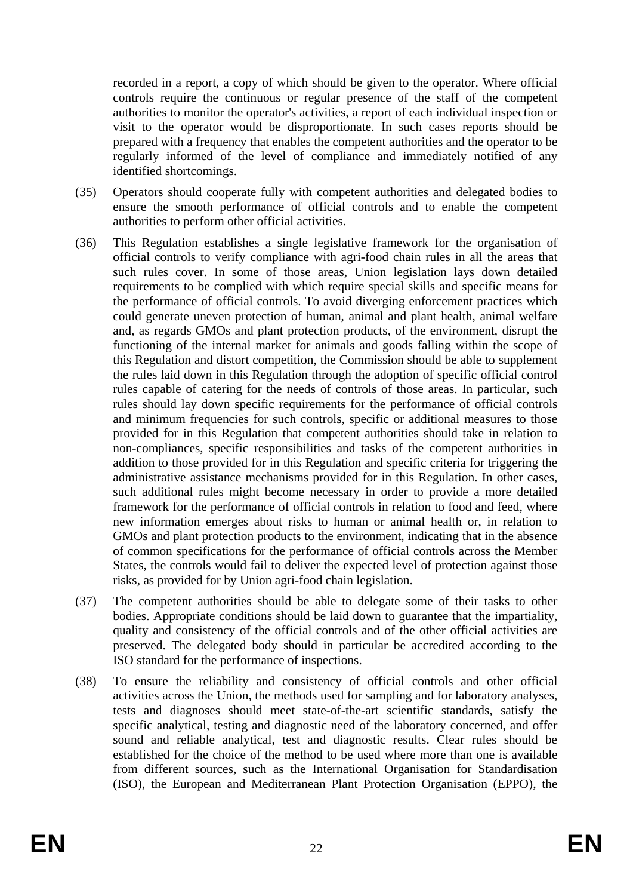recorded in a report, a copy of which should be given to the operator. Where official controls require the continuous or regular presence of the staff of the competent authorities to monitor the operator's activities, a report of each individual inspection or visit to the operator would be disproportionate. In such cases reports should be prepared with a frequency that enables the competent authorities and the operator to be regularly informed of the level of compliance and immediately notified of any identified shortcomings.

- (35) Operators should cooperate fully with competent authorities and delegated bodies to ensure the smooth performance of official controls and to enable the competent authorities to perform other official activities.
- (36) This Regulation establishes a single legislative framework for the organisation of official controls to verify compliance with agri-food chain rules in all the areas that such rules cover. In some of those areas, Union legislation lays down detailed requirements to be complied with which require special skills and specific means for the performance of official controls. To avoid diverging enforcement practices which could generate uneven protection of human, animal and plant health, animal welfare and, as regards GMOs and plant protection products, of the environment, disrupt the functioning of the internal market for animals and goods falling within the scope of this Regulation and distort competition, the Commission should be able to supplement the rules laid down in this Regulation through the adoption of specific official control rules capable of catering for the needs of controls of those areas. In particular, such rules should lay down specific requirements for the performance of official controls and minimum frequencies for such controls, specific or additional measures to those provided for in this Regulation that competent authorities should take in relation to non-compliances, specific responsibilities and tasks of the competent authorities in addition to those provided for in this Regulation and specific criteria for triggering the administrative assistance mechanisms provided for in this Regulation. In other cases, such additional rules might become necessary in order to provide a more detailed framework for the performance of official controls in relation to food and feed, where new information emerges about risks to human or animal health or, in relation to GMOs and plant protection products to the environment, indicating that in the absence of common specifications for the performance of official controls across the Member States, the controls would fail to deliver the expected level of protection against those risks, as provided for by Union agri-food chain legislation.
- (37) The competent authorities should be able to delegate some of their tasks to other bodies. Appropriate conditions should be laid down to guarantee that the impartiality, quality and consistency of the official controls and of the other official activities are preserved. The delegated body should in particular be accredited according to the ISO standard for the performance of inspections.
- (38) To ensure the reliability and consistency of official controls and other official activities across the Union, the methods used for sampling and for laboratory analyses, tests and diagnoses should meet state-of-the-art scientific standards, satisfy the specific analytical, testing and diagnostic need of the laboratory concerned, and offer sound and reliable analytical, test and diagnostic results. Clear rules should be established for the choice of the method to be used where more than one is available from different sources, such as the International Organisation for Standardisation (ISO), the European and Mediterranean Plant Protection Organisation (EPPO), the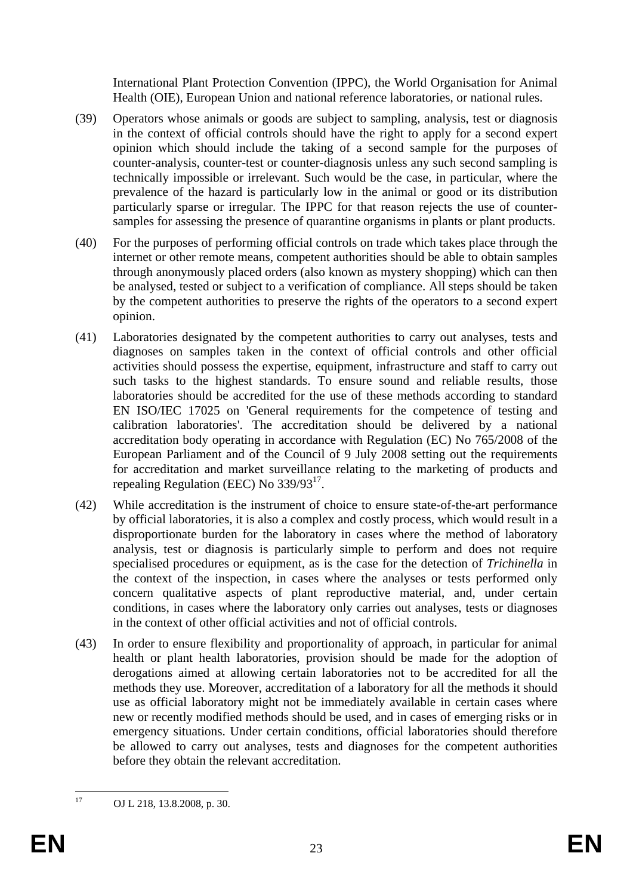International Plant Protection Convention (IPPC), the World Organisation for Animal Health (OIE), European Union and national reference laboratories, or national rules.

- (39) Operators whose animals or goods are subject to sampling, analysis, test or diagnosis in the context of official controls should have the right to apply for a second expert opinion which should include the taking of a second sample for the purposes of counter-analysis, counter-test or counter-diagnosis unless any such second sampling is technically impossible or irrelevant. Such would be the case, in particular, where the prevalence of the hazard is particularly low in the animal or good or its distribution particularly sparse or irregular. The IPPC for that reason rejects the use of countersamples for assessing the presence of quarantine organisms in plants or plant products.
- (40) For the purposes of performing official controls on trade which takes place through the internet or other remote means, competent authorities should be able to obtain samples through anonymously placed orders (also known as mystery shopping) which can then be analysed, tested or subject to a verification of compliance. All steps should be taken by the competent authorities to preserve the rights of the operators to a second expert opinion.
- (41) Laboratories designated by the competent authorities to carry out analyses, tests and diagnoses on samples taken in the context of official controls and other official activities should possess the expertise, equipment, infrastructure and staff to carry out such tasks to the highest standards. To ensure sound and reliable results, those laboratories should be accredited for the use of these methods according to standard EN ISO/IEC 17025 on 'General requirements for the competence of testing and calibration laboratories'. The accreditation should be delivered by a national accreditation body operating in accordance with Regulation (EC) No 765/2008 of the European Parliament and of the Council of 9 July 2008 setting out the requirements for accreditation and market surveillance relating to the marketing of products and repealing Regulation (EEC) No 339/9317.
- (42) While accreditation is the instrument of choice to ensure state-of-the-art performance by official laboratories, it is also a complex and costly process, which would result in a disproportionate burden for the laboratory in cases where the method of laboratory analysis, test or diagnosis is particularly simple to perform and does not require specialised procedures or equipment, as is the case for the detection of *Trichinella* in the context of the inspection, in cases where the analyses or tests performed only concern qualitative aspects of plant reproductive material, and, under certain conditions, in cases where the laboratory only carries out analyses, tests or diagnoses in the context of other official activities and not of official controls.
- (43) In order to ensure flexibility and proportionality of approach, in particular for animal health or plant health laboratories, provision should be made for the adoption of derogations aimed at allowing certain laboratories not to be accredited for all the methods they use. Moreover, accreditation of a laboratory for all the methods it should use as official laboratory might not be immediately available in certain cases where new or recently modified methods should be used, and in cases of emerging risks or in emergency situations. Under certain conditions, official laboratories should therefore be allowed to carry out analyses, tests and diagnoses for the competent authorities before they obtain the relevant accreditation.

 $17$ 

OJ L 218, 13.8.2008, p. 30.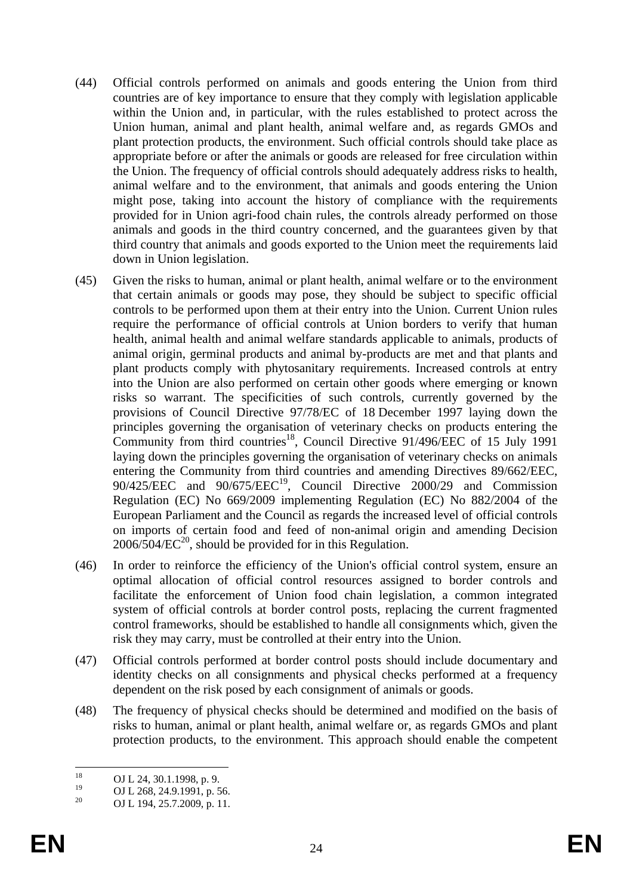- (44) Official controls performed on animals and goods entering the Union from third countries are of key importance to ensure that they comply with legislation applicable within the Union and, in particular, with the rules established to protect across the Union human, animal and plant health, animal welfare and, as regards GMOs and plant protection products, the environment. Such official controls should take place as appropriate before or after the animals or goods are released for free circulation within the Union. The frequency of official controls should adequately address risks to health, animal welfare and to the environment, that animals and goods entering the Union might pose, taking into account the history of compliance with the requirements provided for in Union agri-food chain rules, the controls already performed on those animals and goods in the third country concerned, and the guarantees given by that third country that animals and goods exported to the Union meet the requirements laid down in Union legislation.
- (45) Given the risks to human, animal or plant health, animal welfare or to the environment that certain animals or goods may pose, they should be subject to specific official controls to be performed upon them at their entry into the Union. Current Union rules require the performance of official controls at Union borders to verify that human health, animal health and animal welfare standards applicable to animals, products of animal origin, germinal products and animal by-products are met and that plants and plant products comply with phytosanitary requirements. Increased controls at entry into the Union are also performed on certain other goods where emerging or known risks so warrant. The specificities of such controls, currently governed by the provisions of Council Directive 97/78/EC of 18 December 1997 laying down the principles governing the organisation of veterinary checks on products entering the Community from third countries<sup>18</sup>, Council Directive 91/496/EEC of 15 July 1991 laying down the principles governing the organisation of veterinary checks on animals entering the Community from third countries and amending Directives 89/662/EEC,  $90/425/EEC$  and  $90/675/EEC<sup>19</sup>$ , Council Directive 2000/29 and Commission Regulation (EC) No 669/2009 implementing Regulation (EC) No 882/2004 of the European Parliament and the Council as regards the increased level of official controls on imports of certain food and feed of non-animal origin and amending Decision  $2006/504/EC^{20}$ , should be provided for in this Regulation.
- (46) In order to reinforce the efficiency of the Union's official control system, ensure an optimal allocation of official control resources assigned to border controls and facilitate the enforcement of Union food chain legislation, a common integrated system of official controls at border control posts, replacing the current fragmented control frameworks, should be established to handle all consignments which, given the risk they may carry, must be controlled at their entry into the Union.
- (47) Official controls performed at border control posts should include documentary and identity checks on all consignments and physical checks performed at a frequency dependent on the risk posed by each consignment of animals or goods.
- (48) The frequency of physical checks should be determined and modified on the basis of risks to human, animal or plant health, animal welfare or, as regards GMOs and plant protection products, to the environment. This approach should enable the competent

<sup>18</sup>  $^{18}$  OJ L 24, 30.1.1998, p. 9.

<sup>&</sup>lt;sup>19</sup> OJ L 268, 24.9.1991, p. 56.<br><sup>20</sup> OJ L 104, 25.7.2000, p. 11.

<sup>20</sup> OJ L 194, 25.7.2009, p. 11.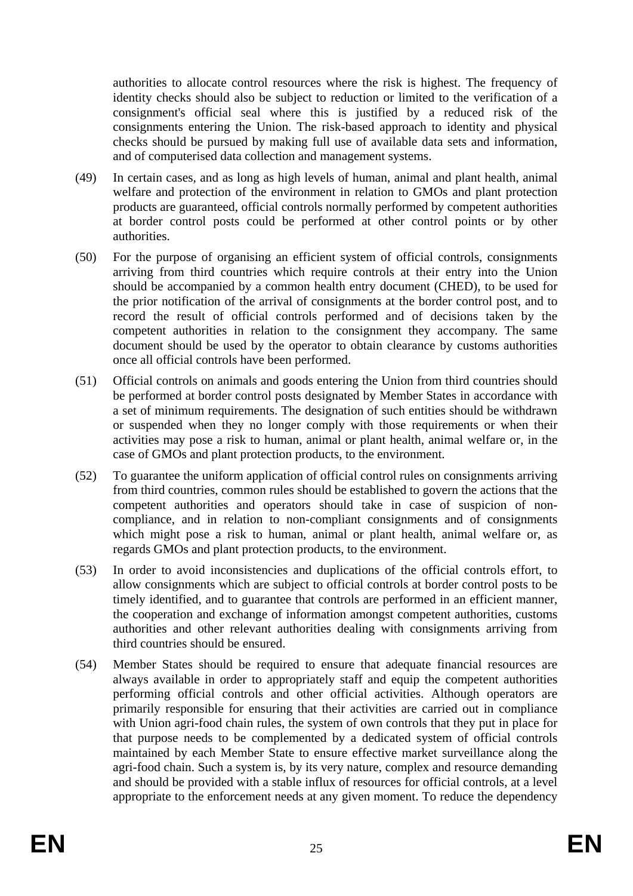authorities to allocate control resources where the risk is highest. The frequency of identity checks should also be subject to reduction or limited to the verification of a consignment's official seal where this is justified by a reduced risk of the consignments entering the Union. The risk-based approach to identity and physical checks should be pursued by making full use of available data sets and information, and of computerised data collection and management systems.

- (49) In certain cases, and as long as high levels of human, animal and plant health, animal welfare and protection of the environment in relation to GMOs and plant protection products are guaranteed, official controls normally performed by competent authorities at border control posts could be performed at other control points or by other authorities.
- (50) For the purpose of organising an efficient system of official controls, consignments arriving from third countries which require controls at their entry into the Union should be accompanied by a common health entry document (CHED), to be used for the prior notification of the arrival of consignments at the border control post, and to record the result of official controls performed and of decisions taken by the competent authorities in relation to the consignment they accompany. The same document should be used by the operator to obtain clearance by customs authorities once all official controls have been performed.
- (51) Official controls on animals and goods entering the Union from third countries should be performed at border control posts designated by Member States in accordance with a set of minimum requirements. The designation of such entities should be withdrawn or suspended when they no longer comply with those requirements or when their activities may pose a risk to human, animal or plant health, animal welfare or, in the case of GMOs and plant protection products, to the environment.
- (52) To guarantee the uniform application of official control rules on consignments arriving from third countries, common rules should be established to govern the actions that the competent authorities and operators should take in case of suspicion of noncompliance, and in relation to non-compliant consignments and of consignments which might pose a risk to human, animal or plant health, animal welfare or, as regards GMOs and plant protection products, to the environment.
- (53) In order to avoid inconsistencies and duplications of the official controls effort, to allow consignments which are subject to official controls at border control posts to be timely identified, and to guarantee that controls are performed in an efficient manner, the cooperation and exchange of information amongst competent authorities, customs authorities and other relevant authorities dealing with consignments arriving from third countries should be ensured.
- (54) Member States should be required to ensure that adequate financial resources are always available in order to appropriately staff and equip the competent authorities performing official controls and other official activities. Although operators are primarily responsible for ensuring that their activities are carried out in compliance with Union agri-food chain rules, the system of own controls that they put in place for that purpose needs to be complemented by a dedicated system of official controls maintained by each Member State to ensure effective market surveillance along the agri-food chain. Such a system is, by its very nature, complex and resource demanding and should be provided with a stable influx of resources for official controls, at a level appropriate to the enforcement needs at any given moment. To reduce the dependency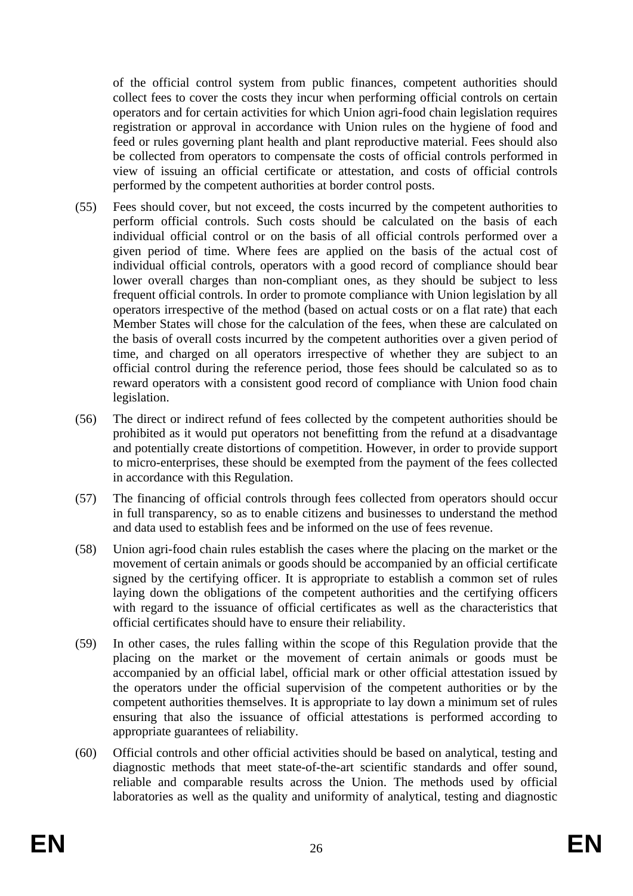of the official control system from public finances, competent authorities should collect fees to cover the costs they incur when performing official controls on certain operators and for certain activities for which Union agri-food chain legislation requires registration or approval in accordance with Union rules on the hygiene of food and feed or rules governing plant health and plant reproductive material. Fees should also be collected from operators to compensate the costs of official controls performed in view of issuing an official certificate or attestation, and costs of official controls performed by the competent authorities at border control posts.

- (55) Fees should cover, but not exceed, the costs incurred by the competent authorities to perform official controls. Such costs should be calculated on the basis of each individual official control or on the basis of all official controls performed over a given period of time. Where fees are applied on the basis of the actual cost of individual official controls, operators with a good record of compliance should bear lower overall charges than non-compliant ones, as they should be subject to less frequent official controls. In order to promote compliance with Union legislation by all operators irrespective of the method (based on actual costs or on a flat rate) that each Member States will chose for the calculation of the fees, when these are calculated on the basis of overall costs incurred by the competent authorities over a given period of time, and charged on all operators irrespective of whether they are subject to an official control during the reference period, those fees should be calculated so as to reward operators with a consistent good record of compliance with Union food chain legislation.
- (56) The direct or indirect refund of fees collected by the competent authorities should be prohibited as it would put operators not benefitting from the refund at a disadvantage and potentially create distortions of competition. However, in order to provide support to micro-enterprises, these should be exempted from the payment of the fees collected in accordance with this Regulation.
- (57) The financing of official controls through fees collected from operators should occur in full transparency, so as to enable citizens and businesses to understand the method and data used to establish fees and be informed on the use of fees revenue.
- (58) Union agri-food chain rules establish the cases where the placing on the market or the movement of certain animals or goods should be accompanied by an official certificate signed by the certifying officer. It is appropriate to establish a common set of rules laying down the obligations of the competent authorities and the certifying officers with regard to the issuance of official certificates as well as the characteristics that official certificates should have to ensure their reliability.
- (59) In other cases, the rules falling within the scope of this Regulation provide that the placing on the market or the movement of certain animals or goods must be accompanied by an official label, official mark or other official attestation issued by the operators under the official supervision of the competent authorities or by the competent authorities themselves. It is appropriate to lay down a minimum set of rules ensuring that also the issuance of official attestations is performed according to appropriate guarantees of reliability.
- (60) Official controls and other official activities should be based on analytical, testing and diagnostic methods that meet state-of-the-art scientific standards and offer sound, reliable and comparable results across the Union. The methods used by official laboratories as well as the quality and uniformity of analytical, testing and diagnostic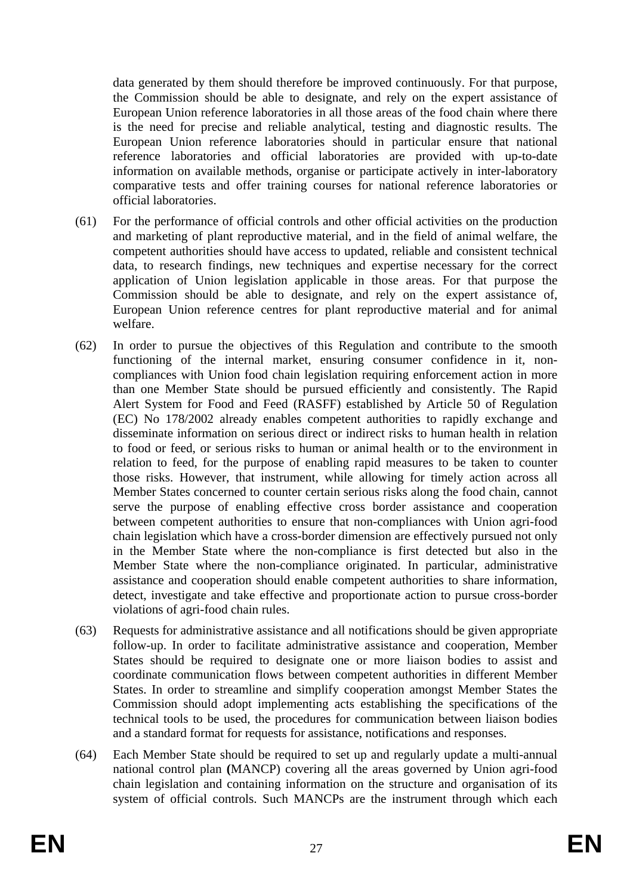data generated by them should therefore be improved continuously. For that purpose, the Commission should be able to designate, and rely on the expert assistance of European Union reference laboratories in all those areas of the food chain where there is the need for precise and reliable analytical, testing and diagnostic results. The European Union reference laboratories should in particular ensure that national reference laboratories and official laboratories are provided with up-to-date information on available methods, organise or participate actively in inter-laboratory comparative tests and offer training courses for national reference laboratories or official laboratories.

- (61) For the performance of official controls and other official activities on the production and marketing of plant reproductive material, and in the field of animal welfare, the competent authorities should have access to updated, reliable and consistent technical data, to research findings, new techniques and expertise necessary for the correct application of Union legislation applicable in those areas. For that purpose the Commission should be able to designate, and rely on the expert assistance of, European Union reference centres for plant reproductive material and for animal welfare.
- (62) In order to pursue the objectives of this Regulation and contribute to the smooth functioning of the internal market, ensuring consumer confidence in it, noncompliances with Union food chain legislation requiring enforcement action in more than one Member State should be pursued efficiently and consistently. The Rapid Alert System for Food and Feed (RASFF) established by Article 50 of Regulation (EC) No 178/2002 already enables competent authorities to rapidly exchange and disseminate information on serious direct or indirect risks to human health in relation to food or feed, or serious risks to human or animal health or to the environment in relation to feed, for the purpose of enabling rapid measures to be taken to counter those risks. However, that instrument, while allowing for timely action across all Member States concerned to counter certain serious risks along the food chain, cannot serve the purpose of enabling effective cross border assistance and cooperation between competent authorities to ensure that non-compliances with Union agri-food chain legislation which have a cross-border dimension are effectively pursued not only in the Member State where the non-compliance is first detected but also in the Member State where the non-compliance originated. In particular, administrative assistance and cooperation should enable competent authorities to share information, detect, investigate and take effective and proportionate action to pursue cross-border violations of agri-food chain rules.
- (63) Requests for administrative assistance and all notifications should be given appropriate follow-up. In order to facilitate administrative assistance and cooperation, Member States should be required to designate one or more liaison bodies to assist and coordinate communication flows between competent authorities in different Member States. In order to streamline and simplify cooperation amongst Member States the Commission should adopt implementing acts establishing the specifications of the technical tools to be used, the procedures for communication between liaison bodies and a standard format for requests for assistance, notifications and responses.
- (64) Each Member State should be required to set up and regularly update a multi-annual national control plan **(**MANCP) covering all the areas governed by Union agri-food chain legislation and containing information on the structure and organisation of its system of official controls. Such MANCPs are the instrument through which each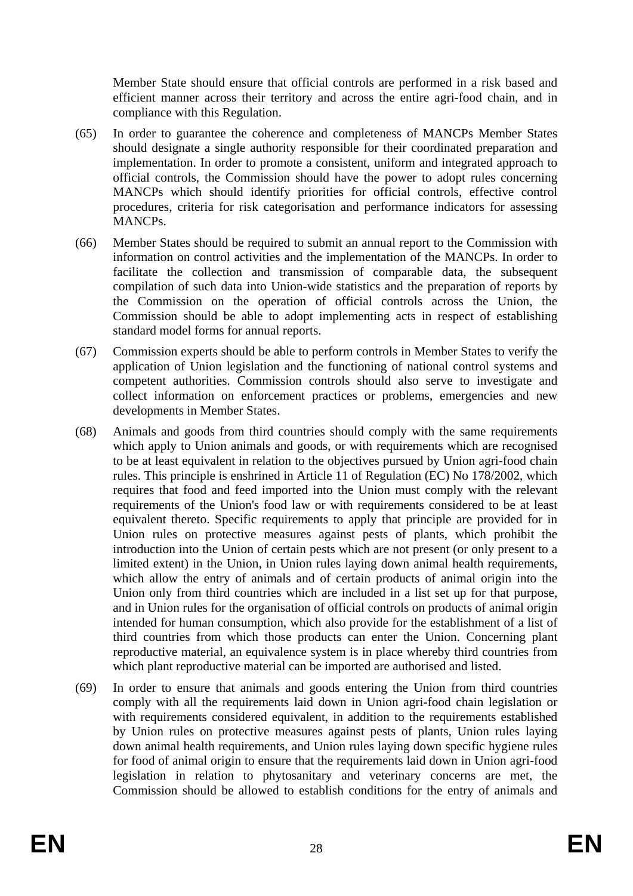Member State should ensure that official controls are performed in a risk based and efficient manner across their territory and across the entire agri-food chain, and in compliance with this Regulation.

- (65) In order to guarantee the coherence and completeness of MANCPs Member States should designate a single authority responsible for their coordinated preparation and implementation. In order to promote a consistent, uniform and integrated approach to official controls, the Commission should have the power to adopt rules concerning MANCPs which should identify priorities for official controls, effective control procedures, criteria for risk categorisation and performance indicators for assessing MANCPs.
- (66) Member States should be required to submit an annual report to the Commission with information on control activities and the implementation of the MANCPs. In order to facilitate the collection and transmission of comparable data, the subsequent compilation of such data into Union-wide statistics and the preparation of reports by the Commission on the operation of official controls across the Union, the Commission should be able to adopt implementing acts in respect of establishing standard model forms for annual reports.
- (67) Commission experts should be able to perform controls in Member States to verify the application of Union legislation and the functioning of national control systems and competent authorities. Commission controls should also serve to investigate and collect information on enforcement practices or problems, emergencies and new developments in Member States.
- (68) Animals and goods from third countries should comply with the same requirements which apply to Union animals and goods, or with requirements which are recognised to be at least equivalent in relation to the objectives pursued by Union agri-food chain rules. This principle is enshrined in Article 11 of Regulation (EC) No 178/2002, which requires that food and feed imported into the Union must comply with the relevant requirements of the Union's food law or with requirements considered to be at least equivalent thereto. Specific requirements to apply that principle are provided for in Union rules on protective measures against pests of plants, which prohibit the introduction into the Union of certain pests which are not present (or only present to a limited extent) in the Union, in Union rules laying down animal health requirements, which allow the entry of animals and of certain products of animal origin into the Union only from third countries which are included in a list set up for that purpose, and in Union rules for the organisation of official controls on products of animal origin intended for human consumption, which also provide for the establishment of a list of third countries from which those products can enter the Union. Concerning plant reproductive material, an equivalence system is in place whereby third countries from which plant reproductive material can be imported are authorised and listed.
- (69) In order to ensure that animals and goods entering the Union from third countries comply with all the requirements laid down in Union agri-food chain legislation or with requirements considered equivalent, in addition to the requirements established by Union rules on protective measures against pests of plants, Union rules laying down animal health requirements, and Union rules laying down specific hygiene rules for food of animal origin to ensure that the requirements laid down in Union agri-food legislation in relation to phytosanitary and veterinary concerns are met, the Commission should be allowed to establish conditions for the entry of animals and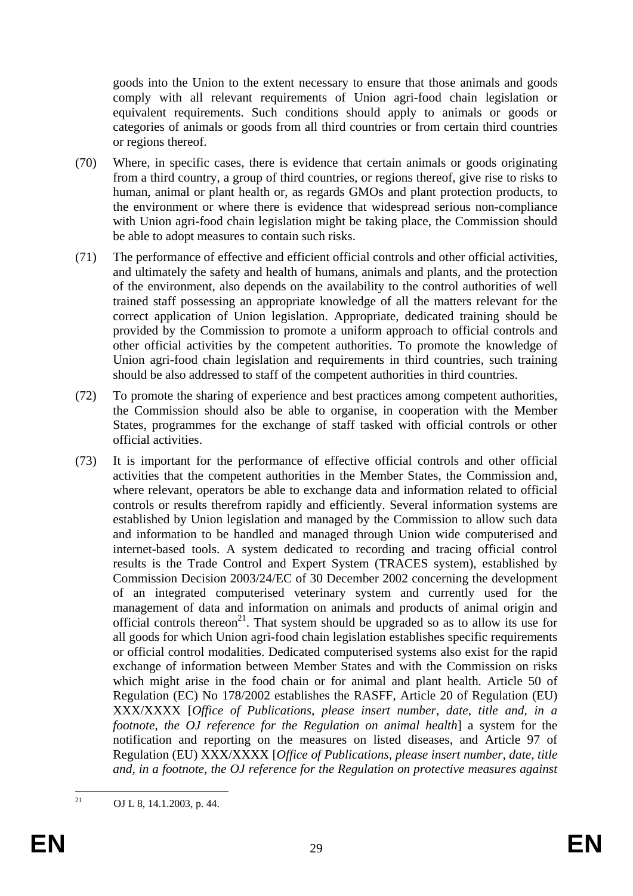goods into the Union to the extent necessary to ensure that those animals and goods comply with all relevant requirements of Union agri-food chain legislation or equivalent requirements. Such conditions should apply to animals or goods or categories of animals or goods from all third countries or from certain third countries or regions thereof.

- (70) Where, in specific cases, there is evidence that certain animals or goods originating from a third country, a group of third countries, or regions thereof, give rise to risks to human, animal or plant health or, as regards GMOs and plant protection products, to the environment or where there is evidence that widespread serious non-compliance with Union agri-food chain legislation might be taking place, the Commission should be able to adopt measures to contain such risks.
- (71) The performance of effective and efficient official controls and other official activities, and ultimately the safety and health of humans, animals and plants, and the protection of the environment, also depends on the availability to the control authorities of well trained staff possessing an appropriate knowledge of all the matters relevant for the correct application of Union legislation. Appropriate, dedicated training should be provided by the Commission to promote a uniform approach to official controls and other official activities by the competent authorities. To promote the knowledge of Union agri-food chain legislation and requirements in third countries, such training should be also addressed to staff of the competent authorities in third countries.
- (72) To promote the sharing of experience and best practices among competent authorities, the Commission should also be able to organise, in cooperation with the Member States, programmes for the exchange of staff tasked with official controls or other official activities.
- (73) It is important for the performance of effective official controls and other official activities that the competent authorities in the Member States, the Commission and, where relevant, operators be able to exchange data and information related to official controls or results therefrom rapidly and efficiently. Several information systems are established by Union legislation and managed by the Commission to allow such data and information to be handled and managed through Union wide computerised and internet-based tools. A system dedicated to recording and tracing official control results is the Trade Control and Expert System (TRACES system), established by Commission Decision 2003/24/EC of 30 December 2002 concerning the development of an integrated computerised veterinary system and currently used for the management of data and information on animals and products of animal origin and official controls thereon<sup>21</sup>. That system should be upgraded so as to allow its use for all goods for which Union agri-food chain legislation establishes specific requirements or official control modalities. Dedicated computerised systems also exist for the rapid exchange of information between Member States and with the Commission on risks which might arise in the food chain or for animal and plant health. Article 50 of Regulation (EC) No 178/2002 establishes the RASFF, Article 20 of Regulation (EU) XXX/XXXX [*Office of Publications, please insert number, date, title and, in a footnote, the OJ reference for the Regulation on animal health*] a system for the notification and reporting on the measures on listed diseases, and Article 97 of Regulation (EU) XXX/XXXX [*Office of Publications, please insert number, date, title and, in a footnote, the OJ reference for the Regulation on protective measures against*

 $21$ 21 OJ L 8, 14.1.2003, p. 44.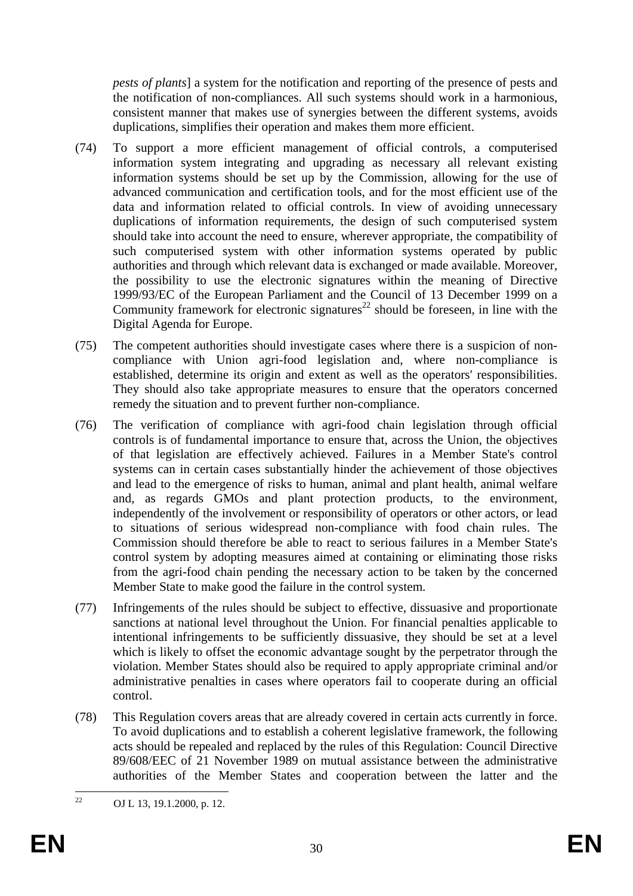*pests of plants*] a system for the notification and reporting of the presence of pests and the notification of non-compliances. All such systems should work in a harmonious, consistent manner that makes use of synergies between the different systems, avoids duplications, simplifies their operation and makes them more efficient.

- (74) To support a more efficient management of official controls, a computerised information system integrating and upgrading as necessary all relevant existing information systems should be set up by the Commission, allowing for the use of advanced communication and certification tools, and for the most efficient use of the data and information related to official controls. In view of avoiding unnecessary duplications of information requirements, the design of such computerised system should take into account the need to ensure, wherever appropriate, the compatibility of such computerised system with other information systems operated by public authorities and through which relevant data is exchanged or made available. Moreover, the possibility to use the electronic signatures within the meaning of Directive 1999/93/EC of the European Parliament and the Council of 13 December 1999 on a Community framework for electronic signatures<sup>22</sup> should be foreseen, in line with the Digital Agenda for Europe.
- (75) The competent authorities should investigate cases where there is a suspicion of noncompliance with Union agri-food legislation and, where non-compliance is established, determine its origin and extent as well as the operators' responsibilities. They should also take appropriate measures to ensure that the operators concerned remedy the situation and to prevent further non-compliance.
- (76) The verification of compliance with agri-food chain legislation through official controls is of fundamental importance to ensure that, across the Union, the objectives of that legislation are effectively achieved. Failures in a Member State's control systems can in certain cases substantially hinder the achievement of those objectives and lead to the emergence of risks to human, animal and plant health, animal welfare and, as regards GMOs and plant protection products, to the environment, independently of the involvement or responsibility of operators or other actors, or lead to situations of serious widespread non-compliance with food chain rules. The Commission should therefore be able to react to serious failures in a Member State's control system by adopting measures aimed at containing or eliminating those risks from the agri-food chain pending the necessary action to be taken by the concerned Member State to make good the failure in the control system.
- (77) Infringements of the rules should be subject to effective, dissuasive and proportionate sanctions at national level throughout the Union. For financial penalties applicable to intentional infringements to be sufficiently dissuasive, they should be set at a level which is likely to offset the economic advantage sought by the perpetrator through the violation. Member States should also be required to apply appropriate criminal and/or administrative penalties in cases where operators fail to cooperate during an official control.
- (78) This Regulation covers areas that are already covered in certain acts currently in force. To avoid duplications and to establish a coherent legislative framework, the following acts should be repealed and replaced by the rules of this Regulation: Council Directive 89/608/EEC of 21 November 1989 on mutual assistance between the administrative authorities of the Member States and cooperation between the latter and the

 $22$ OJ L 13, 19.1.2000, p. 12.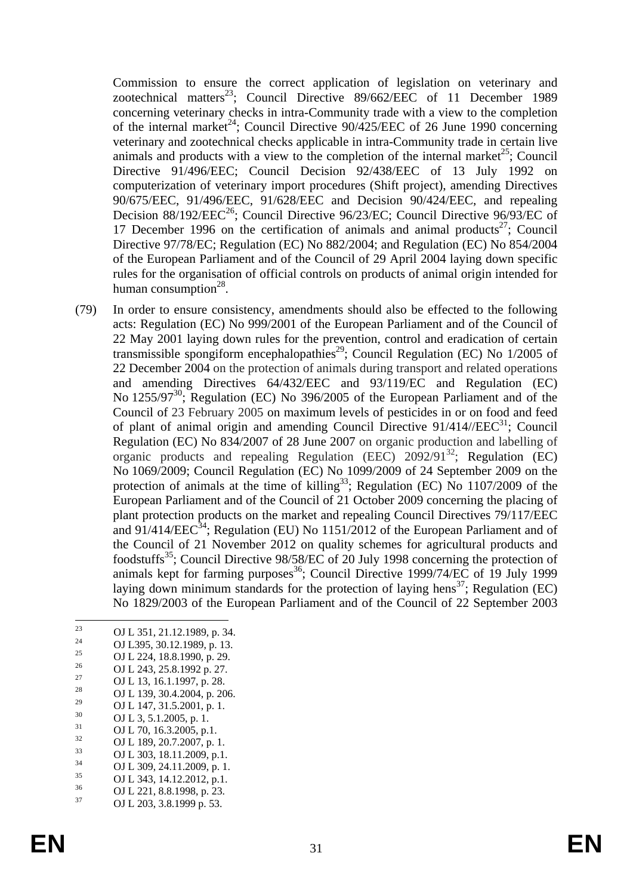Commission to ensure the correct application of legislation on veterinary and zootechnical matters<sup>23</sup>; Council Directive 89/662/EEC of 11 December 1989 concerning veterinary checks in intra-Community trade with a view to the completion of the internal market<sup>24</sup>; Council Directive  $90/425/EEC$  of 26 June 1990 concerning veterinary and zootechnical checks applicable in intra-Community trade in certain live animals and products with a view to the completion of the internal market<sup>25</sup>; Council Directive 91/496/EEC; Council Decision 92/438/EEC of 13 July 1992 on computerization of veterinary import procedures (Shift project), amending Directives 90/675/EEC, 91/496/EEC, 91/628/EEC and Decision 90/424/EEC, and repealing Decision 88/192/EEC<sup>26</sup>; Council Directive 96/23/EC; Council Directive 96/93/EC of 17 December 1996 on the certification of animals and animal products<sup>27</sup>; Council Directive 97/78/EC; Regulation (EC) No 882/2004; and Regulation (EC) No 854/2004 of the European Parliament and of the Council of 29 April 2004 laying down specific rules for the organisation of official controls on products of animal origin intended for human consumption $^{28}$ .

- (79) In order to ensure consistency, amendments should also be effected to the following acts: Regulation (EC) No 999/2001 of the European Parliament and of the Council of 22 May 2001 laying down rules for the prevention, control and eradication of certain transmissible spongiform encephalopathies<sup>29</sup>; Council Regulation (EC) No  $1/2005$  of 22 December 2004 on the protection of animals during transport and related operations and amending Directives 64/432/EEC and 93/119/EC and Regulation (EC) No 1255/97<sup>30</sup>; Regulation (EC) No 396/2005 of the European Parliament and of the Council of 23 February 2005 on maximum levels of pesticides in or on food and feed of plant of animal origin and amending Council Directive  $91/414/IEEE^{31}$ ; Council Regulation (EC) No 834/2007 of 28 June 2007 on organic production and labelling of organic products and repealing Regulation (EEC)  $2092/91^{32}$ ; Regulation (EC) No 1069/2009; Council Regulation (EC) No 1099/2009 of 24 September 2009 on the protection of animals at the time of killing<sup>33</sup>; Regulation (EC) No 1107/2009 of the European Parliament and of the Council of 21 October 2009 concerning the placing of plant protection products on the market and repealing Council Directives 79/117/EEC and 91/414/EEC<sup>34</sup>; Regulation (EU) No 1151/2012 of the European Parliament and of the Council of 21 November 2012 on quality schemes for agricultural products and foodstuffs<sup>35</sup>; Council Directive 98/58/EC of 20 July 1998 concerning the protection of animals kept for farming purposes<sup>36</sup>; Council Directive 1999/74/EC of 19 July 1999 laying down minimum standards for the protection of laying hens<sup>37</sup>; Regulation (EC) No 1829/2003 of the European Parliament and of the Council of 22 September 2003
- $23$ <sup>23</sup> OJ L 351, 21.12.1989, p. 34.
- <sup>24</sup> OJ L395, 30.12.1989, p. 13.<br>
<sup>25</sup> OJ L394, 18, 8, 1000 at 20.
- <sup>25</sup> OJ L 224, 18.8.1990, p. 29.<br>
OJ L 242, 25.8.1002.p. 27.
- $^{26}$  OJ L 243, 25.8.1992 p. 27.
- <sup>27</sup> OJ L 13, 16.1.1997, p. 28.
- <sup>28</sup> OJ L 139, 30.4.2004, p. 206.
- <sup>29</sup> OJ L 147, 31.5.2001, p. 1.<br><sup>30</sup> OJ L 2, 5, 1,2005
- $\frac{30}{31}$  OJ L 3, 5.1.2005, p. 1.
- $\frac{31}{32}$  OJ L 70, 16.3.2005, p.1.
- $^{32}$  OJ L 189, 20.7.2007, p. 1.
- $^{33}$  OJ L 303, 18.11.2009, p.1.<br> $^{34}$  OJ L 200, 24.11.2000, p.1.  $^{34}$  OJ L 309, 24.11.2009, p. 1.<br> $^{35}$  OJ L 242, 14.12.2012, p. 1.
- $^{35}$  OJ L 343, 14.12.2012, p.1.<br> $^{36}$  OJ 1.221, 9.9, 1009, 22
- $^{36}$  OJ L 221, 8.8.1998, p. 23.<br> $^{37}$  OJ L 202, 2.8, 1000  $^{52}$ .
- OJ L 203, 3.8.1999 p. 53.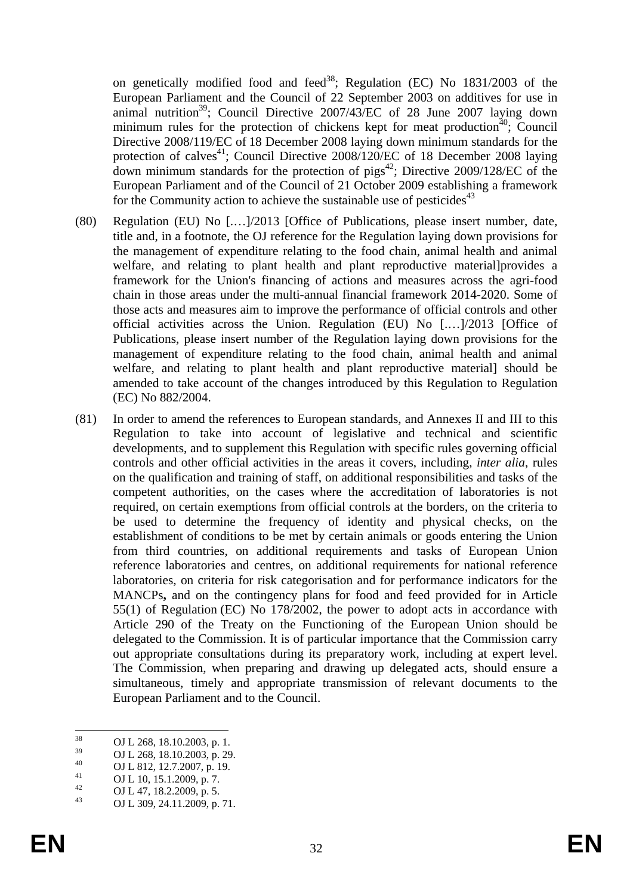on genetically modified food and feed<sup>38</sup>; Regulation (EC) No  $1831/2003$  of the European Parliament and the Council of 22 September 2003 on additives for use in animal nutrition<sup>39</sup>; Council Directive  $2007/43/EC$  of 28 June 2007 laying down minimum rules for the protection of chickens kept for meat production<sup> $40$ </sup>; Council Directive 2008/119/EC of 18 December 2008 laying down minimum standards for the protection of calves<sup>41</sup>; Council Directive  $2008/120$ /EC of 18 December 2008 laying down minimum standards for the protection of  $pigs^{42}$ ; Directive 2009/128/EC of the European Parliament and of the Council of 21 October 2009 establishing a framework for the Community action to achieve the sustainable use of pesticides<sup> $43$ </sup>

- (80) Regulation (EU) No [.…]/2013 [Office of Publications, please insert number, date, title and, in a footnote, the OJ reference for the Regulation laying down provisions for the management of expenditure relating to the food chain, animal health and animal welfare, and relating to plant health and plant reproductive material]provides a framework for the Union's financing of actions and measures across the agri-food chain in those areas under the multi-annual financial framework 2014-2020. Some of those acts and measures aim to improve the performance of official controls and other official activities across the Union. Regulation (EU) No [.…]/2013 [Office of Publications, please insert number of the Regulation laying down provisions for the management of expenditure relating to the food chain, animal health and animal welfare, and relating to plant health and plant reproductive material] should be amended to take account of the changes introduced by this Regulation to Regulation (EC) No 882/2004.
- (81) In order to amend the references to European standards, and Annexes II and III to this Regulation to take into account of legislative and technical and scientific developments, and to supplement this Regulation with specific rules governing official controls and other official activities in the areas it covers, including, *inter alia*, rules on the qualification and training of staff, on additional responsibilities and tasks of the competent authorities, on the cases where the accreditation of laboratories is not required, on certain exemptions from official controls at the borders, on the criteria to be used to determine the frequency of identity and physical checks, on the establishment of conditions to be met by certain animals or goods entering the Union from third countries, on additional requirements and tasks of European Union reference laboratories and centres, on additional requirements for national reference laboratories, on criteria for risk categorisation and for performance indicators for the MANCPs**,** and on the contingency plans for food and feed provided for in Article 55(1) of Regulation (EC) No 178/2002, the power to adopt acts in accordance with Article 290 of the Treaty on the Functioning of the European Union should be delegated to the Commission. It is of particular importance that the Commission carry out appropriate consultations during its preparatory work, including at expert level. The Commission, when preparing and drawing up delegated acts, should ensure a simultaneous, timely and appropriate transmission of relevant documents to the European Parliament and to the Council.

<sup>38</sup>  $^{38}$  OJ L 268, 18.10.2003, p. 1.

 $^{39}$  OJ L 268, 18.10.2003, p. 29.

 $^{40}$  OJ L 812, 12.7.2007, p. 19.

 $^{41}_{42}$  OJ L 10, 15.1.2009, p. 7.

 $^{42}$  OJ L 47, 18.2.2009, p. 5.

<sup>43</sup> OJ L 309, 24.11.2009, p. 71.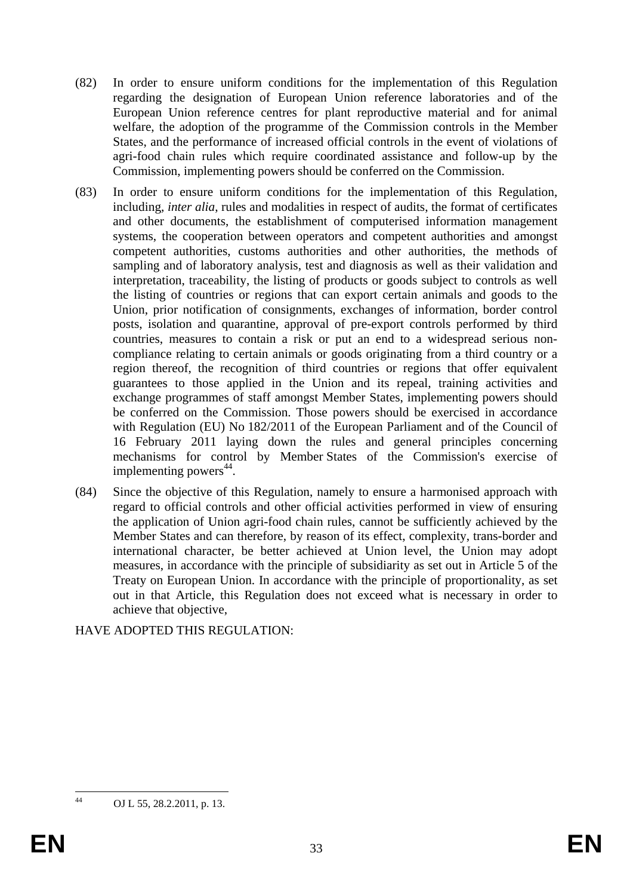- (82) In order to ensure uniform conditions for the implementation of this Regulation regarding the designation of European Union reference laboratories and of the European Union reference centres for plant reproductive material and for animal welfare, the adoption of the programme of the Commission controls in the Member States, and the performance of increased official controls in the event of violations of agri-food chain rules which require coordinated assistance and follow-up by the Commission, implementing powers should be conferred on the Commission.
- (83) In order to ensure uniform conditions for the implementation of this Regulation, including, *inter alia*, rules and modalities in respect of audits, the format of certificates and other documents, the establishment of computerised information management systems, the cooperation between operators and competent authorities and amongst competent authorities, customs authorities and other authorities, the methods of sampling and of laboratory analysis, test and diagnosis as well as their validation and interpretation, traceability, the listing of products or goods subject to controls as well the listing of countries or regions that can export certain animals and goods to the Union, prior notification of consignments, exchanges of information, border control posts, isolation and quarantine, approval of pre-export controls performed by third countries, measures to contain a risk or put an end to a widespread serious noncompliance relating to certain animals or goods originating from a third country or a region thereof, the recognition of third countries or regions that offer equivalent guarantees to those applied in the Union and its repeal, training activities and exchange programmes of staff amongst Member States, implementing powers should be conferred on the Commission. Those powers should be exercised in accordance with Regulation (EU) No 182/2011 of the European Parliament and of the Council of 16 February 2011 laying down the rules and general principles concerning mechanisms for control by Member States of the Commission's exercise of implementing powers $44$ .
- (84) Since the objective of this Regulation, namely to ensure a harmonised approach with regard to official controls and other official activities performed in view of ensuring the application of Union agri-food chain rules, cannot be sufficiently achieved by the Member States and can therefore, by reason of its effect, complexity, trans-border and international character, be better achieved at Union level, the Union may adopt measures, in accordance with the principle of subsidiarity as set out in Article 5 of the Treaty on European Union. In accordance with the principle of proportionality, as set out in that Article, this Regulation does not exceed what is necessary in order to achieve that objective,

HAVE ADOPTED THIS REGULATION:

 $44$ 

OJ L 55, 28.2.2011, p. 13.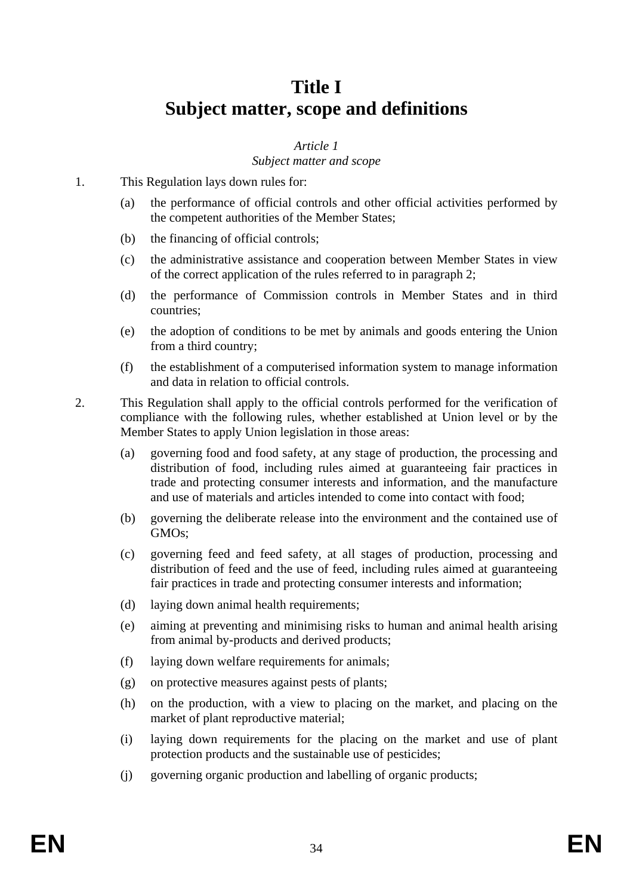# **Title I Subject matter, scope and definitions**

# *Article 1*

### *Subject matter and scope*

- 1. This Regulation lays down rules for:
	- (a) the performance of official controls and other official activities performed by the competent authorities of the Member States;
	- (b) the financing of official controls;
	- (c) the administrative assistance and cooperation between Member States in view of the correct application of the rules referred to in paragraph 2;
	- (d) the performance of Commission controls in Member States and in third countries;
	- (e) the adoption of conditions to be met by animals and goods entering the Union from a third country;
	- (f) the establishment of a computerised information system to manage information and data in relation to official controls.
- 2. This Regulation shall apply to the official controls performed for the verification of compliance with the following rules, whether established at Union level or by the Member States to apply Union legislation in those areas:
	- (a) governing food and food safety, at any stage of production, the processing and distribution of food, including rules aimed at guaranteeing fair practices in trade and protecting consumer interests and information, and the manufacture and use of materials and articles intended to come into contact with food;
	- (b) governing the deliberate release into the environment and the contained use of GMOs;
	- (c) governing feed and feed safety, at all stages of production, processing and distribution of feed and the use of feed, including rules aimed at guaranteeing fair practices in trade and protecting consumer interests and information;
	- (d) laying down animal health requirements;
	- (e) aiming at preventing and minimising risks to human and animal health arising from animal by-products and derived products;
	- (f) laying down welfare requirements for animals;
	- (g) on protective measures against pests of plants;
	- (h) on the production, with a view to placing on the market, and placing on the market of plant reproductive material;
	- (i) laying down requirements for the placing on the market and use of plant protection products and the sustainable use of pesticides;
	- (j) governing organic production and labelling of organic products;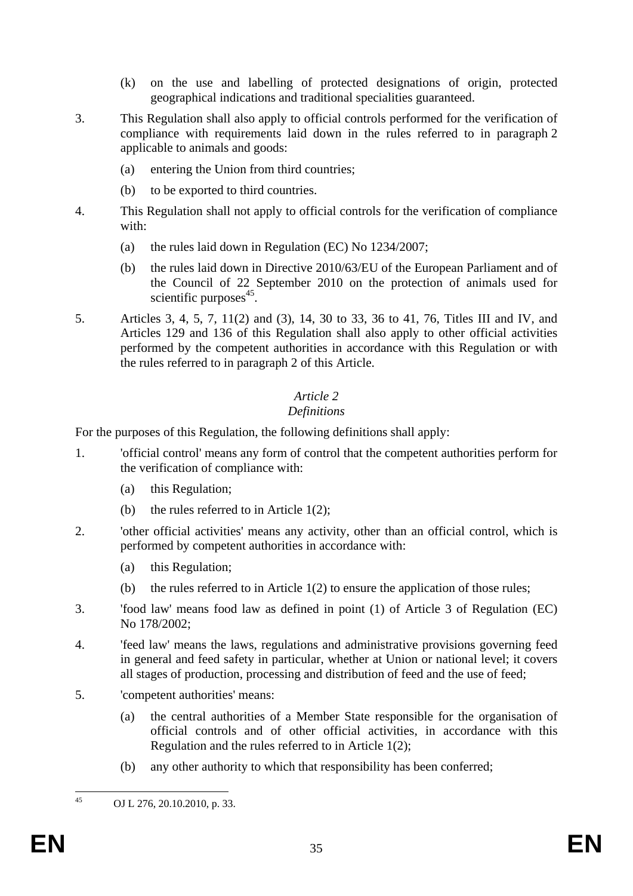- (k) on the use and labelling of protected designations of origin, protected geographical indications and traditional specialities guaranteed.
- 3. This Regulation shall also apply to official controls performed for the verification of compliance with requirements laid down in the rules referred to in paragraph 2 applicable to animals and goods:
	- (a) entering the Union from third countries;
	- (b) to be exported to third countries.
- 4. This Regulation shall not apply to official controls for the verification of compliance with:
	- (a) the rules laid down in Regulation (EC) No 1234/2007;
	- (b) the rules laid down in Directive 2010/63/EU of the European Parliament and of the Council of 22 September 2010 on the protection of animals used for scientific purposes $45$ .
- 5. Articles 3, 4, 5, 7, 11(2) and (3), 14, 30 to 33, 36 to 41, 76, Titles III and IV, and Articles 129 and 136 of this Regulation shall also apply to other official activities performed by the competent authorities in accordance with this Regulation or with the rules referred to in paragraph 2 of this Article.

#### *Article 2*

#### *Definitions*

For the purposes of this Regulation, the following definitions shall apply:

- 1. 'official control' means any form of control that the competent authorities perform for the verification of compliance with:
	- (a) this Regulation;
	- (b) the rules referred to in Article 1(2);
- 2. 'other official activities' means any activity, other than an official control, which is performed by competent authorities in accordance with:
	- (a) this Regulation;
	- (b) the rules referred to in Article 1(2) to ensure the application of those rules;
- 3. 'food law' means food law as defined in point (1) of Article 3 of Regulation (EC) No 178/2002;
- 4. 'feed law' means the laws, regulations and administrative provisions governing feed in general and feed safety in particular, whether at Union or national level; it covers all stages of production, processing and distribution of feed and the use of feed;
- 5. 'competent authorities' means:
	- (a) the central authorities of a Member State responsible for the organisation of official controls and of other official activities, in accordance with this Regulation and the rules referred to in Article 1(2);
	- (b) any other authority to which that responsibility has been conferred;

 $45$ 

OJ L 276, 20.10.2010, p. 33.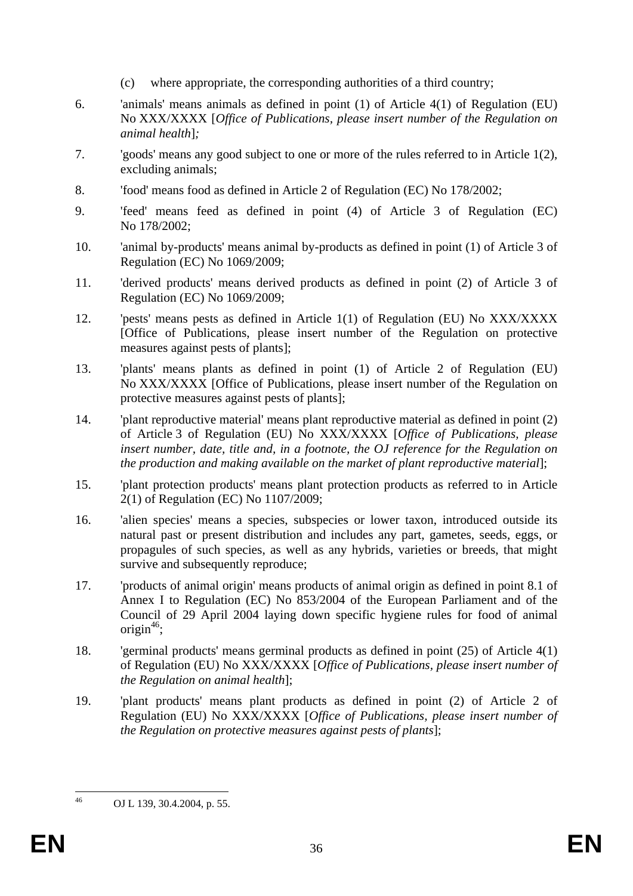- (c) where appropriate, the corresponding authorities of a third country;
- 6. 'animals' means animals as defined in point (1) of Article 4(1) of Regulation (EU) No XXX/XXXX [*Office of Publications, please insert number of the Regulation on animal health*]*;*
- 7. 'goods' means any good subject to one or more of the rules referred to in Article 1(2), excluding animals;
- 8. 'food' means food as defined in Article 2 of Regulation (EC) No 178/2002;
- 9. 'feed' means feed as defined in point (4) of Article 3 of Regulation (EC) No 178/2002;
- 10. 'animal by-products' means animal by-products as defined in point (1) of Article 3 of Regulation (EC) No 1069/2009;
- 11. 'derived products' means derived products as defined in point (2) of Article 3 of Regulation (EC) No 1069/2009;
- 12. 'pests' means pests as defined in Article 1(1) of Regulation (EU) No XXX/XXXX [Office of Publications, please insert number of the Regulation on protective measures against pests of plants];
- 13. 'plants' means plants as defined in point (1) of Article 2 of Regulation (EU) No XXX/XXXX [Office of Publications, please insert number of the Regulation on protective measures against pests of plants];
- 14. 'plant reproductive material' means plant reproductive material as defined in point (2) of Article 3 of Regulation (EU) No XXX/XXXX [*Office of Publications, please insert number, date, title and, in a footnote, the OJ reference for the Regulation on the production and making available on the market of plant reproductive material*];
- 15. 'plant protection products' means plant protection products as referred to in Article 2(1) of Regulation (EC) No 1107/2009;
- 16. 'alien species' means a species, subspecies or lower taxon, introduced outside its natural past or present distribution and includes any part, gametes, seeds, eggs, or propagules of such species, as well as any hybrids, varieties or breeds, that might survive and subsequently reproduce;
- 17. 'products of animal origin' means products of animal origin as defined in point 8.1 of Annex I to Regulation (EC) No 853/2004 of the European Parliament and of the Council of 29 April 2004 laying down specific hygiene rules for food of animal origin $46$ ;
- 18. 'germinal products' means germinal products as defined in point (25) of Article 4(1) of Regulation (EU) No XXX/XXXX [*Office of Publications, please insert number of the Regulation on animal health*];
- 19. 'plant products' means plant products as defined in point (2) of Article 2 of Regulation (EU) No XXX/XXXX [*Office of Publications, please insert number of the Regulation on protective measures against pests of plants*];

 $46$ OJ L 139, 30.4.2004, p. 55.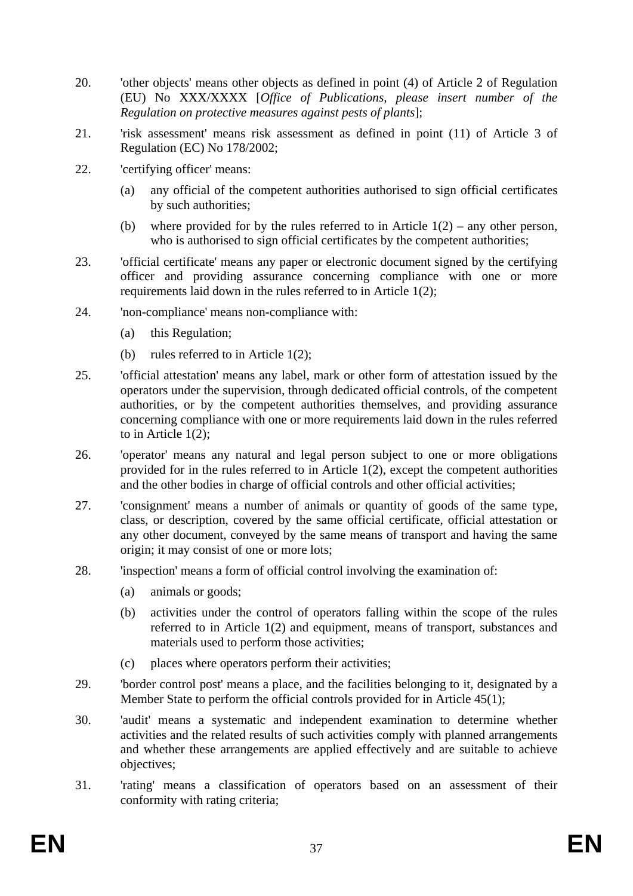- 20. 'other objects' means other objects as defined in point (4) of Article 2 of Regulation (EU) No XXX/XXXX [*Office of Publications, please insert number of the Regulation on protective measures against pests of plants*];
- 21. 'risk assessment' means risk assessment as defined in point (11) of Article 3 of Regulation (EC) No 178/2002;
- 22. 'certifying officer' means:
	- (a) any official of the competent authorities authorised to sign official certificates by such authorities;
	- (b) where provided for by the rules referred to in Article  $1(2)$  any other person, who is authorised to sign official certificates by the competent authorities;
- 23. 'official certificate' means any paper or electronic document signed by the certifying officer and providing assurance concerning compliance with one or more requirements laid down in the rules referred to in Article 1(2);
- 24. 'non-compliance' means non-compliance with:
	- (a) this Regulation;
	- (b) rules referred to in Article 1(2);
- 25. 'official attestation' means any label, mark or other form of attestation issued by the operators under the supervision, through dedicated official controls, of the competent authorities, or by the competent authorities themselves, and providing assurance concerning compliance with one or more requirements laid down in the rules referred to in Article 1(2);
- 26. 'operator' means any natural and legal person subject to one or more obligations provided for in the rules referred to in Article 1(2), except the competent authorities and the other bodies in charge of official controls and other official activities;
- 27. 'consignment' means a number of animals or quantity of goods of the same type, class, or description, covered by the same official certificate, official attestation or any other document, conveyed by the same means of transport and having the same origin; it may consist of one or more lots;
- 28. 'inspection' means a form of official control involving the examination of:
	- (a) animals or goods;
	- (b) activities under the control of operators falling within the scope of the rules referred to in Article 1(2) and equipment, means of transport, substances and materials used to perform those activities;
	- (c) places where operators perform their activities;
- 29. 'border control post' means a place, and the facilities belonging to it, designated by a Member State to perform the official controls provided for in Article 45(1);
- 30. 'audit' means a systematic and independent examination to determine whether activities and the related results of such activities comply with planned arrangements and whether these arrangements are applied effectively and are suitable to achieve objectives;
- 31. 'rating' means a classification of operators based on an assessment of their conformity with rating criteria;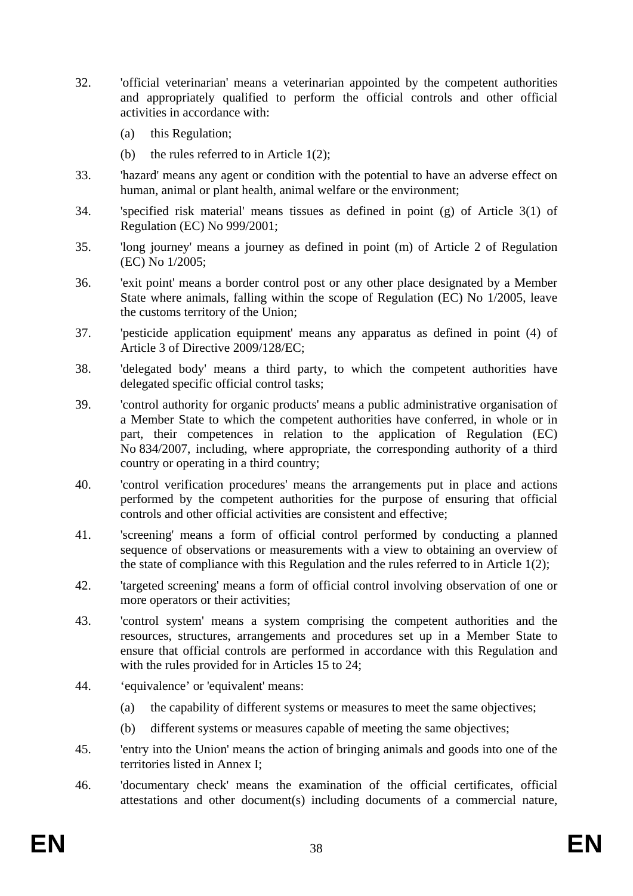- 32. 'official veterinarian' means a veterinarian appointed by the competent authorities and appropriately qualified to perform the official controls and other official activities in accordance with:
	- (a) this Regulation;
	- (b) the rules referred to in Article  $1(2)$ ;
- 33. 'hazard' means any agent or condition with the potential to have an adverse effect on human, animal or plant health, animal welfare or the environment;
- 34. 'specified risk material' means tissues as defined in point (g) of Article 3(1) of Regulation (EC) No 999/2001;
- 35. 'long journey' means a journey as defined in point (m) of Article 2 of Regulation (EC) No 1/2005;
- 36. 'exit point' means a border control post or any other place designated by a Member State where animals, falling within the scope of Regulation (EC) No 1/2005, leave the customs territory of the Union;
- 37. 'pesticide application equipment' means any apparatus as defined in point (4) of Article 3 of Directive 2009/128/EC;
- 38. 'delegated body' means a third party, to which the competent authorities have delegated specific official control tasks;
- 39. 'control authority for organic products' means a public administrative organisation of a Member State to which the competent authorities have conferred, in whole or in part, their competences in relation to the application of Regulation (EC) No 834/2007, including, where appropriate, the corresponding authority of a third country or operating in a third country;
- 40. 'control verification procedures' means the arrangements put in place and actions performed by the competent authorities for the purpose of ensuring that official controls and other official activities are consistent and effective;
- 41. 'screening' means a form of official control performed by conducting a planned sequence of observations or measurements with a view to obtaining an overview of the state of compliance with this Regulation and the rules referred to in Article 1(2);
- 42. 'targeted screening' means a form of official control involving observation of one or more operators or their activities;
- 43. 'control system' means a system comprising the competent authorities and the resources, structures, arrangements and procedures set up in a Member State to ensure that official controls are performed in accordance with this Regulation and with the rules provided for in Articles 15 to 24;
- 44. 'equivalence' or 'equivalent' means:
	- (a) the capability of different systems or measures to meet the same objectives;
	- (b) different systems or measures capable of meeting the same objectives;
- 45. 'entry into the Union' means the action of bringing animals and goods into one of the territories listed in Annex I;
- 46. 'documentary check' means the examination of the official certificates, official attestations and other document(s) including documents of a commercial nature,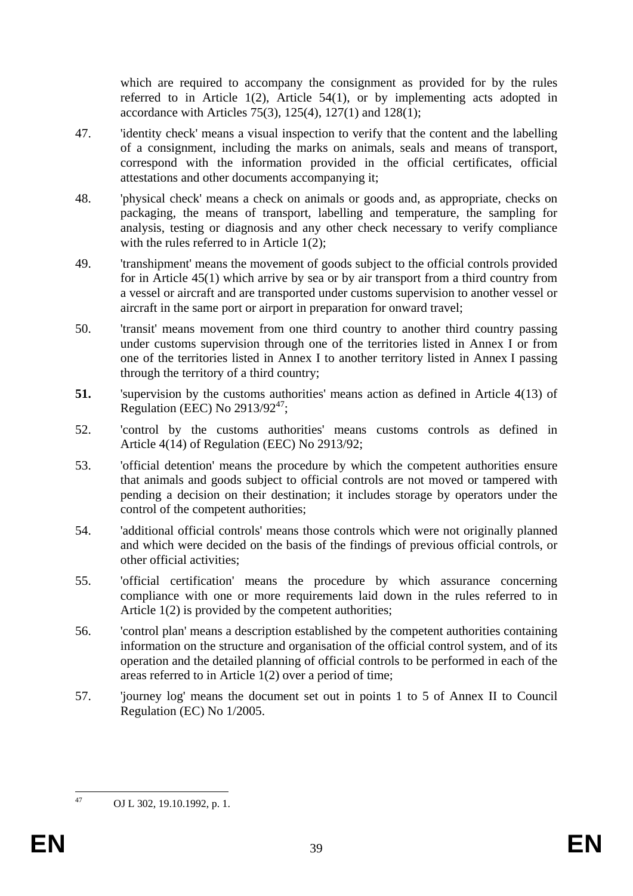which are required to accompany the consignment as provided for by the rules referred to in Article 1(2), Article 54(1), or by implementing acts adopted in accordance with Articles 75(3), 125(4), 127(1) and 128(1);

- 47. 'identity check' means a visual inspection to verify that the content and the labelling of a consignment, including the marks on animals, seals and means of transport, correspond with the information provided in the official certificates, official attestations and other documents accompanying it;
- 48. 'physical check' means a check on animals or goods and, as appropriate, checks on packaging, the means of transport, labelling and temperature, the sampling for analysis, testing or diagnosis and any other check necessary to verify compliance with the rules referred to in Article 1(2);
- 49. 'transhipment' means the movement of goods subject to the official controls provided for in Article 45(1) which arrive by sea or by air transport from a third country from a vessel or aircraft and are transported under customs supervision to another vessel or aircraft in the same port or airport in preparation for onward travel;
- 50. 'transit' means movement from one third country to another third country passing under customs supervision through one of the territories listed in Annex I or from one of the territories listed in Annex I to another territory listed in Annex I passing through the territory of a third country;
- **51.** 'supervision by the customs authorities' means action as defined in Article 4(13) of Regulation (EEC) No  $2913/92^{47}$ ;
- 52. 'control by the customs authorities' means customs controls as defined in Article 4(14) of Regulation (EEC) No 2913/92;
- 53. 'official detention' means the procedure by which the competent authorities ensure that animals and goods subject to official controls are not moved or tampered with pending a decision on their destination; it includes storage by operators under the control of the competent authorities;
- 54. 'additional official controls' means those controls which were not originally planned and which were decided on the basis of the findings of previous official controls, or other official activities;
- 55. 'official certification' means the procedure by which assurance concerning compliance with one or more requirements laid down in the rules referred to in Article 1(2) is provided by the competent authorities;
- 56. 'control plan' means a description established by the competent authorities containing information on the structure and organisation of the official control system, and of its operation and the detailed planning of official controls to be performed in each of the areas referred to in Article 1(2) over a period of time;
- 57. 'journey log' means the document set out in points 1 to 5 of Annex II to Council Regulation (EC) No 1/2005.

47

OJ L 302, 19.10.1992, p. 1.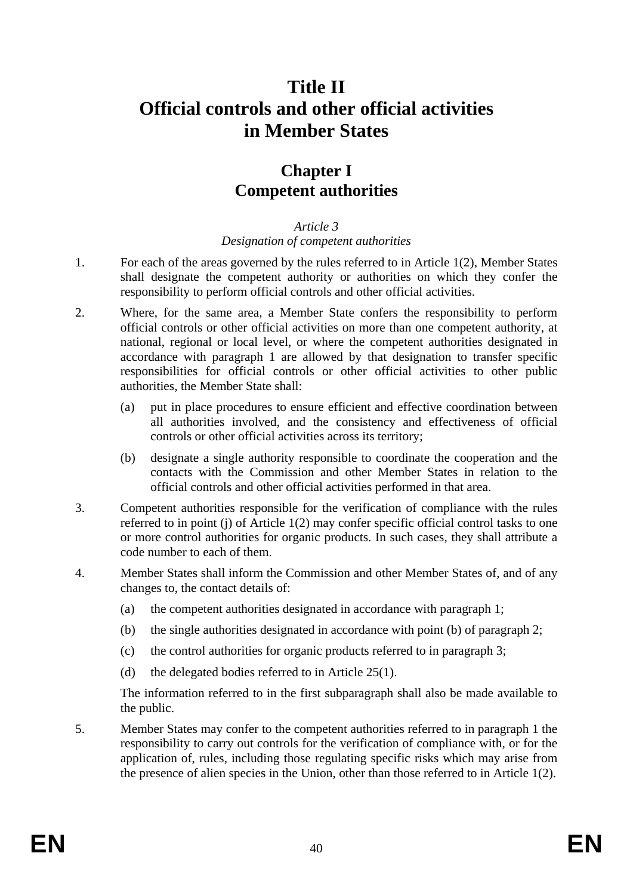# **Title II Official controls and other official activities in Member States**

# **Chapter I Competent authorities**

## *Article 3*

#### *Designation of competent authorities*

- 1. For each of the areas governed by the rules referred to in Article 1(2), Member States shall designate the competent authority or authorities on which they confer the responsibility to perform official controls and other official activities.
- 2. Where, for the same area, a Member State confers the responsibility to perform official controls or other official activities on more than one competent authority, at national, regional or local level, or where the competent authorities designated in accordance with paragraph 1 are allowed by that designation to transfer specific responsibilities for official controls or other official activities to other public authorities, the Member State shall:
	- (a) put in place procedures to ensure efficient and effective coordination between all authorities involved, and the consistency and effectiveness of official controls or other official activities across its territory;
	- (b) designate a single authority responsible to coordinate the cooperation and the contacts with the Commission and other Member States in relation to the official controls and other official activities performed in that area.
- 3. Competent authorities responsible for the verification of compliance with the rules referred to in point (j) of Article 1(2) may confer specific official control tasks to one or more control authorities for organic products. In such cases, they shall attribute a code number to each of them.
- 4. Member States shall inform the Commission and other Member States of, and of any changes to, the contact details of:
	- (a) the competent authorities designated in accordance with paragraph 1;
	- (b) the single authorities designated in accordance with point (b) of paragraph 2;
	- (c) the control authorities for organic products referred to in paragraph 3;
	- (d) the delegated bodies referred to in Article 25(1).

The information referred to in the first subparagraph shall also be made available to the public.

5. Member States may confer to the competent authorities referred to in paragraph 1 the responsibility to carry out controls for the verification of compliance with, or for the application of, rules, including those regulating specific risks which may arise from the presence of alien species in the Union, other than those referred to in Article 1(2).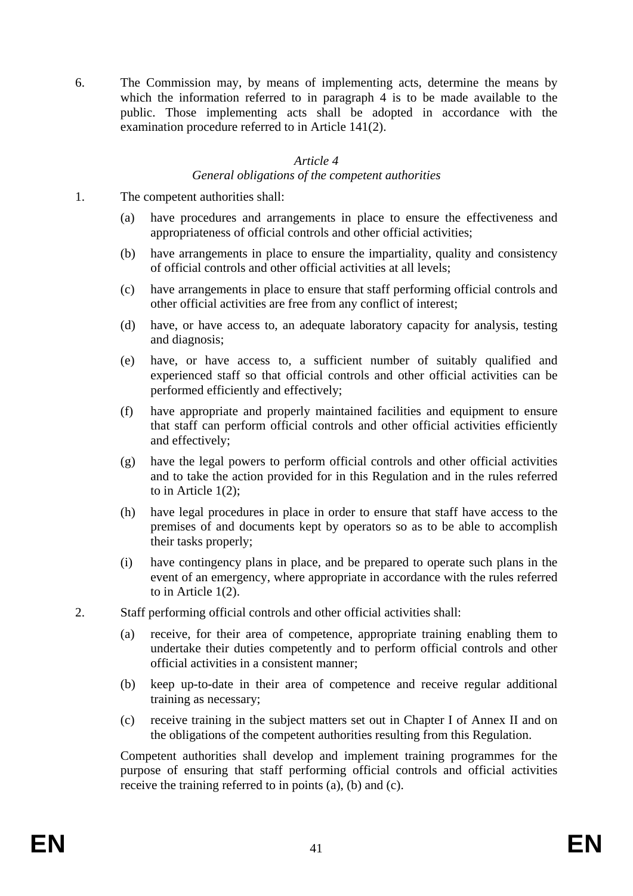6. The Commission may, by means of implementing acts, determine the means by which the information referred to in paragraph 4 is to be made available to the public. Those implementing acts shall be adopted in accordance with the examination procedure referred to in Article 141(2).

## *Article 4*

## *General obligations of the competent authorities*

- 1. The competent authorities shall:
	- (a) have procedures and arrangements in place to ensure the effectiveness and appropriateness of official controls and other official activities;
	- (b) have arrangements in place to ensure the impartiality, quality and consistency of official controls and other official activities at all levels;
	- (c) have arrangements in place to ensure that staff performing official controls and other official activities are free from any conflict of interest;
	- (d) have, or have access to, an adequate laboratory capacity for analysis, testing and diagnosis;
	- (e) have, or have access to, a sufficient number of suitably qualified and experienced staff so that official controls and other official activities can be performed efficiently and effectively;
	- (f) have appropriate and properly maintained facilities and equipment to ensure that staff can perform official controls and other official activities efficiently and effectively;
	- (g) have the legal powers to perform official controls and other official activities and to take the action provided for in this Regulation and in the rules referred to in Article 1(2);
	- (h) have legal procedures in place in order to ensure that staff have access to the premises of and documents kept by operators so as to be able to accomplish their tasks properly;
	- (i) have contingency plans in place, and be prepared to operate such plans in the event of an emergency, where appropriate in accordance with the rules referred to in Article 1(2).
- 2. Staff performing official controls and other official activities shall:
	- (a) receive, for their area of competence, appropriate training enabling them to undertake their duties competently and to perform official controls and other official activities in a consistent manner;
	- (b) keep up-to-date in their area of competence and receive regular additional training as necessary;
	- (c) receive training in the subject matters set out in Chapter I of Annex II and on the obligations of the competent authorities resulting from this Regulation.

Competent authorities shall develop and implement training programmes for the purpose of ensuring that staff performing official controls and official activities receive the training referred to in points (a), (b) and (c).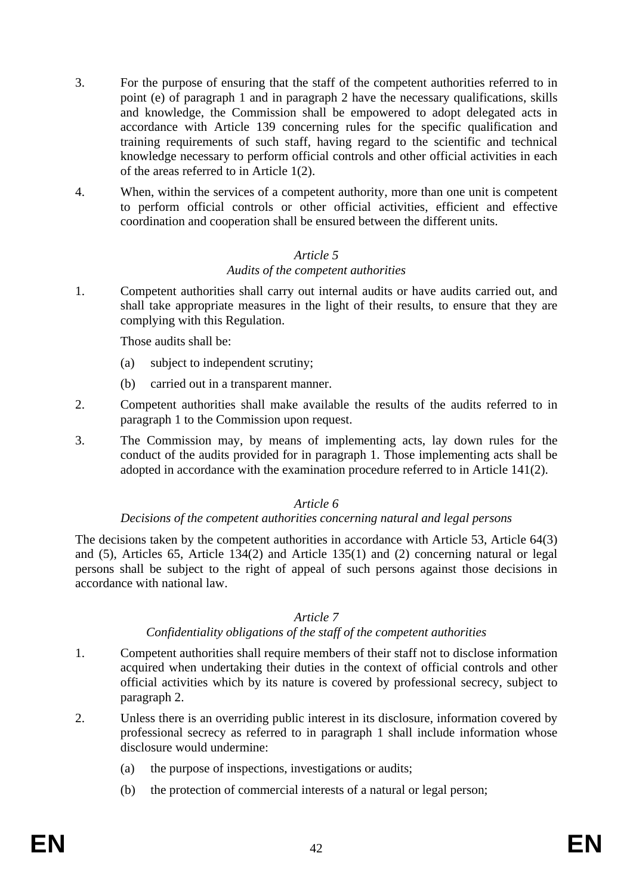- 3. For the purpose of ensuring that the staff of the competent authorities referred to in point (e) of paragraph 1 and in paragraph 2 have the necessary qualifications, skills and knowledge, the Commission shall be empowered to adopt delegated acts in accordance with Article 139 concerning rules for the specific qualification and training requirements of such staff, having regard to the scientific and technical knowledge necessary to perform official controls and other official activities in each of the areas referred to in Article 1(2).
- 4. When, within the services of a competent authority, more than one unit is competent to perform official controls or other official activities, efficient and effective coordination and cooperation shall be ensured between the different units.

#### *Audits of the competent authorities*

1. Competent authorities shall carry out internal audits or have audits carried out, and shall take appropriate measures in the light of their results, to ensure that they are complying with this Regulation.

Those audits shall be:

- (a) subject to independent scrutiny;
- (b) carried out in a transparent manner.
- 2. Competent authorities shall make available the results of the audits referred to in paragraph 1 to the Commission upon request.
- 3. The Commission may, by means of implementing acts, lay down rules for the conduct of the audits provided for in paragraph 1. Those implementing acts shall be adopted in accordance with the examination procedure referred to in Article 141(2).

# *Article 6*

#### *Decisions of the competent authorities concerning natural and legal persons*

The decisions taken by the competent authorities in accordance with Article 53, Article 64(3) and (5), Articles 65, Article 134(2) and Article 135(1) and (2) concerning natural or legal persons shall be subject to the right of appeal of such persons against those decisions in accordance with national law.

# *Article 7*

# *Confidentiality obligations of the staff of the competent authorities*

- 1. Competent authorities shall require members of their staff not to disclose information acquired when undertaking their duties in the context of official controls and other official activities which by its nature is covered by professional secrecy, subject to paragraph 2.
- 2. Unless there is an overriding public interest in its disclosure, information covered by professional secrecy as referred to in paragraph 1 shall include information whose disclosure would undermine:
	- (a) the purpose of inspections, investigations or audits;
	- (b) the protection of commercial interests of a natural or legal person;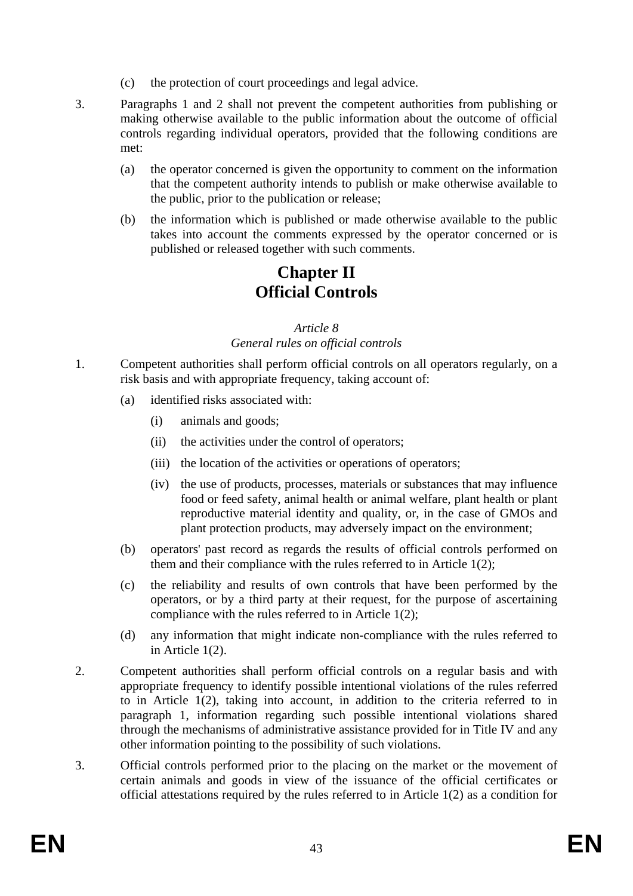- (c) the protection of court proceedings and legal advice.
- 3. Paragraphs 1 and 2 shall not prevent the competent authorities from publishing or making otherwise available to the public information about the outcome of official controls regarding individual operators, provided that the following conditions are met:
	- (a) the operator concerned is given the opportunity to comment on the information that the competent authority intends to publish or make otherwise available to the public, prior to the publication or release;
	- (b) the information which is published or made otherwise available to the public takes into account the comments expressed by the operator concerned or is published or released together with such comments.

# **Chapter II Official Controls**

#### *Article 8 General rules on official controls*

- 1. Competent authorities shall perform official controls on all operators regularly, on a risk basis and with appropriate frequency, taking account of:
	- (a) identified risks associated with:
		- (i) animals and goods;
		- (ii) the activities under the control of operators;
		- (iii) the location of the activities or operations of operators;
		- (iv) the use of products, processes, materials or substances that may influence food or feed safety, animal health or animal welfare, plant health or plant reproductive material identity and quality, or, in the case of GMOs and plant protection products, may adversely impact on the environment;
	- (b) operators' past record as regards the results of official controls performed on them and their compliance with the rules referred to in Article 1(2);
	- (c) the reliability and results of own controls that have been performed by the operators, or by a third party at their request, for the purpose of ascertaining compliance with the rules referred to in Article 1(2);
	- (d) any information that might indicate non-compliance with the rules referred to in Article 1(2).
- 2. Competent authorities shall perform official controls on a regular basis and with appropriate frequency to identify possible intentional violations of the rules referred to in Article 1(2), taking into account, in addition to the criteria referred to in paragraph 1, information regarding such possible intentional violations shared through the mechanisms of administrative assistance provided for in Title IV and any other information pointing to the possibility of such violations.
- 3. Official controls performed prior to the placing on the market or the movement of certain animals and goods in view of the issuance of the official certificates or official attestations required by the rules referred to in Article 1(2) as a condition for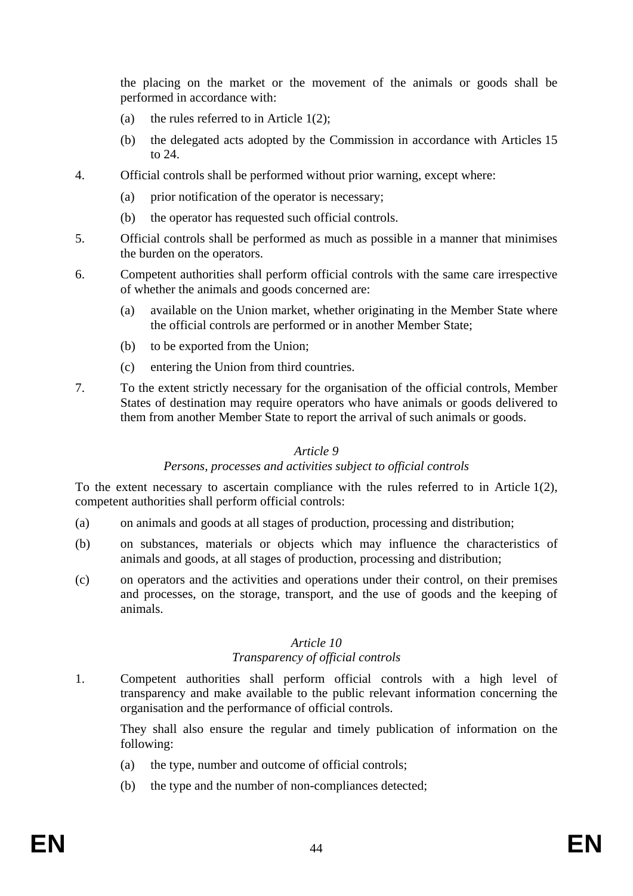the placing on the market or the movement of the animals or goods shall be performed in accordance with:

- (a) the rules referred to in Article  $1(2)$ ;
- (b) the delegated acts adopted by the Commission in accordance with Articles 15 to 24.
- 4. Official controls shall be performed without prior warning, except where:
	- (a) prior notification of the operator is necessary;
	- (b) the operator has requested such official controls.
- 5. Official controls shall be performed as much as possible in a manner that minimises the burden on the operators.
- 6. Competent authorities shall perform official controls with the same care irrespective of whether the animals and goods concerned are:
	- (a) available on the Union market, whether originating in the Member State where the official controls are performed or in another Member State;
	- (b) to be exported from the Union;
	- (c) entering the Union from third countries.
- 7. To the extent strictly necessary for the organisation of the official controls, Member States of destination may require operators who have animals or goods delivered to them from another Member State to report the arrival of such animals or goods.

#### *Article 9*

#### *Persons, processes and activities subject to official controls*

To the extent necessary to ascertain compliance with the rules referred to in Article 1(2), competent authorities shall perform official controls:

- (a) on animals and goods at all stages of production, processing and distribution;
- (b) on substances, materials or objects which may influence the characteristics of animals and goods, at all stages of production, processing and distribution;
- (c) on operators and the activities and operations under their control, on their premises and processes, on the storage, transport, and the use of goods and the keeping of animals.

# *Article 10*

# *Transparency of official controls*

1. Competent authorities shall perform official controls with a high level of transparency and make available to the public relevant information concerning the organisation and the performance of official controls.

They shall also ensure the regular and timely publication of information on the following:

- (a) the type, number and outcome of official controls;
- (b) the type and the number of non-compliances detected;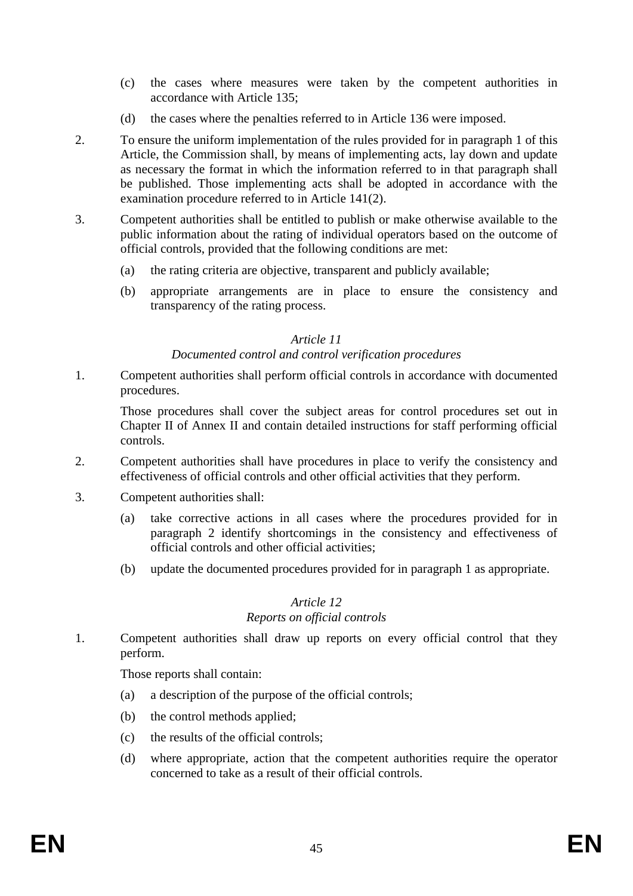- (c) the cases where measures were taken by the competent authorities in accordance with Article 135;
- (d) the cases where the penalties referred to in Article 136 were imposed.
- 2. To ensure the uniform implementation of the rules provided for in paragraph 1 of this Article, the Commission shall, by means of implementing acts, lay down and update as necessary the format in which the information referred to in that paragraph shall be published. Those implementing acts shall be adopted in accordance with the examination procedure referred to in Article 141(2).
- 3. Competent authorities shall be entitled to publish or make otherwise available to the public information about the rating of individual operators based on the outcome of official controls, provided that the following conditions are met:
	- (a) the rating criteria are objective, transparent and publicly available;
	- (b) appropriate arrangements are in place to ensure the consistency and transparency of the rating process.

#### *Article 11 Documented control and control verification procedures*

1. Competent authorities shall perform official controls in accordance with documented procedures.

Those procedures shall cover the subject areas for control procedures set out in Chapter II of Annex II and contain detailed instructions for staff performing official controls.

- 2. Competent authorities shall have procedures in place to verify the consistency and effectiveness of official controls and other official activities that they perform.
- 3. Competent authorities shall:
	- (a) take corrective actions in all cases where the procedures provided for in paragraph 2 identify shortcomings in the consistency and effectiveness of official controls and other official activities;
	- (b) update the documented procedures provided for in paragraph 1 as appropriate.

# *Article 12 Reports on official controls*

1. Competent authorities shall draw up reports on every official control that they perform.

Those reports shall contain:

- (a) a description of the purpose of the official controls;
- (b) the control methods applied;
- (c) the results of the official controls;
- (d) where appropriate, action that the competent authorities require the operator concerned to take as a result of their official controls.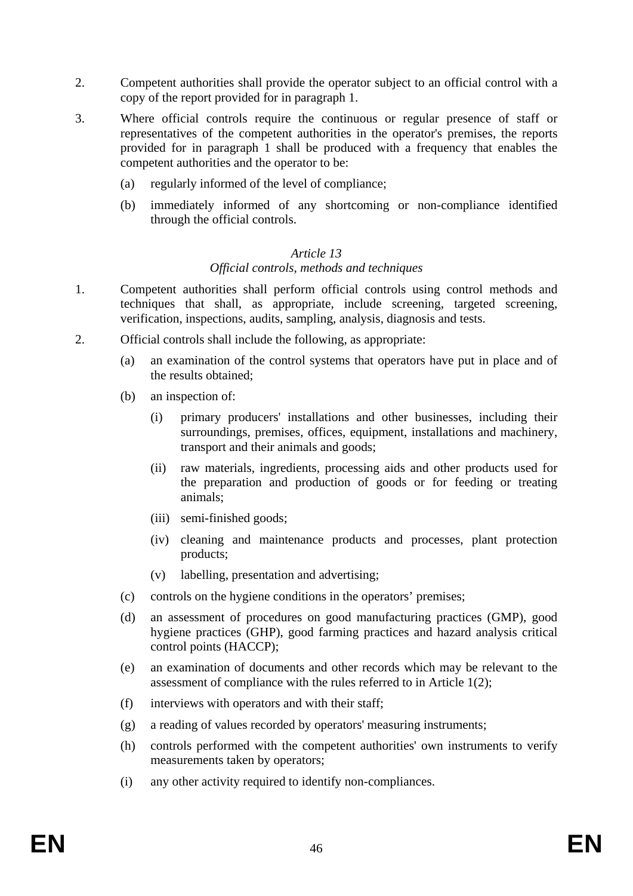- 2. Competent authorities shall provide the operator subject to an official control with a copy of the report provided for in paragraph 1.
- 3. Where official controls require the continuous or regular presence of staff or representatives of the competent authorities in the operator's premises, the reports provided for in paragraph 1 shall be produced with a frequency that enables the competent authorities and the operator to be:
	- (a) regularly informed of the level of compliance;
	- (b) immediately informed of any shortcoming or non-compliance identified through the official controls.

#### *Official controls, methods and techniques*

- 1. Competent authorities shall perform official controls using control methods and techniques that shall, as appropriate, include screening, targeted screening, verification, inspections, audits, sampling, analysis, diagnosis and tests.
- 2. Official controls shall include the following, as appropriate:
	- (a) an examination of the control systems that operators have put in place and of the results obtained;
	- (b) an inspection of:
		- (i) primary producers' installations and other businesses, including their surroundings, premises, offices, equipment, installations and machinery, transport and their animals and goods;
		- (ii) raw materials, ingredients, processing aids and other products used for the preparation and production of goods or for feeding or treating animals;
		- (iii) semi-finished goods;
		- (iv) cleaning and maintenance products and processes, plant protection products;
		- (v) labelling, presentation and advertising;
	- (c) controls on the hygiene conditions in the operators' premises;
	- (d) an assessment of procedures on good manufacturing practices (GMP), good hygiene practices (GHP), good farming practices and hazard analysis critical control points (HACCP);
	- (e) an examination of documents and other records which may be relevant to the assessment of compliance with the rules referred to in Article 1(2);
	- (f) interviews with operators and with their staff;
	- (g) a reading of values recorded by operators' measuring instruments;
	- (h) controls performed with the competent authorities' own instruments to verify measurements taken by operators;
	- (i) any other activity required to identify non-compliances.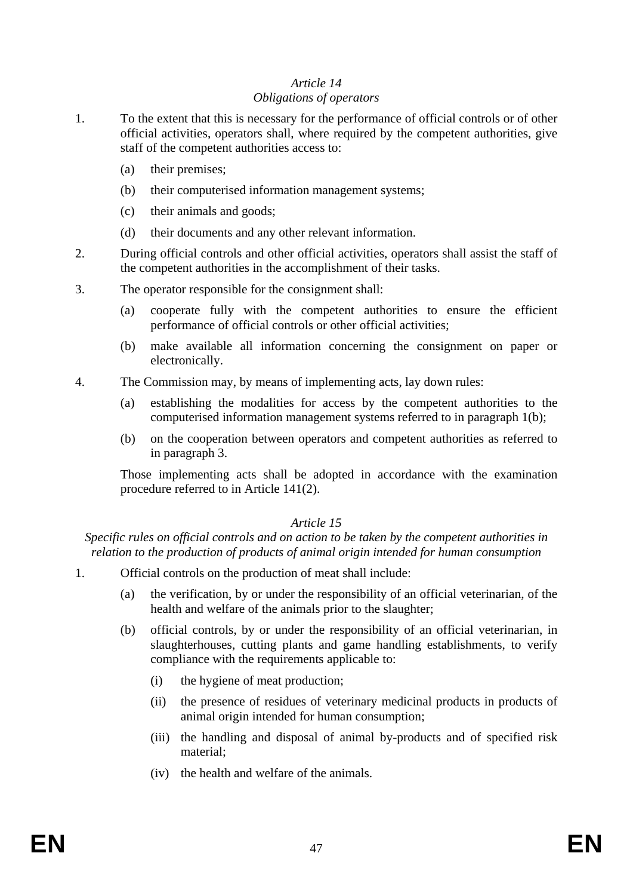# *Article 14 Obligations of operators*

- 1. To the extent that this is necessary for the performance of official controls or of other official activities, operators shall, where required by the competent authorities, give staff of the competent authorities access to:
	- (a) their premises;
	- (b) their computerised information management systems;
	- (c) their animals and goods;
	- (d) their documents and any other relevant information.
- 2. During official controls and other official activities, operators shall assist the staff of the competent authorities in the accomplishment of their tasks.
- 3. The operator responsible for the consignment shall:
	- (a) cooperate fully with the competent authorities to ensure the efficient performance of official controls or other official activities;
	- (b) make available all information concerning the consignment on paper or electronically.
- 4. The Commission may, by means of implementing acts, lay down rules:
	- (a) establishing the modalities for access by the competent authorities to the computerised information management systems referred to in paragraph 1(b);
	- (b) on the cooperation between operators and competent authorities as referred to in paragraph 3.

Those implementing acts shall be adopted in accordance with the examination procedure referred to in Article 141(2).

# *Article 15*

*Specific rules on official controls and on action to be taken by the competent authorities in relation to the production of products of animal origin intended for human consumption* 

- 1. Official controls on the production of meat shall include:
	- (a) the verification, by or under the responsibility of an official veterinarian, of the health and welfare of the animals prior to the slaughter;
	- (b) official controls, by or under the responsibility of an official veterinarian, in slaughterhouses, cutting plants and game handling establishments, to verify compliance with the requirements applicable to:
		- (i) the hygiene of meat production;
		- (ii) the presence of residues of veterinary medicinal products in products of animal origin intended for human consumption;
		- (iii) the handling and disposal of animal by-products and of specified risk material;
		- (iv) the health and welfare of the animals.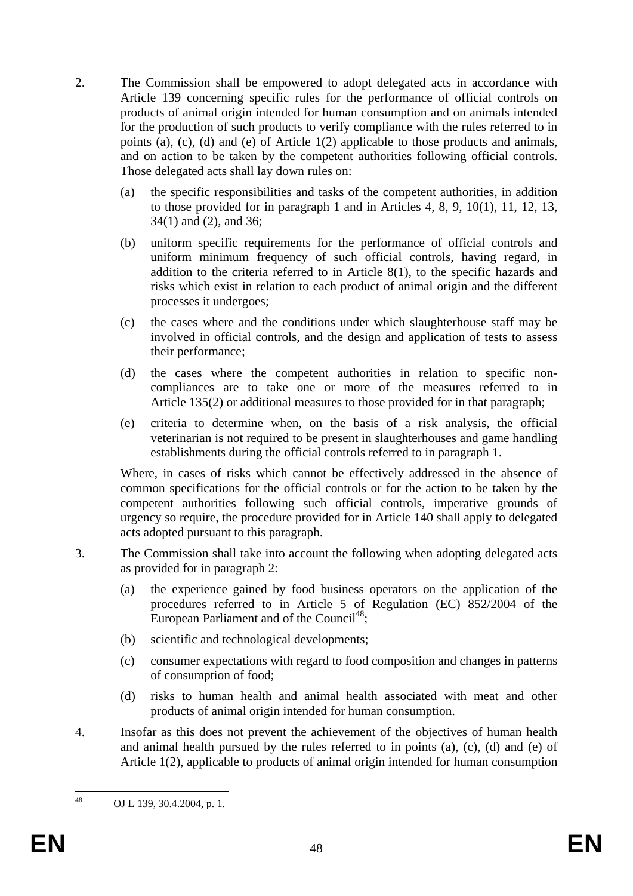- 2. The Commission shall be empowered to adopt delegated acts in accordance with Article 139 concerning specific rules for the performance of official controls on products of animal origin intended for human consumption and on animals intended for the production of such products to verify compliance with the rules referred to in points (a), (c), (d) and (e) of Article 1(2) applicable to those products and animals, and on action to be taken by the competent authorities following official controls. Those delegated acts shall lay down rules on:
	- (a) the specific responsibilities and tasks of the competent authorities, in addition to those provided for in paragraph 1 and in Articles 4, 8, 9, 10(1), 11, 12, 13, 34(1) and (2), and 36;
	- (b) uniform specific requirements for the performance of official controls and uniform minimum frequency of such official controls, having regard, in addition to the criteria referred to in Article 8(1), to the specific hazards and risks which exist in relation to each product of animal origin and the different processes it undergoes;
	- (c) the cases where and the conditions under which slaughterhouse staff may be involved in official controls, and the design and application of tests to assess their performance;
	- (d) the cases where the competent authorities in relation to specific noncompliances are to take one or more of the measures referred to in Article 135(2) or additional measures to those provided for in that paragraph;
	- (e) criteria to determine when, on the basis of a risk analysis, the official veterinarian is not required to be present in slaughterhouses and game handling establishments during the official controls referred to in paragraph 1.

Where, in cases of risks which cannot be effectively addressed in the absence of common specifications for the official controls or for the action to be taken by the competent authorities following such official controls, imperative grounds of urgency so require, the procedure provided for in Article 140 shall apply to delegated acts adopted pursuant to this paragraph.

- 3. The Commission shall take into account the following when adopting delegated acts as provided for in paragraph 2:
	- (a) the experience gained by food business operators on the application of the procedures referred to in Article 5 of Regulation (EC) 852/2004 of the European Parliament and of the Council<sup>48</sup>;
	- (b) scientific and technological developments;
	- (c) consumer expectations with regard to food composition and changes in patterns of consumption of food;
	- (d) risks to human health and animal health associated with meat and other products of animal origin intended for human consumption.
- 4. Insofar as this does not prevent the achievement of the objectives of human health and animal health pursued by the rules referred to in points (a), (c), (d) and (e) of Article 1(2), applicable to products of animal origin intended for human consumption

<sup>48</sup> OJ L 139, 30.4.2004, p. 1.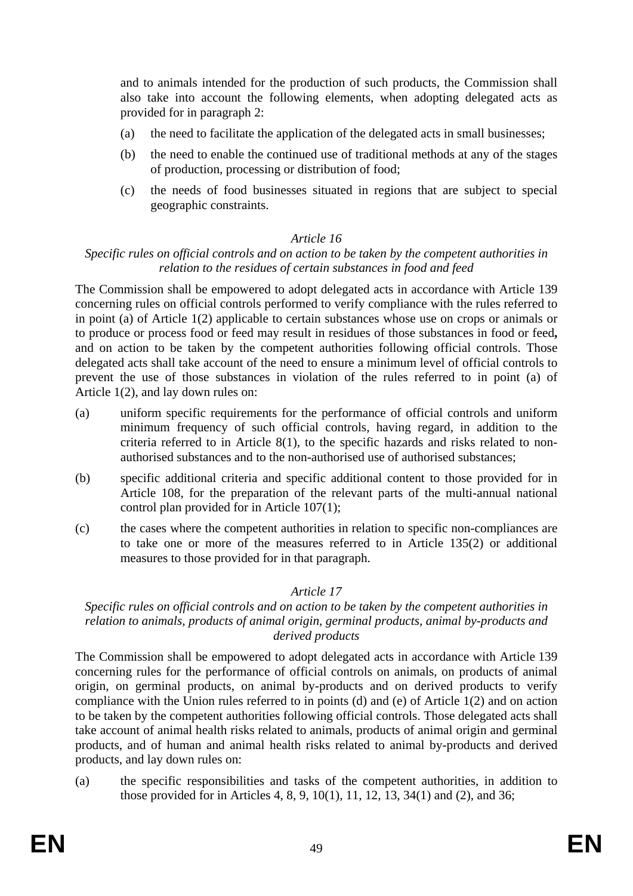and to animals intended for the production of such products, the Commission shall also take into account the following elements, when adopting delegated acts as provided for in paragraph 2:

- (a) the need to facilitate the application of the delegated acts in small businesses;
- (b) the need to enable the continued use of traditional methods at any of the stages of production, processing or distribution of food;
- (c) the needs of food businesses situated in regions that are subject to special geographic constraints.

#### *Article 16*

#### *Specific rules on official controls and on action to be taken by the competent authorities in relation to the residues of certain substances in food and feed*

The Commission shall be empowered to adopt delegated acts in accordance with Article 139 concerning rules on official controls performed to verify compliance with the rules referred to in point (a) of Article 1(2) applicable to certain substances whose use on crops or animals or to produce or process food or feed may result in residues of those substances in food or feed**,** and on action to be taken by the competent authorities following official controls. Those delegated acts shall take account of the need to ensure a minimum level of official controls to prevent the use of those substances in violation of the rules referred to in point (a) of Article 1(2), and lay down rules on:

- (a) uniform specific requirements for the performance of official controls and uniform minimum frequency of such official controls, having regard, in addition to the criteria referred to in Article 8(1), to the specific hazards and risks related to nonauthorised substances and to the non-authorised use of authorised substances;
- (b) specific additional criteria and specific additional content to those provided for in Article 108, for the preparation of the relevant parts of the multi-annual national control plan provided for in Article 107(1);
- (c) the cases where the competent authorities in relation to specific non-compliances are to take one or more of the measures referred to in Article 135(2) or additional measures to those provided for in that paragraph.

# *Article 17*

#### *Specific rules on official controls and on action to be taken by the competent authorities in relation to animals, products of animal origin, germinal products, animal by-products and derived products*

The Commission shall be empowered to adopt delegated acts in accordance with Article 139 concerning rules for the performance of official controls on animals, on products of animal origin, on germinal products, on animal by-products and on derived products to verify compliance with the Union rules referred to in points (d) and (e) of Article 1(2) and on action to be taken by the competent authorities following official controls. Those delegated acts shall take account of animal health risks related to animals, products of animal origin and germinal products, and of human and animal health risks related to animal by-products and derived products, and lay down rules on:

(a) the specific responsibilities and tasks of the competent authorities, in addition to those provided for in Articles 4, 8, 9, 10(1), 11, 12, 13, 34(1) and (2), and 36;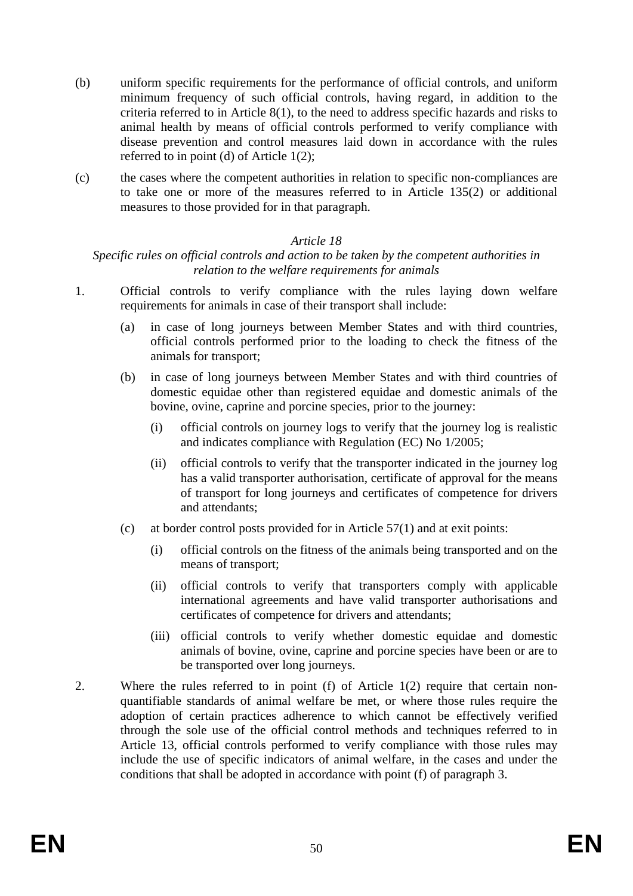- (b) uniform specific requirements for the performance of official controls, and uniform minimum frequency of such official controls, having regard, in addition to the criteria referred to in Article 8(1), to the need to address specific hazards and risks to animal health by means of official controls performed to verify compliance with disease prevention and control measures laid down in accordance with the rules referred to in point (d) of Article 1(2);
- (c) the cases where the competent authorities in relation to specific non-compliances are to take one or more of the measures referred to in Article 135(2) or additional measures to those provided for in that paragraph.

## *Specific rules on official controls and action to be taken by the competent authorities in relation to the welfare requirements for animals*

- 1. Official controls to verify compliance with the rules laying down welfare requirements for animals in case of their transport shall include:
	- (a) in case of long journeys between Member States and with third countries, official controls performed prior to the loading to check the fitness of the animals for transport;
	- (b) in case of long journeys between Member States and with third countries of domestic equidae other than registered equidae and domestic animals of the bovine, ovine, caprine and porcine species, prior to the journey:
		- (i) official controls on journey logs to verify that the journey log is realistic and indicates compliance with Regulation (EC) No 1/2005;
		- (ii) official controls to verify that the transporter indicated in the journey log has a valid transporter authorisation, certificate of approval for the means of transport for long journeys and certificates of competence for drivers and attendants;
	- (c) at border control posts provided for in Article 57(1) and at exit points:
		- (i) official controls on the fitness of the animals being transported and on the means of transport;
		- (ii) official controls to verify that transporters comply with applicable international agreements and have valid transporter authorisations and certificates of competence for drivers and attendants;
		- (iii) official controls to verify whether domestic equidae and domestic animals of bovine, ovine, caprine and porcine species have been or are to be transported over long journeys.
- 2. Where the rules referred to in point (f) of Article 1(2) require that certain nonquantifiable standards of animal welfare be met, or where those rules require the adoption of certain practices adherence to which cannot be effectively verified through the sole use of the official control methods and techniques referred to in Article 13, official controls performed to verify compliance with those rules may include the use of specific indicators of animal welfare, in the cases and under the conditions that shall be adopted in accordance with point (f) of paragraph 3.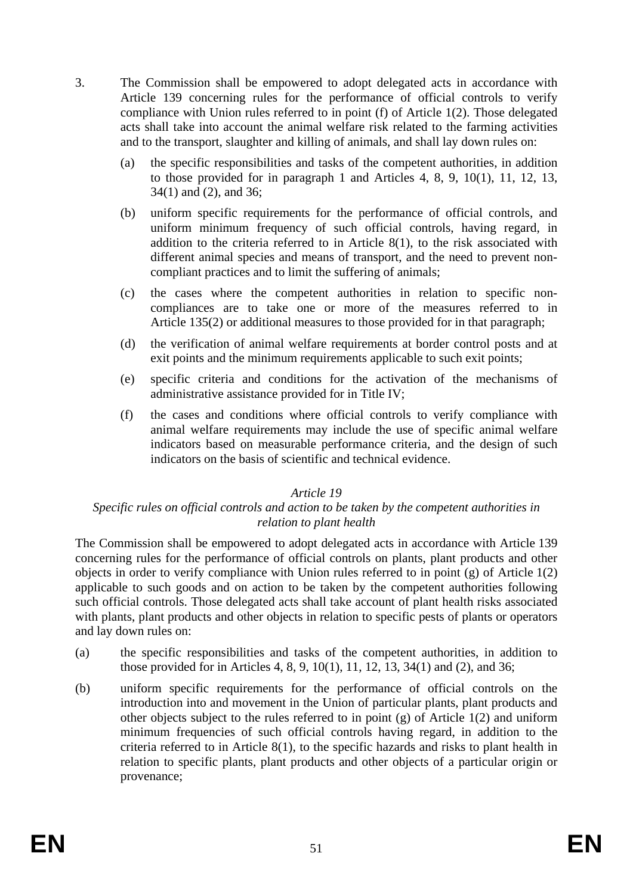- 3. The Commission shall be empowered to adopt delegated acts in accordance with Article 139 concerning rules for the performance of official controls to verify compliance with Union rules referred to in point (f) of Article 1(2). Those delegated acts shall take into account the animal welfare risk related to the farming activities and to the transport, slaughter and killing of animals, and shall lay down rules on:
	- (a) the specific responsibilities and tasks of the competent authorities, in addition to those provided for in paragraph 1 and Articles 4, 8, 9, 10(1), 11, 12, 13, 34(1) and (2), and 36;
	- (b) uniform specific requirements for the performance of official controls, and uniform minimum frequency of such official controls, having regard, in addition to the criteria referred to in Article 8(1), to the risk associated with different animal species and means of transport, and the need to prevent noncompliant practices and to limit the suffering of animals;
	- (c) the cases where the competent authorities in relation to specific noncompliances are to take one or more of the measures referred to in Article 135(2) or additional measures to those provided for in that paragraph;
	- (d) the verification of animal welfare requirements at border control posts and at exit points and the minimum requirements applicable to such exit points;
	- (e) specific criteria and conditions for the activation of the mechanisms of administrative assistance provided for in Title IV;
	- (f) the cases and conditions where official controls to verify compliance with animal welfare requirements may include the use of specific animal welfare indicators based on measurable performance criteria, and the design of such indicators on the basis of scientific and technical evidence.

#### *Specific rules on official controls and action to be taken by the competent authorities in relation to plant health*

The Commission shall be empowered to adopt delegated acts in accordance with Article 139 concerning rules for the performance of official controls on plants, plant products and other objects in order to verify compliance with Union rules referred to in point (g) of Article 1(2) applicable to such goods and on action to be taken by the competent authorities following such official controls. Those delegated acts shall take account of plant health risks associated with plants, plant products and other objects in relation to specific pests of plants or operators and lay down rules on:

- (a) the specific responsibilities and tasks of the competent authorities, in addition to those provided for in Articles 4, 8, 9, 10(1), 11, 12, 13, 34(1) and (2), and 36;
- (b) uniform specific requirements for the performance of official controls on the introduction into and movement in the Union of particular plants, plant products and other objects subject to the rules referred to in point (g) of Article 1(2) and uniform minimum frequencies of such official controls having regard, in addition to the criteria referred to in Article 8(1), to the specific hazards and risks to plant health in relation to specific plants, plant products and other objects of a particular origin or provenance;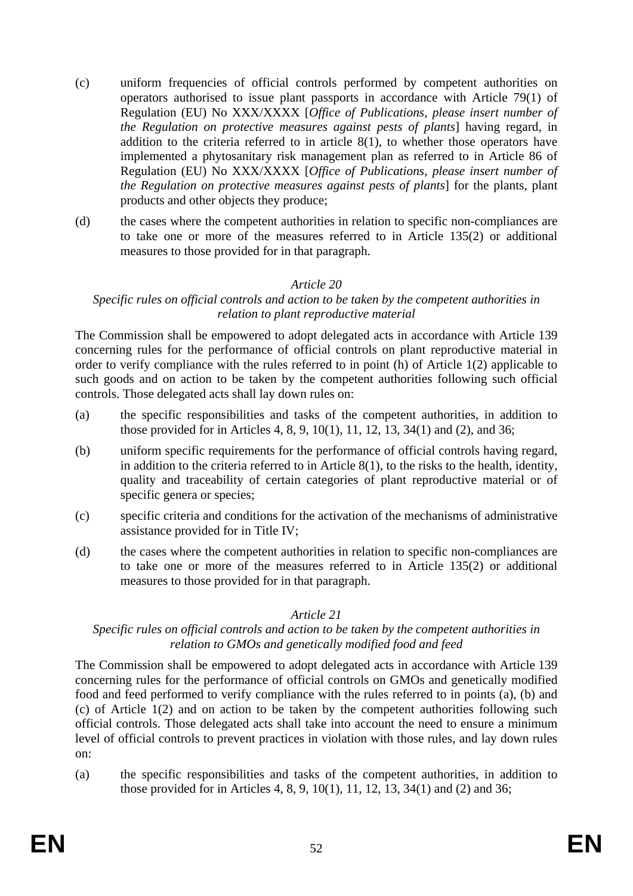- (c) uniform frequencies of official controls performed by competent authorities on operators authorised to issue plant passports in accordance with Article 79(1) of Regulation (EU) No XXX/XXXX [*Office of Publications, please insert number of the Regulation on protective measures against pests of plants*] having regard, in addition to the criteria referred to in article  $8(1)$ , to whether those operators have implemented a phytosanitary risk management plan as referred to in Article 86 of Regulation (EU) No XXX/XXXX [*Office of Publications, please insert number of the Regulation on protective measures against pests of plants*] for the plants, plant products and other objects they produce;
- (d) the cases where the competent authorities in relation to specific non-compliances are to take one or more of the measures referred to in Article 135(2) or additional measures to those provided for in that paragraph.

## *Specific rules on official controls and action to be taken by the competent authorities in relation to plant reproductive material*

The Commission shall be empowered to adopt delegated acts in accordance with Article 139 concerning rules for the performance of official controls on plant reproductive material in order to verify compliance with the rules referred to in point (h) of Article 1(2) applicable to such goods and on action to be taken by the competent authorities following such official controls. Those delegated acts shall lay down rules on:

- (a) the specific responsibilities and tasks of the competent authorities, in addition to those provided for in Articles 4, 8, 9, 10(1), 11, 12, 13, 34(1) and (2), and 36;
- (b) uniform specific requirements for the performance of official controls having regard, in addition to the criteria referred to in Article 8(1), to the risks to the health, identity, quality and traceability of certain categories of plant reproductive material or of specific genera or species;
- (c) specific criteria and conditions for the activation of the mechanisms of administrative assistance provided for in Title IV;
- (d) the cases where the competent authorities in relation to specific non-compliances are to take one or more of the measures referred to in Article 135(2) or additional measures to those provided for in that paragraph.

#### *Article 21*

## *Specific rules on official controls and action to be taken by the competent authorities in relation to GMOs and genetically modified food and feed*

The Commission shall be empowered to adopt delegated acts in accordance with Article 139 concerning rules for the performance of official controls on GMOs and genetically modified food and feed performed to verify compliance with the rules referred to in points (a), (b) and (c) of Article 1(2) and on action to be taken by the competent authorities following such official controls. Those delegated acts shall take into account the need to ensure a minimum level of official controls to prevent practices in violation with those rules, and lay down rules on:

(a) the specific responsibilities and tasks of the competent authorities, in addition to those provided for in Articles 4, 8, 9, 10(1), 11, 12, 13, 34(1) and (2) and 36;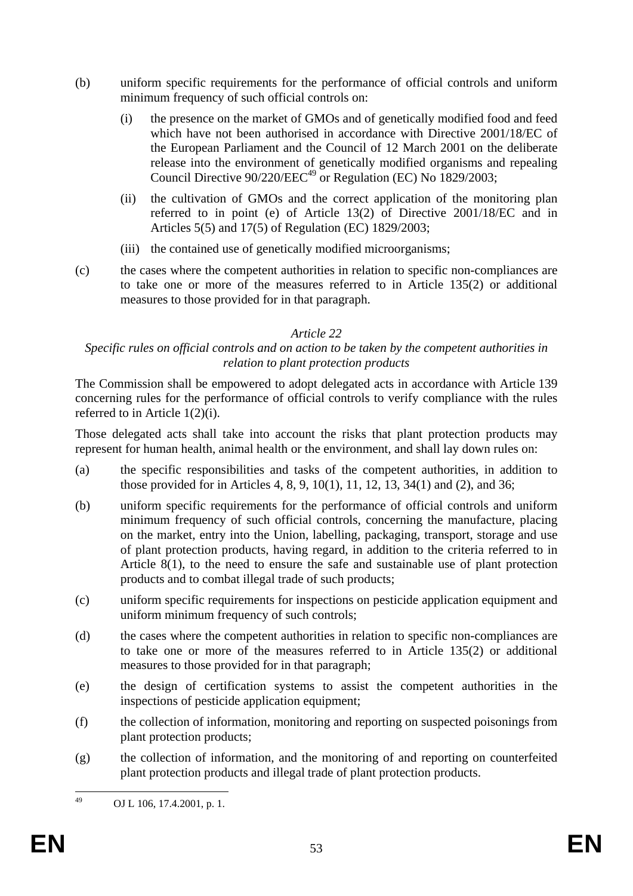- (b) uniform specific requirements for the performance of official controls and uniform minimum frequency of such official controls on:
	- (i) the presence on the market of GMOs and of genetically modified food and feed which have not been authorised in accordance with Directive 2001/18/EC of the European Parliament and the Council of 12 March 2001 on the deliberate release into the environment of genetically modified organisms and repealing Council Directive  $90/220$ /EEC<sup>49</sup> or Regulation (EC) No 1829/2003;
	- (ii) the cultivation of GMOs and the correct application of the monitoring plan referred to in point (e) of Article 13(2) of Directive 2001/18/EC and in Articles 5(5) and 17(5) of Regulation (EC) 1829/2003;
	- (iii) the contained use of genetically modified microorganisms;
- (c) the cases where the competent authorities in relation to specific non-compliances are to take one or more of the measures referred to in Article 135(2) or additional measures to those provided for in that paragraph.

# *Specific rules on official controls and on action to be taken by the competent authorities in relation to plant protection products*

The Commission shall be empowered to adopt delegated acts in accordance with Article 139 concerning rules for the performance of official controls to verify compliance with the rules referred to in Article 1(2)(i).

Those delegated acts shall take into account the risks that plant protection products may represent for human health, animal health or the environment, and shall lay down rules on:

- (a) the specific responsibilities and tasks of the competent authorities, in addition to those provided for in Articles 4, 8, 9, 10(1), 11, 12, 13, 34(1) and (2), and 36;
- (b) uniform specific requirements for the performance of official controls and uniform minimum frequency of such official controls, concerning the manufacture, placing on the market, entry into the Union, labelling, packaging, transport, storage and use of plant protection products, having regard, in addition to the criteria referred to in Article 8(1), to the need to ensure the safe and sustainable use of plant protection products and to combat illegal trade of such products;
- (c) uniform specific requirements for inspections on pesticide application equipment and uniform minimum frequency of such controls;
- (d) the cases where the competent authorities in relation to specific non-compliances are to take one or more of the measures referred to in Article 135(2) or additional measures to those provided for in that paragraph;
- (e) the design of certification systems to assist the competent authorities in the inspections of pesticide application equipment;
- (f) the collection of information, monitoring and reporting on suspected poisonings from plant protection products;
- (g) the collection of information, and the monitoring of and reporting on counterfeited plant protection products and illegal trade of plant protection products.

<sup>49</sup> OJ L 106, 17.4.2001, p. 1.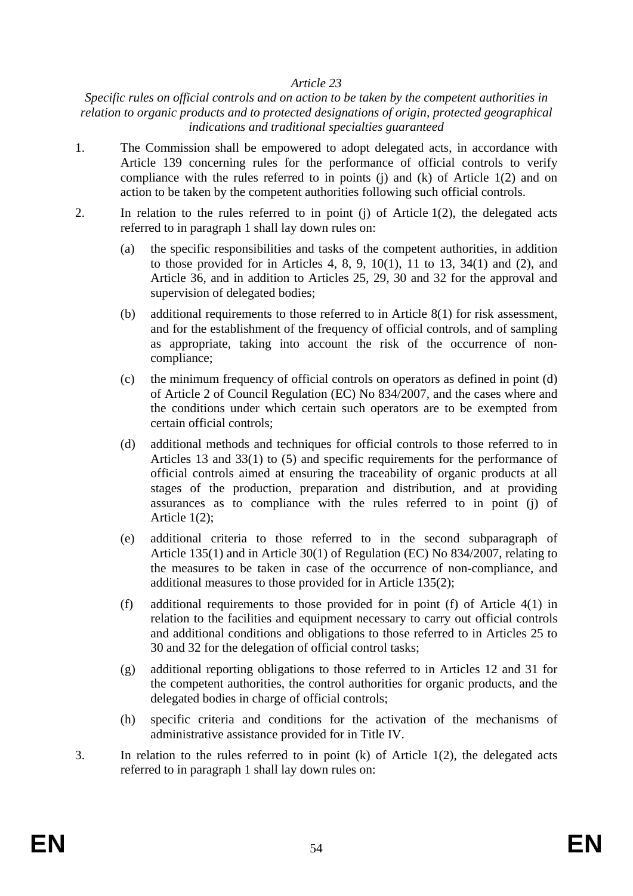#### *Specific rules on official controls and on action to be taken by the competent authorities in relation to organic products and to protected designations of origin, protected geographical indications and traditional specialties guaranteed*

- 1. The Commission shall be empowered to adopt delegated acts, in accordance with Article 139 concerning rules for the performance of official controls to verify compliance with the rules referred to in points (j) and (k) of Article  $1(2)$  and on action to be taken by the competent authorities following such official controls.
- 2. In relation to the rules referred to in point (j) of Article 1(2), the delegated acts referred to in paragraph 1 shall lay down rules on:
	- (a) the specific responsibilities and tasks of the competent authorities, in addition to those provided for in Articles 4, 8, 9, 10(1), 11 to 13, 34(1) and (2), and Article 36, and in addition to Articles 25, 29, 30 and 32 for the approval and supervision of delegated bodies;
	- (b) additional requirements to those referred to in Article 8(1) for risk assessment, and for the establishment of the frequency of official controls, and of sampling as appropriate, taking into account the risk of the occurrence of noncompliance;
	- (c) the minimum frequency of official controls on operators as defined in point (d) of Article 2 of Council Regulation (EC) No 834/2007, and the cases where and the conditions under which certain such operators are to be exempted from certain official controls;
	- (d) additional methods and techniques for official controls to those referred to in Articles 13 and 33(1) to (5) and specific requirements for the performance of official controls aimed at ensuring the traceability of organic products at all stages of the production, preparation and distribution, and at providing assurances as to compliance with the rules referred to in point (j) of Article 1(2);
	- (e) additional criteria to those referred to in the second subparagraph of Article 135(1) and in Article 30(1) of Regulation (EC) No 834/2007, relating to the measures to be taken in case of the occurrence of non-compliance, and additional measures to those provided for in Article 135(2);
	- (f) additional requirements to those provided for in point (f) of Article 4(1) in relation to the facilities and equipment necessary to carry out official controls and additional conditions and obligations to those referred to in Articles 25 to 30 and 32 for the delegation of official control tasks;
	- (g) additional reporting obligations to those referred to in Articles 12 and 31 for the competent authorities, the control authorities for organic products, and the delegated bodies in charge of official controls;
	- (h) specific criteria and conditions for the activation of the mechanisms of administrative assistance provided for in Title IV.
- 3. In relation to the rules referred to in point (k) of Article 1(2), the delegated acts referred to in paragraph 1 shall lay down rules on: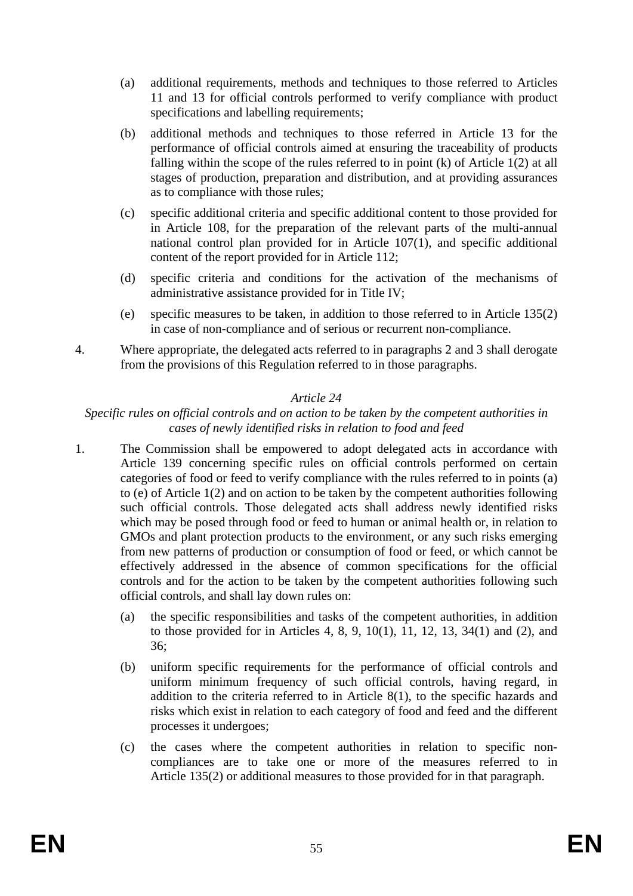- (a) additional requirements, methods and techniques to those referred to Articles 11 and 13 for official controls performed to verify compliance with product specifications and labelling requirements;
- (b) additional methods and techniques to those referred in Article 13 for the performance of official controls aimed at ensuring the traceability of products falling within the scope of the rules referred to in point (k) of Article 1(2) at all stages of production, preparation and distribution, and at providing assurances as to compliance with those rules;
- (c) specific additional criteria and specific additional content to those provided for in Article 108, for the preparation of the relevant parts of the multi-annual national control plan provided for in Article 107(1), and specific additional content of the report provided for in Article 112;
- (d) specific criteria and conditions for the activation of the mechanisms of administrative assistance provided for in Title IV;
- (e) specific measures to be taken, in addition to those referred to in Article 135(2) in case of non-compliance and of serious or recurrent non-compliance.
- 4. Where appropriate, the delegated acts referred to in paragraphs 2 and 3 shall derogate from the provisions of this Regulation referred to in those paragraphs.

#### *Specific rules on official controls and on action to be taken by the competent authorities in cases of newly identified risks in relation to food and feed*

- 1. The Commission shall be empowered to adopt delegated acts in accordance with Article 139 concerning specific rules on official controls performed on certain categories of food or feed to verify compliance with the rules referred to in points (a) to (e) of Article 1(2) and on action to be taken by the competent authorities following such official controls. Those delegated acts shall address newly identified risks which may be posed through food or feed to human or animal health or, in relation to GMOs and plant protection products to the environment, or any such risks emerging from new patterns of production or consumption of food or feed, or which cannot be effectively addressed in the absence of common specifications for the official controls and for the action to be taken by the competent authorities following such official controls, and shall lay down rules on:
	- (a) the specific responsibilities and tasks of the competent authorities, in addition to those provided for in Articles 4, 8, 9, 10(1), 11, 12, 13, 34(1) and (2), and 36;
	- (b) uniform specific requirements for the performance of official controls and uniform minimum frequency of such official controls, having regard, in addition to the criteria referred to in Article 8(1), to the specific hazards and risks which exist in relation to each category of food and feed and the different processes it undergoes;
	- (c) the cases where the competent authorities in relation to specific noncompliances are to take one or more of the measures referred to in Article 135(2) or additional measures to those provided for in that paragraph.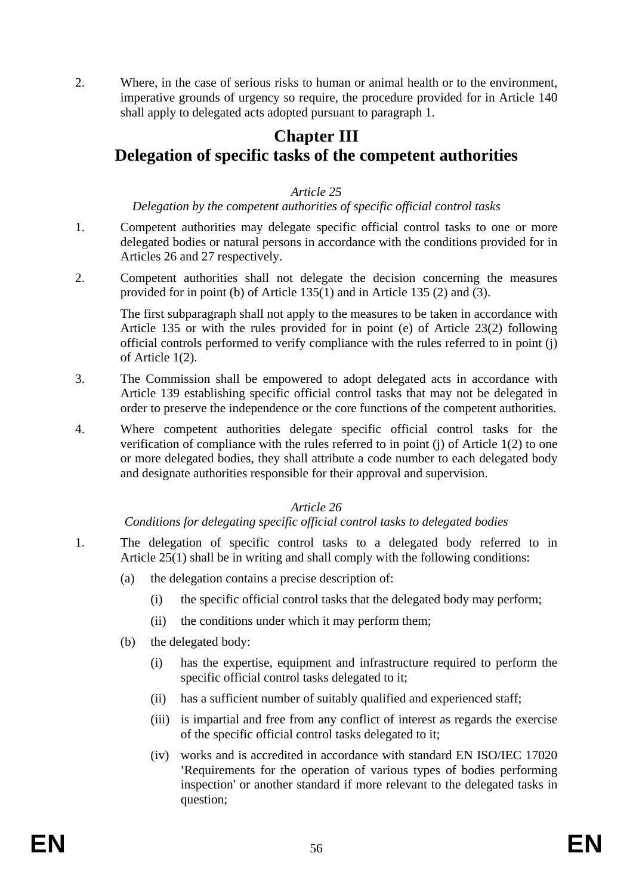2. Where, in the case of serious risks to human or animal health or to the environment, imperative grounds of urgency so require, the procedure provided for in Article 140 shall apply to delegated acts adopted pursuant to paragraph 1.

# **Chapter III Delegation of specific tasks of the competent authorities**

## *Article 25*

## *Delegation by the competent authorities of specific official control tasks*

- 1. Competent authorities may delegate specific official control tasks to one or more delegated bodies or natural persons in accordance with the conditions provided for in Articles 26 and 27 respectively.
- 2. Competent authorities shall not delegate the decision concerning the measures provided for in point (b) of Article 135(1) and in Article 135 (2) and (3).

The first subparagraph shall not apply to the measures to be taken in accordance with Article 135 or with the rules provided for in point (e) of Article 23(2) following official controls performed to verify compliance with the rules referred to in point (j) of Article 1(2).

- 3. The Commission shall be empowered to adopt delegated acts in accordance with Article 139 establishing specific official control tasks that may not be delegated in order to preserve the independence or the core functions of the competent authorities.
- 4. Where competent authorities delegate specific official control tasks for the verification of compliance with the rules referred to in point (j) of Article 1(2) to one or more delegated bodies, they shall attribute a code number to each delegated body and designate authorities responsible for their approval and supervision.

# *Article 26*

# *Conditions for delegating specific official control tasks to delegated bodies*

- 1. The delegation of specific control tasks to a delegated body referred to in Article 25(1) shall be in writing and shall comply with the following conditions:
	- (a) the delegation contains a precise description of:
		- (i) the specific official control tasks that the delegated body may perform;
		- (ii) the conditions under which it may perform them;
	- (b) the delegated body:
		- (i) has the expertise, equipment and infrastructure required to perform the specific official control tasks delegated to it;
		- (ii) has a sufficient number of suitably qualified and experienced staff;
		- (iii) is impartial and free from any conflict of interest as regards the exercise of the specific official control tasks delegated to it;
		- (iv) works and is accredited in accordance with standard EN ISO/IEC 17020 **'**Requirements for the operation of various types of bodies performing inspection' or another standard if more relevant to the delegated tasks in question;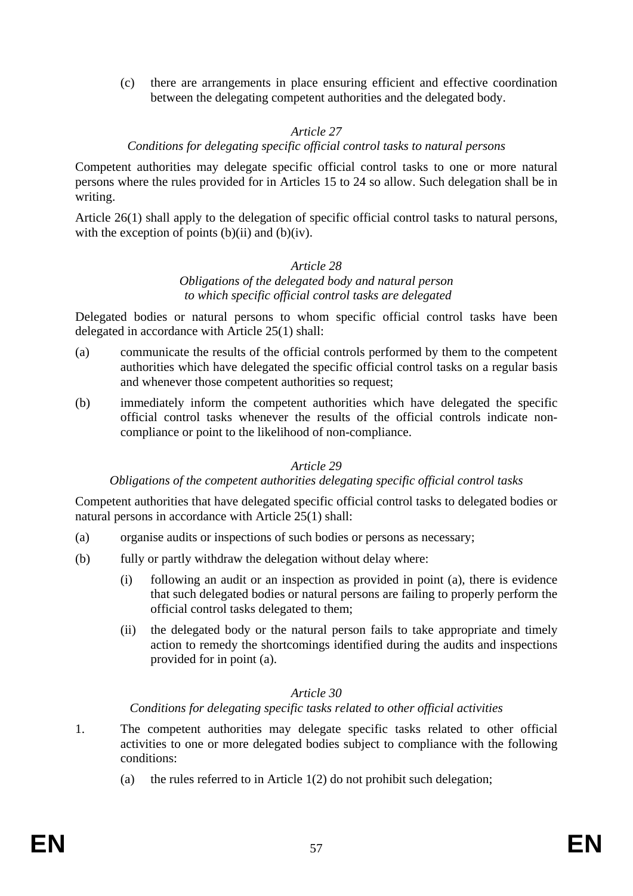(c) there are arrangements in place ensuring efficient and effective coordination between the delegating competent authorities and the delegated body.

### *Article 27*

#### *Conditions for delegating specific official control tasks to natural persons*

Competent authorities may delegate specific official control tasks to one or more natural persons where the rules provided for in Articles 15 to 24 so allow. Such delegation shall be in writing.

Article 26(1) shall apply to the delegation of specific official control tasks to natural persons, with the exception of points  $(b)(ii)$  and  $(b)(iv)$ .

#### *Article 28*

#### *Obligations of the delegated body and natural person to which specific official control tasks are delegated*

Delegated bodies or natural persons to whom specific official control tasks have been delegated in accordance with Article 25(1) shall:

- (a) communicate the results of the official controls performed by them to the competent authorities which have delegated the specific official control tasks on a regular basis and whenever those competent authorities so request;
- (b) immediately inform the competent authorities which have delegated the specific official control tasks whenever the results of the official controls indicate noncompliance or point to the likelihood of non-compliance.

#### *Article 29*

#### *Obligations of the competent authorities delegating specific official control tasks*

Competent authorities that have delegated specific official control tasks to delegated bodies or natural persons in accordance with Article 25(1) shall:

- (a) organise audits or inspections of such bodies or persons as necessary;
- (b) fully or partly withdraw the delegation without delay where:
	- (i) following an audit or an inspection as provided in point (a), there is evidence that such delegated bodies or natural persons are failing to properly perform the official control tasks delegated to them;
	- (ii) the delegated body or the natural person fails to take appropriate and timely action to remedy the shortcomings identified during the audits and inspections provided for in point (a).

## *Article 30*

#### *Conditions for delegating specific tasks related to other official activities*

- 1. The competent authorities may delegate specific tasks related to other official activities to one or more delegated bodies subject to compliance with the following conditions:
	- (a) the rules referred to in Article  $1(2)$  do not prohibit such delegation;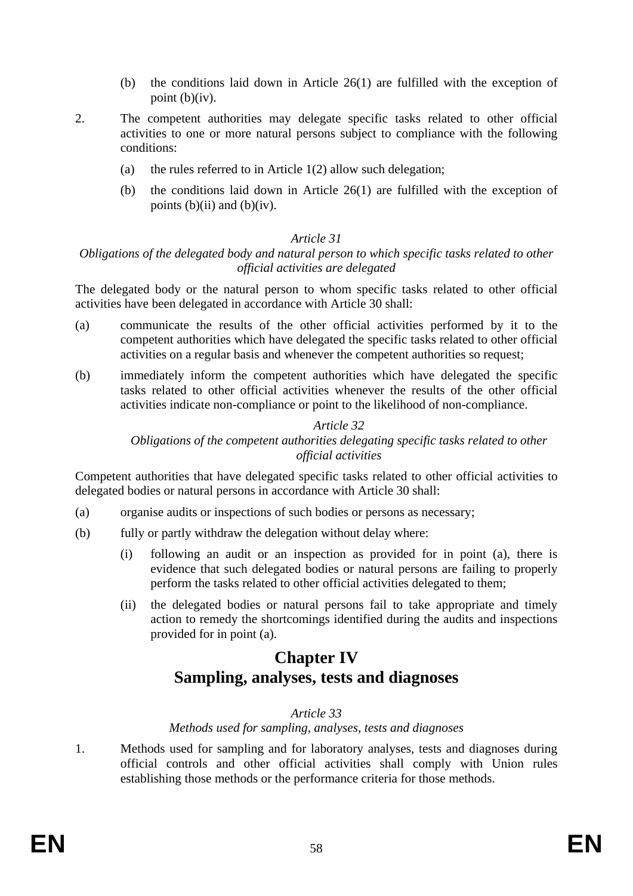- (b) the conditions laid down in Article 26(1) are fulfilled with the exception of point  $(b)(iv)$ .
- 2. The competent authorities may delegate specific tasks related to other official activities to one or more natural persons subject to compliance with the following conditions:
	- (a) the rules referred to in Article 1(2) allow such delegation;
	- (b) the conditions laid down in Article 26(1) are fulfilled with the exception of points  $(b)(ii)$  and  $(b)(iv)$ .

### *Obligations of the delegated body and natural person to which specific tasks related to other official activities are delegated*

The delegated body or the natural person to whom specific tasks related to other official activities have been delegated in accordance with Article 30 shall:

- (a) communicate the results of the other official activities performed by it to the competent authorities which have delegated the specific tasks related to other official activities on a regular basis and whenever the competent authorities so request;
- (b) immediately inform the competent authorities which have delegated the specific tasks related to other official activities whenever the results of the other official activities indicate non-compliance or point to the likelihood of non-compliance.

### *Article 32 Obligations of the competent authorities delegating specific tasks related to other official activities*

Competent authorities that have delegated specific tasks related to other official activities to delegated bodies or natural persons in accordance with Article 30 shall:

- (a) organise audits or inspections of such bodies or persons as necessary;
- (b) fully or partly withdraw the delegation without delay where:
	- (i) following an audit or an inspection as provided for in point (a), there is evidence that such delegated bodies or natural persons are failing to properly perform the tasks related to other official activities delegated to them;
	- (ii) the delegated bodies or natural persons fail to take appropriate and timely action to remedy the shortcomings identified during the audits and inspections provided for in point (a).

# **Chapter IV Sampling, analyses, tests and diagnoses**

# *Article 33*

*Methods used for sampling, analyses, tests and diagnoses* 

1. Methods used for sampling and for laboratory analyses, tests and diagnoses during official controls and other official activities shall comply with Union rules establishing those methods or the performance criteria for those methods.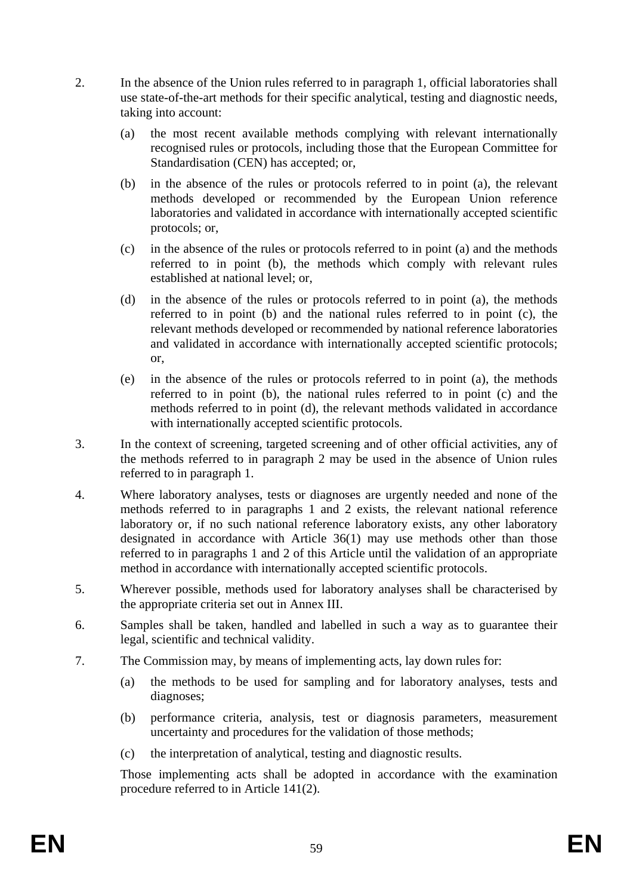- 2. In the absence of the Union rules referred to in paragraph 1, official laboratories shall use state-of-the-art methods for their specific analytical, testing and diagnostic needs, taking into account:
	- (a) the most recent available methods complying with relevant internationally recognised rules or protocols, including those that the European Committee for Standardisation (CEN) has accepted; or,
	- (b) in the absence of the rules or protocols referred to in point (a), the relevant methods developed or recommended by the European Union reference laboratories and validated in accordance with internationally accepted scientific protocols; or,
	- (c) in the absence of the rules or protocols referred to in point (a) and the methods referred to in point (b), the methods which comply with relevant rules established at national level; or,
	- (d) in the absence of the rules or protocols referred to in point (a), the methods referred to in point (b) and the national rules referred to in point (c), the relevant methods developed or recommended by national reference laboratories and validated in accordance with internationally accepted scientific protocols; or,
	- (e) in the absence of the rules or protocols referred to in point (a), the methods referred to in point (b), the national rules referred to in point (c) and the methods referred to in point (d), the relevant methods validated in accordance with internationally accepted scientific protocols.
- 3. In the context of screening, targeted screening and of other official activities, any of the methods referred to in paragraph 2 may be used in the absence of Union rules referred to in paragraph 1.
- 4. Where laboratory analyses, tests or diagnoses are urgently needed and none of the methods referred to in paragraphs 1 and 2 exists, the relevant national reference laboratory or, if no such national reference laboratory exists, any other laboratory designated in accordance with Article 36(1) may use methods other than those referred to in paragraphs 1 and 2 of this Article until the validation of an appropriate method in accordance with internationally accepted scientific protocols.
- 5. Wherever possible, methods used for laboratory analyses shall be characterised by the appropriate criteria set out in Annex III.
- 6. Samples shall be taken, handled and labelled in such a way as to guarantee their legal, scientific and technical validity.
- 7. The Commission may, by means of implementing acts, lay down rules for:
	- (a) the methods to be used for sampling and for laboratory analyses, tests and diagnoses;
	- (b) performance criteria, analysis, test or diagnosis parameters, measurement uncertainty and procedures for the validation of those methods;
	- (c) the interpretation of analytical, testing and diagnostic results.

Those implementing acts shall be adopted in accordance with the examination procedure referred to in Article 141(2).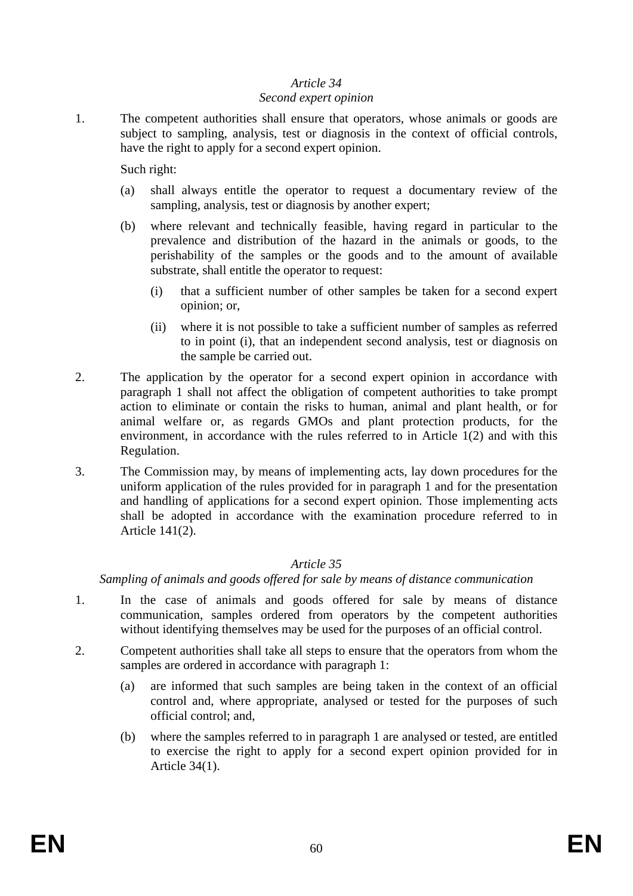#### *Second expert opinion*

1. The competent authorities shall ensure that operators, whose animals or goods are subject to sampling, analysis, test or diagnosis in the context of official controls, have the right to apply for a second expert opinion.

Such right:

- (a) shall always entitle the operator to request a documentary review of the sampling, analysis, test or diagnosis by another expert;
- (b) where relevant and technically feasible, having regard in particular to the prevalence and distribution of the hazard in the animals or goods, to the perishability of the samples or the goods and to the amount of available substrate, shall entitle the operator to request:
	- (i) that a sufficient number of other samples be taken for a second expert opinion; or,
	- (ii) where it is not possible to take a sufficient number of samples as referred to in point (i), that an independent second analysis, test or diagnosis on the sample be carried out.
- 2. The application by the operator for a second expert opinion in accordance with paragraph 1 shall not affect the obligation of competent authorities to take prompt action to eliminate or contain the risks to human, animal and plant health, or for animal welfare or, as regards GMOs and plant protection products, for the environment, in accordance with the rules referred to in Article 1(2) and with this Regulation.
- 3. The Commission may, by means of implementing acts, lay down procedures for the uniform application of the rules provided for in paragraph 1 and for the presentation and handling of applications for a second expert opinion. Those implementing acts shall be adopted in accordance with the examination procedure referred to in Article 141(2).

# *Article 35*

*Sampling of animals and goods offered for sale by means of distance communication* 

- 1. In the case of animals and goods offered for sale by means of distance communication, samples ordered from operators by the competent authorities without identifying themselves may be used for the purposes of an official control.
- 2. Competent authorities shall take all steps to ensure that the operators from whom the samples are ordered in accordance with paragraph 1:
	- (a) are informed that such samples are being taken in the context of an official control and, where appropriate, analysed or tested for the purposes of such official control; and,
	- (b) where the samples referred to in paragraph 1 are analysed or tested, are entitled to exercise the right to apply for a second expert opinion provided for in Article 34(1).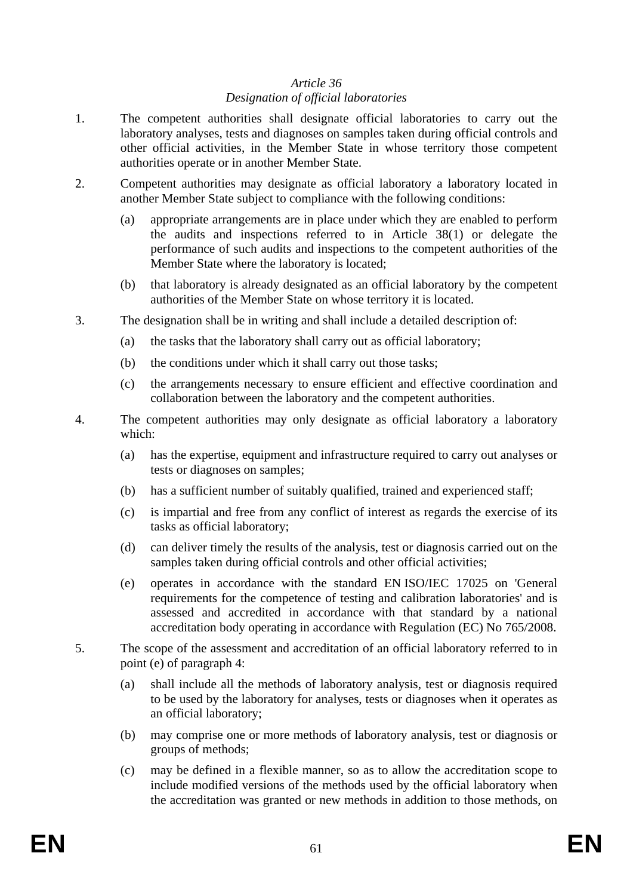# *Designation of official laboratories*

- 1. The competent authorities shall designate official laboratories to carry out the laboratory analyses, tests and diagnoses on samples taken during official controls and other official activities, in the Member State in whose territory those competent authorities operate or in another Member State.
- 2. Competent authorities may designate as official laboratory a laboratory located in another Member State subject to compliance with the following conditions:
	- (a) appropriate arrangements are in place under which they are enabled to perform the audits and inspections referred to in Article 38(1) or delegate the performance of such audits and inspections to the competent authorities of the Member State where the laboratory is located;
	- (b) that laboratory is already designated as an official laboratory by the competent authorities of the Member State on whose territory it is located.
- 3. The designation shall be in writing and shall include a detailed description of:
	- (a) the tasks that the laboratory shall carry out as official laboratory;
	- (b) the conditions under which it shall carry out those tasks;
	- (c) the arrangements necessary to ensure efficient and effective coordination and collaboration between the laboratory and the competent authorities.
- 4. The competent authorities may only designate as official laboratory a laboratory which:
	- (a) has the expertise, equipment and infrastructure required to carry out analyses or tests or diagnoses on samples;
	- (b) has a sufficient number of suitably qualified, trained and experienced staff;
	- (c) is impartial and free from any conflict of interest as regards the exercise of its tasks as official laboratory;
	- (d) can deliver timely the results of the analysis, test or diagnosis carried out on the samples taken during official controls and other official activities;
	- (e) operates in accordance with the standard EN ISO/IEC 17025 on 'General requirements for the competence of testing and calibration laboratories' and is assessed and accredited in accordance with that standard by a national accreditation body operating in accordance with Regulation (EC) No 765/2008.
- 5. The scope of the assessment and accreditation of an official laboratory referred to in point (e) of paragraph 4:
	- (a) shall include all the methods of laboratory analysis, test or diagnosis required to be used by the laboratory for analyses, tests or diagnoses when it operates as an official laboratory;
	- (b) may comprise one or more methods of laboratory analysis, test or diagnosis or groups of methods;
	- (c) may be defined in a flexible manner, so as to allow the accreditation scope to include modified versions of the methods used by the official laboratory when the accreditation was granted or new methods in addition to those methods, on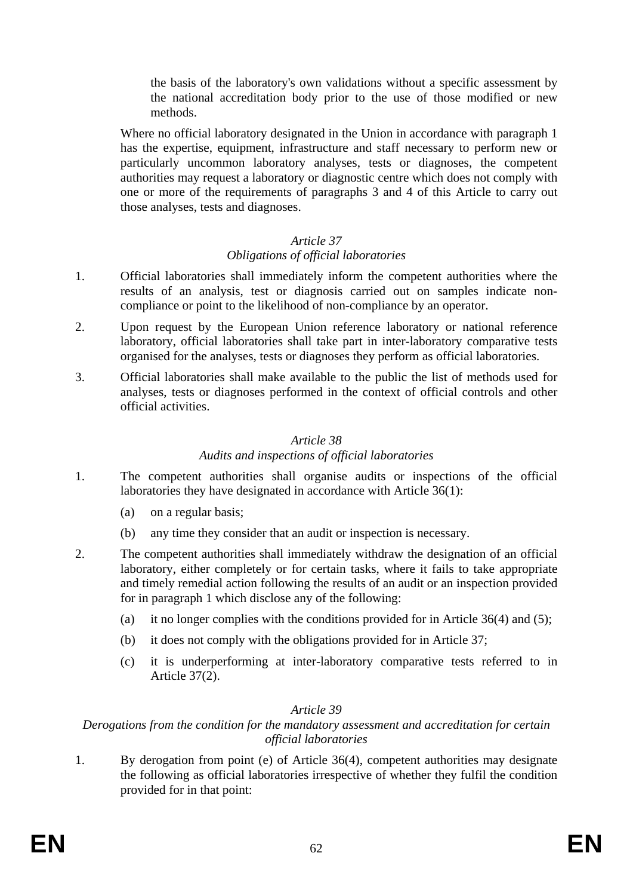the basis of the laboratory's own validations without a specific assessment by the national accreditation body prior to the use of those modified or new methods.

Where no official laboratory designated in the Union in accordance with paragraph 1 has the expertise, equipment, infrastructure and staff necessary to perform new or particularly uncommon laboratory analyses, tests or diagnoses, the competent authorities may request a laboratory or diagnostic centre which does not comply with one or more of the requirements of paragraphs 3 and 4 of this Article to carry out those analyses, tests and diagnoses.

# *Article 37*

# *Obligations of official laboratories*

- 1. Official laboratories shall immediately inform the competent authorities where the results of an analysis, test or diagnosis carried out on samples indicate noncompliance or point to the likelihood of non-compliance by an operator.
- 2. Upon request by the European Union reference laboratory or national reference laboratory, official laboratories shall take part in inter-laboratory comparative tests organised for the analyses, tests or diagnoses they perform as official laboratories.
- 3. Official laboratories shall make available to the public the list of methods used for analyses, tests or diagnoses performed in the context of official controls and other official activities.

## *Article 38*

# *Audits and inspections of official laboratories*

- 1. The competent authorities shall organise audits or inspections of the official laboratories they have designated in accordance with Article 36(1):
	- (a) on a regular basis;
	- (b) any time they consider that an audit or inspection is necessary.
- 2. The competent authorities shall immediately withdraw the designation of an official laboratory, either completely or for certain tasks, where it fails to take appropriate and timely remedial action following the results of an audit or an inspection provided for in paragraph 1 which disclose any of the following:
	- (a) it no longer complies with the conditions provided for in Article 36(4) and (5);
	- (b) it does not comply with the obligations provided for in Article 37;
	- (c) it is underperforming at inter-laboratory comparative tests referred to in Article 37(2).

# *Article 39*

# *Derogations from the condition for the mandatory assessment and accreditation for certain official laboratories*

1. By derogation from point (e) of Article 36(4), competent authorities may designate the following as official laboratories irrespective of whether they fulfil the condition provided for in that point: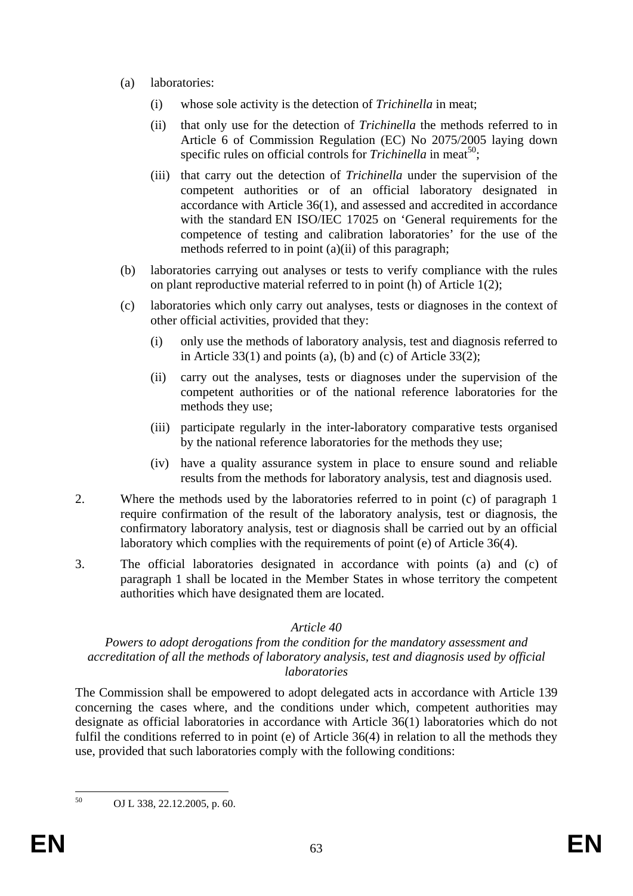- (a) laboratories:
	- (i) whose sole activity is the detection of *Trichinella* in meat;
	- (ii) that only use for the detection of *Trichinella* the methods referred to in Article 6 of Commission Regulation (EC) No 2075/2005 laying down specific rules on official controls for *Trichinella* in meat<sup>50</sup>;
	- (iii) that carry out the detection of *Trichinella* under the supervision of the competent authorities or of an official laboratory designated in accordance with Article 36(1), and assessed and accredited in accordance with the standard EN ISO/IEC 17025 on 'General requirements for the competence of testing and calibration laboratories' for the use of the methods referred to in point (a)(ii) of this paragraph;
- (b) laboratories carrying out analyses or tests to verify compliance with the rules on plant reproductive material referred to in point (h) of Article 1(2);
- (c) laboratories which only carry out analyses, tests or diagnoses in the context of other official activities, provided that they:
	- (i) only use the methods of laboratory analysis, test and diagnosis referred to in Article 33(1) and points (a), (b) and (c) of Article 33(2);
	- (ii) carry out the analyses, tests or diagnoses under the supervision of the competent authorities or of the national reference laboratories for the methods they use;
	- (iii) participate regularly in the inter-laboratory comparative tests organised by the national reference laboratories for the methods they use;
	- (iv) have a quality assurance system in place to ensure sound and reliable results from the methods for laboratory analysis, test and diagnosis used.
- 2. Where the methods used by the laboratories referred to in point (c) of paragraph 1 require confirmation of the result of the laboratory analysis, test or diagnosis, the confirmatory laboratory analysis, test or diagnosis shall be carried out by an official laboratory which complies with the requirements of point (e) of Article 36(4).
- 3. The official laboratories designated in accordance with points (a) and (c) of paragraph 1 shall be located in the Member States in whose territory the competent authorities which have designated them are located.

#### *Powers to adopt derogations from the condition for the mandatory assessment and accreditation of all the methods of laboratory analysis, test and diagnosis used by official laboratories*

The Commission shall be empowered to adopt delegated acts in accordance with Article 139 concerning the cases where, and the conditions under which, competent authorities may designate as official laboratories in accordance with Article 36(1) laboratories which do not fulfil the conditions referred to in point (e) of Article 36(4) in relation to all the methods they use, provided that such laboratories comply with the following conditions:

<sup>50</sup> 50 OJ L 338, 22.12.2005, p. 60.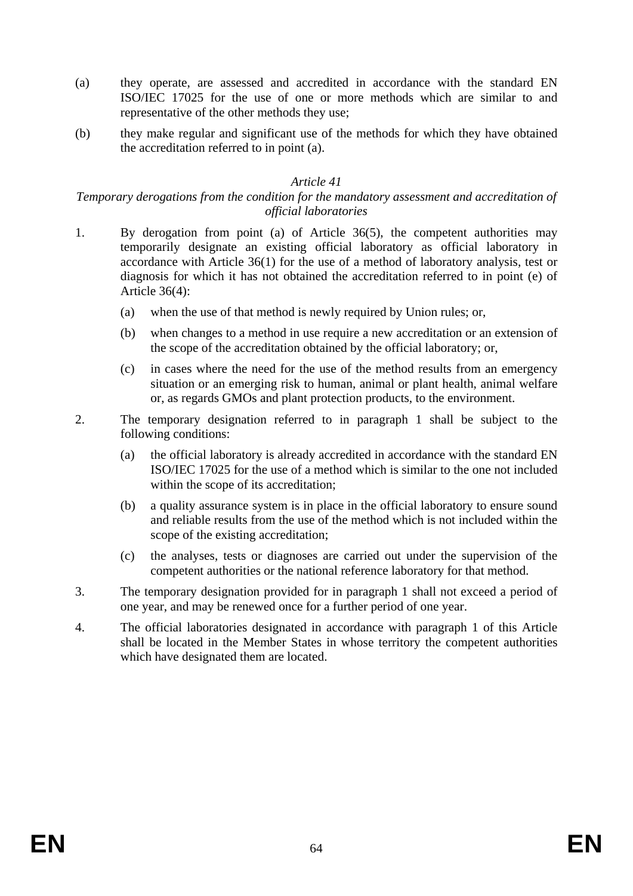- (a) they operate, are assessed and accredited in accordance with the standard EN ISO/IEC 17025 for the use of one or more methods which are similar to and representative of the other methods they use;
- (b) they make regular and significant use of the methods for which they have obtained the accreditation referred to in point (a).

### *Temporary derogations from the condition for the mandatory assessment and accreditation of official laboratories*

- 1. By derogation from point (a) of Article 36(5), the competent authorities may temporarily designate an existing official laboratory as official laboratory in accordance with Article 36(1) for the use of a method of laboratory analysis, test or diagnosis for which it has not obtained the accreditation referred to in point (e) of Article 36(4):
	- (a) when the use of that method is newly required by Union rules; or,
	- (b) when changes to a method in use require a new accreditation or an extension of the scope of the accreditation obtained by the official laboratory; or,
	- (c) in cases where the need for the use of the method results from an emergency situation or an emerging risk to human, animal or plant health, animal welfare or, as regards GMOs and plant protection products, to the environment.
- 2. The temporary designation referred to in paragraph 1 shall be subject to the following conditions:
	- (a) the official laboratory is already accredited in accordance with the standard EN ISO/IEC 17025 for the use of a method which is similar to the one not included within the scope of its accreditation:
	- (b) a quality assurance system is in place in the official laboratory to ensure sound and reliable results from the use of the method which is not included within the scope of the existing accreditation;
	- (c) the analyses, tests or diagnoses are carried out under the supervision of the competent authorities or the national reference laboratory for that method.
- 3. The temporary designation provided for in paragraph 1 shall not exceed a period of one year, and may be renewed once for a further period of one year.
- 4. The official laboratories designated in accordance with paragraph 1 of this Article shall be located in the Member States in whose territory the competent authorities which have designated them are located.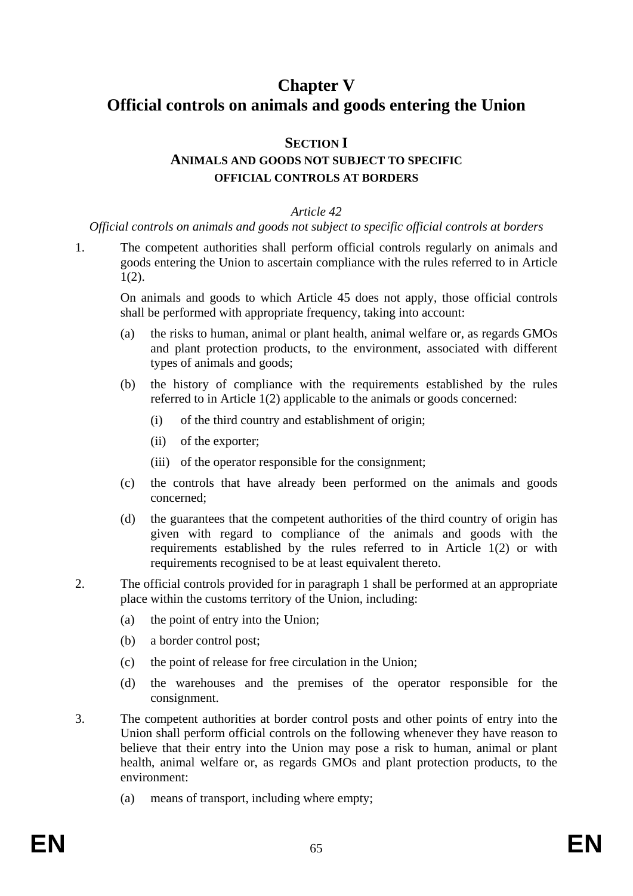# **Chapter V Official controls on animals and goods entering the Union**

# **SECTION I ANIMALS AND GOODS NOT SUBJECT TO SPECIFIC OFFICIAL CONTROLS AT BORDERS**

#### *Article 42*

*Official controls on animals and goods not subject to specific official controls at borders* 

1. The competent authorities shall perform official controls regularly on animals and goods entering the Union to ascertain compliance with the rules referred to in Article 1(2).

On animals and goods to which Article 45 does not apply, those official controls shall be performed with appropriate frequency, taking into account:

- (a) the risks to human, animal or plant health, animal welfare or, as regards GMOs and plant protection products, to the environment, associated with different types of animals and goods;
- (b) the history of compliance with the requirements established by the rules referred to in Article 1(2) applicable to the animals or goods concerned:
	- (i) of the third country and establishment of origin;
	- (ii) of the exporter;
	- (iii) of the operator responsible for the consignment;
- (c) the controls that have already been performed on the animals and goods concerned;
- (d) the guarantees that the competent authorities of the third country of origin has given with regard to compliance of the animals and goods with the requirements established by the rules referred to in Article 1(2) or with requirements recognised to be at least equivalent thereto.
- 2. The official controls provided for in paragraph 1 shall be performed at an appropriate place within the customs territory of the Union, including:
	- (a) the point of entry into the Union;
	- (b) a border control post;
	- (c) the point of release for free circulation in the Union;
	- (d) the warehouses and the premises of the operator responsible for the consignment.
- 3. The competent authorities at border control posts and other points of entry into the Union shall perform official controls on the following whenever they have reason to believe that their entry into the Union may pose a risk to human, animal or plant health, animal welfare or, as regards GMOs and plant protection products, to the environment:
	- (a) means of transport, including where empty;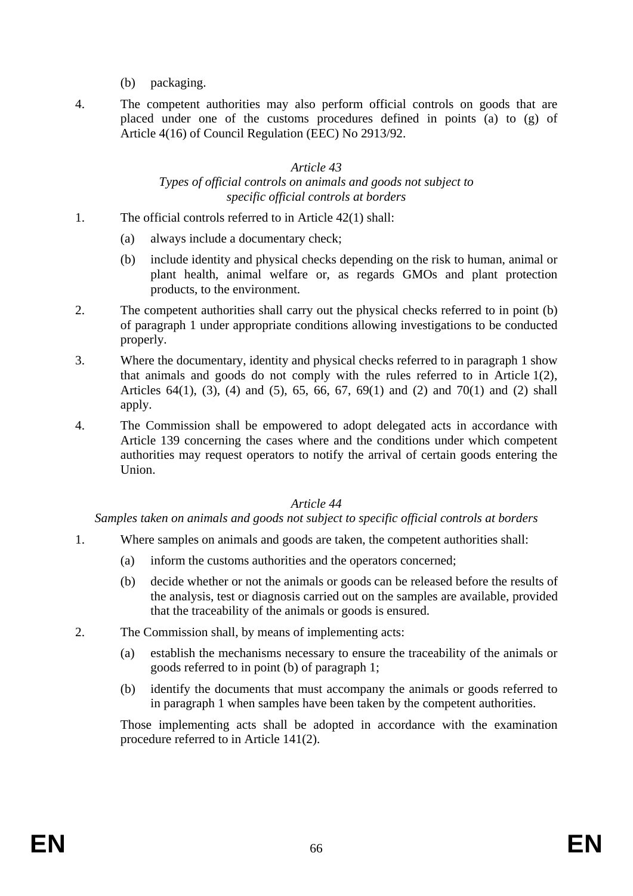- (b) packaging.
- 4. The competent authorities may also perform official controls on goods that are placed under one of the customs procedures defined in points (a) to (g) of Article 4(16) of Council Regulation (EEC) No 2913/92.

#### *Article 43 Types of official controls on animals and goods not subject to specific official controls at borders*

- 1. The official controls referred to in Article 42(1) shall:
	- (a) always include a documentary check;
	- (b) include identity and physical checks depending on the risk to human, animal or plant health, animal welfare or, as regards GMOs and plant protection products, to the environment.
- 2. The competent authorities shall carry out the physical checks referred to in point (b) of paragraph 1 under appropriate conditions allowing investigations to be conducted properly.
- 3. Where the documentary, identity and physical checks referred to in paragraph 1 show that animals and goods do not comply with the rules referred to in Article 1(2), Articles 64(1), (3), (4) and (5), 65, 66, 67, 69(1) and (2) and 70(1) and (2) shall apply.
- 4. The Commission shall be empowered to adopt delegated acts in accordance with Article 139 concerning the cases where and the conditions under which competent authorities may request operators to notify the arrival of certain goods entering the Union.

# *Article 44*

*Samples taken on animals and goods not subject to specific official controls at borders* 

- 1. Where samples on animals and goods are taken, the competent authorities shall:
	- (a) inform the customs authorities and the operators concerned;
	- (b) decide whether or not the animals or goods can be released before the results of the analysis, test or diagnosis carried out on the samples are available, provided that the traceability of the animals or goods is ensured.
- 2. The Commission shall, by means of implementing acts:
	- (a) establish the mechanisms necessary to ensure the traceability of the animals or goods referred to in point (b) of paragraph 1;
	- (b) identify the documents that must accompany the animals or goods referred to in paragraph 1 when samples have been taken by the competent authorities.

Those implementing acts shall be adopted in accordance with the examination procedure referred to in Article 141(2).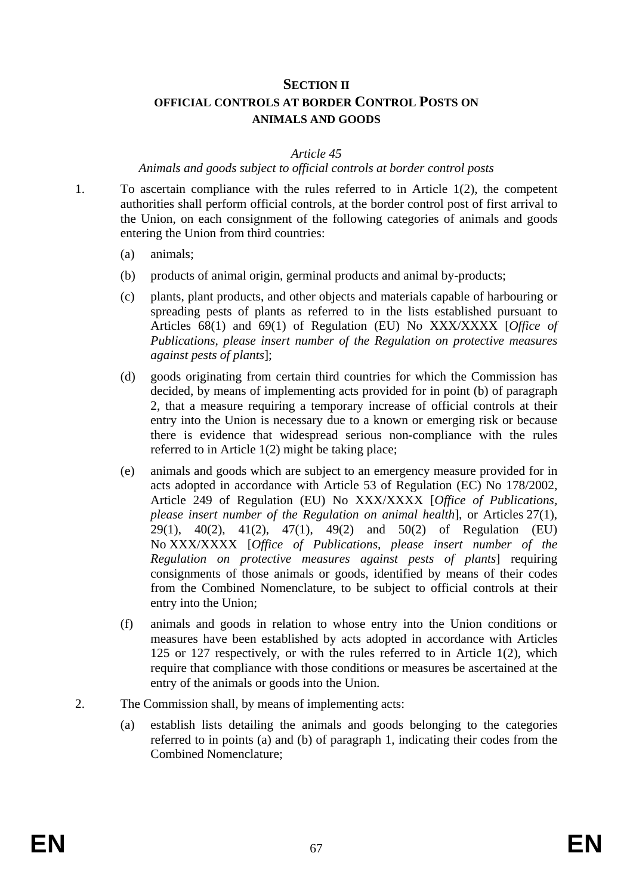# **SECTION II OFFICIAL CONTROLS AT BORDER CONTROL POSTS ON ANIMALS AND GOODS**

#### *Article 45*

#### *Animals and goods subject to official controls at border control posts*

- 1. To ascertain compliance with the rules referred to in Article 1(2), the competent authorities shall perform official controls, at the border control post of first arrival to the Union, on each consignment of the following categories of animals and goods entering the Union from third countries:
	- (a) animals;
	- (b) products of animal origin, germinal products and animal by-products;
	- (c) plants, plant products, and other objects and materials capable of harbouring or spreading pests of plants as referred to in the lists established pursuant to Articles 68(1) and 69(1) of Regulation (EU) No XXX/XXXX [*Office of Publications, please insert number of the Regulation on protective measures against pests of plants*];
	- (d) goods originating from certain third countries for which the Commission has decided, by means of implementing acts provided for in point (b) of paragraph 2, that a measure requiring a temporary increase of official controls at their entry into the Union is necessary due to a known or emerging risk or because there is evidence that widespread serious non-compliance with the rules referred to in Article 1(2) might be taking place;
	- (e) animals and goods which are subject to an emergency measure provided for in acts adopted in accordance with Article 53 of Regulation (EC) No 178/2002, Article 249 of Regulation (EU) No XXX/XXXX [*Office of Publications, please insert number of the Regulation on animal health*], or Articles 27(1), 29(1), 40(2), 41(2), 47(1), 49(2) and 50(2) of Regulation (EU) No XXX/XXXX [*Office of Publications, please insert number of the Regulation on protective measures against pests of plants*] requiring consignments of those animals or goods, identified by means of their codes from the Combined Nomenclature, to be subject to official controls at their entry into the Union;
	- (f) animals and goods in relation to whose entry into the Union conditions or measures have been established by acts adopted in accordance with Articles 125 or 127 respectively, or with the rules referred to in Article 1(2), which require that compliance with those conditions or measures be ascertained at the entry of the animals or goods into the Union.
- 2. The Commission shall, by means of implementing acts:
	- (a) establish lists detailing the animals and goods belonging to the categories referred to in points (a) and (b) of paragraph 1, indicating their codes from the Combined Nomenclature;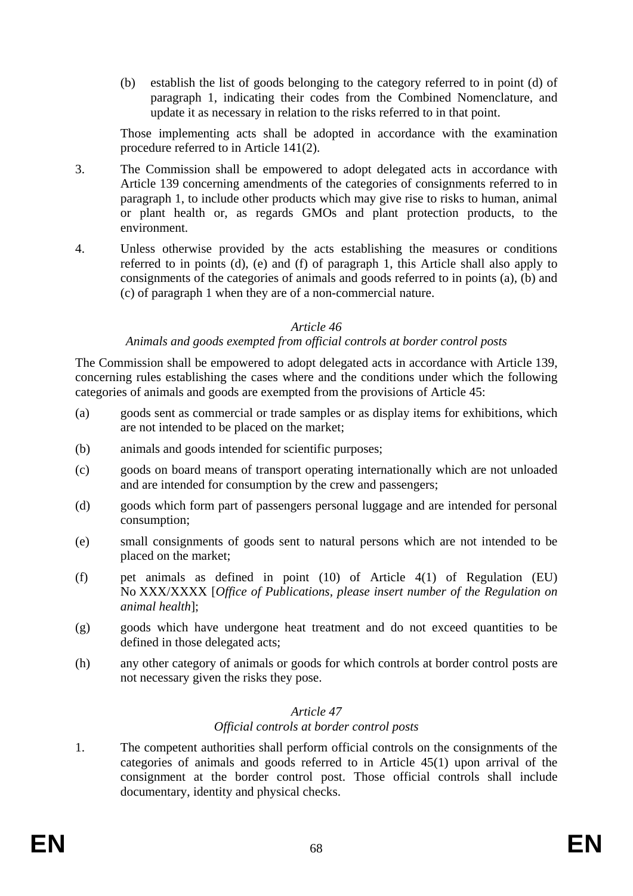(b) establish the list of goods belonging to the category referred to in point (d) of paragraph 1, indicating their codes from the Combined Nomenclature, and update it as necessary in relation to the risks referred to in that point.

Those implementing acts shall be adopted in accordance with the examination procedure referred to in Article 141(2).

- 3. The Commission shall be empowered to adopt delegated acts in accordance with Article 139 concerning amendments of the categories of consignments referred to in paragraph 1, to include other products which may give rise to risks to human, animal or plant health or, as regards GMOs and plant protection products, to the environment.
- 4. Unless otherwise provided by the acts establishing the measures or conditions referred to in points (d), (e) and (f) of paragraph 1, this Article shall also apply to consignments of the categories of animals and goods referred to in points (a), (b) and (c) of paragraph 1 when they are of a non-commercial nature.

#### *Article 46*

#### *Animals and goods exempted from official controls at border control posts*

The Commission shall be empowered to adopt delegated acts in accordance with Article 139, concerning rules establishing the cases where and the conditions under which the following categories of animals and goods are exempted from the provisions of Article 45:

- (a) goods sent as commercial or trade samples or as display items for exhibitions, which are not intended to be placed on the market;
- (b) animals and goods intended for scientific purposes;
- (c) goods on board means of transport operating internationally which are not unloaded and are intended for consumption by the crew and passengers;
- (d) goods which form part of passengers personal luggage and are intended for personal consumption;
- (e) small consignments of goods sent to natural persons which are not intended to be placed on the market;
- (f) pet animals as defined in point (10) of Article 4(1) of Regulation (EU) No XXX/XXXX [*Office of Publications, please insert number of the Regulation on animal health*];
- (g) goods which have undergone heat treatment and do not exceed quantities to be defined in those delegated acts;
- (h) any other category of animals or goods for which controls at border control posts are not necessary given the risks they pose.

#### *Article 47*

#### *Official controls at border control posts*

1. The competent authorities shall perform official controls on the consignments of the categories of animals and goods referred to in Article 45(1) upon arrival of the consignment at the border control post. Those official controls shall include documentary, identity and physical checks.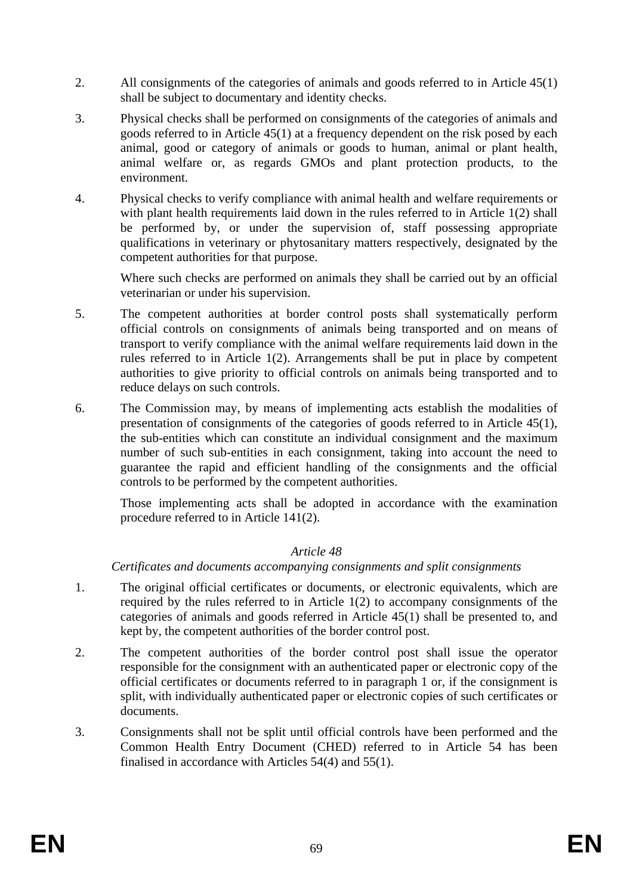- 2. All consignments of the categories of animals and goods referred to in Article 45(1) shall be subject to documentary and identity checks.
- 3. Physical checks shall be performed on consignments of the categories of animals and goods referred to in Article 45(1) at a frequency dependent on the risk posed by each animal, good or category of animals or goods to human, animal or plant health, animal welfare or, as regards GMOs and plant protection products, to the environment.
- 4. Physical checks to verify compliance with animal health and welfare requirements or with plant health requirements laid down in the rules referred to in Article 1(2) shall be performed by, or under the supervision of, staff possessing appropriate qualifications in veterinary or phytosanitary matters respectively, designated by the competent authorities for that purpose.

Where such checks are performed on animals they shall be carried out by an official veterinarian or under his supervision.

- 5. The competent authorities at border control posts shall systematically perform official controls on consignments of animals being transported and on means of transport to verify compliance with the animal welfare requirements laid down in the rules referred to in Article 1(2). Arrangements shall be put in place by competent authorities to give priority to official controls on animals being transported and to reduce delays on such controls.
- 6. The Commission may, by means of implementing acts establish the modalities of presentation of consignments of the categories of goods referred to in Article 45(1), the sub-entities which can constitute an individual consignment and the maximum number of such sub-entities in each consignment, taking into account the need to guarantee the rapid and efficient handling of the consignments and the official controls to be performed by the competent authorities.

Those implementing acts shall be adopted in accordance with the examination procedure referred to in Article 141(2).

# *Article 48*

*Certificates and documents accompanying consignments and split consignments* 

- 1. The original official certificates or documents, or electronic equivalents, which are required by the rules referred to in Article 1(2) to accompany consignments of the categories of animals and goods referred in Article 45(1) shall be presented to, and kept by, the competent authorities of the border control post.
- 2. The competent authorities of the border control post shall issue the operator responsible for the consignment with an authenticated paper or electronic copy of the official certificates or documents referred to in paragraph 1 or, if the consignment is split, with individually authenticated paper or electronic copies of such certificates or documents.
- 3. Consignments shall not be split until official controls have been performed and the Common Health Entry Document (CHED) referred to in Article 54 has been finalised in accordance with Articles 54(4) and 55(1).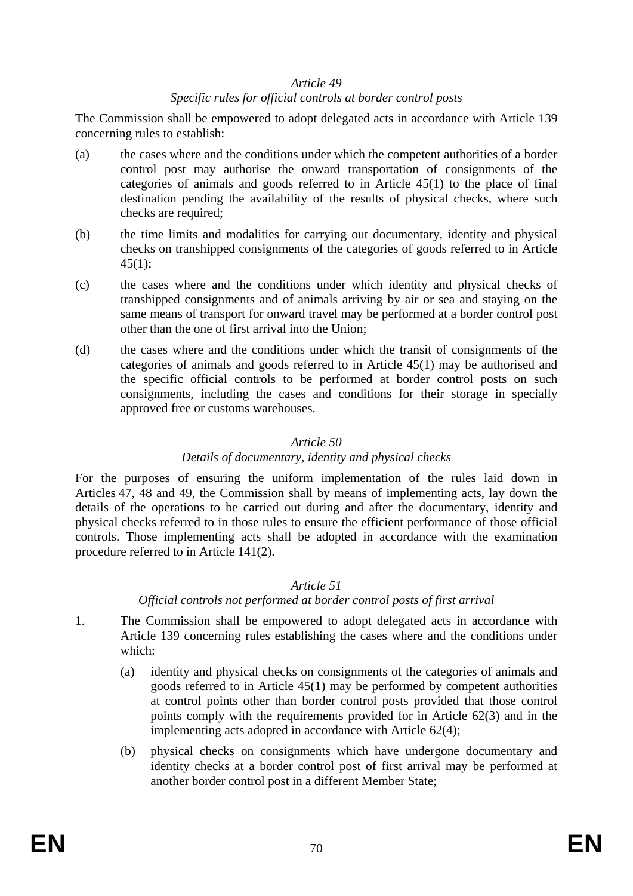## *Specific rules for official controls at border control posts*

The Commission shall be empowered to adopt delegated acts in accordance with Article 139 concerning rules to establish:

- (a) the cases where and the conditions under which the competent authorities of a border control post may authorise the onward transportation of consignments of the categories of animals and goods referred to in Article 45(1) to the place of final destination pending the availability of the results of physical checks, where such checks are required;
- (b) the time limits and modalities for carrying out documentary, identity and physical checks on transhipped consignments of the categories of goods referred to in Article  $45(1)$ ;
- (c) the cases where and the conditions under which identity and physical checks of transhipped consignments and of animals arriving by air or sea and staying on the same means of transport for onward travel may be performed at a border control post other than the one of first arrival into the Union;
- (d) the cases where and the conditions under which the transit of consignments of the categories of animals and goods referred to in Article 45(1) may be authorised and the specific official controls to be performed at border control posts on such consignments, including the cases and conditions for their storage in specially approved free or customs warehouses.

## *Article 50*

#### *Details of documentary, identity and physical checks*

For the purposes of ensuring the uniform implementation of the rules laid down in Articles 47, 48 and 49, the Commission shall by means of implementing acts, lay down the details of the operations to be carried out during and after the documentary, identity and physical checks referred to in those rules to ensure the efficient performance of those official controls. Those implementing acts shall be adopted in accordance with the examination procedure referred to in Article 141(2).

#### *Article 51*

# *Official controls not performed at border control posts of first arrival*

- 1. The Commission shall be empowered to adopt delegated acts in accordance with Article 139 concerning rules establishing the cases where and the conditions under which:
	- (a) identity and physical checks on consignments of the categories of animals and goods referred to in Article 45(1) may be performed by competent authorities at control points other than border control posts provided that those control points comply with the requirements provided for in Article 62(3) and in the implementing acts adopted in accordance with Article 62(4);
	- (b) physical checks on consignments which have undergone documentary and identity checks at a border control post of first arrival may be performed at another border control post in a different Member State;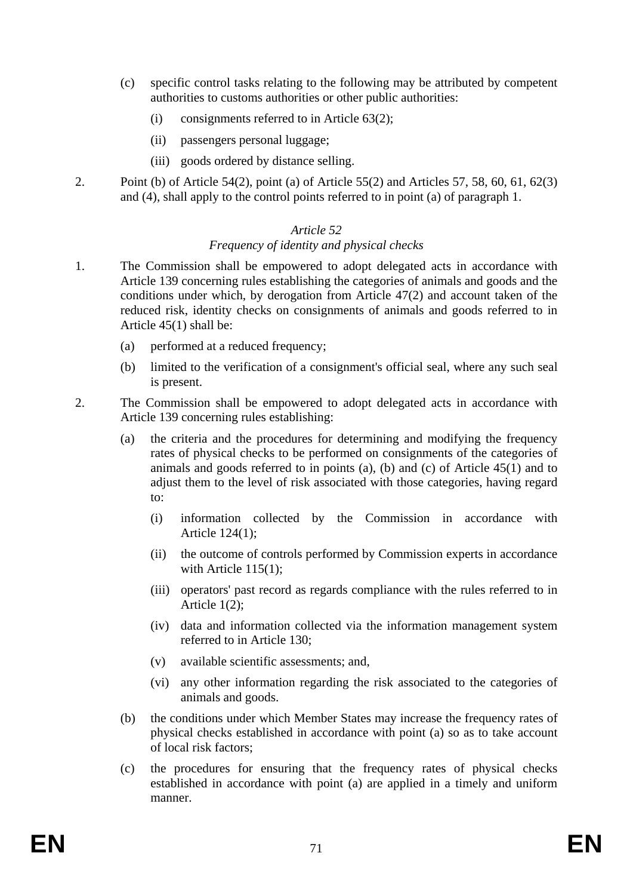- (c) specific control tasks relating to the following may be attributed by competent authorities to customs authorities or other public authorities:
	- (i) consignments referred to in Article 63(2);
	- (ii) passengers personal luggage;
	- (iii) goods ordered by distance selling.
- 2. Point (b) of Article 54(2), point (a) of Article 55(2) and Articles 57, 58, 60, 61, 62(3) and (4), shall apply to the control points referred to in point (a) of paragraph 1.

## *Frequency of identity and physical checks*

- 1. The Commission shall be empowered to adopt delegated acts in accordance with Article 139 concerning rules establishing the categories of animals and goods and the conditions under which, by derogation from Article 47(2) and account taken of the reduced risk, identity checks on consignments of animals and goods referred to in Article 45(1) shall be:
	- (a) performed at a reduced frequency;
	- (b) limited to the verification of a consignment's official seal, where any such seal is present.
- 2. The Commission shall be empowered to adopt delegated acts in accordance with Article 139 concerning rules establishing:
	- (a) the criteria and the procedures for determining and modifying the frequency rates of physical checks to be performed on consignments of the categories of animals and goods referred to in points (a), (b) and (c) of Article 45(1) and to adjust them to the level of risk associated with those categories, having regard to:
		- (i) information collected by the Commission in accordance with Article 124(1);
		- (ii) the outcome of controls performed by Commission experts in accordance with Article 115(1);
		- (iii) operators' past record as regards compliance with the rules referred to in Article 1(2);
		- (iv) data and information collected via the information management system referred to in Article 130;
		- (v) available scientific assessments; and,
		- (vi) any other information regarding the risk associated to the categories of animals and goods.
	- (b) the conditions under which Member States may increase the frequency rates of physical checks established in accordance with point (a) so as to take account of local risk factors;
	- (c) the procedures for ensuring that the frequency rates of physical checks established in accordance with point (a) are applied in a timely and uniform manner.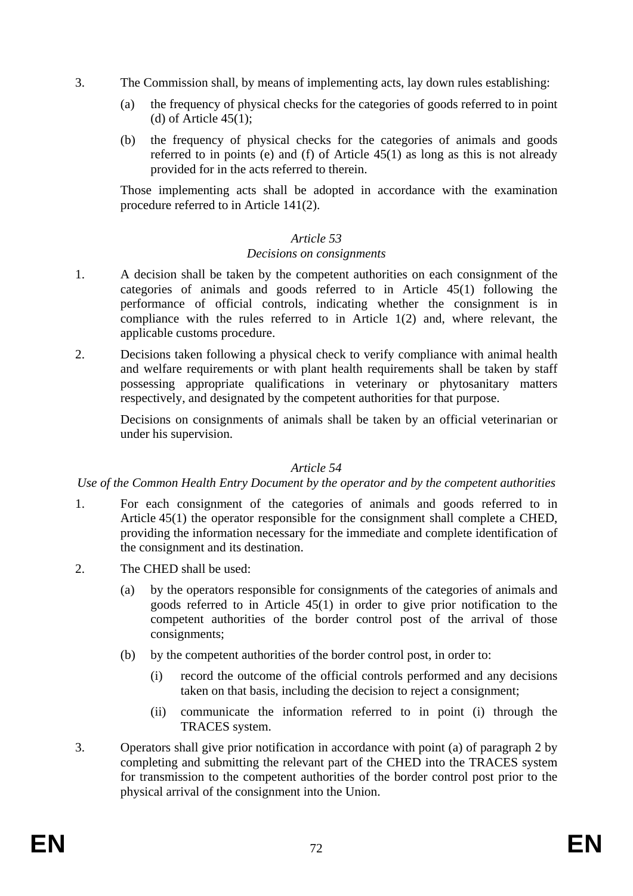- 3. The Commission shall, by means of implementing acts, lay down rules establishing:
	- (a) the frequency of physical checks for the categories of goods referred to in point (d) of Article  $45(1)$ ;
	- (b) the frequency of physical checks for the categories of animals and goods referred to in points (e) and (f) of Article 45(1) as long as this is not already provided for in the acts referred to therein.

Those implementing acts shall be adopted in accordance with the examination procedure referred to in Article 141(2).

## *Article 53*

## *Decisions on consignments*

- 1. A decision shall be taken by the competent authorities on each consignment of the categories of animals and goods referred to in Article 45(1) following the performance of official controls, indicating whether the consignment is in compliance with the rules referred to in Article 1(2) and, where relevant, the applicable customs procedure.
- 2. Decisions taken following a physical check to verify compliance with animal health and welfare requirements or with plant health requirements shall be taken by staff possessing appropriate qualifications in veterinary or phytosanitary matters respectively, and designated by the competent authorities for that purpose.

Decisions on consignments of animals shall be taken by an official veterinarian or under his supervision.

#### *Article 54*

#### *Use of the Common Health Entry Document by the operator and by the competent authorities*

- 1. For each consignment of the categories of animals and goods referred to in Article 45(1) the operator responsible for the consignment shall complete a CHED, providing the information necessary for the immediate and complete identification of the consignment and its destination.
- 2. The CHED shall be used:
	- (a) by the operators responsible for consignments of the categories of animals and goods referred to in Article 45(1) in order to give prior notification to the competent authorities of the border control post of the arrival of those consignments;
	- (b) by the competent authorities of the border control post, in order to:
		- (i) record the outcome of the official controls performed and any decisions taken on that basis, including the decision to reject a consignment;
		- (ii) communicate the information referred to in point (i) through the TRACES system.
- 3. Operators shall give prior notification in accordance with point (a) of paragraph 2 by completing and submitting the relevant part of the CHED into the TRACES system for transmission to the competent authorities of the border control post prior to the physical arrival of the consignment into the Union.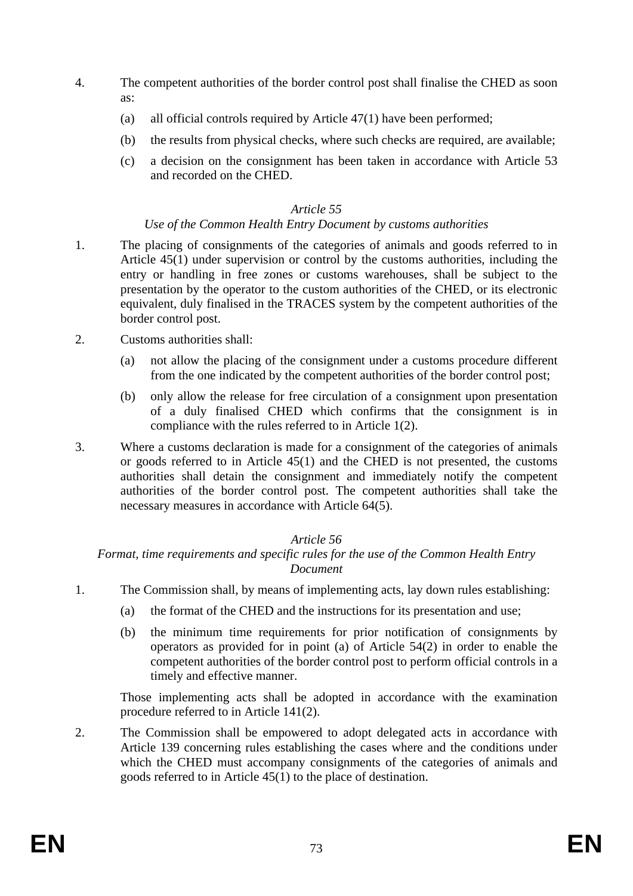- 4. The competent authorities of the border control post shall finalise the CHED as soon as:
	- (a) all official controls required by Article 47(1) have been performed;
	- (b) the results from physical checks, where such checks are required, are available;
	- (c) a decision on the consignment has been taken in accordance with Article 53 and recorded on the CHED.

# *Use of the Common Health Entry Document by customs authorities*

- 1. The placing of consignments of the categories of animals and goods referred to in Article 45(1) under supervision or control by the customs authorities, including the entry or handling in free zones or customs warehouses, shall be subject to the presentation by the operator to the custom authorities of the CHED, or its electronic equivalent, duly finalised in the TRACES system by the competent authorities of the border control post.
- 2. Customs authorities shall:
	- (a) not allow the placing of the consignment under a customs procedure different from the one indicated by the competent authorities of the border control post;
	- (b) only allow the release for free circulation of a consignment upon presentation of a duly finalised CHED which confirms that the consignment is in compliance with the rules referred to in Article 1(2).
- 3. Where a customs declaration is made for a consignment of the categories of animals or goods referred to in Article 45(1) and the CHED is not presented, the customs authorities shall detain the consignment and immediately notify the competent authorities of the border control post. The competent authorities shall take the necessary measures in accordance with Article 64(5).

# *Article 56*

# *Format, time requirements and specific rules for the use of the Common Health Entry Document*

- 1. The Commission shall, by means of implementing acts, lay down rules establishing:
	- (a) the format of the CHED and the instructions for its presentation and use;
	- (b) the minimum time requirements for prior notification of consignments by operators as provided for in point (a) of Article 54(2) in order to enable the competent authorities of the border control post to perform official controls in a timely and effective manner.

Those implementing acts shall be adopted in accordance with the examination procedure referred to in Article 141(2).

2. The Commission shall be empowered to adopt delegated acts in accordance with Article 139 concerning rules establishing the cases where and the conditions under which the CHED must accompany consignments of the categories of animals and goods referred to in Article 45(1) to the place of destination.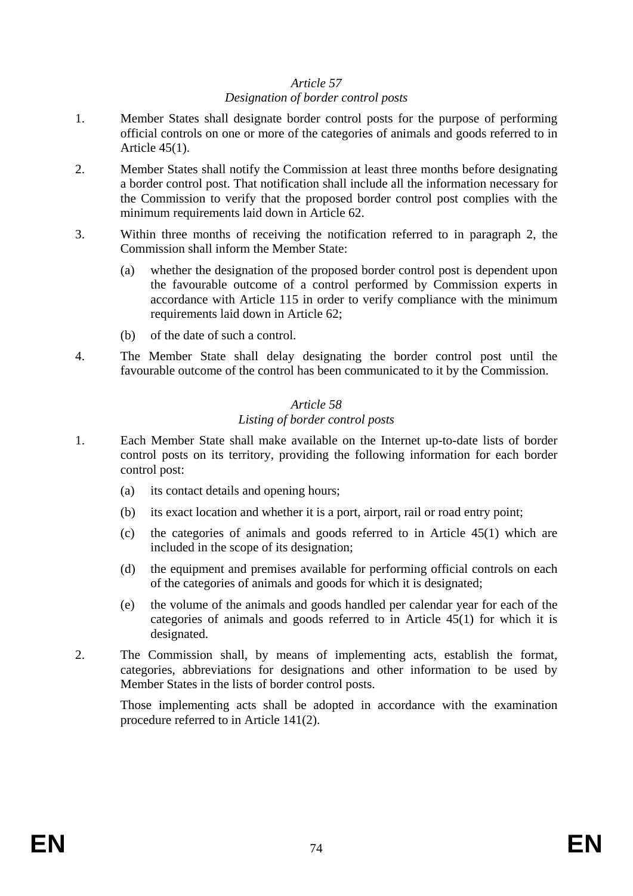# *Designation of border control posts*

- 1. Member States shall designate border control posts for the purpose of performing official controls on one or more of the categories of animals and goods referred to in Article 45(1).
- 2. Member States shall notify the Commission at least three months before designating a border control post. That notification shall include all the information necessary for the Commission to verify that the proposed border control post complies with the minimum requirements laid down in Article 62.
- 3. Within three months of receiving the notification referred to in paragraph 2, the Commission shall inform the Member State:
	- (a) whether the designation of the proposed border control post is dependent upon the favourable outcome of a control performed by Commission experts in accordance with Article 115 in order to verify compliance with the minimum requirements laid down in Article 62;
	- (b) of the date of such a control.
- 4. The Member State shall delay designating the border control post until the favourable outcome of the control has been communicated to it by the Commission.

# *Article 58*

# *Listing of border control posts*

- 1. Each Member State shall make available on the Internet up-to-date lists of border control posts on its territory, providing the following information for each border control post:
	- (a) its contact details and opening hours;
	- (b) its exact location and whether it is a port, airport, rail or road entry point;
	- (c) the categories of animals and goods referred to in Article 45(1) which are included in the scope of its designation;
	- (d) the equipment and premises available for performing official controls on each of the categories of animals and goods for which it is designated;
	- (e) the volume of the animals and goods handled per calendar year for each of the categories of animals and goods referred to in Article 45(1) for which it is designated.
- 2. The Commission shall, by means of implementing acts, establish the format, categories, abbreviations for designations and other information to be used by Member States in the lists of border control posts.

Those implementing acts shall be adopted in accordance with the examination procedure referred to in Article 141(2).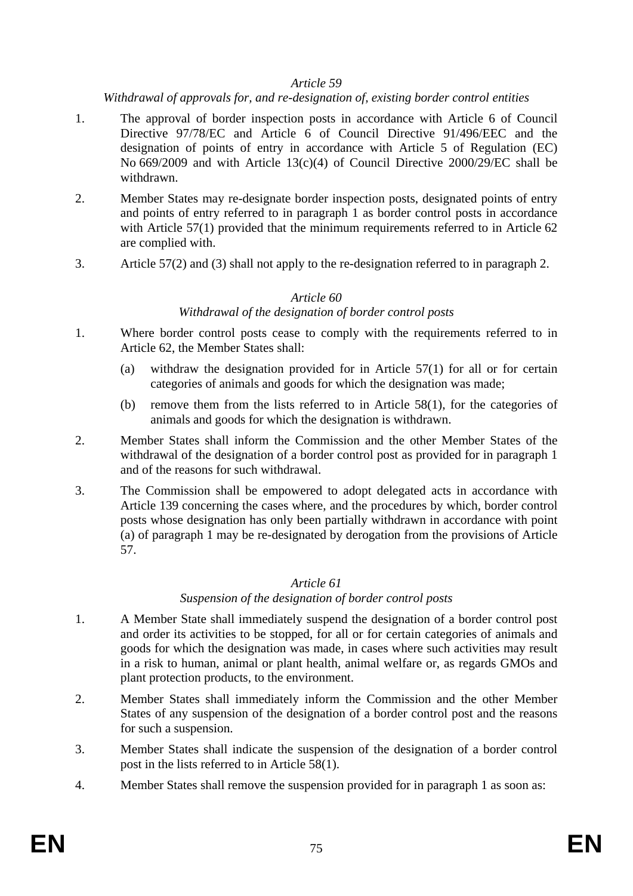*Withdrawal of approvals for, and re-designation of, existing border control entities* 

- 1. The approval of border inspection posts in accordance with Article 6 of Council Directive 97/78/EC and Article 6 of Council Directive 91/496/EEC and the designation of points of entry in accordance with Article 5 of Regulation (EC) No 669/2009 and with Article 13(c)(4) of Council Directive 2000/29/EC shall be withdrawn.
- 2. Member States may re-designate border inspection posts, designated points of entry and points of entry referred to in paragraph 1 as border control posts in accordance with Article 57(1) provided that the minimum requirements referred to in Article 62 are complied with.
- 3. Article 57(2) and (3) shall not apply to the re-designation referred to in paragraph 2.

# *Article 60*

# *Withdrawal of the designation of border control posts*

- 1. Where border control posts cease to comply with the requirements referred to in Article 62, the Member States shall:
	- (a) withdraw the designation provided for in Article 57(1) for all or for certain categories of animals and goods for which the designation was made;
	- (b) remove them from the lists referred to in Article 58(1), for the categories of animals and goods for which the designation is withdrawn.
- 2. Member States shall inform the Commission and the other Member States of the withdrawal of the designation of a border control post as provided for in paragraph 1 and of the reasons for such withdrawal.
- 3. The Commission shall be empowered to adopt delegated acts in accordance with Article 139 concerning the cases where, and the procedures by which, border control posts whose designation has only been partially withdrawn in accordance with point (a) of paragraph 1 may be re-designated by derogation from the provisions of Article 57.

#### *Article 61*

#### *Suspension of the designation of border control posts*

- 1. A Member State shall immediately suspend the designation of a border control post and order its activities to be stopped, for all or for certain categories of animals and goods for which the designation was made, in cases where such activities may result in a risk to human, animal or plant health, animal welfare or, as regards GMOs and plant protection products, to the environment.
- 2. Member States shall immediately inform the Commission and the other Member States of any suspension of the designation of a border control post and the reasons for such a suspension.
- 3. Member States shall indicate the suspension of the designation of a border control post in the lists referred to in Article 58(1).
- 4. Member States shall remove the suspension provided for in paragraph 1 as soon as: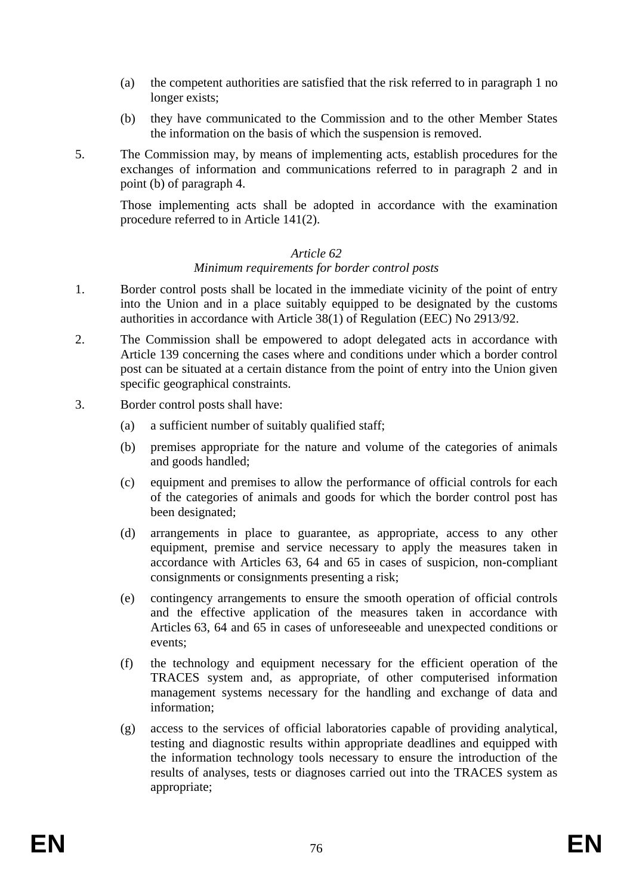- (a) the competent authorities are satisfied that the risk referred to in paragraph 1 no longer exists;
- (b) they have communicated to the Commission and to the other Member States the information on the basis of which the suspension is removed.
- 5. The Commission may, by means of implementing acts, establish procedures for the exchanges of information and communications referred to in paragraph 2 and in point (b) of paragraph 4.

Those implementing acts shall be adopted in accordance with the examination procedure referred to in Article 141(2).

#### *Article 62*

#### *Minimum requirements for border control posts*

- 1. Border control posts shall be located in the immediate vicinity of the point of entry into the Union and in a place suitably equipped to be designated by the customs authorities in accordance with Article 38(1) of Regulation (EEC) No 2913/92.
- 2. The Commission shall be empowered to adopt delegated acts in accordance with Article 139 concerning the cases where and conditions under which a border control post can be situated at a certain distance from the point of entry into the Union given specific geographical constraints.
- 3. Border control posts shall have:
	- (a) a sufficient number of suitably qualified staff;
	- (b) premises appropriate for the nature and volume of the categories of animals and goods handled;
	- (c) equipment and premises to allow the performance of official controls for each of the categories of animals and goods for which the border control post has been designated;
	- (d) arrangements in place to guarantee, as appropriate, access to any other equipment, premise and service necessary to apply the measures taken in accordance with Articles 63, 64 and 65 in cases of suspicion, non-compliant consignments or consignments presenting a risk;
	- (e) contingency arrangements to ensure the smooth operation of official controls and the effective application of the measures taken in accordance with Articles 63, 64 and 65 in cases of unforeseeable and unexpected conditions or events;
	- (f) the technology and equipment necessary for the efficient operation of the TRACES system and, as appropriate, of other computerised information management systems necessary for the handling and exchange of data and information;
	- (g) access to the services of official laboratories capable of providing analytical, testing and diagnostic results within appropriate deadlines and equipped with the information technology tools necessary to ensure the introduction of the results of analyses, tests or diagnoses carried out into the TRACES system as appropriate;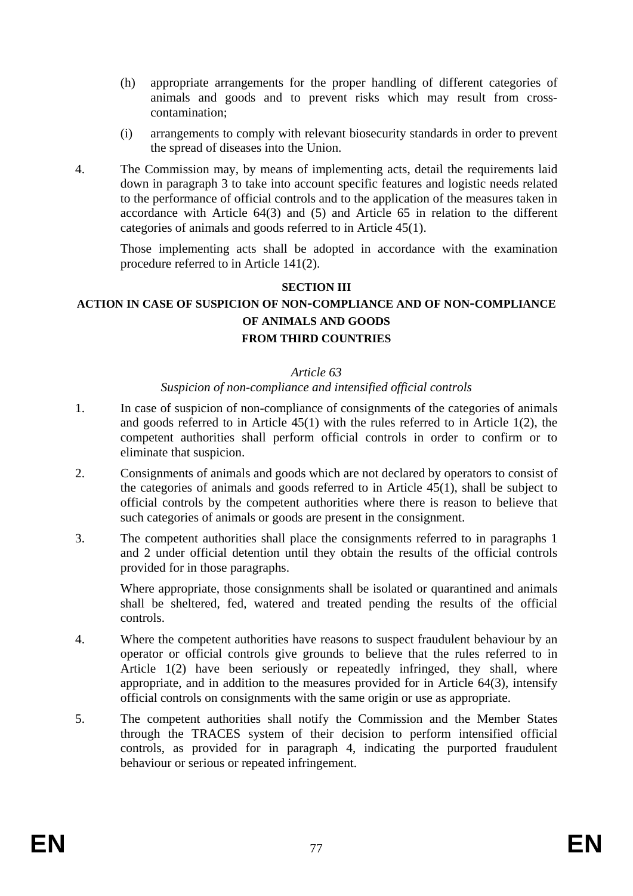- (h) appropriate arrangements for the proper handling of different categories of animals and goods and to prevent risks which may result from crosscontamination;
- (i) arrangements to comply with relevant biosecurity standards in order to prevent the spread of diseases into the Union.
- 4. The Commission may, by means of implementing acts, detail the requirements laid down in paragraph 3 to take into account specific features and logistic needs related to the performance of official controls and to the application of the measures taken in accordance with Article 64(3) and (5) and Article 65 in relation to the different categories of animals and goods referred to in Article 45(1).

Those implementing acts shall be adopted in accordance with the examination procedure referred to in Article 141(2).

#### **SECTION III**

# **ACTION IN CASE OF SUSPICION OF NON-COMPLIANCE AND OF NON-COMPLIANCE OF ANIMALS AND GOODS FROM THIRD COUNTRIES**

#### *Article 63*

#### *Suspicion of non-compliance and intensified official controls*

- 1. In case of suspicion of non-compliance of consignments of the categories of animals and goods referred to in Article 45(1) with the rules referred to in Article 1(2), the competent authorities shall perform official controls in order to confirm or to eliminate that suspicion.
- 2. Consignments of animals and goods which are not declared by operators to consist of the categories of animals and goods referred to in Article 45(1), shall be subject to official controls by the competent authorities where there is reason to believe that such categories of animals or goods are present in the consignment.
- 3. The competent authorities shall place the consignments referred to in paragraphs 1 and 2 under official detention until they obtain the results of the official controls provided for in those paragraphs.

Where appropriate, those consignments shall be isolated or quarantined and animals shall be sheltered, fed, watered and treated pending the results of the official controls.

- 4. Where the competent authorities have reasons to suspect fraudulent behaviour by an operator or official controls give grounds to believe that the rules referred to in Article 1(2) have been seriously or repeatedly infringed, they shall, where appropriate, and in addition to the measures provided for in Article 64(3), intensify official controls on consignments with the same origin or use as appropriate.
- 5. The competent authorities shall notify the Commission and the Member States through the TRACES system of their decision to perform intensified official controls, as provided for in paragraph 4, indicating the purported fraudulent behaviour or serious or repeated infringement.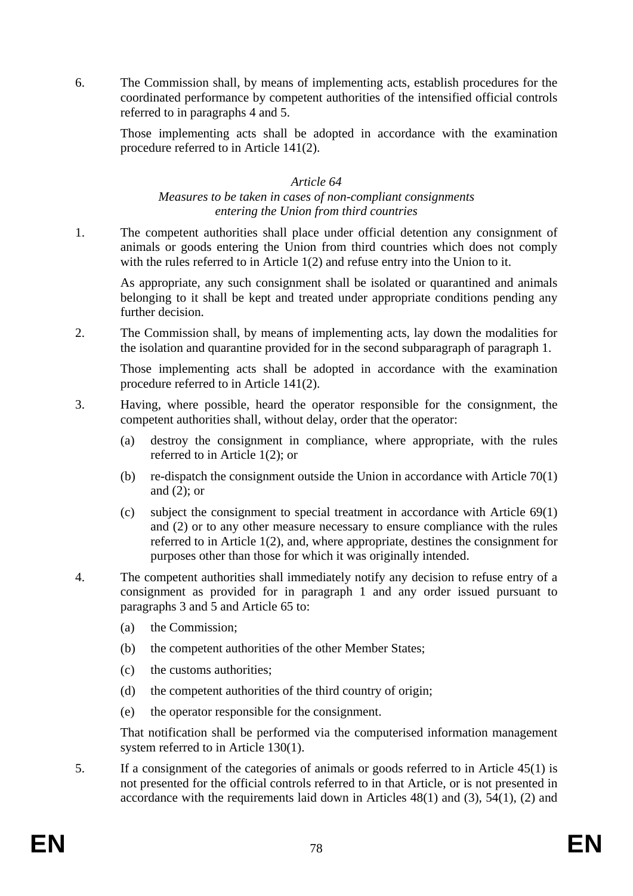6. The Commission shall, by means of implementing acts, establish procedures for the coordinated performance by competent authorities of the intensified official controls referred to in paragraphs 4 and 5.

Those implementing acts shall be adopted in accordance with the examination procedure referred to in Article 141(2).

#### *Article 64*

#### *Measures to be taken in cases of non-compliant consignments entering the Union from third countries*

1. The competent authorities shall place under official detention any consignment of animals or goods entering the Union from third countries which does not comply with the rules referred to in Article 1(2) and refuse entry into the Union to it.

As appropriate, any such consignment shall be isolated or quarantined and animals belonging to it shall be kept and treated under appropriate conditions pending any further decision.

2. The Commission shall, by means of implementing acts, lay down the modalities for the isolation and quarantine provided for in the second subparagraph of paragraph 1.

Those implementing acts shall be adopted in accordance with the examination procedure referred to in Article 141(2).

- 3. Having, where possible, heard the operator responsible for the consignment, the competent authorities shall, without delay, order that the operator:
	- (a) destroy the consignment in compliance, where appropriate, with the rules referred to in Article 1(2); or
	- (b) re-dispatch the consignment outside the Union in accordance with Article 70(1) and (2); or
	- (c) subject the consignment to special treatment in accordance with Article 69(1) and (2) or to any other measure necessary to ensure compliance with the rules referred to in Article 1(2), and, where appropriate, destines the consignment for purposes other than those for which it was originally intended.
- 4. The competent authorities shall immediately notify any decision to refuse entry of a consignment as provided for in paragraph 1 and any order issued pursuant to paragraphs 3 and  $\overline{5}$  and Article 65 to:
	- (a) the Commission;
	- (b) the competent authorities of the other Member States;
	- (c) the customs authorities;
	- (d) the competent authorities of the third country of origin;
	- (e) the operator responsible for the consignment.

That notification shall be performed via the computerised information management system referred to in Article 130(1).

5. If a consignment of the categories of animals or goods referred to in Article 45(1) is not presented for the official controls referred to in that Article, or is not presented in accordance with the requirements laid down in Articles  $48(1)$  and  $(3)$ ,  $54(1)$ ,  $(2)$  and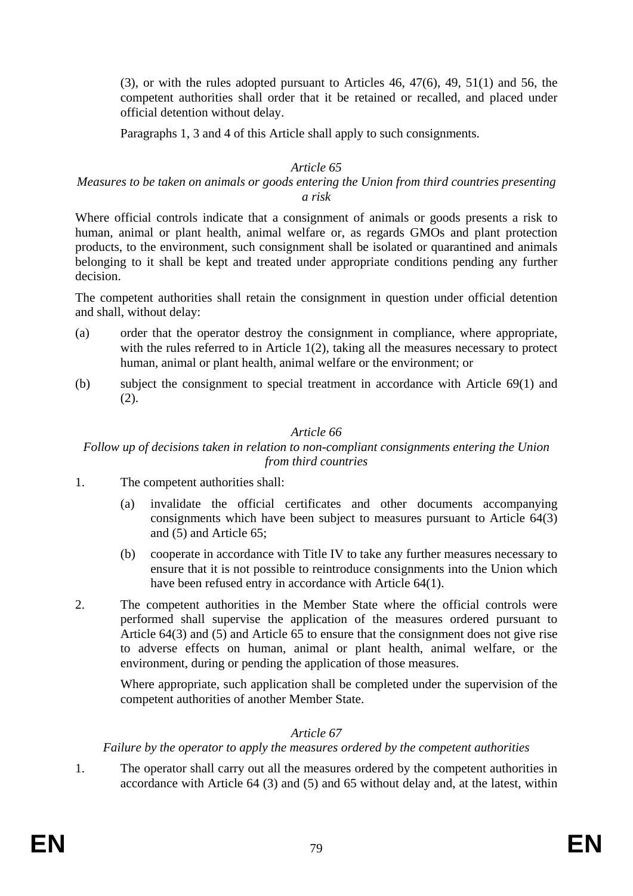(3), or with the rules adopted pursuant to Articles 46, 47(6), 49, 51(1) and 56, the competent authorities shall order that it be retained or recalled, and placed under official detention without delay.

Paragraphs 1, 3 and 4 of this Article shall apply to such consignments.

#### *Article 65*

# *Measures to be taken on animals or goods entering the Union from third countries presenting a risk*

Where official controls indicate that a consignment of animals or goods presents a risk to human, animal or plant health, animal welfare or, as regards GMOs and plant protection products, to the environment, such consignment shall be isolated or quarantined and animals belonging to it shall be kept and treated under appropriate conditions pending any further decision.

The competent authorities shall retain the consignment in question under official detention and shall, without delay:

- (a) order that the operator destroy the consignment in compliance, where appropriate, with the rules referred to in Article 1(2), taking all the measures necessary to protect human, animal or plant health, animal welfare or the environment; or
- (b) subject the consignment to special treatment in accordance with Article 69(1) and (2).

# *Article 66*

*Follow up of decisions taken in relation to non-compliant consignments entering the Union from third countries* 

- 1. The competent authorities shall:
	- (a) invalidate the official certificates and other documents accompanying consignments which have been subject to measures pursuant to Article 64(3) and (5) and Article 65;
	- (b) cooperate in accordance with Title IV to take any further measures necessary to ensure that it is not possible to reintroduce consignments into the Union which have been refused entry in accordance with Article 64(1).
- 2. The competent authorities in the Member State where the official controls were performed shall supervise the application of the measures ordered pursuant to Article 64(3) and (5) and Article 65 to ensure that the consignment does not give rise to adverse effects on human, animal or plant health, animal welfare, or the environment, during or pending the application of those measures.

Where appropriate, such application shall be completed under the supervision of the competent authorities of another Member State.

#### *Article 67*

*Failure by the operator to apply the measures ordered by the competent authorities* 

1. The operator shall carry out all the measures ordered by the competent authorities in accordance with Article 64 (3) and (5) and 65 without delay and, at the latest, within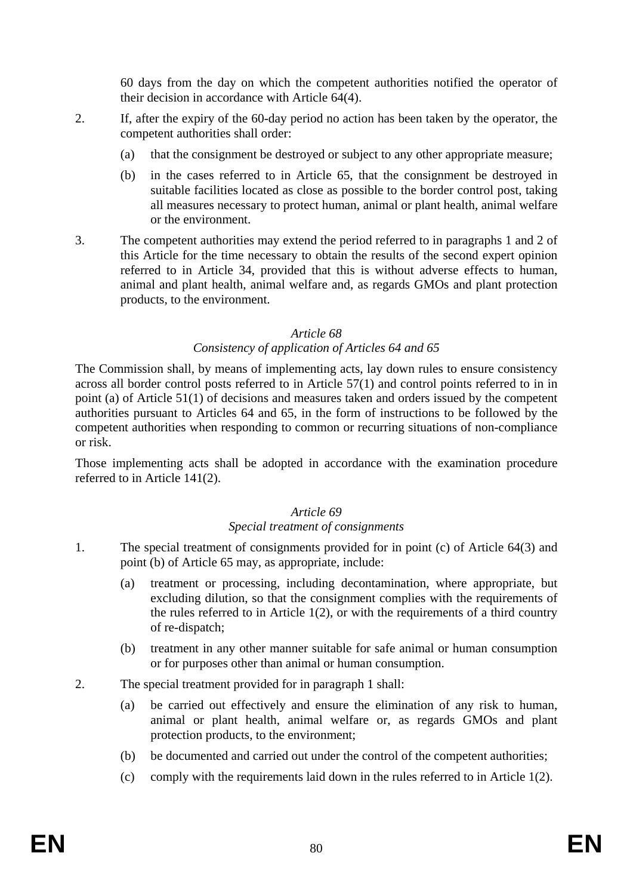60 days from the day on which the competent authorities notified the operator of their decision in accordance with Article 64(4).

- 2. If, after the expiry of the 60-day period no action has been taken by the operator, the competent authorities shall order:
	- (a) that the consignment be destroyed or subject to any other appropriate measure;
	- (b) in the cases referred to in Article 65, that the consignment be destroyed in suitable facilities located as close as possible to the border control post, taking all measures necessary to protect human, animal or plant health, animal welfare or the environment.
- 3. The competent authorities may extend the period referred to in paragraphs 1 and 2 of this Article for the time necessary to obtain the results of the second expert opinion referred to in Article 34, provided that this is without adverse effects to human, animal and plant health, animal welfare and, as regards GMOs and plant protection products, to the environment.

#### *Article 68*

# *Consistency of application of Articles 64 and 65*

The Commission shall, by means of implementing acts, lay down rules to ensure consistency across all border control posts referred to in Article 57(1) and control points referred to in in point (a) of Article 51(1) of decisions and measures taken and orders issued by the competent authorities pursuant to Articles 64 and 65, in the form of instructions to be followed by the competent authorities when responding to common or recurring situations of non-compliance or risk.

Those implementing acts shall be adopted in accordance with the examination procedure referred to in Article 141(2).

#### *Article 69*

#### *Special treatment of consignments*

- 1. The special treatment of consignments provided for in point (c) of Article 64(3) and point (b) of Article 65 may, as appropriate, include:
	- (a) treatment or processing, including decontamination, where appropriate, but excluding dilution, so that the consignment complies with the requirements of the rules referred to in Article 1(2), or with the requirements of a third country of re-dispatch;
	- (b) treatment in any other manner suitable for safe animal or human consumption or for purposes other than animal or human consumption.
- 2. The special treatment provided for in paragraph 1 shall:
	- (a) be carried out effectively and ensure the elimination of any risk to human, animal or plant health, animal welfare or, as regards GMOs and plant protection products, to the environment;
	- (b) be documented and carried out under the control of the competent authorities;
	- (c) comply with the requirements laid down in the rules referred to in Article 1(2).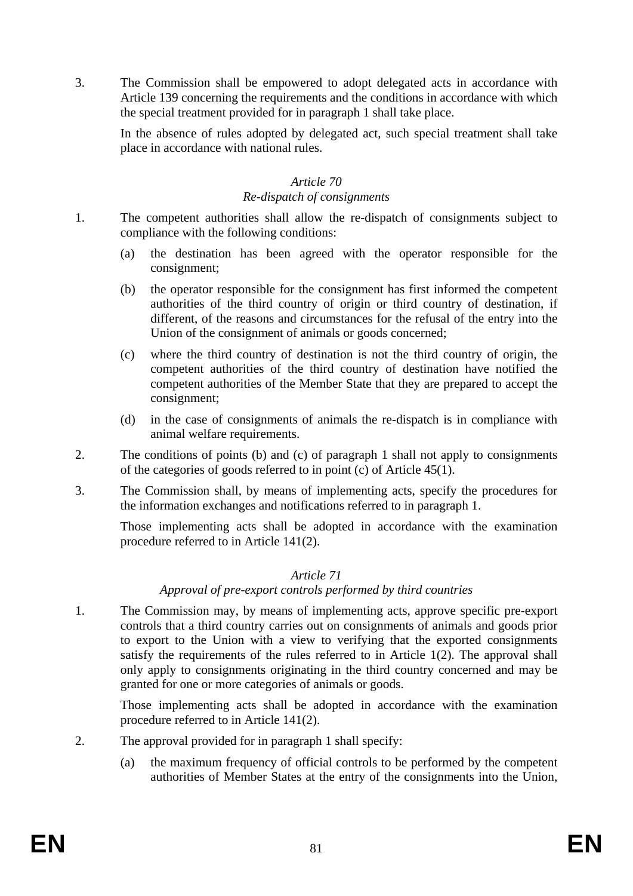3. The Commission shall be empowered to adopt delegated acts in accordance with Article 139 concerning the requirements and the conditions in accordance with which the special treatment provided for in paragraph 1 shall take place.

In the absence of rules adopted by delegated act, such special treatment shall take place in accordance with national rules.

#### *Article 70*

#### *Re-dispatch of consignments*

- 1. The competent authorities shall allow the re-dispatch of consignments subject to compliance with the following conditions:
	- (a) the destination has been agreed with the operator responsible for the consignment;
	- (b) the operator responsible for the consignment has first informed the competent authorities of the third country of origin or third country of destination, if different, of the reasons and circumstances for the refusal of the entry into the Union of the consignment of animals or goods concerned;
	- (c) where the third country of destination is not the third country of origin, the competent authorities of the third country of destination have notified the competent authorities of the Member State that they are prepared to accept the consignment;
	- (d) in the case of consignments of animals the re-dispatch is in compliance with animal welfare requirements.
- 2. The conditions of points (b) and (c) of paragraph 1 shall not apply to consignments of the categories of goods referred to in point (c) of Article 45(1).
- 3. The Commission shall, by means of implementing acts, specify the procedures for the information exchanges and notifications referred to in paragraph 1.

Those implementing acts shall be adopted in accordance with the examination procedure referred to in Article 141(2).

# *Article 71*

#### *Approval of pre-export controls performed by third countries*

1. The Commission may, by means of implementing acts, approve specific pre-export controls that a third country carries out on consignments of animals and goods prior to export to the Union with a view to verifying that the exported consignments satisfy the requirements of the rules referred to in Article 1(2). The approval shall only apply to consignments originating in the third country concerned and may be granted for one or more categories of animals or goods.

Those implementing acts shall be adopted in accordance with the examination procedure referred to in Article 141(2).

- 2. The approval provided for in paragraph 1 shall specify:
	- (a) the maximum frequency of official controls to be performed by the competent authorities of Member States at the entry of the consignments into the Union,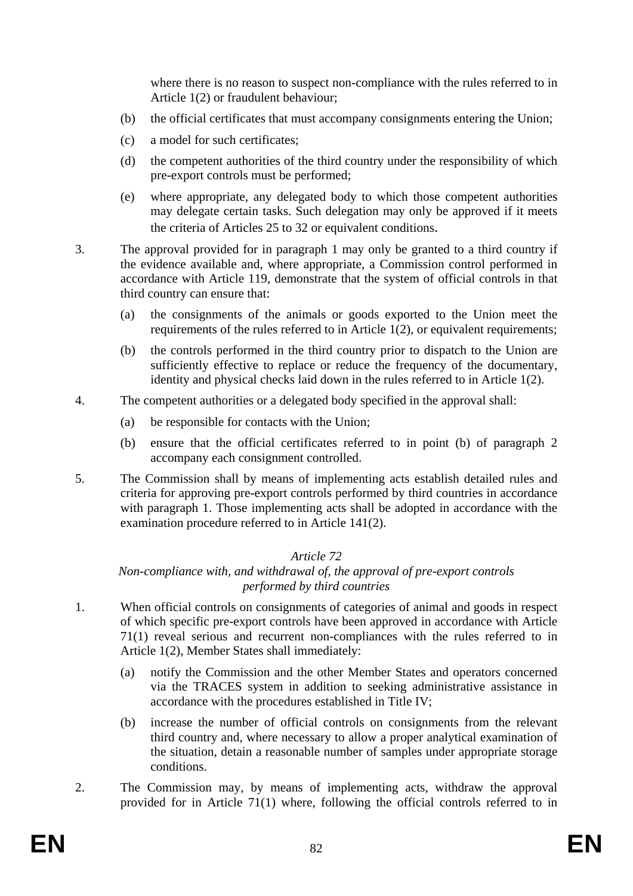where there is no reason to suspect non-compliance with the rules referred to in Article 1(2) or fraudulent behaviour;

- (b) the official certificates that must accompany consignments entering the Union;
- (c) a model for such certificates;
- (d) the competent authorities of the third country under the responsibility of which pre-export controls must be performed;
- (e) where appropriate, any delegated body to which those competent authorities may delegate certain tasks. Such delegation may only be approved if it meets the criteria of Articles 25 to 32 or equivalent conditions.
- 3. The approval provided for in paragraph 1 may only be granted to a third country if the evidence available and, where appropriate, a Commission control performed in accordance with Article 119, demonstrate that the system of official controls in that third country can ensure that:
	- (a) the consignments of the animals or goods exported to the Union meet the requirements of the rules referred to in Article 1(2), or equivalent requirements;
	- (b) the controls performed in the third country prior to dispatch to the Union are sufficiently effective to replace or reduce the frequency of the documentary, identity and physical checks laid down in the rules referred to in Article 1(2).
- 4. The competent authorities or a delegated body specified in the approval shall:
	- (a) be responsible for contacts with the Union;
	- (b) ensure that the official certificates referred to in point (b) of paragraph 2 accompany each consignment controlled.
- 5. The Commission shall by means of implementing acts establish detailed rules and criteria for approving pre-export controls performed by third countries in accordance with paragraph 1. Those implementing acts shall be adopted in accordance with the examination procedure referred to in Article 141(2).

# *Article 72*

# *Non-compliance with, and withdrawal of, the approval of pre-export controls performed by third countries*

- 1. When official controls on consignments of categories of animal and goods in respect of which specific pre-export controls have been approved in accordance with Article 71(1) reveal serious and recurrent non-compliances with the rules referred to in Article 1(2), Member States shall immediately:
	- (a) notify the Commission and the other Member States and operators concerned via the TRACES system in addition to seeking administrative assistance in accordance with the procedures established in Title IV;
	- (b) increase the number of official controls on consignments from the relevant third country and, where necessary to allow a proper analytical examination of the situation, detain a reasonable number of samples under appropriate storage conditions.
- 2. The Commission may, by means of implementing acts, withdraw the approval provided for in Article 71(1) where, following the official controls referred to in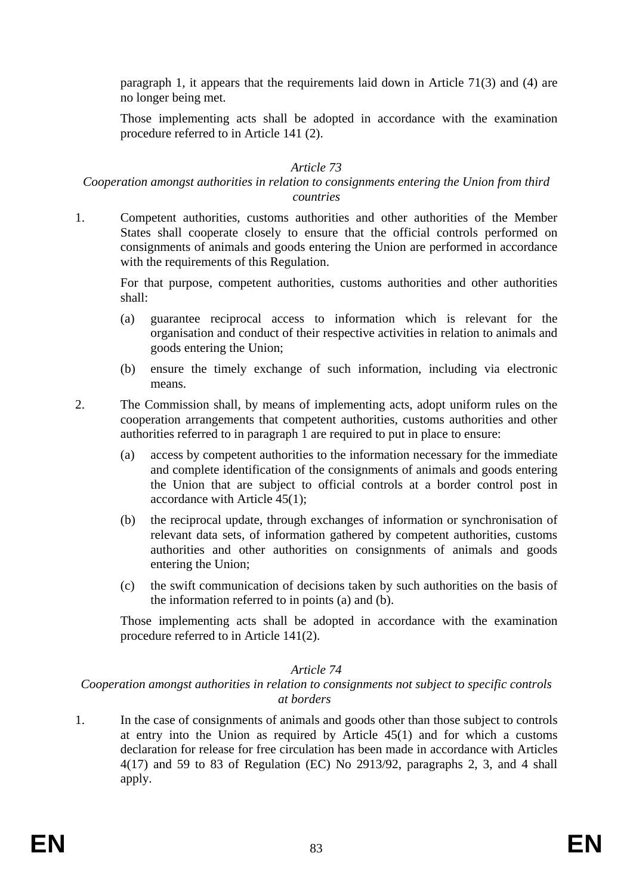paragraph 1, it appears that the requirements laid down in Article 71(3) and (4) are no longer being met.

Those implementing acts shall be adopted in accordance with the examination procedure referred to in Article 141 (2).

# *Article 73*

#### *Cooperation amongst authorities in relation to consignments entering the Union from third countries*

1. Competent authorities, customs authorities and other authorities of the Member States shall cooperate closely to ensure that the official controls performed on consignments of animals and goods entering the Union are performed in accordance with the requirements of this Regulation.

For that purpose, competent authorities, customs authorities and other authorities shall:

- (a) guarantee reciprocal access to information which is relevant for the organisation and conduct of their respective activities in relation to animals and goods entering the Union;
- (b) ensure the timely exchange of such information, including via electronic means.
- 2. The Commission shall, by means of implementing acts, adopt uniform rules on the cooperation arrangements that competent authorities, customs authorities and other authorities referred to in paragraph 1 are required to put in place to ensure:
	- (a) access by competent authorities to the information necessary for the immediate and complete identification of the consignments of animals and goods entering the Union that are subject to official controls at a border control post in accordance with Article 45(1);
	- (b) the reciprocal update, through exchanges of information or synchronisation of relevant data sets, of information gathered by competent authorities, customs authorities and other authorities on consignments of animals and goods entering the Union;
	- (c) the swift communication of decisions taken by such authorities on the basis of the information referred to in points (a) and (b).

Those implementing acts shall be adopted in accordance with the examination procedure referred to in Article 141(2).

#### *Article 74*

#### *Cooperation amongst authorities in relation to consignments not subject to specific controls at borders*

1. In the case of consignments of animals and goods other than those subject to controls at entry into the Union as required by Article 45(1) and for which a customs declaration for release for free circulation has been made in accordance with Articles 4(17) and 59 to 83 of Regulation (EC) No 2913/92, paragraphs 2, 3, and 4 shall apply.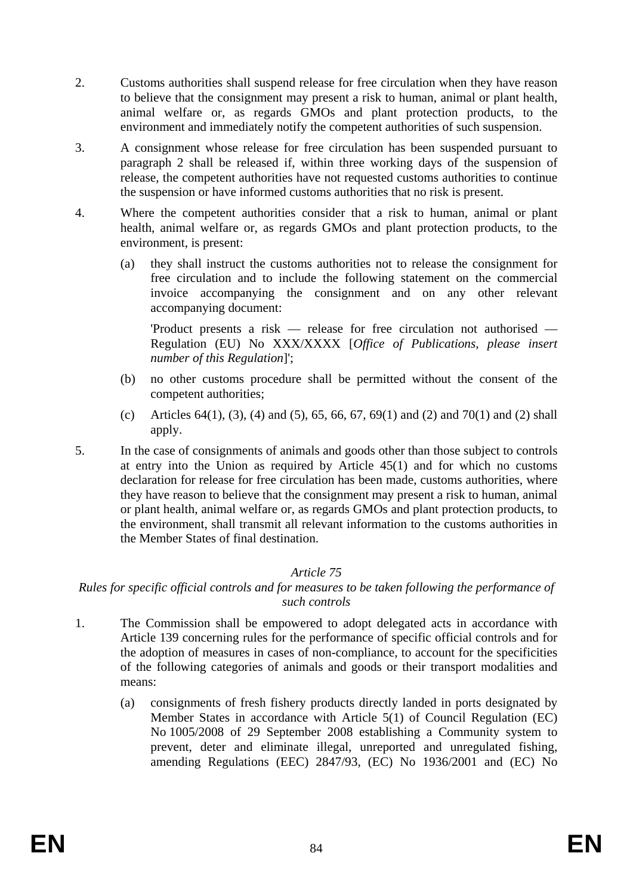- 2. Customs authorities shall suspend release for free circulation when they have reason to believe that the consignment may present a risk to human, animal or plant health, animal welfare or, as regards GMOs and plant protection products, to the environment and immediately notify the competent authorities of such suspension.
- 3. A consignment whose release for free circulation has been suspended pursuant to paragraph 2 shall be released if, within three working days of the suspension of release, the competent authorities have not requested customs authorities to continue the suspension or have informed customs authorities that no risk is present.
- 4. Where the competent authorities consider that a risk to human, animal or plant health, animal welfare or, as regards GMOs and plant protection products, to the environment, is present:
	- (a) they shall instruct the customs authorities not to release the consignment for free circulation and to include the following statement on the commercial invoice accompanying the consignment and on any other relevant accompanying document:

'Product presents a risk — release for free circulation not authorised — Regulation (EU) No XXX/XXXX [*Office of Publications, please insert number of this Regulation*]';

- (b) no other customs procedure shall be permitted without the consent of the competent authorities;
- (c) Articles 64(1), (3), (4) and (5), 65, 66, 67, 69(1) and (2) and 70(1) and (2) shall apply.
- 5. In the case of consignments of animals and goods other than those subject to controls at entry into the Union as required by Article 45(1) and for which no customs declaration for release for free circulation has been made, customs authorities, where they have reason to believe that the consignment may present a risk to human, animal or plant health, animal welfare or, as regards GMOs and plant protection products, to the environment, shall transmit all relevant information to the customs authorities in the Member States of final destination.

# *Article 75*

# *Rules for specific official controls and for measures to be taken following the performance of such controls*

- 1. The Commission shall be empowered to adopt delegated acts in accordance with Article 139 concerning rules for the performance of specific official controls and for the adoption of measures in cases of non-compliance, to account for the specificities of the following categories of animals and goods or their transport modalities and means:
	- (a) consignments of fresh fishery products directly landed in ports designated by Member States in accordance with Article 5(1) of Council Regulation (EC) No 1005/2008 of 29 September 2008 establishing a Community system to prevent, deter and eliminate illegal, unreported and unregulated fishing, amending Regulations (EEC) 2847/93, (EC) No 1936/2001 and (EC) No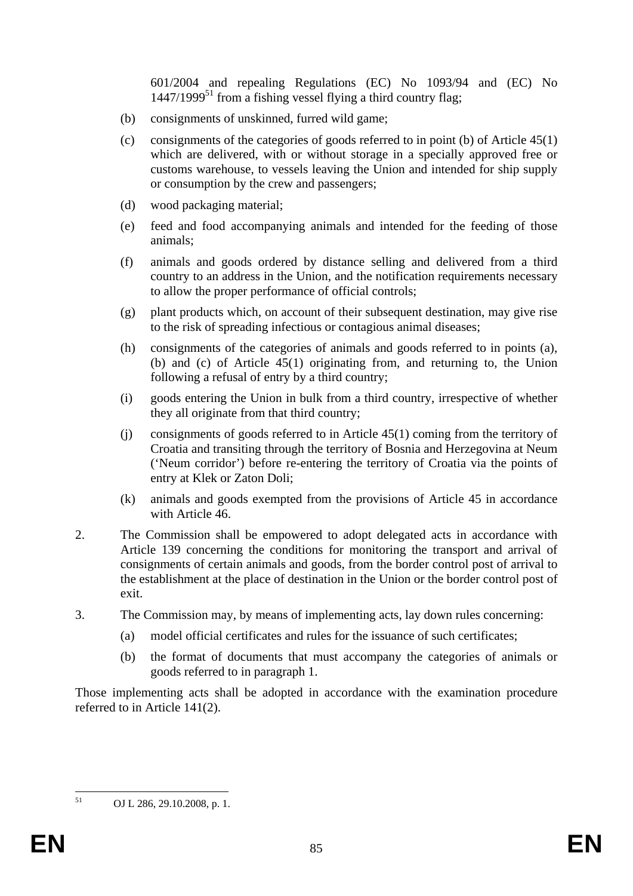601/2004 and repealing Regulations (EC) No 1093/94 and (EC) No  $1447/1999<sup>51</sup>$  from a fishing vessel flying a third country flag;

- (b) consignments of unskinned, furred wild game;
- (c) consignments of the categories of goods referred to in point (b) of Article 45(1) which are delivered, with or without storage in a specially approved free or customs warehouse, to vessels leaving the Union and intended for ship supply or consumption by the crew and passengers;
- (d) wood packaging material;
- (e) feed and food accompanying animals and intended for the feeding of those animals;
- (f) animals and goods ordered by distance selling and delivered from a third country to an address in the Union, and the notification requirements necessary to allow the proper performance of official controls;
- (g) plant products which, on account of their subsequent destination, may give rise to the risk of spreading infectious or contagious animal diseases;
- (h) consignments of the categories of animals and goods referred to in points (a), (b) and (c) of Article 45(1) originating from, and returning to, the Union following a refusal of entry by a third country;
- (i) goods entering the Union in bulk from a third country, irrespective of whether they all originate from that third country;
- (j) consignments of goods referred to in Article 45(1) coming from the territory of Croatia and transiting through the territory of Bosnia and Herzegovina at Neum ('Neum corridor') before re-entering the territory of Croatia via the points of entry at Klek or Zaton Doli;
- (k) animals and goods exempted from the provisions of Article 45 in accordance with Article 46.
- 2. The Commission shall be empowered to adopt delegated acts in accordance with Article 139 concerning the conditions for monitoring the transport and arrival of consignments of certain animals and goods, from the border control post of arrival to the establishment at the place of destination in the Union or the border control post of exit.
- 3. The Commission may, by means of implementing acts, lay down rules concerning:
	- (a) model official certificates and rules for the issuance of such certificates;
	- (b) the format of documents that must accompany the categories of animals or goods referred to in paragraph 1.

Those implementing acts shall be adopted in accordance with the examination procedure referred to in Article 141(2).

 $51$ 

<sup>51</sup> OJ L 286, 29.10.2008, p. 1.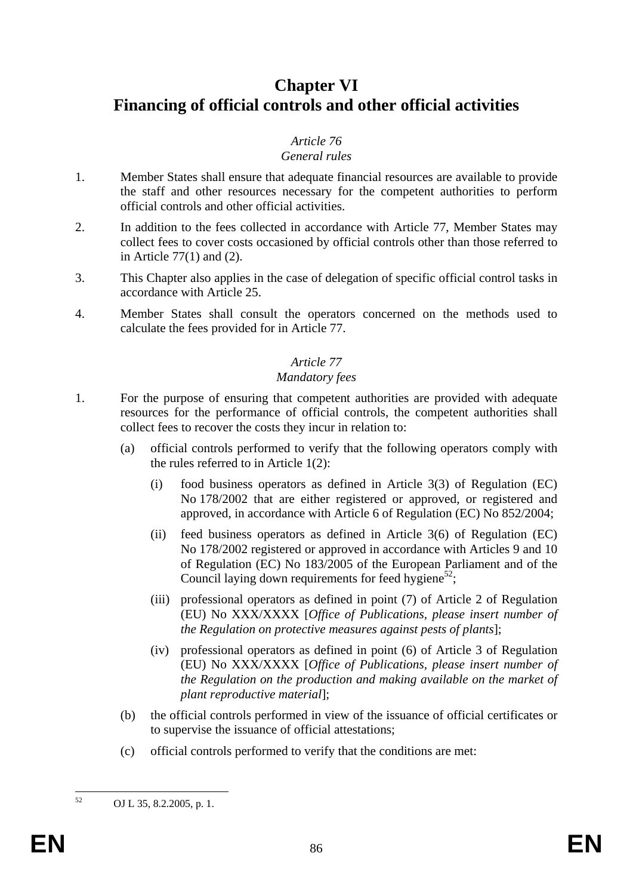# **Chapter VI Financing of official controls and other official activities**

# *Article 76*

# *General rules*

- 1. Member States shall ensure that adequate financial resources are available to provide the staff and other resources necessary for the competent authorities to perform official controls and other official activities.
- 2. In addition to the fees collected in accordance with Article 77, Member States may collect fees to cover costs occasioned by official controls other than those referred to in Article 77(1) and (2).
- 3. This Chapter also applies in the case of delegation of specific official control tasks in accordance with Article 25.
- 4. Member States shall consult the operators concerned on the methods used to calculate the fees provided for in Article 77.

# *Article 77*

# *Mandatory fees*

- 1. For the purpose of ensuring that competent authorities are provided with adequate resources for the performance of official controls, the competent authorities shall collect fees to recover the costs they incur in relation to:
	- (a) official controls performed to verify that the following operators comply with the rules referred to in Article 1(2):
		- (i) food business operators as defined in Article 3(3) of Regulation (EC) No 178/2002 that are either registered or approved, or registered and approved, in accordance with Article 6 of Regulation (EC) No 852/2004;
		- (ii) feed business operators as defined in Article 3(6) of Regulation (EC) No 178/2002 registered or approved in accordance with Articles 9 and 10 of Regulation (EC) No 183/2005 of the European Parliament and of the Council laying down requirements for feed hygiene<sup>52</sup>:
		- (iii) professional operators as defined in point (7) of Article 2 of Regulation (EU) No XXX/XXXX [*Office of Publications, please insert number of the Regulation on protective measures against pests of plants*];
		- (iv) professional operators as defined in point (6) of Article 3 of Regulation (EU) No XXX/XXXX [*Office of Publications, please insert number of the Regulation on the production and making available on the market of plant reproductive material*];
	- (b) the official controls performed in view of the issuance of official certificates or to supervise the issuance of official attestations;
	- (c) official controls performed to verify that the conditions are met:

52

<sup>52</sup> OJ L 35, 8.2.2005, p. 1.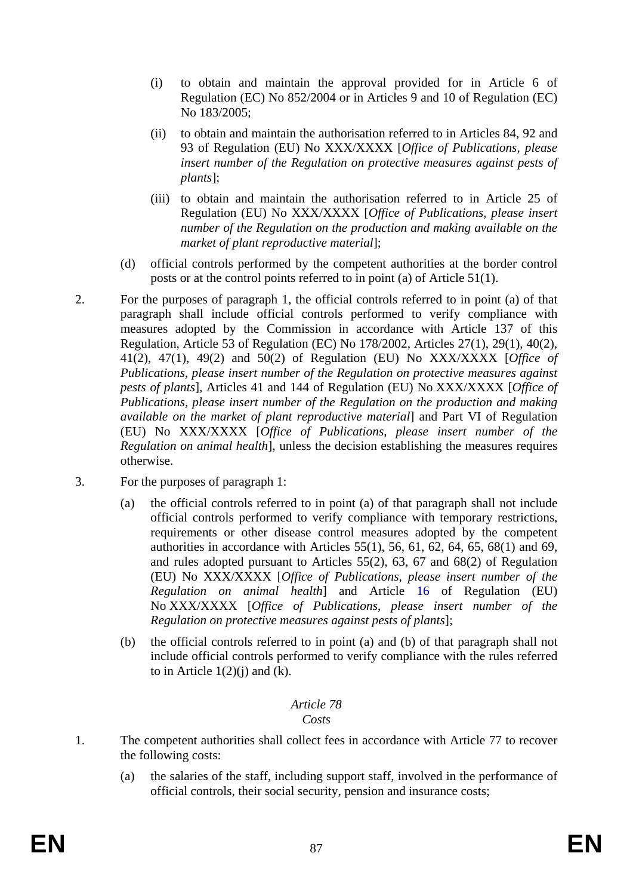- (i) to obtain and maintain the approval provided for in Article 6 of Regulation (EC) No 852/2004 or in Articles 9 and 10 of Regulation (EC) No 183/2005;
- (ii) to obtain and maintain the authorisation referred to in Articles 84, 92 and 93 of Regulation (EU) No XXX/XXXX [*Office of Publications, please insert number of the Regulation on protective measures against pests of plants*];
- (iii) to obtain and maintain the authorisation referred to in Article 25 of Regulation (EU) No XXX/XXXX [*Office of Publications, please insert number of the Regulation on the production and making available on the market of plant reproductive material*];
- (d) official controls performed by the competent authorities at the border control posts or at the control points referred to in point (a) of Article 51(1).
- 2. For the purposes of paragraph 1, the official controls referred to in point (a) of that paragraph shall include official controls performed to verify compliance with measures adopted by the Commission in accordance with Article 137 of this Regulation, Article 53 of Regulation (EC) No 178/2002, Articles 27(1), 29(1), 40(2), 41(2), 47(1), 49(2) and 50(2) of Regulation (EU) No XXX/XXXX [*Office of Publications, please insert number of the Regulation on protective measures against pests of plants*]*,* Articles 41 and 144 of Regulation (EU) No XXX/XXXX [*Office of Publications, please insert number of the Regulation on the production and making available on the market of plant reproductive material*] and Part VI of Regulation (EU) No XXX/XXXX [*Office of Publications, please insert number of the Regulation on animal health*], unless the decision establishing the measures requires otherwise.
- 3. For the purposes of paragraph 1:
	- (a) the official controls referred to in point (a) of that paragraph shall not include official controls performed to verify compliance with temporary restrictions, requirements or other disease control measures adopted by the competent authorities in accordance with Articles  $55(1)$ ,  $56$ ,  $61$ ,  $62$ ,  $64$ ,  $65$ ,  $68(1)$  and  $69$ , and rules adopted pursuant to Articles 55(2), 63, 67 and 68(2) of Regulation (EU) No XXX/XXXX [*Office of Publications, please insert number of the Regulation on animal health*] and Article 16 of Regulation (EU) No XXX/XXXX [*Office of Publications, please insert number of the Regulation on protective measures against pests of plants*];
	- (b) the official controls referred to in point (a) and (b) of that paragraph shall not include official controls performed to verify compliance with the rules referred to in Article  $1(2)(i)$  and  $(k)$ .

#### *Article 78 Costs*

- 1. The competent authorities shall collect fees in accordance with Article 77 to recover the following costs:
	- (a) the salaries of the staff, including support staff, involved in the performance of official controls, their social security, pension and insurance costs;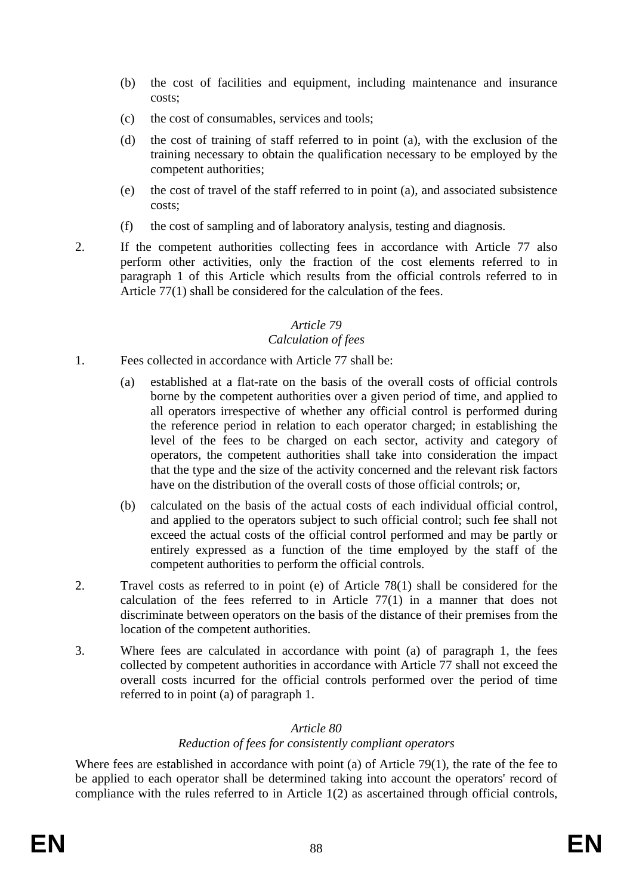- (b) the cost of facilities and equipment, including maintenance and insurance costs;
- (c) the cost of consumables, services and tools;
- (d) the cost of training of staff referred to in point (a), with the exclusion of the training necessary to obtain the qualification necessary to be employed by the competent authorities;
- (e) the cost of travel of the staff referred to in point (a), and associated subsistence costs;
- (f) the cost of sampling and of laboratory analysis, testing and diagnosis.
- 2. If the competent authorities collecting fees in accordance with Article 77 also perform other activities, only the fraction of the cost elements referred to in paragraph 1 of this Article which results from the official controls referred to in Article 77(1) shall be considered for the calculation of the fees.

# *Calculation of fees*

- 1. Fees collected in accordance with Article 77 shall be:
	- (a) established at a flat-rate on the basis of the overall costs of official controls borne by the competent authorities over a given period of time, and applied to all operators irrespective of whether any official control is performed during the reference period in relation to each operator charged; in establishing the level of the fees to be charged on each sector, activity and category of operators, the competent authorities shall take into consideration the impact that the type and the size of the activity concerned and the relevant risk factors have on the distribution of the overall costs of those official controls; or,
	- (b) calculated on the basis of the actual costs of each individual official control, and applied to the operators subject to such official control; such fee shall not exceed the actual costs of the official control performed and may be partly or entirely expressed as a function of the time employed by the staff of the competent authorities to perform the official controls.
- 2. Travel costs as referred to in point (e) of Article 78(1) shall be considered for the calculation of the fees referred to in Article 77(1) in a manner that does not discriminate between operators on the basis of the distance of their premises from the location of the competent authorities.
- 3. Where fees are calculated in accordance with point (a) of paragraph 1, the fees collected by competent authorities in accordance with Article 77 shall not exceed the overall costs incurred for the official controls performed over the period of time referred to in point (a) of paragraph 1.

# *Article 80 Reduction of fees for consistently compliant operators*

Where fees are established in accordance with point (a) of Article 79(1), the rate of the fee to be applied to each operator shall be determined taking into account the operators' record of compliance with the rules referred to in Article 1(2) as ascertained through official controls,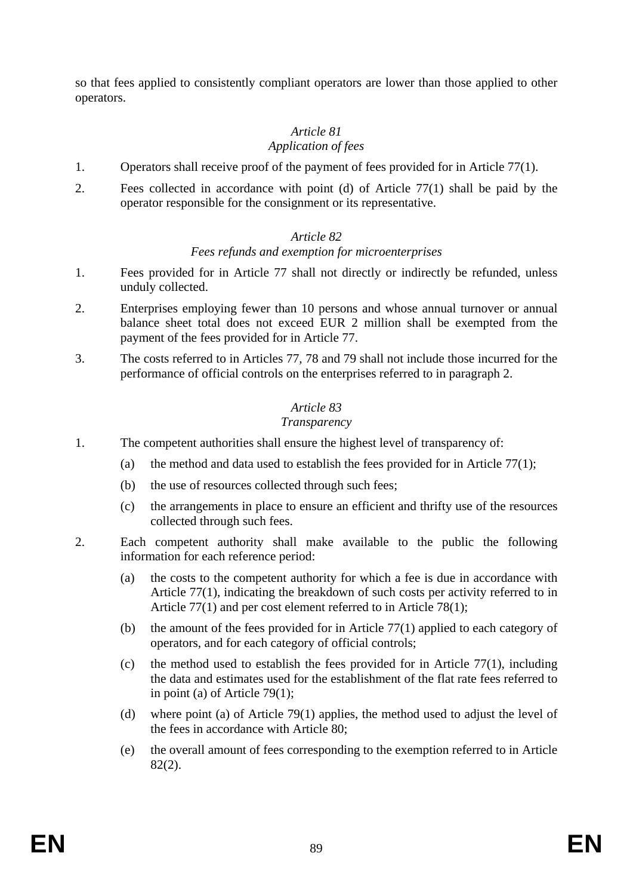so that fees applied to consistently compliant operators are lower than those applied to other operators.

# *Article 81*

# *Application of fees*

- 1. Operators shall receive proof of the payment of fees provided for in Article 77(1).
- 2. Fees collected in accordance with point (d) of Article 77(1) shall be paid by the operator responsible for the consignment or its representative.

# *Article 82*

# *Fees refunds and exemption for microenterprises*

- 1. Fees provided for in Article 77 shall not directly or indirectly be refunded, unless unduly collected.
- 2. Enterprises employing fewer than 10 persons and whose annual turnover or annual balance sheet total does not exceed EUR 2 million shall be exempted from the payment of the fees provided for in Article 77.
- 3. The costs referred to in Articles 77, 78 and 79 shall not include those incurred for the performance of official controls on the enterprises referred to in paragraph 2.

# *Article 83*

# *Transparency*

- 1. The competent authorities shall ensure the highest level of transparency of:
	- (a) the method and data used to establish the fees provided for in Article  $77(1)$ ;
	- (b) the use of resources collected through such fees;
	- (c) the arrangements in place to ensure an efficient and thrifty use of the resources collected through such fees.
- 2. Each competent authority shall make available to the public the following information for each reference period:
	- (a) the costs to the competent authority for which a fee is due in accordance with Article 77(1), indicating the breakdown of such costs per activity referred to in Article 77(1) and per cost element referred to in Article 78(1);
	- (b) the amount of the fees provided for in Article 77(1) applied to each category of operators, and for each category of official controls;
	- (c) the method used to establish the fees provided for in Article  $77(1)$ , including the data and estimates used for the establishment of the flat rate fees referred to in point (a) of Article 79(1);
	- (d) where point (a) of Article 79(1) applies, the method used to adjust the level of the fees in accordance with Article 80;
	- (e) the overall amount of fees corresponding to the exemption referred to in Article 82(2).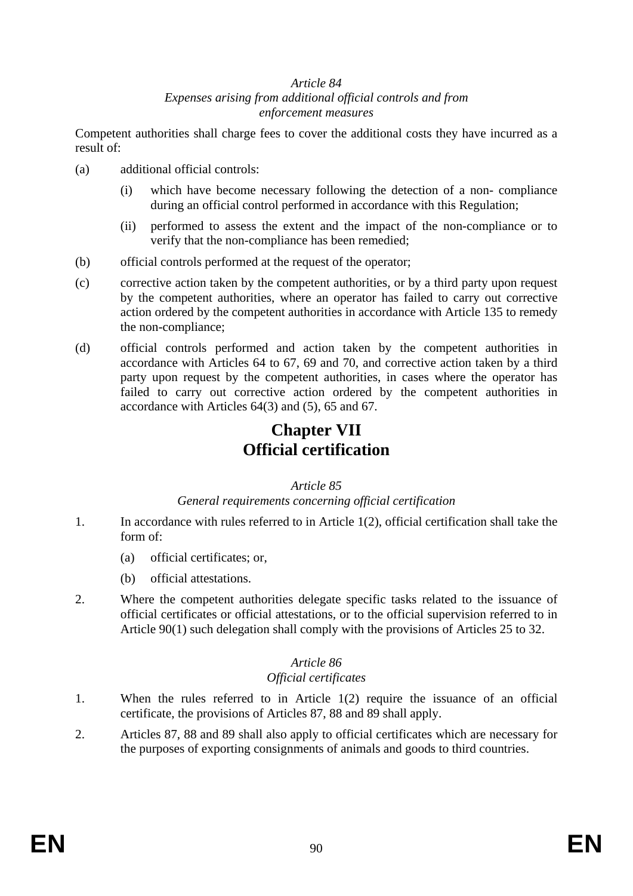#### *Article 84 Expenses arising from additional official controls and from enforcement measures*

Competent authorities shall charge fees to cover the additional costs they have incurred as a result of:

- (a) additional official controls:
	- (i) which have become necessary following the detection of a non- compliance during an official control performed in accordance with this Regulation;
	- (ii) performed to assess the extent and the impact of the non-compliance or to verify that the non-compliance has been remedied;
- (b) official controls performed at the request of the operator;
- (c) corrective action taken by the competent authorities, or by a third party upon request by the competent authorities, where an operator has failed to carry out corrective action ordered by the competent authorities in accordance with Article 135 to remedy the non-compliance;
- (d) official controls performed and action taken by the competent authorities in accordance with Articles 64 to 67, 69 and 70, and corrective action taken by a third party upon request by the competent authorities, in cases where the operator has failed to carry out corrective action ordered by the competent authorities in accordance with Articles 64(3) and (5), 65 and 67.

# **Chapter VII Official certification**

#### *Article 85*

#### *General requirements concerning official certification*

- 1. In accordance with rules referred to in Article 1(2), official certification shall take the form of:
	- (a) official certificates; or,
	- (b) official attestations.
- 2. Where the competent authorities delegate specific tasks related to the issuance of official certificates or official attestations, or to the official supervision referred to in Article 90(1) such delegation shall comply with the provisions of Articles 25 to 32.

#### *Article 86*

# *Official certificates*

- 1. When the rules referred to in Article 1(2) require the issuance of an official certificate, the provisions of Articles 87, 88 and 89 shall apply.
- 2. Articles 87, 88 and 89 shall also apply to official certificates which are necessary for the purposes of exporting consignments of animals and goods to third countries.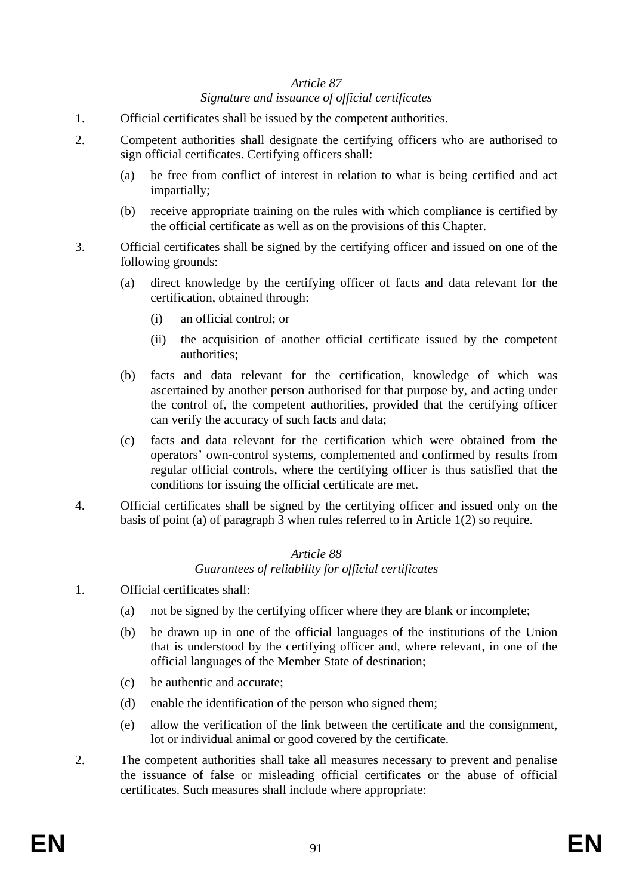# *Article 87 Signature and issuance of official certificates*

- 1. Official certificates shall be issued by the competent authorities.
- 2. Competent authorities shall designate the certifying officers who are authorised to sign official certificates. Certifying officers shall:
	- (a) be free from conflict of interest in relation to what is being certified and act impartially;
	- (b) receive appropriate training on the rules with which compliance is certified by the official certificate as well as on the provisions of this Chapter.
- 3. Official certificates shall be signed by the certifying officer and issued on one of the following grounds:
	- (a) direct knowledge by the certifying officer of facts and data relevant for the certification, obtained through:
		- (i) an official control; or
		- (ii) the acquisition of another official certificate issued by the competent authorities;
	- (b) facts and data relevant for the certification, knowledge of which was ascertained by another person authorised for that purpose by, and acting under the control of, the competent authorities, provided that the certifying officer can verify the accuracy of such facts and data;
	- (c) facts and data relevant for the certification which were obtained from the operators' own-control systems, complemented and confirmed by results from regular official controls, where the certifying officer is thus satisfied that the conditions for issuing the official certificate are met.
- 4. Official certificates shall be signed by the certifying officer and issued only on the basis of point (a) of paragraph 3 when rules referred to in Article 1(2) so require.

#### *Article 88 Guarantees of reliability for official certificates*

- 1. Official certificates shall:
	- (a) not be signed by the certifying officer where they are blank or incomplete;
	- (b) be drawn up in one of the official languages of the institutions of the Union that is understood by the certifying officer and, where relevant, in one of the official languages of the Member State of destination;
	- (c) be authentic and accurate;
	- (d) enable the identification of the person who signed them;
	- (e) allow the verification of the link between the certificate and the consignment, lot or individual animal or good covered by the certificate.
- 2. The competent authorities shall take all measures necessary to prevent and penalise the issuance of false or misleading official certificates or the abuse of official certificates. Such measures shall include where appropriate: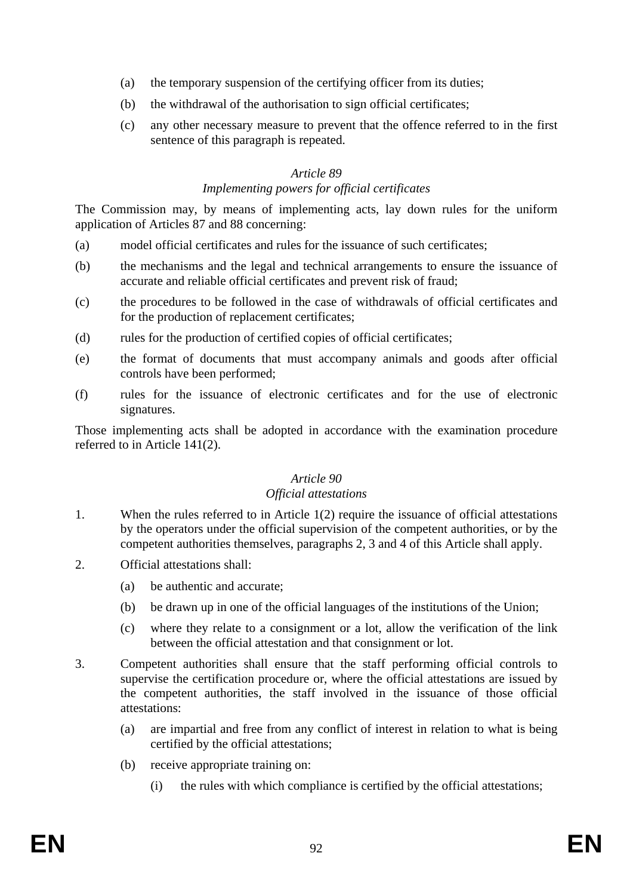- (a) the temporary suspension of the certifying officer from its duties;
- (b) the withdrawal of the authorisation to sign official certificates;
- (c) any other necessary measure to prevent that the offence referred to in the first sentence of this paragraph is repeated.

#### *Article 89 Implementing powers for official certificates*

The Commission may, by means of implementing acts, lay down rules for the uniform application of Articles 87 and 88 concerning:

- (a) model official certificates and rules for the issuance of such certificates;
- (b) the mechanisms and the legal and technical arrangements to ensure the issuance of accurate and reliable official certificates and prevent risk of fraud;
- (c) the procedures to be followed in the case of withdrawals of official certificates and for the production of replacement certificates;
- (d) rules for the production of certified copies of official certificates;
- (e) the format of documents that must accompany animals and goods after official controls have been performed;
- (f) rules for the issuance of electronic certificates and for the use of electronic signatures.

Those implementing acts shall be adopted in accordance with the examination procedure referred to in Article 141(2).

#### *Article 90*

#### *Official attestations*

- 1. When the rules referred to in Article 1(2) require the issuance of official attestations by the operators under the official supervision of the competent authorities, or by the competent authorities themselves, paragraphs 2, 3 and 4 of this Article shall apply.
- 2. Official attestations shall:
	- (a) be authentic and accurate;
	- (b) be drawn up in one of the official languages of the institutions of the Union;
	- (c) where they relate to a consignment or a lot, allow the verification of the link between the official attestation and that consignment or lot.
- 3. Competent authorities shall ensure that the staff performing official controls to supervise the certification procedure or, where the official attestations are issued by the competent authorities, the staff involved in the issuance of those official attestations:
	- (a) are impartial and free from any conflict of interest in relation to what is being certified by the official attestations;
	- (b) receive appropriate training on:
		- (i) the rules with which compliance is certified by the official attestations;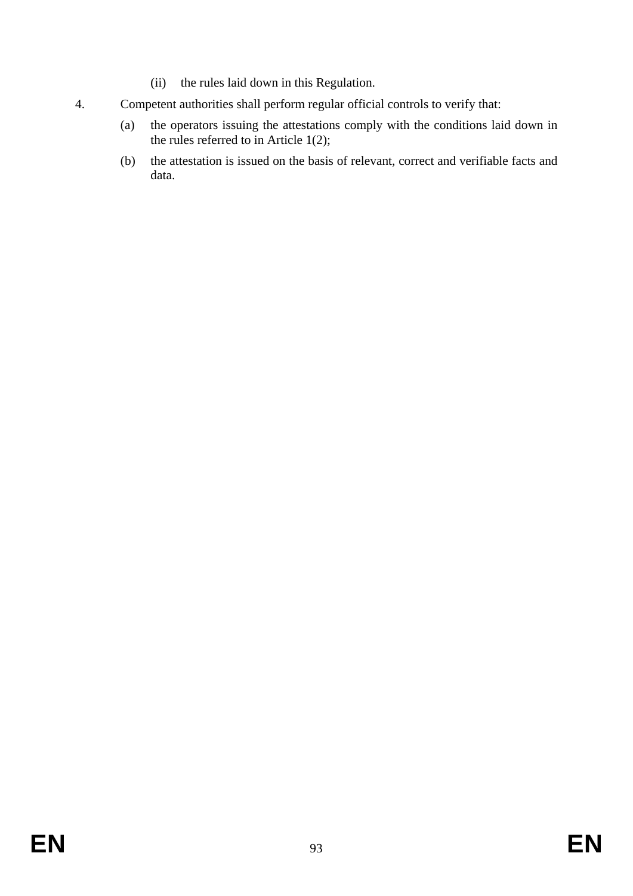- (ii) the rules laid down in this Regulation.
- 4. Competent authorities shall perform regular official controls to verify that:
	- (a) the operators issuing the attestations comply with the conditions laid down in the rules referred to in Article 1(2);
	- (b) the attestation is issued on the basis of relevant, correct and verifiable facts and data.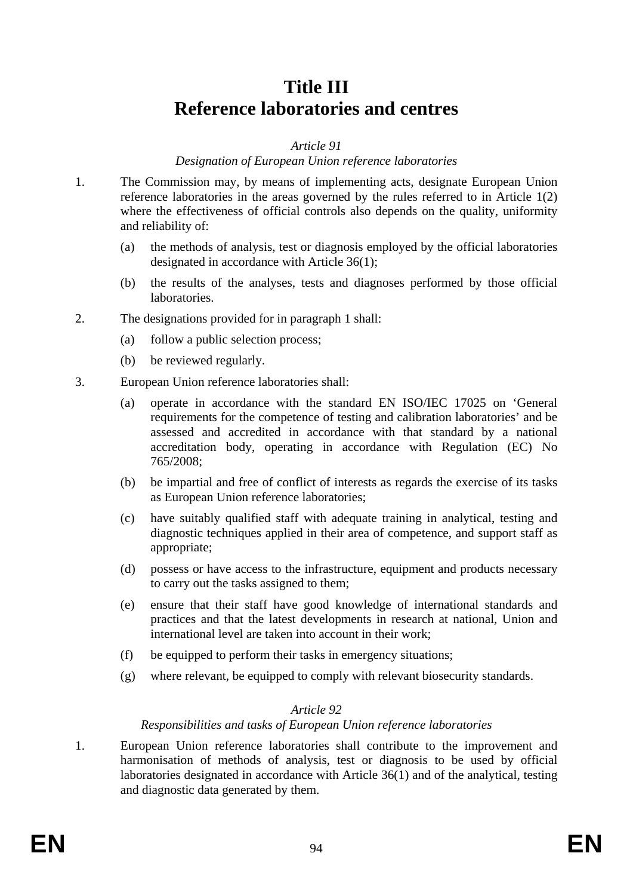# **Title III Reference laboratories and centres**

#### *Article 91*

#### *Designation of European Union reference laboratories*

- 1. The Commission may, by means of implementing acts, designate European Union reference laboratories in the areas governed by the rules referred to in Article 1(2) where the effectiveness of official controls also depends on the quality, uniformity and reliability of:
	- (a) the methods of analysis, test or diagnosis employed by the official laboratories designated in accordance with Article 36(1);
	- (b) the results of the analyses, tests and diagnoses performed by those official laboratories.
- 2. The designations provided for in paragraph 1 shall:
	- (a) follow a public selection process;
	- (b) be reviewed regularly.
- 3. European Union reference laboratories shall:
	- (a) operate in accordance with the standard EN ISO/IEC 17025 on 'General requirements for the competence of testing and calibration laboratories' and be assessed and accredited in accordance with that standard by a national accreditation body, operating in accordance with Regulation (EC) No 765/2008;
	- (b) be impartial and free of conflict of interests as regards the exercise of its tasks as European Union reference laboratories;
	- (c) have suitably qualified staff with adequate training in analytical, testing and diagnostic techniques applied in their area of competence, and support staff as appropriate;
	- (d) possess or have access to the infrastructure, equipment and products necessary to carry out the tasks assigned to them;
	- (e) ensure that their staff have good knowledge of international standards and practices and that the latest developments in research at national, Union and international level are taken into account in their work;
	- (f) be equipped to perform their tasks in emergency situations;
	- (g) where relevant, be equipped to comply with relevant biosecurity standards.

#### *Article 92*

#### *Responsibilities and tasks of European Union reference laboratories*

1. European Union reference laboratories shall contribute to the improvement and harmonisation of methods of analysis, test or diagnosis to be used by official laboratories designated in accordance with Article 36(1) and of the analytical, testing and diagnostic data generated by them.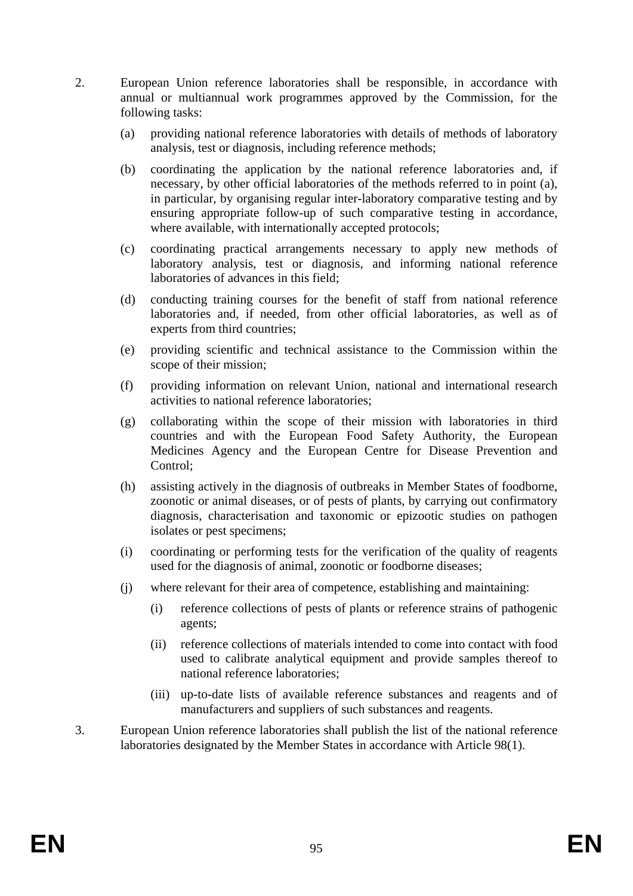- 2. European Union reference laboratories shall be responsible, in accordance with annual or multiannual work programmes approved by the Commission, for the following tasks:
	- (a) providing national reference laboratories with details of methods of laboratory analysis, test or diagnosis, including reference methods;
	- (b) coordinating the application by the national reference laboratories and, if necessary, by other official laboratories of the methods referred to in point (a), in particular, by organising regular inter-laboratory comparative testing and by ensuring appropriate follow-up of such comparative testing in accordance, where available, with internationally accepted protocols;
	- (c) coordinating practical arrangements necessary to apply new methods of laboratory analysis, test or diagnosis, and informing national reference laboratories of advances in this field;
	- (d) conducting training courses for the benefit of staff from national reference laboratories and, if needed, from other official laboratories, as well as of experts from third countries;
	- (e) providing scientific and technical assistance to the Commission within the scope of their mission;
	- (f) providing information on relevant Union, national and international research activities to national reference laboratories;
	- (g) collaborating within the scope of their mission with laboratories in third countries and with the European Food Safety Authority, the European Medicines Agency and the European Centre for Disease Prevention and Control;
	- (h) assisting actively in the diagnosis of outbreaks in Member States of foodborne, zoonotic or animal diseases, or of pests of plants, by carrying out confirmatory diagnosis, characterisation and taxonomic or epizootic studies on pathogen isolates or pest specimens;
	- (i) coordinating or performing tests for the verification of the quality of reagents used for the diagnosis of animal, zoonotic or foodborne diseases;
	- (j) where relevant for their area of competence, establishing and maintaining:
		- (i) reference collections of pests of plants or reference strains of pathogenic agents;
		- (ii) reference collections of materials intended to come into contact with food used to calibrate analytical equipment and provide samples thereof to national reference laboratories;
		- (iii) up-to-date lists of available reference substances and reagents and of manufacturers and suppliers of such substances and reagents.
- 3. European Union reference laboratories shall publish the list of the national reference laboratories designated by the Member States in accordance with Article 98(1).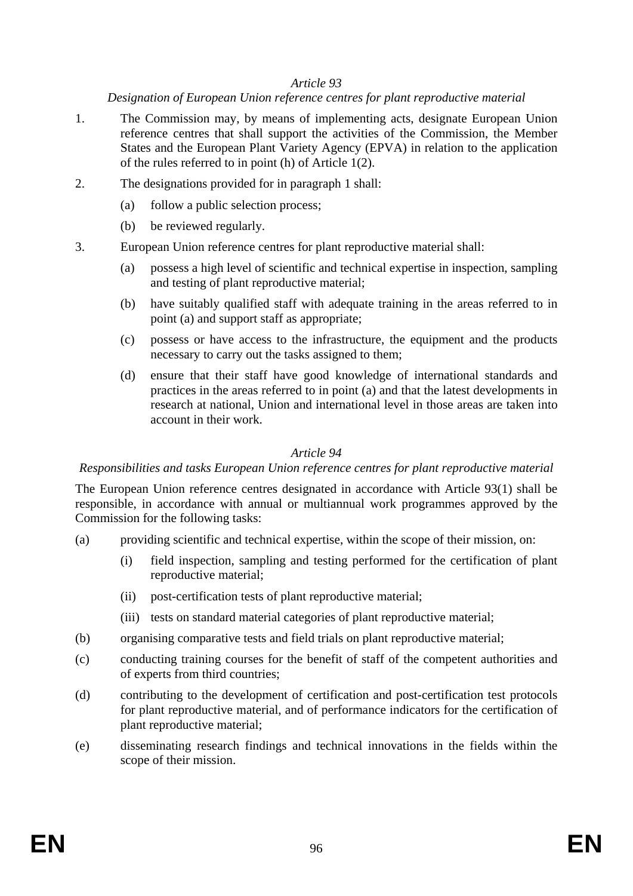#### *Designation of European Union reference centres for plant reproductive material*

- 1. The Commission may, by means of implementing acts, designate European Union reference centres that shall support the activities of the Commission, the Member States and the European Plant Variety Agency (EPVA) in relation to the application of the rules referred to in point (h) of Article 1(2).
- 2. The designations provided for in paragraph 1 shall:
	- (a) follow a public selection process;
	- (b) be reviewed regularly.
- 3. European Union reference centres for plant reproductive material shall:
	- (a) possess a high level of scientific and technical expertise in inspection, sampling and testing of plant reproductive material;
	- (b) have suitably qualified staff with adequate training in the areas referred to in point (a) and support staff as appropriate;
	- (c) possess or have access to the infrastructure, the equipment and the products necessary to carry out the tasks assigned to them;
	- (d) ensure that their staff have good knowledge of international standards and practices in the areas referred to in point (a) and that the latest developments in research at national, Union and international level in those areas are taken into account in their work.

# *Article 94*

#### *Responsibilities and tasks European Union reference centres for plant reproductive material*

The European Union reference centres designated in accordance with Article 93(1) shall be responsible, in accordance with annual or multiannual work programmes approved by the Commission for the following tasks:

- (a) providing scientific and technical expertise, within the scope of their mission, on:
	- (i) field inspection, sampling and testing performed for the certification of plant reproductive material;
	- (ii) post-certification tests of plant reproductive material;
	- (iii) tests on standard material categories of plant reproductive material;
- (b) organising comparative tests and field trials on plant reproductive material;
- (c) conducting training courses for the benefit of staff of the competent authorities and of experts from third countries;
- (d) contributing to the development of certification and post-certification test protocols for plant reproductive material, and of performance indicators for the certification of plant reproductive material;
- (e) disseminating research findings and technical innovations in the fields within the scope of their mission.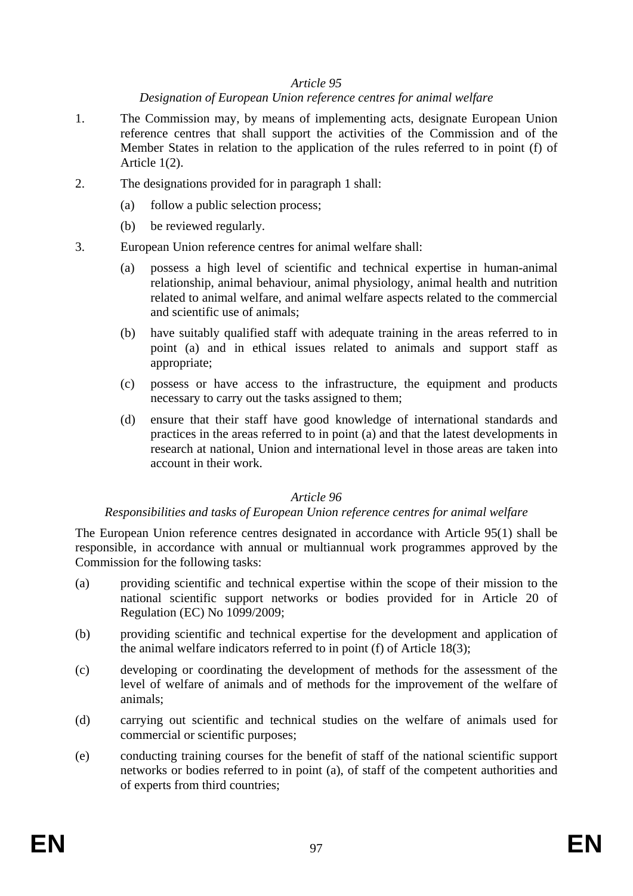# *Designation of European Union reference centres for animal welfare*

- 1. The Commission may, by means of implementing acts, designate European Union reference centres that shall support the activities of the Commission and of the Member States in relation to the application of the rules referred to in point (f) of Article 1(2).
- 2. The designations provided for in paragraph 1 shall:
	- (a) follow a public selection process;
	- (b) be reviewed regularly.
- 3. European Union reference centres for animal welfare shall:
	- (a) possess a high level of scientific and technical expertise in human-animal relationship, animal behaviour, animal physiology, animal health and nutrition related to animal welfare, and animal welfare aspects related to the commercial and scientific use of animals;
	- (b) have suitably qualified staff with adequate training in the areas referred to in point (a) and in ethical issues related to animals and support staff as appropriate;
	- (c) possess or have access to the infrastructure, the equipment and products necessary to carry out the tasks assigned to them;
	- (d) ensure that their staff have good knowledge of international standards and practices in the areas referred to in point (a) and that the latest developments in research at national, Union and international level in those areas are taken into account in their work.

#### *Article 96*

#### *Responsibilities and tasks of European Union reference centres for animal welfare*

The European Union reference centres designated in accordance with Article 95(1) shall be responsible, in accordance with annual or multiannual work programmes approved by the Commission for the following tasks:

- (a) providing scientific and technical expertise within the scope of their mission to the national scientific support networks or bodies provided for in Article 20 of Regulation (EC) No 1099/2009;
- (b) providing scientific and technical expertise for the development and application of the animal welfare indicators referred to in point (f) of Article 18(3);
- (c) developing or coordinating the development of methods for the assessment of the level of welfare of animals and of methods for the improvement of the welfare of animals;
- (d) carrying out scientific and technical studies on the welfare of animals used for commercial or scientific purposes;
- (e) conducting training courses for the benefit of staff of the national scientific support networks or bodies referred to in point (a), of staff of the competent authorities and of experts from third countries;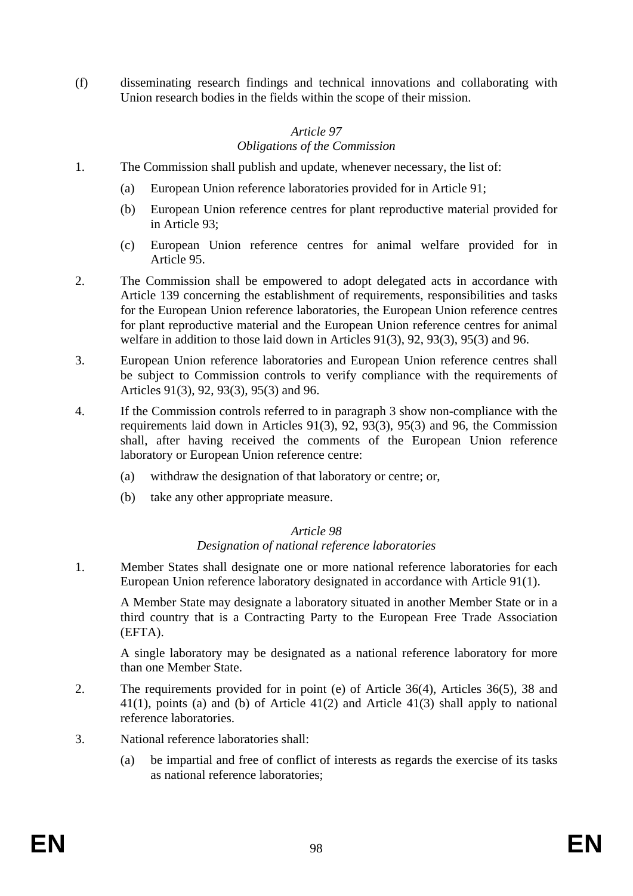(f) disseminating research findings and technical innovations and collaborating with Union research bodies in the fields within the scope of their mission.

# *Article 97 Obligations of the Commission*

- 1. The Commission shall publish and update, whenever necessary, the list of:
	- (a) European Union reference laboratories provided for in Article 91;
	- (b) European Union reference centres for plant reproductive material provided for in Article 93;
	- (c) European Union reference centres for animal welfare provided for in Article 95.
- 2. The Commission shall be empowered to adopt delegated acts in accordance with Article 139 concerning the establishment of requirements, responsibilities and tasks for the European Union reference laboratories, the European Union reference centres for plant reproductive material and the European Union reference centres for animal welfare in addition to those laid down in Articles 91(3), 92, 93(3), 95(3) and 96.
- 3. European Union reference laboratories and European Union reference centres shall be subject to Commission controls to verify compliance with the requirements of Articles 91(3), 92, 93(3), 95(3) and 96.
- 4. If the Commission controls referred to in paragraph 3 show non-compliance with the requirements laid down in Articles 91(3), 92, 93(3), 95(3) and 96, the Commission shall, after having received the comments of the European Union reference laboratory or European Union reference centre:
	- (a) withdraw the designation of that laboratory or centre; or,
	- (b) take any other appropriate measure.

# *Article 98*

- *Designation of national reference laboratories*
- 1. Member States shall designate one or more national reference laboratories for each European Union reference laboratory designated in accordance with Article 91(1).

A Member State may designate a laboratory situated in another Member State or in a third country that is a Contracting Party to the European Free Trade Association (EFTA).

A single laboratory may be designated as a national reference laboratory for more than one Member State.

- 2. The requirements provided for in point (e) of Article 36(4), Articles 36(5), 38 and 41(1), points (a) and (b) of Article 41(2) and Article 41(3) shall apply to national reference laboratories.
- 3. National reference laboratories shall:
	- (a) be impartial and free of conflict of interests as regards the exercise of its tasks as national reference laboratories;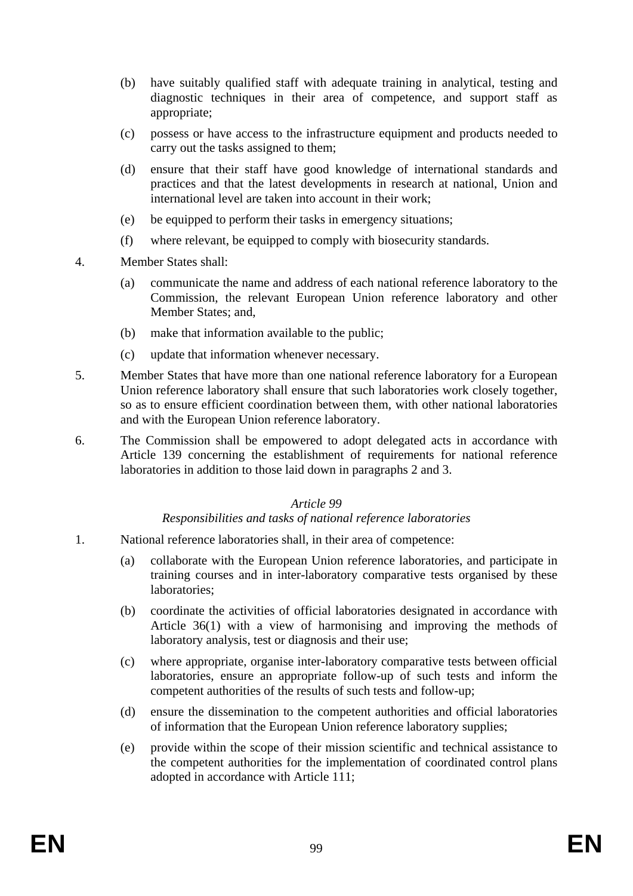- (b) have suitably qualified staff with adequate training in analytical, testing and diagnostic techniques in their area of competence, and support staff as appropriate;
- (c) possess or have access to the infrastructure equipment and products needed to carry out the tasks assigned to them;
- (d) ensure that their staff have good knowledge of international standards and practices and that the latest developments in research at national, Union and international level are taken into account in their work;
- (e) be equipped to perform their tasks in emergency situations;
- (f) where relevant, be equipped to comply with biosecurity standards.
- 4. Member States shall:
	- (a) communicate the name and address of each national reference laboratory to the Commission, the relevant European Union reference laboratory and other Member States; and,
	- (b) make that information available to the public;
	- (c) update that information whenever necessary.
- 5. Member States that have more than one national reference laboratory for a European Union reference laboratory shall ensure that such laboratories work closely together, so as to ensure efficient coordination between them, with other national laboratories and with the European Union reference laboratory.
- 6. The Commission shall be empowered to adopt delegated acts in accordance with Article 139 concerning the establishment of requirements for national reference laboratories in addition to those laid down in paragraphs 2 and 3.

#### *Responsibilities and tasks of national reference laboratories*

- 1. National reference laboratories shall, in their area of competence:
	- (a) collaborate with the European Union reference laboratories, and participate in training courses and in inter-laboratory comparative tests organised by these laboratories;
	- (b) coordinate the activities of official laboratories designated in accordance with Article 36(1) with a view of harmonising and improving the methods of laboratory analysis, test or diagnosis and their use;
	- (c) where appropriate, organise inter-laboratory comparative tests between official laboratories, ensure an appropriate follow-up of such tests and inform the competent authorities of the results of such tests and follow-up;
	- (d) ensure the dissemination to the competent authorities and official laboratories of information that the European Union reference laboratory supplies;
	- (e) provide within the scope of their mission scientific and technical assistance to the competent authorities for the implementation of coordinated control plans adopted in accordance with Article 111;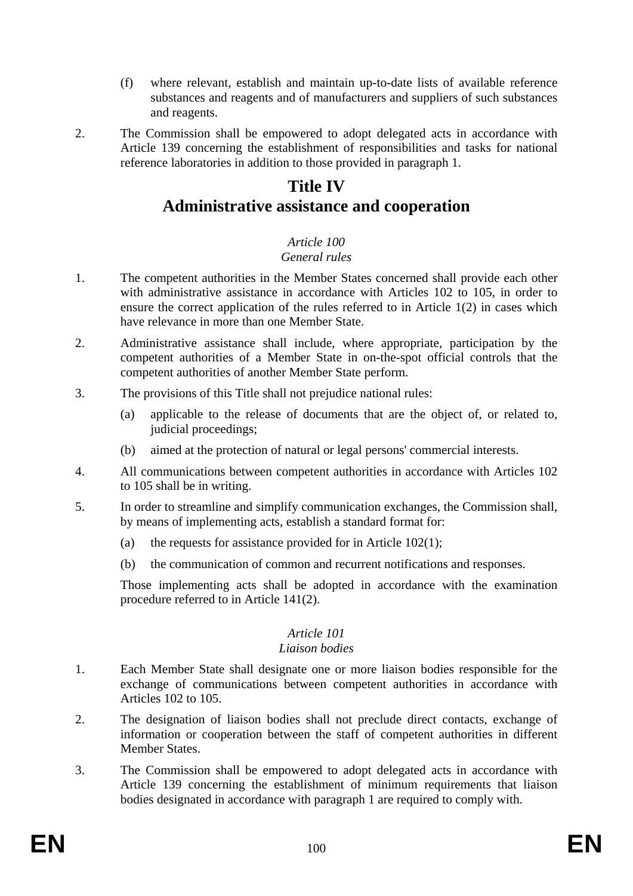- (f) where relevant, establish and maintain up-to-date lists of available reference substances and reagents and of manufacturers and suppliers of such substances and reagents.
- 

2. The Commission shall be empowered to adopt delegated acts in accordance with Article 139 concerning the establishment of responsibilities and tasks for national reference laboratories in addition to those provided in paragraph 1.

# **Title IV Administrative assistance and cooperation**

#### *Article 100 General rules*

- 1. The competent authorities in the Member States concerned shall provide each other with administrative assistance in accordance with Articles 102 to 105, in order to ensure the correct application of the rules referred to in Article 1(2) in cases which have relevance in more than one Member State.
- 2. Administrative assistance shall include, where appropriate, participation by the competent authorities of a Member State in on-the-spot official controls that the competent authorities of another Member State perform.
- 3. The provisions of this Title shall not prejudice national rules:
	- (a) applicable to the release of documents that are the object of, or related to, judicial proceedings;
	- (b) aimed at the protection of natural or legal persons' commercial interests.
- 4. All communications between competent authorities in accordance with Articles 102 to 105 shall be in writing.
- 5. In order to streamline and simplify communication exchanges, the Commission shall, by means of implementing acts, establish a standard format for:
	- (a) the requests for assistance provided for in Article  $102(1)$ ;
	- (b) the communication of common and recurrent notifications and responses.

Those implementing acts shall be adopted in accordance with the examination procedure referred to in Article 141(2).

# *Article 101*

#### *Liaison bodies*

- 1. Each Member State shall designate one or more liaison bodies responsible for the exchange of communications between competent authorities in accordance with Articles 102 to 105.
- 2. The designation of liaison bodies shall not preclude direct contacts, exchange of information or cooperation between the staff of competent authorities in different Member States.
- 3. The Commission shall be empowered to adopt delegated acts in accordance with Article 139 concerning the establishment of minimum requirements that liaison bodies designated in accordance with paragraph 1 are required to comply with.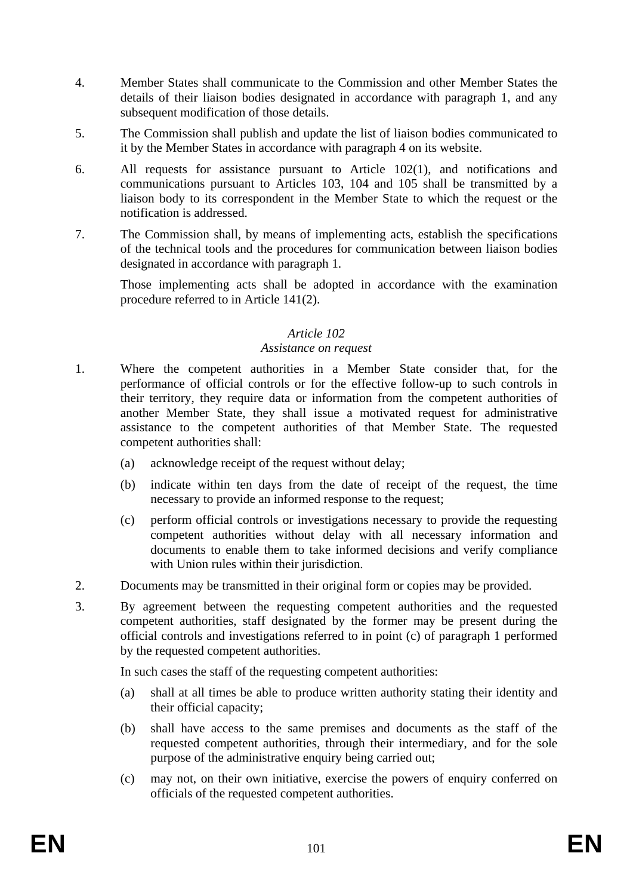- 4. Member States shall communicate to the Commission and other Member States the details of their liaison bodies designated in accordance with paragraph 1, and any subsequent modification of those details.
- 5. The Commission shall publish and update the list of liaison bodies communicated to it by the Member States in accordance with paragraph 4 on its website.
- 6. All requests for assistance pursuant to Article 102(1), and notifications and communications pursuant to Articles 103, 104 and 105 shall be transmitted by a liaison body to its correspondent in the Member State to which the request or the notification is addressed.
- 7. The Commission shall, by means of implementing acts, establish the specifications of the technical tools and the procedures for communication between liaison bodies designated in accordance with paragraph 1.

Those implementing acts shall be adopted in accordance with the examination procedure referred to in Article 141(2).

# *Article 102*

# *Assistance on request*

- 1. Where the competent authorities in a Member State consider that, for the performance of official controls or for the effective follow-up to such controls in their territory, they require data or information from the competent authorities of another Member State, they shall issue a motivated request for administrative assistance to the competent authorities of that Member State. The requested competent authorities shall:
	- (a) acknowledge receipt of the request without delay;
	- (b) indicate within ten days from the date of receipt of the request, the time necessary to provide an informed response to the request;
	- (c) perform official controls or investigations necessary to provide the requesting competent authorities without delay with all necessary information and documents to enable them to take informed decisions and verify compliance with Union rules within their jurisdiction.
- 2. Documents may be transmitted in their original form or copies may be provided.
- 3. By agreement between the requesting competent authorities and the requested competent authorities, staff designated by the former may be present during the official controls and investigations referred to in point (c) of paragraph 1 performed by the requested competent authorities.

In such cases the staff of the requesting competent authorities:

- (a) shall at all times be able to produce written authority stating their identity and their official capacity;
- (b) shall have access to the same premises and documents as the staff of the requested competent authorities, through their intermediary, and for the sole purpose of the administrative enquiry being carried out;
- (c) may not, on their own initiative, exercise the powers of enquiry conferred on officials of the requested competent authorities.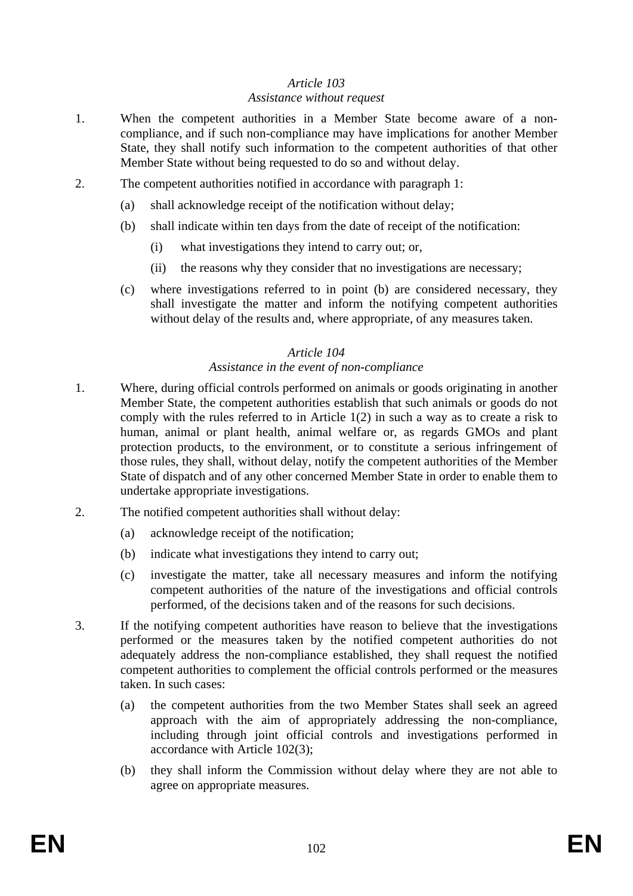#### *Assistance without request*

- 1. When the competent authorities in a Member State become aware of a noncompliance, and if such non-compliance may have implications for another Member State, they shall notify such information to the competent authorities of that other Member State without being requested to do so and without delay.
- 2. The competent authorities notified in accordance with paragraph 1:
	- (a) shall acknowledge receipt of the notification without delay;
	- (b) shall indicate within ten days from the date of receipt of the notification:
		- (i) what investigations they intend to carry out; or,
		- (ii) the reasons why they consider that no investigations are necessary;
	- (c) where investigations referred to in point (b) are considered necessary, they shall investigate the matter and inform the notifying competent authorities without delay of the results and, where appropriate, of any measures taken.

# *Article 104*

# *Assistance in the event of non-compliance*

- 1. Where, during official controls performed on animals or goods originating in another Member State, the competent authorities establish that such animals or goods do not comply with the rules referred to in Article 1(2) in such a way as to create a risk to human, animal or plant health, animal welfare or, as regards GMOs and plant protection products, to the environment, or to constitute a serious infringement of those rules, they shall, without delay, notify the competent authorities of the Member State of dispatch and of any other concerned Member State in order to enable them to undertake appropriate investigations.
- 2. The notified competent authorities shall without delay:
	- (a) acknowledge receipt of the notification;
	- (b) indicate what investigations they intend to carry out;
	- (c) investigate the matter, take all necessary measures and inform the notifying competent authorities of the nature of the investigations and official controls performed, of the decisions taken and of the reasons for such decisions.
- 3. If the notifying competent authorities have reason to believe that the investigations performed or the measures taken by the notified competent authorities do not adequately address the non-compliance established, they shall request the notified competent authorities to complement the official controls performed or the measures taken. In such cases:
	- (a) the competent authorities from the two Member States shall seek an agreed approach with the aim of appropriately addressing the non-compliance, including through joint official controls and investigations performed in accordance with Article 102(3);
	- (b) they shall inform the Commission without delay where they are not able to agree on appropriate measures.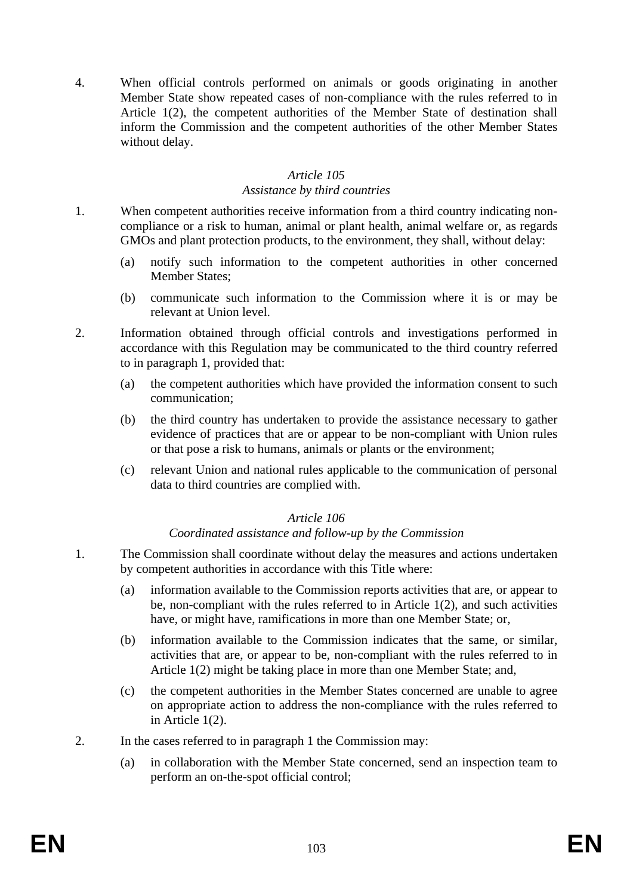4. When official controls performed on animals or goods originating in another Member State show repeated cases of non-compliance with the rules referred to in Article 1(2), the competent authorities of the Member State of destination shall inform the Commission and the competent authorities of the other Member States without delay.

# *Article 105*

#### *Assistance by third countries*

- 1. When competent authorities receive information from a third country indicating noncompliance or a risk to human, animal or plant health, animal welfare or, as regards GMOs and plant protection products, to the environment, they shall, without delay:
	- (a) notify such information to the competent authorities in other concerned Member States;
	- (b) communicate such information to the Commission where it is or may be relevant at Union level.
- 2. Information obtained through official controls and investigations performed in accordance with this Regulation may be communicated to the third country referred to in paragraph 1, provided that:
	- (a) the competent authorities which have provided the information consent to such communication;
	- (b) the third country has undertaken to provide the assistance necessary to gather evidence of practices that are or appear to be non-compliant with Union rules or that pose a risk to humans, animals or plants or the environment;
	- (c) relevant Union and national rules applicable to the communication of personal data to third countries are complied with.

# *Article 106*

#### *Coordinated assistance and follow-up by the Commission*

- 1. The Commission shall coordinate without delay the measures and actions undertaken by competent authorities in accordance with this Title where:
	- (a) information available to the Commission reports activities that are, or appear to be, non-compliant with the rules referred to in Article 1(2), and such activities have, or might have, ramifications in more than one Member State; or,
	- (b) information available to the Commission indicates that the same, or similar, activities that are, or appear to be, non-compliant with the rules referred to in Article 1(2) might be taking place in more than one Member State; and,
	- (c) the competent authorities in the Member States concerned are unable to agree on appropriate action to address the non-compliance with the rules referred to in Article 1(2).
- 2. In the cases referred to in paragraph 1 the Commission may:
	- (a) in collaboration with the Member State concerned, send an inspection team to perform an on-the-spot official control;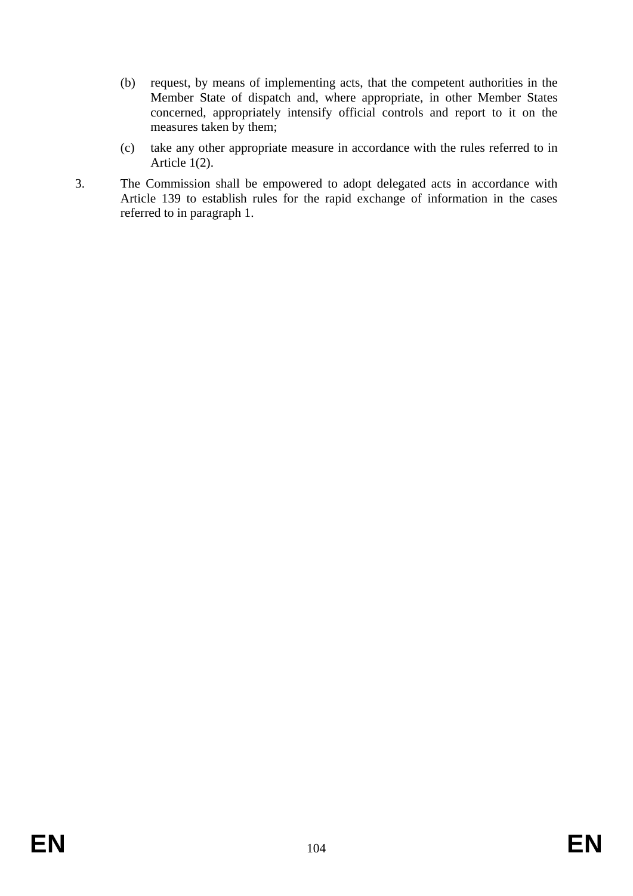- (b) request, by means of implementing acts, that the competent authorities in the Member State of dispatch and, where appropriate, in other Member States concerned, appropriately intensify official controls and report to it on the measures taken by them;
- (c) take any other appropriate measure in accordance with the rules referred to in Article 1(2).
- 3. The Commission shall be empowered to adopt delegated acts in accordance with Article 139 to establish rules for the rapid exchange of information in the cases referred to in paragraph 1.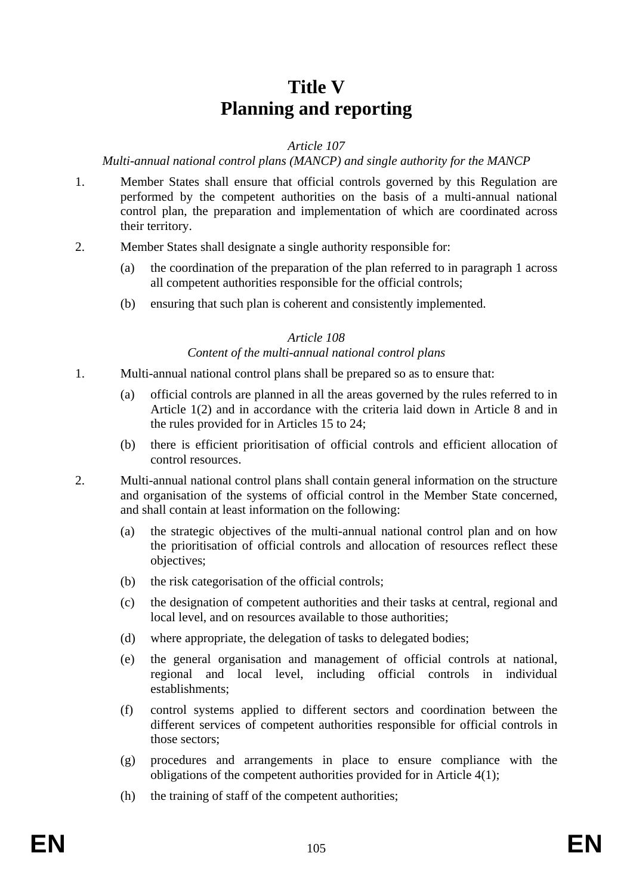# **Title V Planning and reporting**

# *Article 107*

# *Multi-annual national control plans (MANCP) and single authority for the MANCP*

- 1. Member States shall ensure that official controls governed by this Regulation are performed by the competent authorities on the basis of a multi-annual national control plan, the preparation and implementation of which are coordinated across their territory.
- 2. Member States shall designate a single authority responsible for:
	- (a) the coordination of the preparation of the plan referred to in paragraph 1 across all competent authorities responsible for the official controls;
	- (b) ensuring that such plan is coherent and consistently implemented.

# *Article 108*

# *Content of the multi-annual national control plans*

- 1. Multi-annual national control plans shall be prepared so as to ensure that:
	- (a) official controls are planned in all the areas governed by the rules referred to in Article 1(2) and in accordance with the criteria laid down in Article 8 and in the rules provided for in Articles 15 to 24;
	- (b) there is efficient prioritisation of official controls and efficient allocation of control resources.
- 2. Multi-annual national control plans shall contain general information on the structure and organisation of the systems of official control in the Member State concerned, and shall contain at least information on the following:
	- (a) the strategic objectives of the multi-annual national control plan and on how the prioritisation of official controls and allocation of resources reflect these objectives;
	- (b) the risk categorisation of the official controls;
	- (c) the designation of competent authorities and their tasks at central, regional and local level, and on resources available to those authorities;
	- (d) where appropriate, the delegation of tasks to delegated bodies;
	- (e) the general organisation and management of official controls at national, regional and local level, including official controls in individual establishments;
	- (f) control systems applied to different sectors and coordination between the different services of competent authorities responsible for official controls in those sectors;
	- (g) procedures and arrangements in place to ensure compliance with the obligations of the competent authorities provided for in Article 4(1);
	- (h) the training of staff of the competent authorities;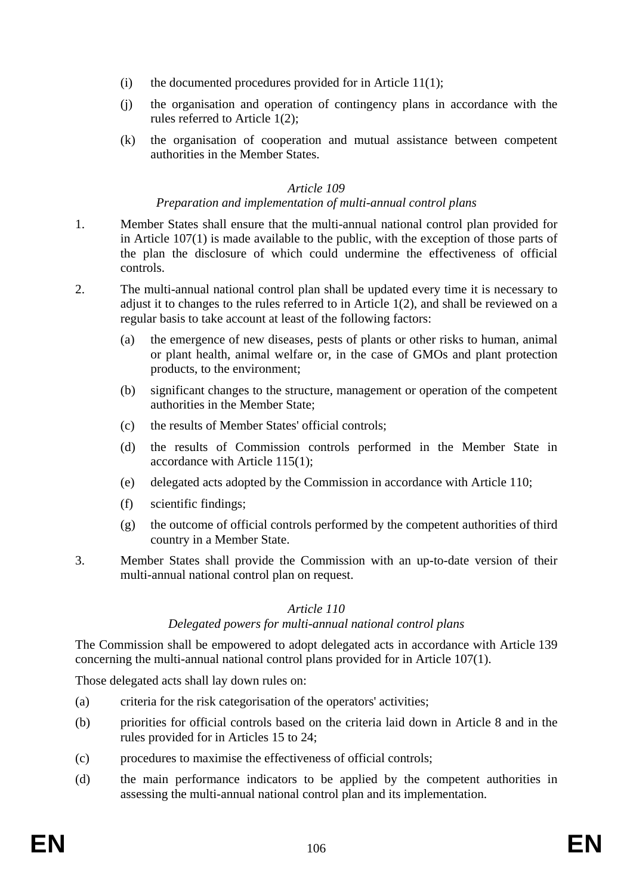- (i) the documented procedures provided for in Article 11(1);
- (j) the organisation and operation of contingency plans in accordance with the rules referred to Article 1(2);
- (k) the organisation of cooperation and mutual assistance between competent authorities in the Member States.

# *Preparation and implementation of multi-annual control plans*

- 1. Member States shall ensure that the multi-annual national control plan provided for in Article 107(1) is made available to the public, with the exception of those parts of the plan the disclosure of which could undermine the effectiveness of official controls.
- 2. The multi-annual national control plan shall be updated every time it is necessary to adjust it to changes to the rules referred to in Article 1(2), and shall be reviewed on a regular basis to take account at least of the following factors:
	- (a) the emergence of new diseases, pests of plants or other risks to human, animal or plant health, animal welfare or, in the case of GMOs and plant protection products, to the environment;
	- (b) significant changes to the structure, management or operation of the competent authorities in the Member State;
	- (c) the results of Member States' official controls;
	- (d) the results of Commission controls performed in the Member State in accordance with Article 115(1);
	- (e) delegated acts adopted by the Commission in accordance with Article 110;
	- (f) scientific findings;
	- (g) the outcome of official controls performed by the competent authorities of third country in a Member State.
- 3. Member States shall provide the Commission with an up-to-date version of their multi-annual national control plan on request.

# *Article 110*

# *Delegated powers for multi-annual national control plans*

The Commission shall be empowered to adopt delegated acts in accordance with Article 139 concerning the multi-annual national control plans provided for in Article 107(1).

Those delegated acts shall lay down rules on:

- (a) criteria for the risk categorisation of the operators' activities;
- (b) priorities for official controls based on the criteria laid down in Article 8 and in the rules provided for in Articles 15 to 24;
- (c) procedures to maximise the effectiveness of official controls;
- (d) the main performance indicators to be applied by the competent authorities in assessing the multi-annual national control plan and its implementation.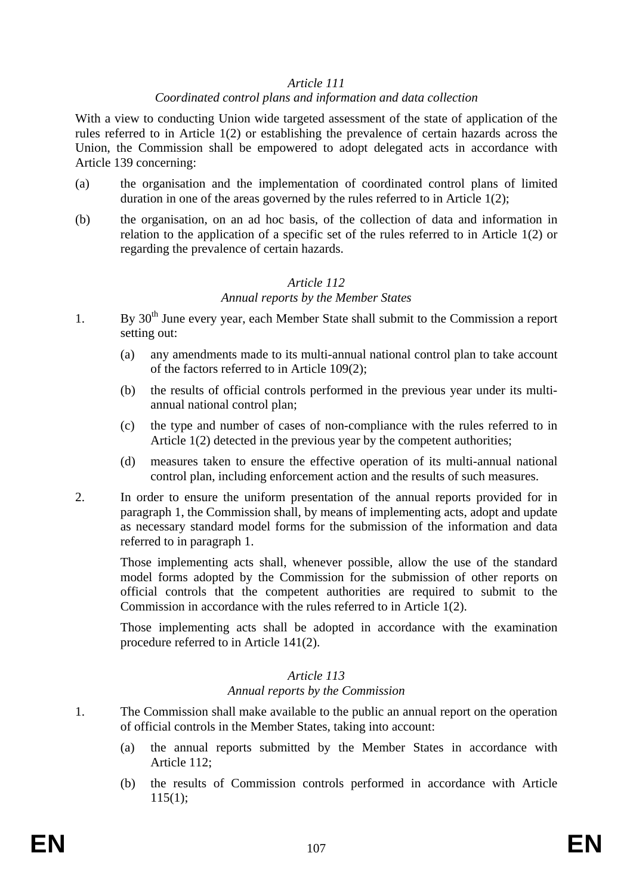#### *Coordinated control plans and information and data collection*

With a view to conducting Union wide targeted assessment of the state of application of the rules referred to in Article 1(2) or establishing the prevalence of certain hazards across the Union, the Commission shall be empowered to adopt delegated acts in accordance with Article 139 concerning:

- (a) the organisation and the implementation of coordinated control plans of limited duration in one of the areas governed by the rules referred to in Article 1(2);
- (b) the organisation, on an ad hoc basis, of the collection of data and information in relation to the application of a specific set of the rules referred to in Article 1(2) or regarding the prevalence of certain hazards.

# *Article 112*

#### *Annual reports by the Member States*

- 1. By 30<sup>th</sup> June every year, each Member State shall submit to the Commission a report setting out:
	- (a) any amendments made to its multi-annual national control plan to take account of the factors referred to in Article 109(2);
	- (b) the results of official controls performed in the previous year under its multiannual national control plan;
	- (c) the type and number of cases of non-compliance with the rules referred to in Article 1(2) detected in the previous year by the competent authorities;
	- (d) measures taken to ensure the effective operation of its multi-annual national control plan, including enforcement action and the results of such measures.
- 2. In order to ensure the uniform presentation of the annual reports provided for in paragraph 1, the Commission shall, by means of implementing acts, adopt and update as necessary standard model forms for the submission of the information and data referred to in paragraph 1.

Those implementing acts shall, whenever possible, allow the use of the standard model forms adopted by the Commission for the submission of other reports on official controls that the competent authorities are required to submit to the Commission in accordance with the rules referred to in Article 1(2).

Those implementing acts shall be adopted in accordance with the examination procedure referred to in Article 141(2).

# *Article 113*

*Annual reports by the Commission* 

- 1. The Commission shall make available to the public an annual report on the operation of official controls in the Member States, taking into account:
	- (a) the annual reports submitted by the Member States in accordance with Article 112;
	- (b) the results of Commission controls performed in accordance with Article  $115(1)$ :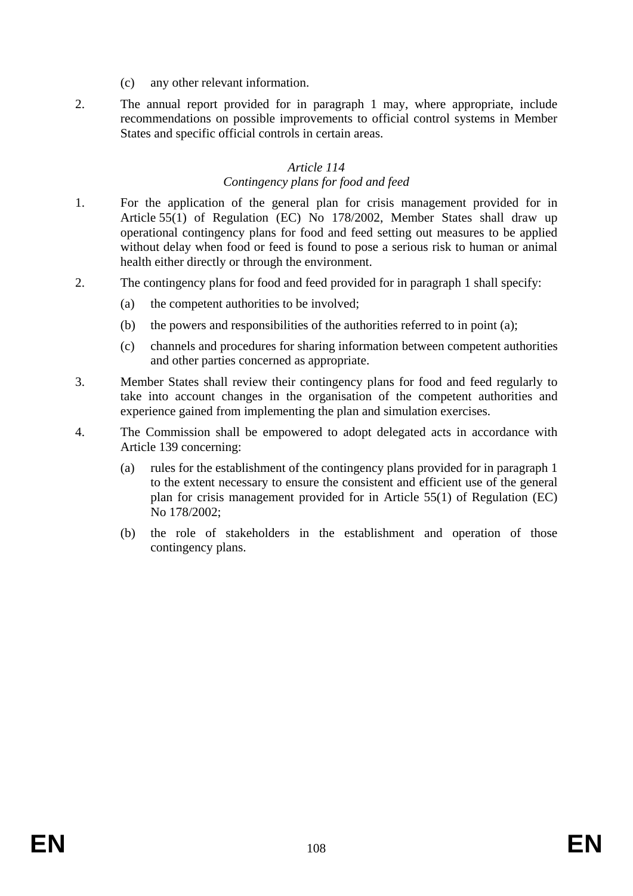- (c) any other relevant information.
- 2. The annual report provided for in paragraph 1 may, where appropriate, include recommendations on possible improvements to official control systems in Member States and specific official controls in certain areas.

# *Article 114 Contingency plans for food and feed*

- 1. For the application of the general plan for crisis management provided for in Article 55(1) of Regulation (EC) No 178/2002, Member States shall draw up operational contingency plans for food and feed setting out measures to be applied without delay when food or feed is found to pose a serious risk to human or animal health either directly or through the environment.
- 2. The contingency plans for food and feed provided for in paragraph 1 shall specify:
	- (a) the competent authorities to be involved;
	- (b) the powers and responsibilities of the authorities referred to in point (a);
	- (c) channels and procedures for sharing information between competent authorities and other parties concerned as appropriate.
- 3. Member States shall review their contingency plans for food and feed regularly to take into account changes in the organisation of the competent authorities and experience gained from implementing the plan and simulation exercises.
- 4. The Commission shall be empowered to adopt delegated acts in accordance with Article 139 concerning:
	- (a) rules for the establishment of the contingency plans provided for in paragraph 1 to the extent necessary to ensure the consistent and efficient use of the general plan for crisis management provided for in Article 55(1) of Regulation (EC) No 178/2002;
	- (b) the role of stakeholders in the establishment and operation of those contingency plans.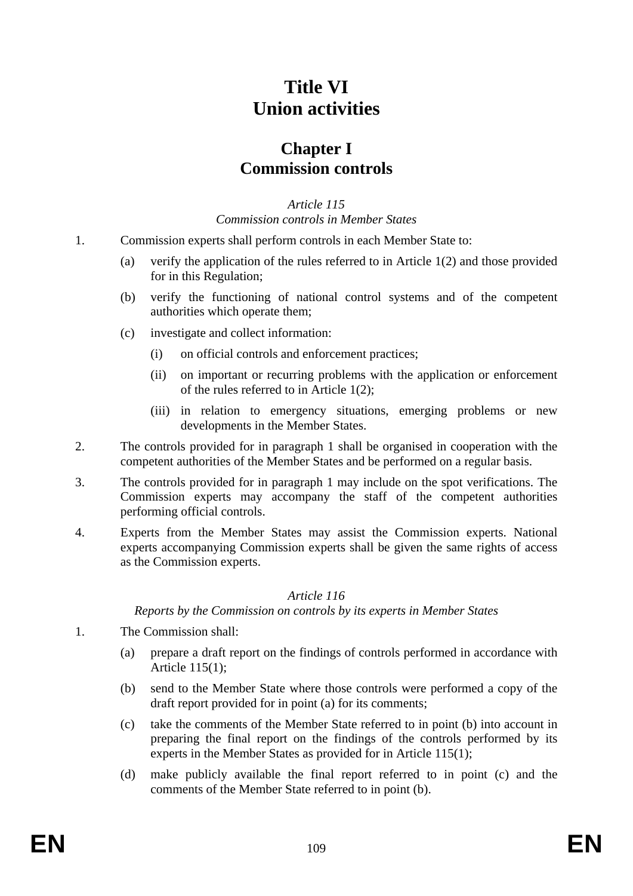# **Title VI Union activities**

## **Chapter I Commission controls**

*Article 115 Commission controls in Member States* 

- 1. Commission experts shall perform controls in each Member State to:
	- (a) verify the application of the rules referred to in Article 1(2) and those provided for in this Regulation;
	- (b) verify the functioning of national control systems and of the competent authorities which operate them;
	- (c) investigate and collect information:
		- (i) on official controls and enforcement practices;
		- (ii) on important or recurring problems with the application or enforcement of the rules referred to in Article 1(2);
		- (iii) in relation to emergency situations, emerging problems or new developments in the Member States.
- 2. The controls provided for in paragraph 1 shall be organised in cooperation with the competent authorities of the Member States and be performed on a regular basis.
- 3. The controls provided for in paragraph 1 may include on the spot verifications. The Commission experts may accompany the staff of the competent authorities performing official controls.
- 4. Experts from the Member States may assist the Commission experts. National experts accompanying Commission experts shall be given the same rights of access as the Commission experts.

#### *Article 116*

*Reports by the Commission on controls by its experts in Member States* 

- 1. The Commission shall:
	- (a) prepare a draft report on the findings of controls performed in accordance with Article 115(1);
	- (b) send to the Member State where those controls were performed a copy of the draft report provided for in point (a) for its comments;
	- (c) take the comments of the Member State referred to in point (b) into account in preparing the final report on the findings of the controls performed by its experts in the Member States as provided for in Article 115(1);
	- (d) make publicly available the final report referred to in point (c) and the comments of the Member State referred to in point (b).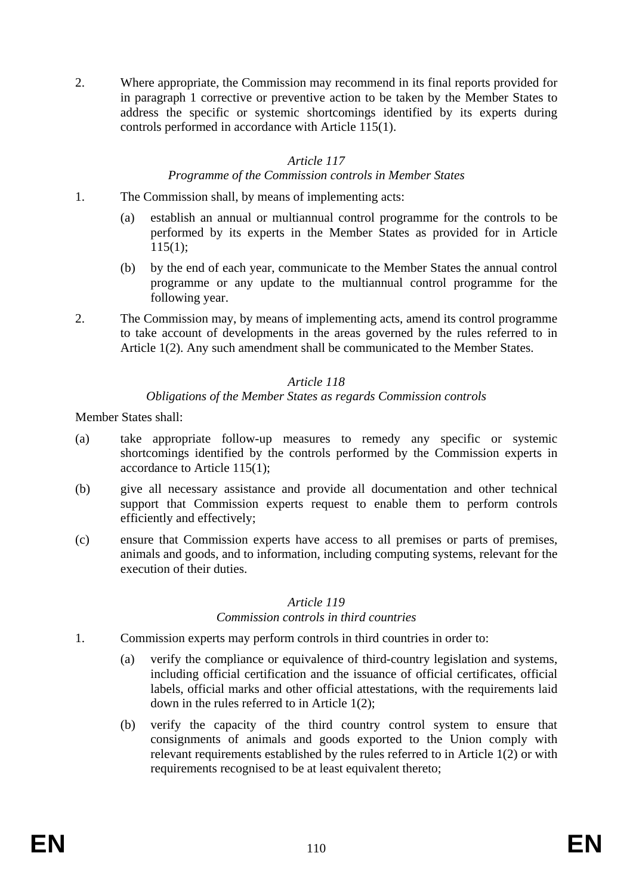2. Where appropriate, the Commission may recommend in its final reports provided for in paragraph 1 corrective or preventive action to be taken by the Member States to address the specific or systemic shortcomings identified by its experts during controls performed in accordance with Article 115(1).

## *Article 117*

#### *Programme of the Commission controls in Member States*

- 1. The Commission shall, by means of implementing acts:
	- (a) establish an annual or multiannual control programme for the controls to be performed by its experts in the Member States as provided for in Article  $115(1)$ ;
	- (b) by the end of each year, communicate to the Member States the annual control programme or any update to the multiannual control programme for the following year.
- 2. The Commission may, by means of implementing acts, amend its control programme to take account of developments in the areas governed by the rules referred to in Article 1(2). Any such amendment shall be communicated to the Member States.

#### *Article 118*

## *Obligations of the Member States as regards Commission controls*

Member States shall:

- (a) take appropriate follow-up measures to remedy any specific or systemic shortcomings identified by the controls performed by the Commission experts in accordance to Article 115(1);
- (b) give all necessary assistance and provide all documentation and other technical support that Commission experts request to enable them to perform controls efficiently and effectively;
- (c) ensure that Commission experts have access to all premises or parts of premises, animals and goods, and to information, including computing systems, relevant for the execution of their duties.

#### *Article 119*

#### *Commission controls in third countries*

- 1. Commission experts may perform controls in third countries in order to:
	- (a) verify the compliance or equivalence of third-country legislation and systems, including official certification and the issuance of official certificates, official labels, official marks and other official attestations, with the requirements laid down in the rules referred to in Article 1(2);
	- (b) verify the capacity of the third country control system to ensure that consignments of animals and goods exported to the Union comply with relevant requirements established by the rules referred to in Article 1(2) or with requirements recognised to be at least equivalent thereto;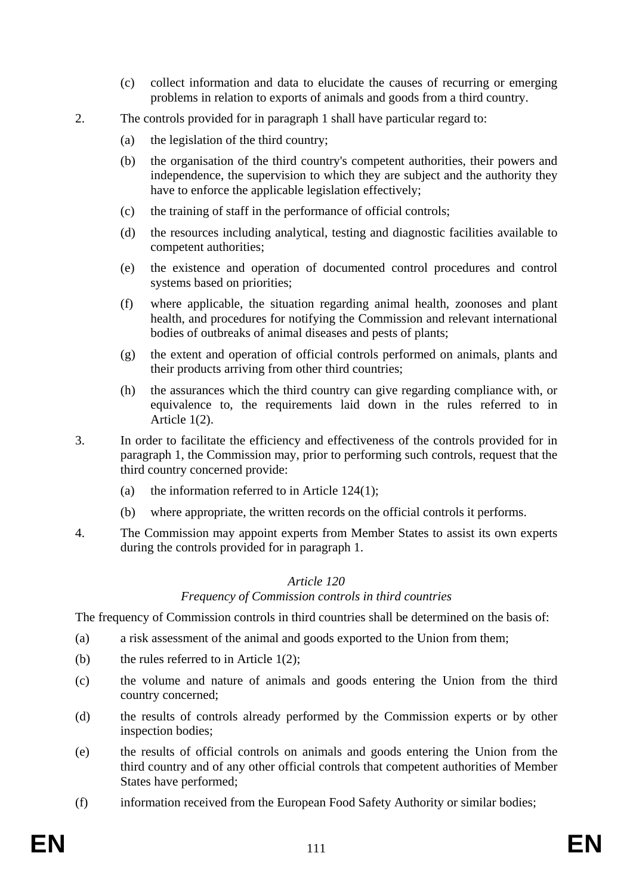- (c) collect information and data to elucidate the causes of recurring or emerging problems in relation to exports of animals and goods from a third country.
- 2. The controls provided for in paragraph 1 shall have particular regard to:
	- (a) the legislation of the third country;
	- (b) the organisation of the third country's competent authorities, their powers and independence, the supervision to which they are subject and the authority they have to enforce the applicable legislation effectively;
	- (c) the training of staff in the performance of official controls;
	- (d) the resources including analytical, testing and diagnostic facilities available to competent authorities;
	- (e) the existence and operation of documented control procedures and control systems based on priorities;
	- (f) where applicable, the situation regarding animal health, zoonoses and plant health, and procedures for notifying the Commission and relevant international bodies of outbreaks of animal diseases and pests of plants;
	- (g) the extent and operation of official controls performed on animals, plants and their products arriving from other third countries;
	- (h) the assurances which the third country can give regarding compliance with, or equivalence to, the requirements laid down in the rules referred to in Article 1(2).
- 3. In order to facilitate the efficiency and effectiveness of the controls provided for in paragraph 1, the Commission may, prior to performing such controls, request that the third country concerned provide:
	- (a) the information referred to in Article  $124(1)$ ;
	- (b) where appropriate, the written records on the official controls it performs.
- 4. The Commission may appoint experts from Member States to assist its own experts during the controls provided for in paragraph 1.

#### *Frequency of Commission controls in third countries*

The frequency of Commission controls in third countries shall be determined on the basis of:

- (a) a risk assessment of the animal and goods exported to the Union from them;
- (b) the rules referred to in Article 1(2);
- (c) the volume and nature of animals and goods entering the Union from the third country concerned;
- (d) the results of controls already performed by the Commission experts or by other inspection bodies;
- (e) the results of official controls on animals and goods entering the Union from the third country and of any other official controls that competent authorities of Member States have performed;
- (f) information received from the European Food Safety Authority or similar bodies;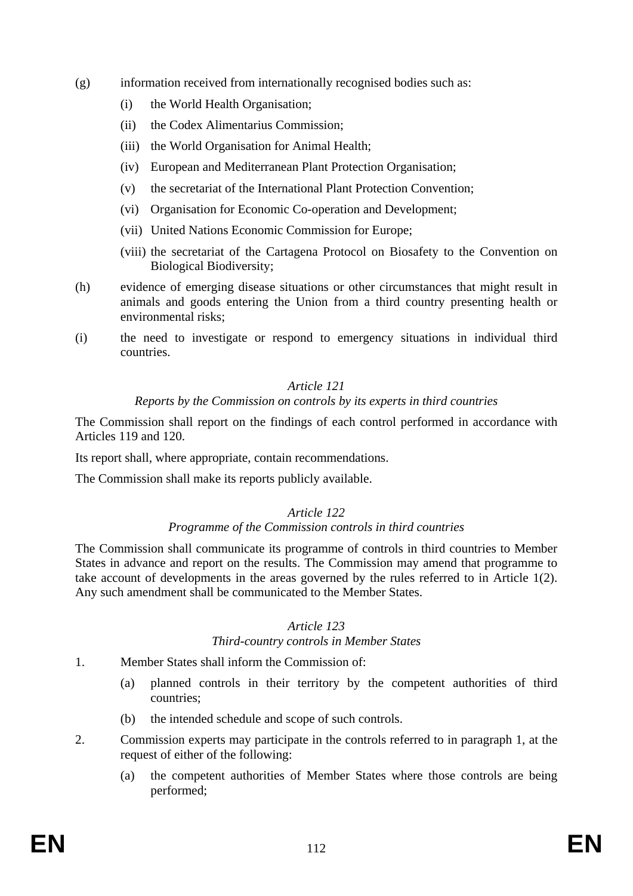- (g) information received from internationally recognised bodies such as:
	- (i) the World Health Organisation;
	- (ii) the Codex Alimentarius Commission;
	- (iii) the World Organisation for Animal Health;
	- (iv) European and Mediterranean Plant Protection Organisation;
	- (v) the secretariat of the International Plant Protection Convention;
	- (vi) Organisation for Economic Co-operation and Development;
	- (vii) United Nations Economic Commission for Europe;
	- (viii) the secretariat of the Cartagena Protocol on Biosafety to the Convention on Biological Biodiversity;
- (h) evidence of emerging disease situations or other circumstances that might result in animals and goods entering the Union from a third country presenting health or environmental risks;
- (i) the need to investigate or respond to emergency situations in individual third countries.

#### *Reports by the Commission on controls by its experts in third countries*

The Commission shall report on the findings of each control performed in accordance with Articles 119 and 120.

Its report shall, where appropriate, contain recommendations.

The Commission shall make its reports publicly available.

## *Article 122*

## *Programme of the Commission controls in third countries*

The Commission shall communicate its programme of controls in third countries to Member States in advance and report on the results. The Commission may amend that programme to take account of developments in the areas governed by the rules referred to in Article 1(2). Any such amendment shall be communicated to the Member States.

#### *Article 123*

#### *Third-country controls in Member States*

- 1. Member States shall inform the Commission of:
	- (a) planned controls in their territory by the competent authorities of third countries;
	- (b) the intended schedule and scope of such controls.
- 2. Commission experts may participate in the controls referred to in paragraph 1, at the request of either of the following:
	- (a) the competent authorities of Member States where those controls are being performed;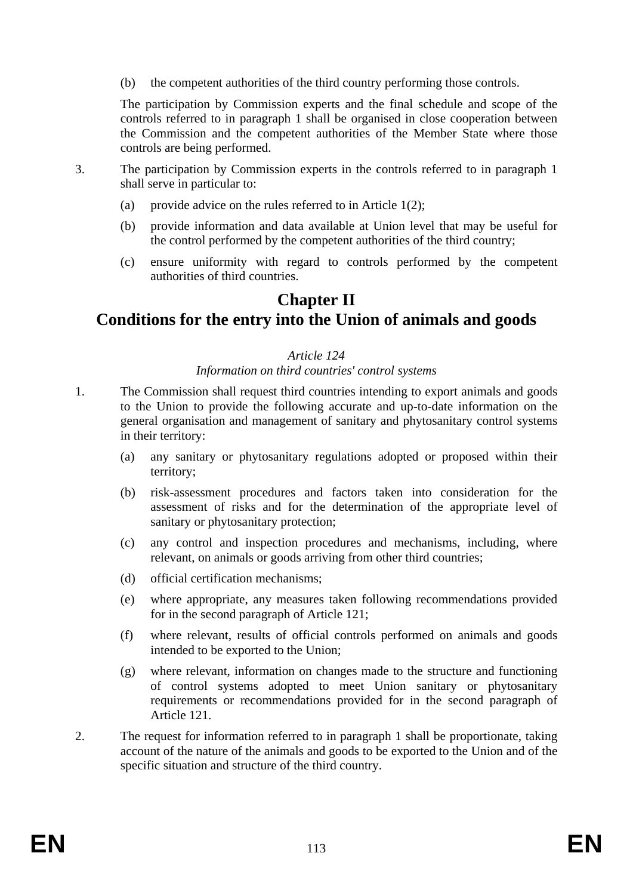(b) the competent authorities of the third country performing those controls.

The participation by Commission experts and the final schedule and scope of the controls referred to in paragraph 1 shall be organised in close cooperation between the Commission and the competent authorities of the Member State where those controls are being performed.

- 3. The participation by Commission experts in the controls referred to in paragraph 1 shall serve in particular to:
	- (a) provide advice on the rules referred to in Article  $1(2)$ ;
	- (b) provide information and data available at Union level that may be useful for the control performed by the competent authorities of the third country;
	- (c) ensure uniformity with regard to controls performed by the competent authorities of third countries.

## **Chapter II**

## **Conditions for the entry into the Union of animals and goods**

## *Article 124*

*Information on third countries' control systems* 

- 1. The Commission shall request third countries intending to export animals and goods to the Union to provide the following accurate and up-to-date information on the general organisation and management of sanitary and phytosanitary control systems in their territory:
	- (a) any sanitary or phytosanitary regulations adopted or proposed within their territory;
	- (b) risk-assessment procedures and factors taken into consideration for the assessment of risks and for the determination of the appropriate level of sanitary or phytosanitary protection;
	- (c) any control and inspection procedures and mechanisms, including, where relevant, on animals or goods arriving from other third countries;
	- (d) official certification mechanisms;
	- (e) where appropriate, any measures taken following recommendations provided for in the second paragraph of Article 121;
	- (f) where relevant, results of official controls performed on animals and goods intended to be exported to the Union;
	- (g) where relevant, information on changes made to the structure and functioning of control systems adopted to meet Union sanitary or phytosanitary requirements or recommendations provided for in the second paragraph of Article 121.
- 2. The request for information referred to in paragraph 1 shall be proportionate, taking account of the nature of the animals and goods to be exported to the Union and of the specific situation and structure of the third country.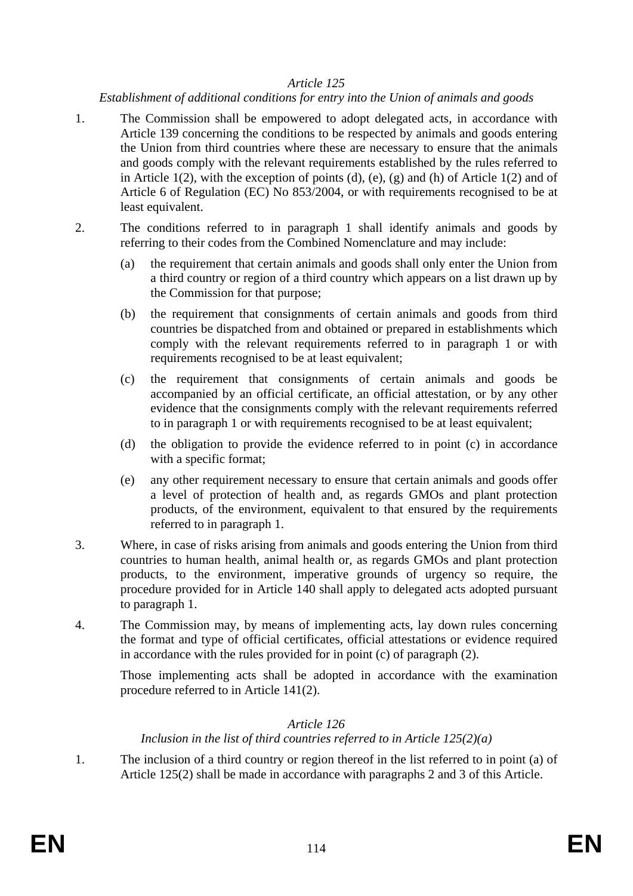#### *Establishment of additional conditions for entry into the Union of animals and goods*

- 1. The Commission shall be empowered to adopt delegated acts, in accordance with Article 139 concerning the conditions to be respected by animals and goods entering the Union from third countries where these are necessary to ensure that the animals and goods comply with the relevant requirements established by the rules referred to in Article  $1(2)$ , with the exception of points  $(d)$ ,  $(e)$ ,  $(g)$  and  $(h)$  of Article  $1(2)$  and of Article 6 of Regulation (EC) No 853/2004, or with requirements recognised to be at least equivalent.
- 2. The conditions referred to in paragraph 1 shall identify animals and goods by referring to their codes from the Combined Nomenclature and may include:
	- (a) the requirement that certain animals and goods shall only enter the Union from a third country or region of a third country which appears on a list drawn up by the Commission for that purpose;
	- (b) the requirement that consignments of certain animals and goods from third countries be dispatched from and obtained or prepared in establishments which comply with the relevant requirements referred to in paragraph 1 or with requirements recognised to be at least equivalent;
	- (c) the requirement that consignments of certain animals and goods be accompanied by an official certificate, an official attestation, or by any other evidence that the consignments comply with the relevant requirements referred to in paragraph 1 or with requirements recognised to be at least equivalent;
	- (d) the obligation to provide the evidence referred to in point (c) in accordance with a specific format;
	- (e) any other requirement necessary to ensure that certain animals and goods offer a level of protection of health and, as regards GMOs and plant protection products, of the environment, equivalent to that ensured by the requirements referred to in paragraph 1.
- 3. Where, in case of risks arising from animals and goods entering the Union from third countries to human health, animal health or, as regards GMOs and plant protection products, to the environment, imperative grounds of urgency so require, the procedure provided for in Article 140 shall apply to delegated acts adopted pursuant to paragraph 1.
- 4. The Commission may, by means of implementing acts, lay down rules concerning the format and type of official certificates, official attestations or evidence required in accordance with the rules provided for in point (c) of paragraph (2).

Those implementing acts shall be adopted in accordance with the examination procedure referred to in Article 141(2).

## *Article 126*

## *Inclusion in the list of third countries referred to in Article 125(2)(a)*

1. The inclusion of a third country or region thereof in the list referred to in point (a) of Article 125(2) shall be made in accordance with paragraphs 2 and 3 of this Article.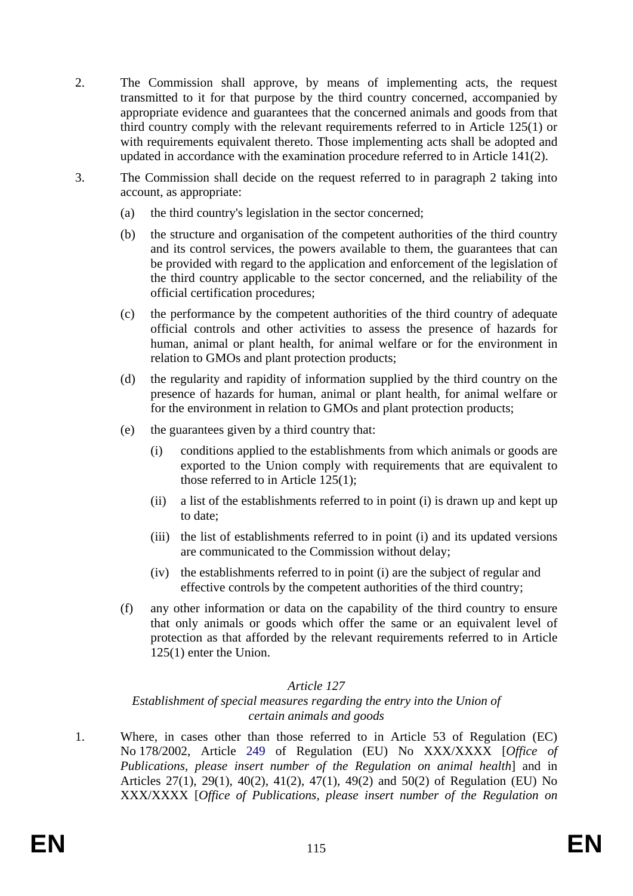- 2. The Commission shall approve, by means of implementing acts, the request transmitted to it for that purpose by the third country concerned, accompanied by appropriate evidence and guarantees that the concerned animals and goods from that third country comply with the relevant requirements referred to in Article 125(1) or with requirements equivalent thereto. Those implementing acts shall be adopted and updated in accordance with the examination procedure referred to in Article 141(2).
- 3. The Commission shall decide on the request referred to in paragraph 2 taking into account, as appropriate:
	- (a) the third country's legislation in the sector concerned;
	- (b) the structure and organisation of the competent authorities of the third country and its control services, the powers available to them, the guarantees that can be provided with regard to the application and enforcement of the legislation of the third country applicable to the sector concerned, and the reliability of the official certification procedures;
	- (c) the performance by the competent authorities of the third country of adequate official controls and other activities to assess the presence of hazards for human, animal or plant health, for animal welfare or for the environment in relation to GMOs and plant protection products;
	- (d) the regularity and rapidity of information supplied by the third country on the presence of hazards for human, animal or plant health, for animal welfare or for the environment in relation to GMOs and plant protection products;
	- (e) the guarantees given by a third country that:
		- (i) conditions applied to the establishments from which animals or goods are exported to the Union comply with requirements that are equivalent to those referred to in Article 125(1);
		- (ii) a list of the establishments referred to in point (i) is drawn up and kept up to date;
		- (iii) the list of establishments referred to in point (i) and its updated versions are communicated to the Commission without delay;
		- (iv) the establishments referred to in point (i) are the subject of regular and effective controls by the competent authorities of the third country;
	- (f) any other information or data on the capability of the third country to ensure that only animals or goods which offer the same or an equivalent level of protection as that afforded by the relevant requirements referred to in Article 125(1) enter the Union.

#### *Establishment of special measures regarding the entry into the Union of certain animals and goods*

1. Where, in cases other than those referred to in Article 53 of Regulation (EC) No 178/2002, Article 249 of Regulation (EU) No XXX/XXXX [*Office of Publications, please insert number of the Regulation on animal health*] and in Articles 27(1), 29(1), 40(2), 41(2), 47(1), 49(2) and 50(2) of Regulation (EU) No XXX/XXXX [*Office of Publications, please insert number of the Regulation on*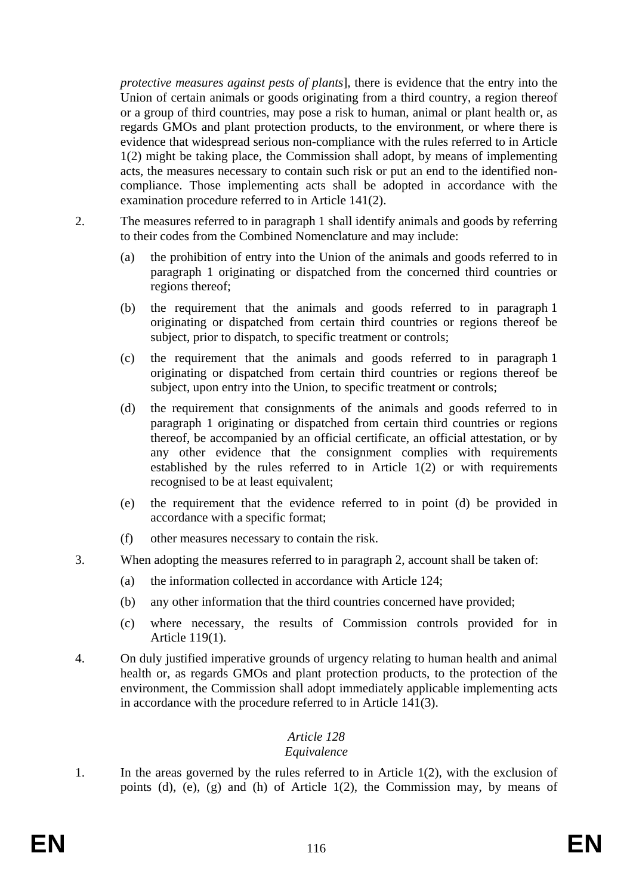*protective measures against pests of plants*], there is evidence that the entry into the Union of certain animals or goods originating from a third country, a region thereof or a group of third countries, may pose a risk to human, animal or plant health or, as regards GMOs and plant protection products, to the environment, or where there is evidence that widespread serious non-compliance with the rules referred to in Article 1(2) might be taking place, the Commission shall adopt, by means of implementing acts, the measures necessary to contain such risk or put an end to the identified noncompliance. Those implementing acts shall be adopted in accordance with the examination procedure referred to in Article 141(2).

- 2. The measures referred to in paragraph 1 shall identify animals and goods by referring to their codes from the Combined Nomenclature and may include:
	- (a) the prohibition of entry into the Union of the animals and goods referred to in paragraph 1 originating or dispatched from the concerned third countries or regions thereof;
	- (b) the requirement that the animals and goods referred to in paragraph 1 originating or dispatched from certain third countries or regions thereof be subject, prior to dispatch, to specific treatment or controls;
	- (c) the requirement that the animals and goods referred to in paragraph 1 originating or dispatched from certain third countries or regions thereof be subject, upon entry into the Union, to specific treatment or controls;
	- (d) the requirement that consignments of the animals and goods referred to in paragraph 1 originating or dispatched from certain third countries or regions thereof, be accompanied by an official certificate, an official attestation, or by any other evidence that the consignment complies with requirements established by the rules referred to in Article 1(2) or with requirements recognised to be at least equivalent;
	- (e) the requirement that the evidence referred to in point (d) be provided in accordance with a specific format;
	- (f) other measures necessary to contain the risk.
- 3. When adopting the measures referred to in paragraph 2, account shall be taken of:
	- (a) the information collected in accordance with Article 124;
	- (b) any other information that the third countries concerned have provided;
	- (c) where necessary, the results of Commission controls provided for in Article 119(1).
- 4. On duly justified imperative grounds of urgency relating to human health and animal health or, as regards GMOs and plant protection products, to the protection of the environment, the Commission shall adopt immediately applicable implementing acts in accordance with the procedure referred to in Article 141(3).

## *Article 128*

## *Equivalence*

1. In the areas governed by the rules referred to in Article 1(2), with the exclusion of points (d), (e), (g) and (h) of Article 1(2), the Commission may, by means of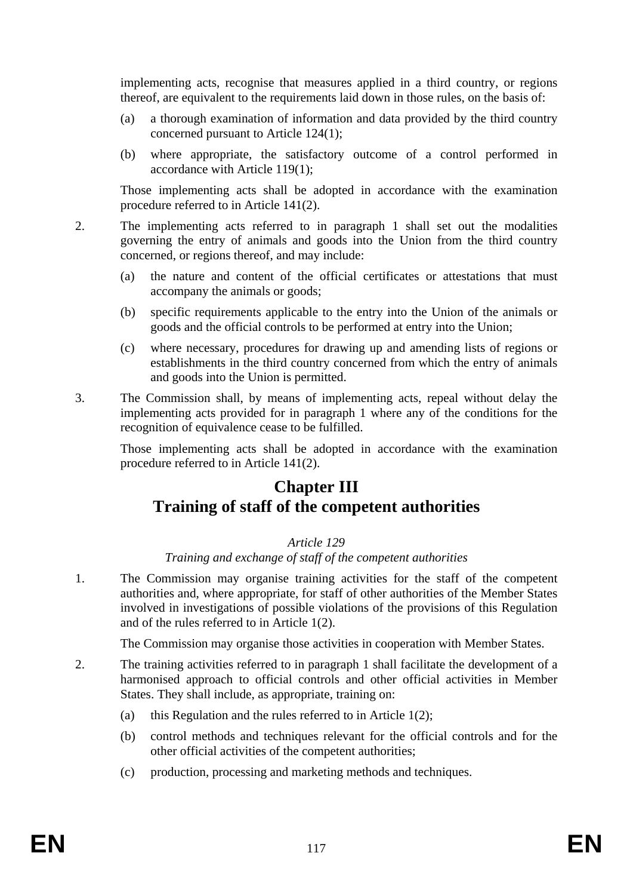implementing acts, recognise that measures applied in a third country, or regions thereof, are equivalent to the requirements laid down in those rules, on the basis of:

- (a) a thorough examination of information and data provided by the third country concerned pursuant to Article 124(1);
- (b) where appropriate, the satisfactory outcome of a control performed in accordance with Article 119(1);

Those implementing acts shall be adopted in accordance with the examination procedure referred to in Article 141(2).

- 2. The implementing acts referred to in paragraph 1 shall set out the modalities governing the entry of animals and goods into the Union from the third country concerned, or regions thereof, and may include:
	- (a) the nature and content of the official certificates or attestations that must accompany the animals or goods;
	- (b) specific requirements applicable to the entry into the Union of the animals or goods and the official controls to be performed at entry into the Union;
	- (c) where necessary, procedures for drawing up and amending lists of regions or establishments in the third country concerned from which the entry of animals and goods into the Union is permitted.
- 3. The Commission shall, by means of implementing acts, repeal without delay the implementing acts provided for in paragraph 1 where any of the conditions for the recognition of equivalence cease to be fulfilled.

Those implementing acts shall be adopted in accordance with the examination procedure referred to in Article 141(2).

## **Chapter III Training of staff of the competent authorities**

#### *Article 129*

*Training and exchange of staff of the competent authorities* 

1. The Commission may organise training activities for the staff of the competent authorities and, where appropriate, for staff of other authorities of the Member States involved in investigations of possible violations of the provisions of this Regulation and of the rules referred to in Article 1(2).

The Commission may organise those activities in cooperation with Member States.

- 2. The training activities referred to in paragraph 1 shall facilitate the development of a harmonised approach to official controls and other official activities in Member States. They shall include, as appropriate, training on:
	- (a) this Regulation and the rules referred to in Article 1(2);
	- (b) control methods and techniques relevant for the official controls and for the other official activities of the competent authorities;
	- (c) production, processing and marketing methods and techniques.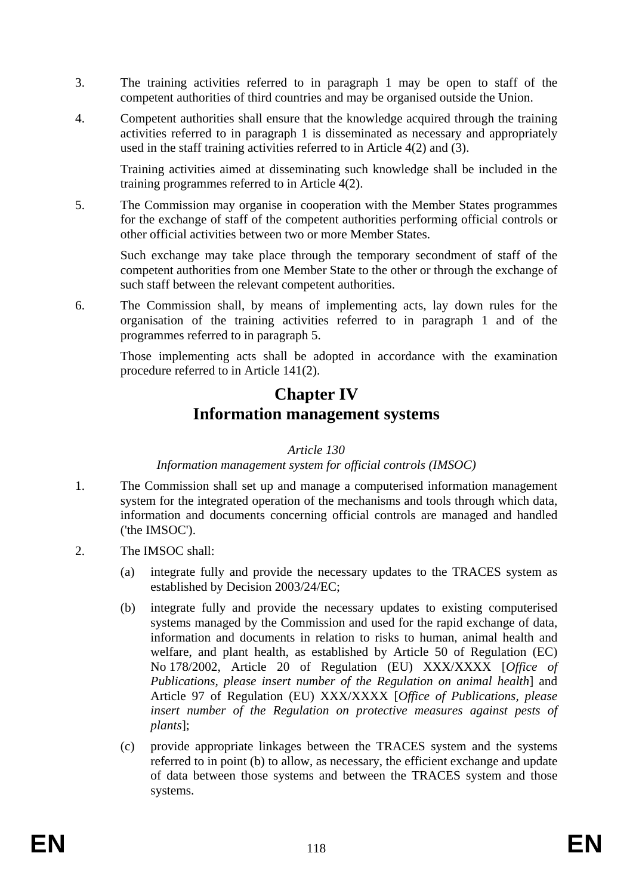- 3. The training activities referred to in paragraph 1 may be open to staff of the competent authorities of third countries and may be organised outside the Union.
- 4. Competent authorities shall ensure that the knowledge acquired through the training activities referred to in paragraph 1 is disseminated as necessary and appropriately used in the staff training activities referred to in Article 4(2) and (3).

Training activities aimed at disseminating such knowledge shall be included in the training programmes referred to in Article 4(2).

5. The Commission may organise in cooperation with the Member States programmes for the exchange of staff of the competent authorities performing official controls or other official activities between two or more Member States.

Such exchange may take place through the temporary secondment of staff of the competent authorities from one Member State to the other or through the exchange of such staff between the relevant competent authorities.

6. The Commission shall, by means of implementing acts, lay down rules for the organisation of the training activities referred to in paragraph 1 and of the programmes referred to in paragraph 5.

Those implementing acts shall be adopted in accordance with the examination procedure referred to in Article 141(2).

## **Chapter IV Information management systems**

## *Article 130*

## *Information management system for official controls (IMSOC)*

- 1. The Commission shall set up and manage a computerised information management system for the integrated operation of the mechanisms and tools through which data, information and documents concerning official controls are managed and handled ('the IMSOC').
- 2. The IMSOC shall:
	- (a) integrate fully and provide the necessary updates to the TRACES system as established by Decision 2003/24/EC;
	- (b) integrate fully and provide the necessary updates to existing computerised systems managed by the Commission and used for the rapid exchange of data, information and documents in relation to risks to human, animal health and welfare, and plant health, as established by Article 50 of Regulation (EC) No 178/2002, Article 20 of Regulation (EU) XXX/XXXX [*Office of Publications, please insert number of the Regulation on animal health*] and Article 97 of Regulation (EU) XXX/XXXX [*Office of Publications, please insert number of the Regulation on protective measures against pests of plants*];
	- (c) provide appropriate linkages between the TRACES system and the systems referred to in point (b) to allow, as necessary, the efficient exchange and update of data between those systems and between the TRACES system and those systems.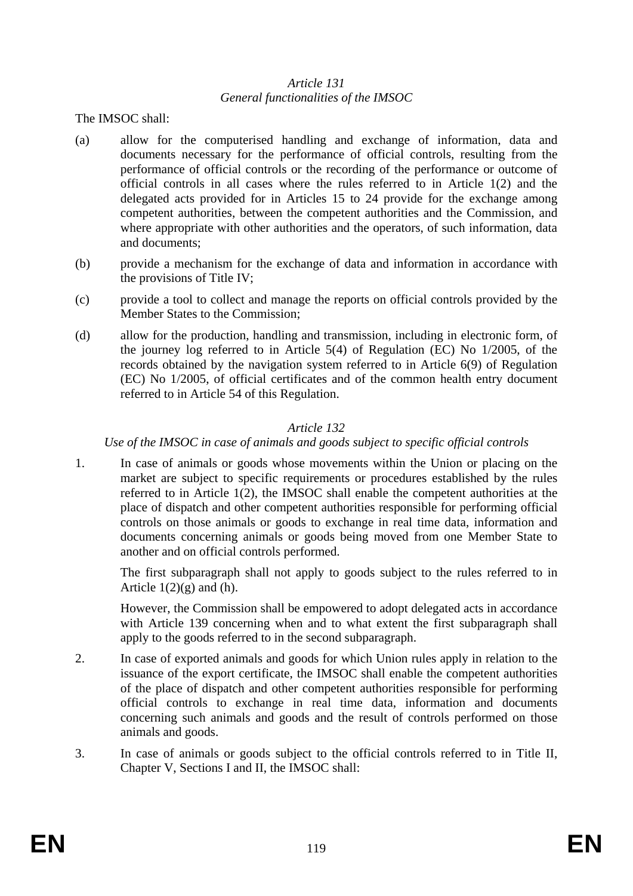#### *Article 131 General functionalities of the IMSOC*

The IMSOC shall:

- (a) allow for the computerised handling and exchange of information, data and documents necessary for the performance of official controls, resulting from the performance of official controls or the recording of the performance or outcome of official controls in all cases where the rules referred to in Article 1(2) and the delegated acts provided for in Articles 15 to 24 provide for the exchange among competent authorities, between the competent authorities and the Commission, and where appropriate with other authorities and the operators, of such information, data and documents;
- (b) provide a mechanism for the exchange of data and information in accordance with the provisions of Title IV;
- (c) provide a tool to collect and manage the reports on official controls provided by the Member States to the Commission;
- (d) allow for the production, handling and transmission, including in electronic form, of the journey log referred to in Article 5(4) of Regulation (EC) No 1/2005, of the records obtained by the navigation system referred to in Article 6(9) of Regulation (EC) No 1/2005, of official certificates and of the common health entry document referred to in Article 54 of this Regulation.

## *Article 132*

#### *Use of the IMSOC in case of animals and goods subject to specific official controls*

1. In case of animals or goods whose movements within the Union or placing on the market are subject to specific requirements or procedures established by the rules referred to in Article 1(2), the IMSOC shall enable the competent authorities at the place of dispatch and other competent authorities responsible for performing official controls on those animals or goods to exchange in real time data, information and documents concerning animals or goods being moved from one Member State to another and on official controls performed.

The first subparagraph shall not apply to goods subject to the rules referred to in Article  $1(2)(g)$  and (h).

However, the Commission shall be empowered to adopt delegated acts in accordance with Article 139 concerning when and to what extent the first subparagraph shall apply to the goods referred to in the second subparagraph.

- 2. In case of exported animals and goods for which Union rules apply in relation to the issuance of the export certificate, the IMSOC shall enable the competent authorities of the place of dispatch and other competent authorities responsible for performing official controls to exchange in real time data, information and documents concerning such animals and goods and the result of controls performed on those animals and goods.
- 3. In case of animals or goods subject to the official controls referred to in Title II, Chapter V, Sections I and II, the IMSOC shall: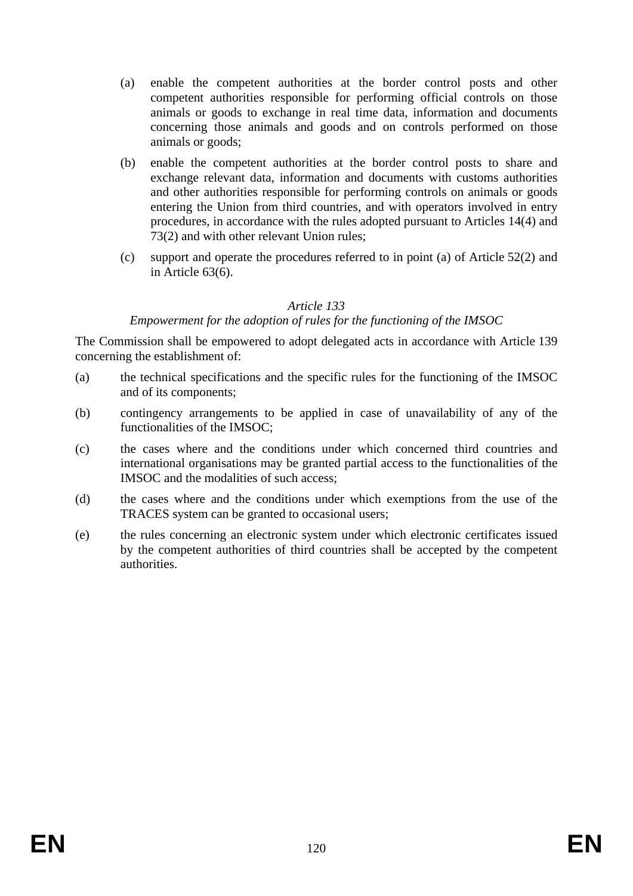- (a) enable the competent authorities at the border control posts and other competent authorities responsible for performing official controls on those animals or goods to exchange in real time data, information and documents concerning those animals and goods and on controls performed on those animals or goods;
- (b) enable the competent authorities at the border control posts to share and exchange relevant data, information and documents with customs authorities and other authorities responsible for performing controls on animals or goods entering the Union from third countries, and with operators involved in entry procedures, in accordance with the rules adopted pursuant to Articles 14(4) and 73(2) and with other relevant Union rules;
- (c) support and operate the procedures referred to in point (a) of Article 52(2) and in Article 63(6).

#### *Empowerment for the adoption of rules for the functioning of the IMSOC*

The Commission shall be empowered to adopt delegated acts in accordance with Article 139 concerning the establishment of:

- (a) the technical specifications and the specific rules for the functioning of the IMSOC and of its components;
- (b) contingency arrangements to be applied in case of unavailability of any of the functionalities of the IMSOC;
- (c) the cases where and the conditions under which concerned third countries and international organisations may be granted partial access to the functionalities of the IMSOC and the modalities of such access;
- (d) the cases where and the conditions under which exemptions from the use of the TRACES system can be granted to occasional users;
- (e) the rules concerning an electronic system under which electronic certificates issued by the competent authorities of third countries shall be accepted by the competent authorities.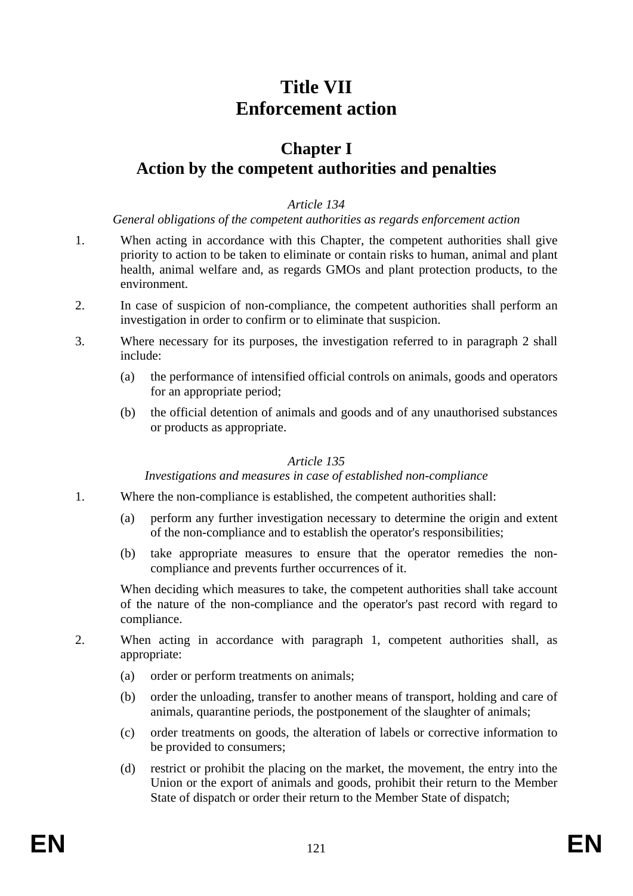# **Title VII Enforcement action**

## **Chapter I Action by the competent authorities and penalties**

#### *Article 134*

#### *General obligations of the competent authorities as regards enforcement action*

- 1. When acting in accordance with this Chapter, the competent authorities shall give priority to action to be taken to eliminate or contain risks to human, animal and plant health, animal welfare and, as regards GMOs and plant protection products, to the environment.
- 2. In case of suspicion of non-compliance, the competent authorities shall perform an investigation in order to confirm or to eliminate that suspicion.
- 3. Where necessary for its purposes, the investigation referred to in paragraph 2 shall include:
	- (a) the performance of intensified official controls on animals, goods and operators for an appropriate period;
	- (b) the official detention of animals and goods and of any unauthorised substances or products as appropriate.

## *Article 135*

#### *Investigations and measures in case of established non-compliance*

- 1. Where the non-compliance is established, the competent authorities shall:
	- (a) perform any further investigation necessary to determine the origin and extent of the non-compliance and to establish the operator's responsibilities;
	- (b) take appropriate measures to ensure that the operator remedies the noncompliance and prevents further occurrences of it.

When deciding which measures to take, the competent authorities shall take account of the nature of the non-compliance and the operator's past record with regard to compliance.

- 2. When acting in accordance with paragraph 1, competent authorities shall, as appropriate:
	- (a) order or perform treatments on animals;
	- (b) order the unloading, transfer to another means of transport, holding and care of animals, quarantine periods, the postponement of the slaughter of animals;
	- (c) order treatments on goods, the alteration of labels or corrective information to be provided to consumers;
	- (d) restrict or prohibit the placing on the market, the movement, the entry into the Union or the export of animals and goods, prohibit their return to the Member State of dispatch or order their return to the Member State of dispatch;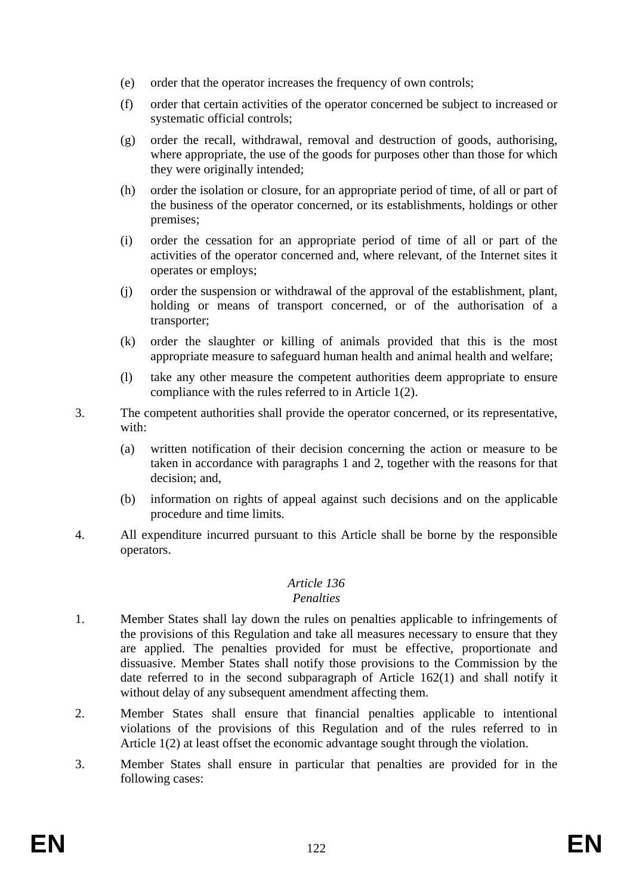- (e) order that the operator increases the frequency of own controls;
- (f) order that certain activities of the operator concerned be subject to increased or systematic official controls;
- (g) order the recall, withdrawal, removal and destruction of goods, authorising, where appropriate, the use of the goods for purposes other than those for which they were originally intended;
- (h) order the isolation or closure, for an appropriate period of time, of all or part of the business of the operator concerned, or its establishments, holdings or other premises;
- (i) order the cessation for an appropriate period of time of all or part of the activities of the operator concerned and, where relevant, of the Internet sites it operates or employs;
- (j) order the suspension or withdrawal of the approval of the establishment, plant, holding or means of transport concerned, or of the authorisation of a transporter;
- (k) order the slaughter or killing of animals provided that this is the most appropriate measure to safeguard human health and animal health and welfare;
- (l) take any other measure the competent authorities deem appropriate to ensure compliance with the rules referred to in Article 1(2).
- 3. The competent authorities shall provide the operator concerned, or its representative, with:
	- (a) written notification of their decision concerning the action or measure to be taken in accordance with paragraphs 1 and 2, together with the reasons for that decision; and,
	- (b) information on rights of appeal against such decisions and on the applicable procedure and time limits.
- 4. All expenditure incurred pursuant to this Article shall be borne by the responsible operators.

## *Penalties*

- 1. Member States shall lay down the rules on penalties applicable to infringements of the provisions of this Regulation and take all measures necessary to ensure that they are applied. The penalties provided for must be effective, proportionate and dissuasive. Member States shall notify those provisions to the Commission by the date referred to in the second subparagraph of Article 162(1) and shall notify it without delay of any subsequent amendment affecting them.
- 2. Member States shall ensure that financial penalties applicable to intentional violations of the provisions of this Regulation and of the rules referred to in Article 1(2) at least offset the economic advantage sought through the violation.
- 3. Member States shall ensure in particular that penalties are provided for in the following cases: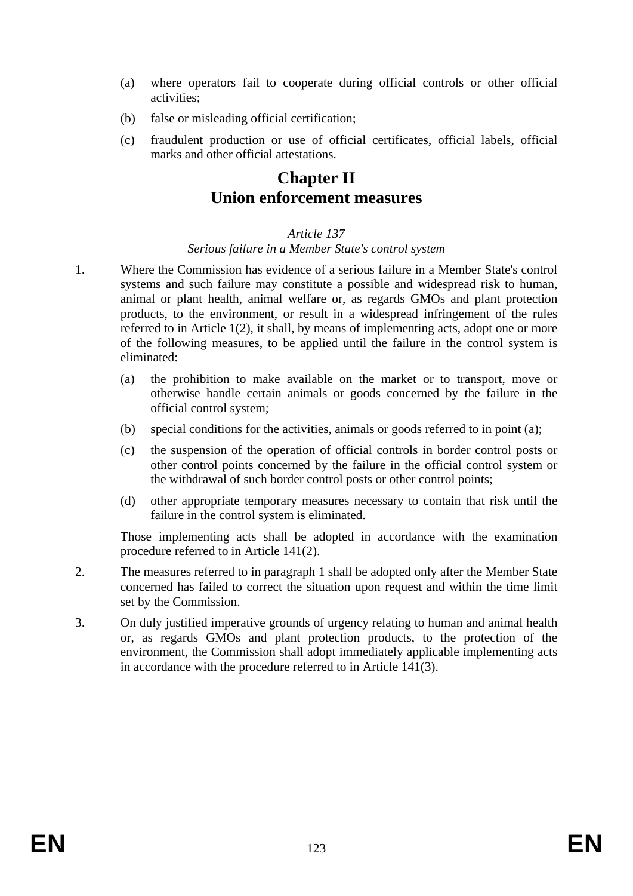- (a) where operators fail to cooperate during official controls or other official activities;
- (b) false or misleading official certification;
- (c) fraudulent production or use of official certificates, official labels, official marks and other official attestations.

# **Chapter II Union enforcement measures**

## *Article 137*

## *Serious failure in a Member State's control system*

- 1. Where the Commission has evidence of a serious failure in a Member State's control systems and such failure may constitute a possible and widespread risk to human, animal or plant health, animal welfare or, as regards GMOs and plant protection products, to the environment, or result in a widespread infringement of the rules referred to in Article 1(2), it shall, by means of implementing acts, adopt one or more of the following measures, to be applied until the failure in the control system is eliminated:
	- (a) the prohibition to make available on the market or to transport, move or otherwise handle certain animals or goods concerned by the failure in the official control system;
	- (b) special conditions for the activities, animals or goods referred to in point (a);
	- (c) the suspension of the operation of official controls in border control posts or other control points concerned by the failure in the official control system or the withdrawal of such border control posts or other control points;
	- (d) other appropriate temporary measures necessary to contain that risk until the failure in the control system is eliminated.

Those implementing acts shall be adopted in accordance with the examination procedure referred to in Article 141(2).

- 2. The measures referred to in paragraph 1 shall be adopted only after the Member State concerned has failed to correct the situation upon request and within the time limit set by the Commission.
- 3. On duly justified imperative grounds of urgency relating to human and animal health or, as regards GMOs and plant protection products, to the protection of the environment, the Commission shall adopt immediately applicable implementing acts in accordance with the procedure referred to in Article 141(3).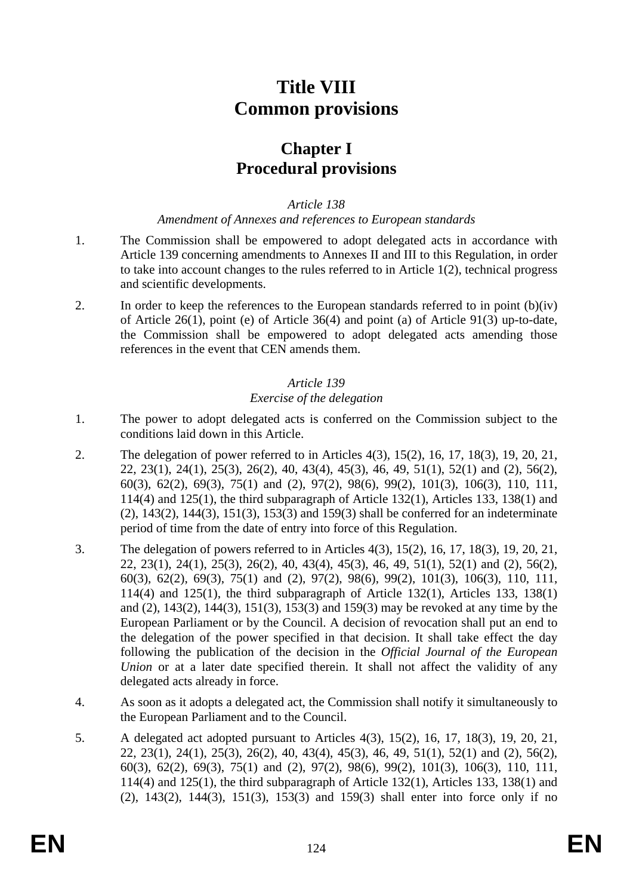# **Title VIII Common provisions**

## **Chapter I Procedural provisions**

*Article 138* 

#### *Amendment of Annexes and references to European standards*

- 1. The Commission shall be empowered to adopt delegated acts in accordance with Article 139 concerning amendments to Annexes II and III to this Regulation, in order to take into account changes to the rules referred to in Article 1(2), technical progress and scientific developments.
- 2. In order to keep the references to the European standards referred to in point (b)(iv) of Article 26(1), point (e) of Article 36(4) and point (a) of Article 91(3) up-to-date, the Commission shall be empowered to adopt delegated acts amending those references in the event that CEN amends them.

## *Article 139 Exercise of the delegation*

- 1. The power to adopt delegated acts is conferred on the Commission subject to the conditions laid down in this Article.
- 2. The delegation of power referred to in Articles 4(3), 15(2), 16, 17, 18(3), 19, 20, 21, 22, 23(1), 24(1), 25(3), 26(2), 40, 43(4), 45(3), 46, 49, 51(1), 52(1) and (2), 56(2), 60(3), 62(2), 69(3), 75(1) and (2), 97(2), 98(6), 99(2), 101(3), 106(3), 110, 111, 114(4) and 125(1), the third subparagraph of Article 132(1), Articles 133, 138(1) and (2), 143(2), 144(3), 151(3), 153(3) and 159(3) shall be conferred for an indeterminate period of time from the date of entry into force of this Regulation.
- 3. The delegation of powers referred to in Articles 4(3), 15(2), 16, 17, 18(3), 19, 20, 21, 22, 23(1), 24(1), 25(3), 26(2), 40, 43(4), 45(3), 46, 49, 51(1), 52(1) and (2), 56(2), 60(3), 62(2), 69(3), 75(1) and (2), 97(2), 98(6), 99(2), 101(3), 106(3), 110, 111, 114(4) and 125(1), the third subparagraph of Article 132(1), Articles 133, 138(1) and (2), 143(2), 144(3), 151(3), 153(3) and 159(3) may be revoked at any time by the European Parliament or by the Council. A decision of revocation shall put an end to the delegation of the power specified in that decision. It shall take effect the day following the publication of the decision in the *Official Journal of the European Union* or at a later date specified therein. It shall not affect the validity of any delegated acts already in force.
- 4. As soon as it adopts a delegated act, the Commission shall notify it simultaneously to the European Parliament and to the Council.
- 5. A delegated act adopted pursuant to Articles 4(3), 15(2), 16, 17, 18(3), 19, 20, 21, 22, 23(1), 24(1), 25(3), 26(2), 40, 43(4), 45(3), 46, 49, 51(1), 52(1) and (2), 56(2), 60(3), 62(2), 69(3), 75(1) and (2), 97(2), 98(6), 99(2), 101(3), 106(3), 110, 111, 114(4) and 125(1), the third subparagraph of Article 132(1), Articles 133, 138(1) and (2), 143(2), 144(3), 151(3), 153(3) and 159(3) shall enter into force only if no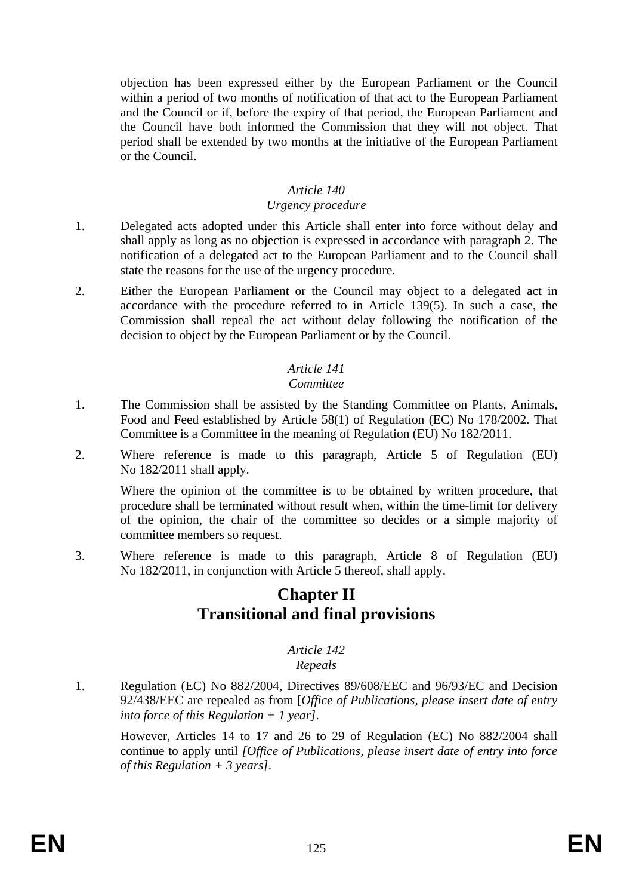objection has been expressed either by the European Parliament or the Council within a period of two months of notification of that act to the European Parliament and the Council or if, before the expiry of that period, the European Parliament and the Council have both informed the Commission that they will not object. That period shall be extended by two months at the initiative of the European Parliament or the Council.

### *Article 140*

#### *Urgency procedure*

- 1. Delegated acts adopted under this Article shall enter into force without delay and shall apply as long as no objection is expressed in accordance with paragraph 2. The notification of a delegated act to the European Parliament and to the Council shall state the reasons for the use of the urgency procedure.
- 2. Either the European Parliament or the Council may object to a delegated act in accordance with the procedure referred to in Article 139(5). In such a case, the Commission shall repeal the act without delay following the notification of the decision to object by the European Parliament or by the Council.

## *Article 141*

## *Committee*

- 1. The Commission shall be assisted by the Standing Committee on Plants, Animals, Food and Feed established by Article 58(1) of Regulation (EC) No 178/2002. That Committee is a Committee in the meaning of Regulation (EU) No 182/2011.
- 2. Where reference is made to this paragraph, Article 5 of Regulation (EU) No 182/2011 shall apply.

Where the opinion of the committee is to be obtained by written procedure, that procedure shall be terminated without result when, within the time-limit for delivery of the opinion, the chair of the committee so decides or a simple majority of committee members so request.

3. Where reference is made to this paragraph, Article 8 of Regulation (EU) No 182/2011, in conjunction with Article 5 thereof, shall apply.

## **Chapter II Transitional and final provisions**

#### *Article 142 Repeals*

1. Regulation (EC) No 882/2004, Directives 89/608/EEC and 96/93/EC and Decision 92/438/EEC are repealed as from [*Office of Publications, please insert date of entry into force of this Regulation + 1 year]*.

However, Articles 14 to 17 and 26 to 29 of Regulation (EC) No 882/2004 shall continue to apply until *[Office of Publications, please insert date of entry into force of this Regulation + 3 years]*.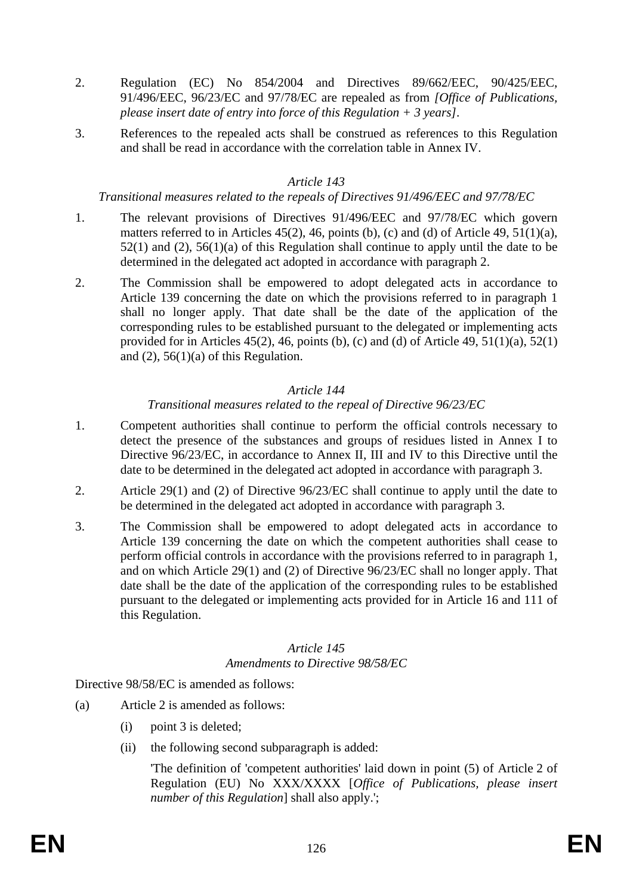- 2. Regulation (EC) No 854/2004 and Directives 89/662/EEC, 90/425/EEC, 91/496/EEC, 96/23/EC and 97/78/EC are repealed as from *[Office of Publications, please insert date of entry into force of this Regulation + 3 years]*.
- 3. References to the repealed acts shall be construed as references to this Regulation and shall be read in accordance with the correlation table in Annex IV.

#### *Transitional measures related to the repeals of Directives 91/496/EEC and 97/78/EC*

- 1. The relevant provisions of Directives 91/496/EEC and 97/78/EC which govern matters referred to in Articles  $45(2)$ , 46, points (b), (c) and (d) of Article 49,  $51(1)(a)$ , 52(1) and (2), 56(1)(a) of this Regulation shall continue to apply until the date to be determined in the delegated act adopted in accordance with paragraph 2.
- 2. The Commission shall be empowered to adopt delegated acts in accordance to Article 139 concerning the date on which the provisions referred to in paragraph 1 shall no longer apply. That date shall be the date of the application of the corresponding rules to be established pursuant to the delegated or implementing acts provided for in Articles  $45(2)$ ,  $46$ , points (b), (c) and (d) of Article  $49$ ,  $51(1)(a)$ ,  $52(1)$ and  $(2)$ , 56(1)(a) of this Regulation.

## *Article 144*

## *Transitional measures related to the repeal of Directive 96/23/EC*

- 1. Competent authorities shall continue to perform the official controls necessary to detect the presence of the substances and groups of residues listed in Annex I to Directive 96/23/EC, in accordance to Annex II, III and IV to this Directive until the date to be determined in the delegated act adopted in accordance with paragraph 3.
- 2. Article 29(1) and (2) of Directive 96/23/EC shall continue to apply until the date to be determined in the delegated act adopted in accordance with paragraph 3.
- 3. The Commission shall be empowered to adopt delegated acts in accordance to Article 139 concerning the date on which the competent authorities shall cease to perform official controls in accordance with the provisions referred to in paragraph 1, and on which Article 29(1) and (2) of Directive 96/23/EC shall no longer apply. That date shall be the date of the application of the corresponding rules to be established pursuant to the delegated or implementing acts provided for in Article 16 and 111 of this Regulation.

## *Article 145 Amendments to Directive 98/58/EC*

## Directive 98/58/EC is amended as follows:

- (a) Article 2 is amended as follows:
	- (i) point 3 is deleted;
	- (ii) the following second subparagraph is added:

'The definition of 'competent authorities' laid down in point (5) of Article 2 of Regulation (EU) No XXX/XXXX [*Office of Publications, please insert number of this Regulation*] shall also apply.';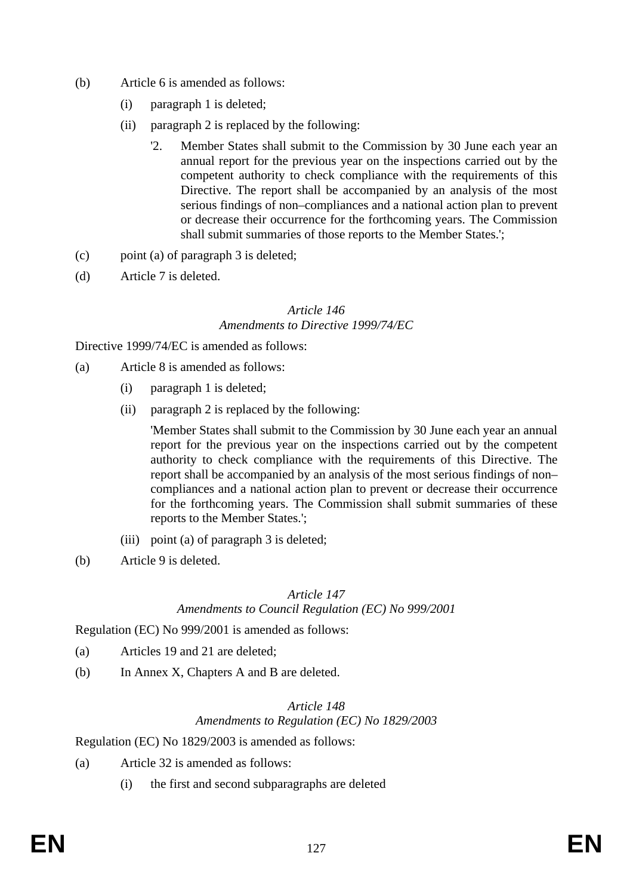- (b) Article 6 is amended as follows:
	- (i) paragraph 1 is deleted;
	- (ii) paragraph 2 is replaced by the following:
		- '2. Member States shall submit to the Commission by 30 June each year an annual report for the previous year on the inspections carried out by the competent authority to check compliance with the requirements of this Directive. The report shall be accompanied by an analysis of the most serious findings of non–compliances and a national action plan to prevent or decrease their occurrence for the forthcoming years. The Commission shall submit summaries of those reports to the Member States.';
- (c) point (a) of paragraph 3 is deleted;
- (d) Article 7 is deleted.

#### *Article 146 Amendments to Directive 1999/74/EC*

Directive 1999/74/EC is amended as follows:

- (a) Article 8 is amended as follows:
	- (i) paragraph 1 is deleted;
	- (ii) paragraph 2 is replaced by the following:

'Member States shall submit to the Commission by 30 June each year an annual report for the previous year on the inspections carried out by the competent authority to check compliance with the requirements of this Directive. The report shall be accompanied by an analysis of the most serious findings of non– compliances and a national action plan to prevent or decrease their occurrence for the forthcoming years. The Commission shall submit summaries of these reports to the Member States.';

- (iii) point (a) of paragraph 3 is deleted;
- (b) Article 9 is deleted.

#### *Article 147*

#### *Amendments to Council Regulation (EC) No 999/2001*

Regulation (EC) No 999/2001 is amended as follows:

- (a) Articles 19 and 21 are deleted;
- (b) In Annex X, Chapters A and B are deleted.

#### *Article 148 Amendments to Regulation (EC) No 1829/2003*

Regulation (EC) No 1829/2003 is amended as follows:

- (a) Article 32 is amended as follows:
	- (i) the first and second subparagraphs are deleted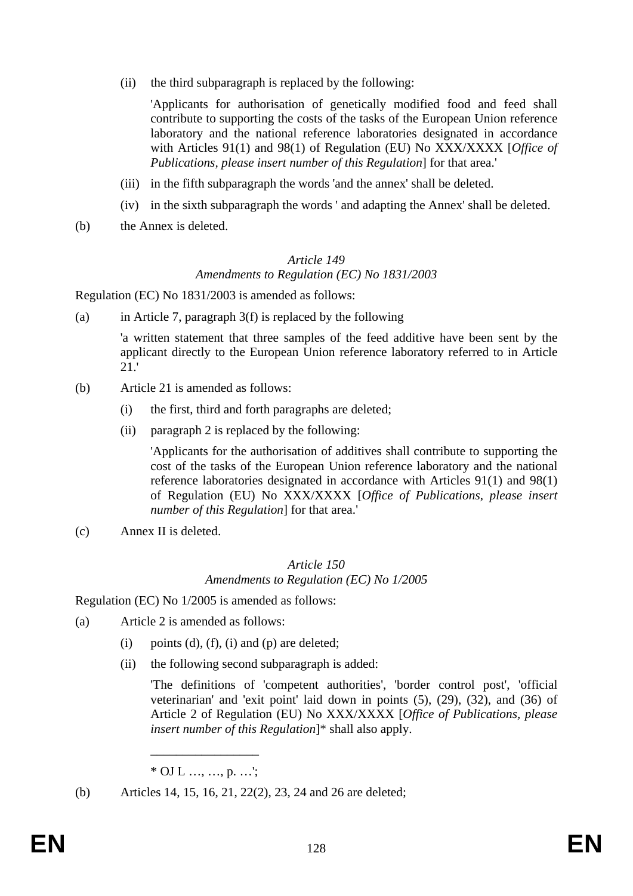(ii) the third subparagraph is replaced by the following:

'Applicants for authorisation of genetically modified food and feed shall contribute to supporting the costs of the tasks of the European Union reference laboratory and the national reference laboratories designated in accordance with Articles 91(1) and 98(1) of Regulation (EU) No XXX/XXXX [*Office of Publications, please insert number of this Regulation*] for that area.'

- (iii) in the fifth subparagraph the words 'and the annex' shall be deleted.
- (iv) in the sixth subparagraph the words ' and adapting the Annex' shall be deleted.
- (b) the Annex is deleted.

#### *Article 149 Amendments to Regulation (EC) No 1831/2003*

Regulation (EC) No 1831/2003 is amended as follows:

(a) in Article 7, paragraph  $3(f)$  is replaced by the following

'a written statement that three samples of the feed additive have been sent by the applicant directly to the European Union reference laboratory referred to in Article 21.'

- (b) Article 21 is amended as follows:
	- (i) the first, third and forth paragraphs are deleted;
	- (ii) paragraph 2 is replaced by the following:

'Applicants for the authorisation of additives shall contribute to supporting the cost of the tasks of the European Union reference laboratory and the national reference laboratories designated in accordance with Articles 91(1) and 98(1) of Regulation (EU) No XXX/XXXX [*Office of Publications, please insert number of this Regulation*] for that area.'

(c) Annex II is deleted.

#### *Article 150 Amendments to Regulation (EC) No 1/2005*

Regulation (EC) No 1/2005 is amended as follows:

- (a) Article 2 is amended as follows:
	- (i) points (d), (f), (i) and (p) are deleted;
	- (ii) the following second subparagraph is added:

'The definitions of 'competent authorities', 'border control post', 'official veterinarian' and 'exit point' laid down in points (5), (29), (32), and (36) of Article 2 of Regulation (EU) No XXX/XXXX [*Office of Publications, please insert number of this Regulation*]\* shall also apply.

\_\_\_\_\_\_\_\_\_\_\_\_\_\_\_\_\_ \* OJ L …, …, p. …';

(b) Articles 14, 15, 16, 21, 22(2), 23, 24 and 26 are deleted;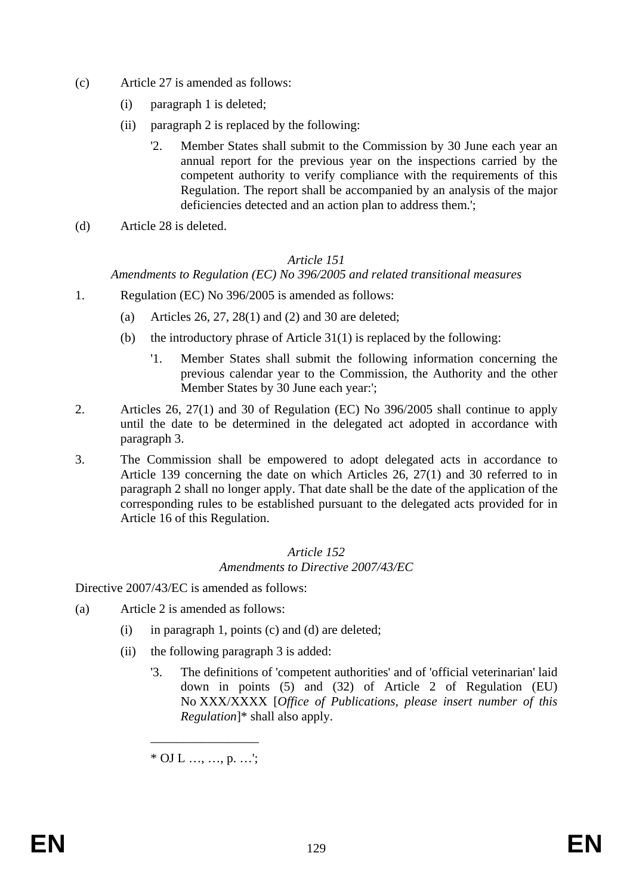- (c) Article 27 is amended as follows:
	- (i) paragraph 1 is deleted;
	- (ii) paragraph 2 is replaced by the following:
		- '2. Member States shall submit to the Commission by 30 June each year an annual report for the previous year on the inspections carried by the competent authority to verify compliance with the requirements of this Regulation. The report shall be accompanied by an analysis of the major deficiencies detected and an action plan to address them.';
- (d) Article 28 is deleted.

*Amendments to Regulation (EC) No 396/2005 and related transitional measures* 

- 1. Regulation (EC) No 396/2005 is amended as follows:
	- (a) Articles 26, 27, 28(1) and (2) and 30 are deleted;
	- (b) the introductory phrase of Article  $31(1)$  is replaced by the following:
		- '1. Member States shall submit the following information concerning the previous calendar year to the Commission, the Authority and the other Member States by 30 June each year:';
- 2. Articles 26, 27(1) and 30 of Regulation (EC) No 396/2005 shall continue to apply until the date to be determined in the delegated act adopted in accordance with paragraph 3.
- 3. The Commission shall be empowered to adopt delegated acts in accordance to Article 139 concerning the date on which Articles 26, 27(1) and 30 referred to in paragraph 2 shall no longer apply. That date shall be the date of the application of the corresponding rules to be established pursuant to the delegated acts provided for in Article 16 of this Regulation.

#### *Article 152 Amendments to Directive 2007/43/EC*

Directive 2007/43/EC is amended as follows:

- (a) Article 2 is amended as follows:
	- (i) in paragraph 1, points (c) and (d) are deleted;
	- (ii) the following paragraph 3 is added:
		- '3. The definitions of 'competent authorities' and of 'official veterinarian' laid down in points (5) and (32) of Article 2 of Regulation (EU) No XXX/XXXX [*Office of Publications, please insert number of this Regulation*]\* shall also apply.

\_\_\_\_\_\_\_\_\_\_\_\_\_\_\_\_\_  $*$  OJ L ..., ..., p. ...';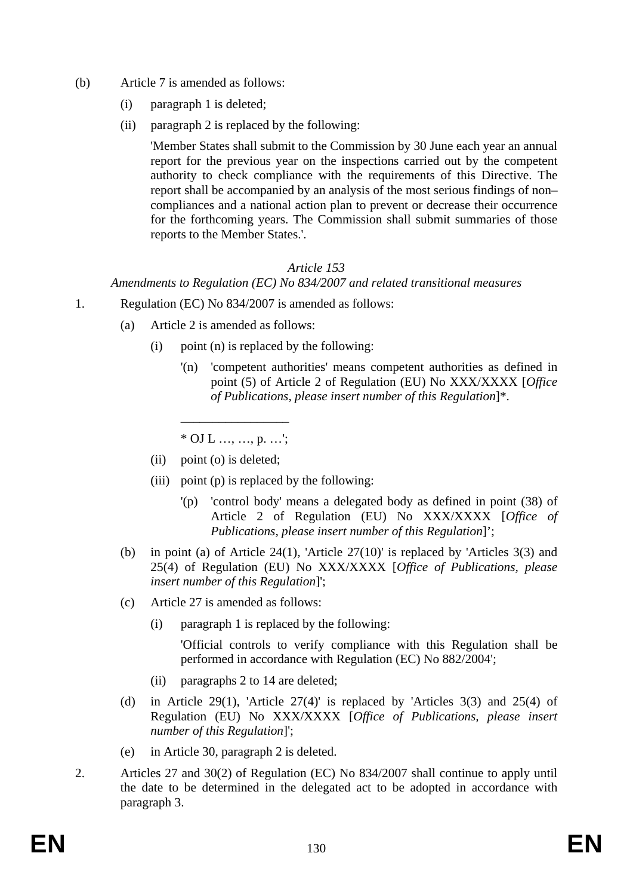- (b) Article 7 is amended as follows:
	- (i) paragraph 1 is deleted;
	- (ii) paragraph 2 is replaced by the following:

'Member States shall submit to the Commission by 30 June each year an annual report for the previous year on the inspections carried out by the competent authority to check compliance with the requirements of this Directive. The report shall be accompanied by an analysis of the most serious findings of non– compliances and a national action plan to prevent or decrease their occurrence for the forthcoming years. The Commission shall submit summaries of those reports to the Member States.'.

#### *Article 153*

*Amendments to Regulation (EC) No 834/2007 and related transitional measures* 

- 1. Regulation (EC) No 834/2007 is amended as follows:
	- (a) Article 2 is amended as follows:
		- (i) point (n) is replaced by the following:
			- '(n) 'competent authorities' means competent authorities as defined in point (5) of Article 2 of Regulation (EU) No XXX/XXXX [*Office of Publications, please insert number of this Regulation*]\*.

\_\_\_\_\_\_\_\_\_\_\_\_\_\_\_\_\_  $*$  OJ L ..., ..., p. ...':

- (ii) point (o) is deleted;
- (iii) point (p) is replaced by the following:
	- '(p) 'control body' means a delegated body as defined in point (38) of Article 2 of Regulation (EU) No XXX/XXXX [*Office of Publications, please insert number of this Regulation*]';
- (b) in point (a) of Article 24(1), 'Article 27(10)' is replaced by 'Articles 3(3) and 25(4) of Regulation (EU) No XXX/XXXX [*Office of Publications, please insert number of this Regulation*]';
- (c) Article 27 is amended as follows:
	- (i) paragraph 1 is replaced by the following:

'Official controls to verify compliance with this Regulation shall be performed in accordance with Regulation (EC) No 882/2004';

- (ii) paragraphs 2 to 14 are deleted;
- (d) in Article 29(1), 'Article  $27(4)$ ' is replaced by 'Articles 3(3) and 25(4) of Regulation (EU) No XXX/XXXX [*Office of Publications, please insert number of this Regulation*]';
- (e) in Article 30, paragraph 2 is deleted.
- 2. Articles 27 and 30(2) of Regulation (EC) No 834/2007 shall continue to apply until the date to be determined in the delegated act to be adopted in accordance with paragraph 3.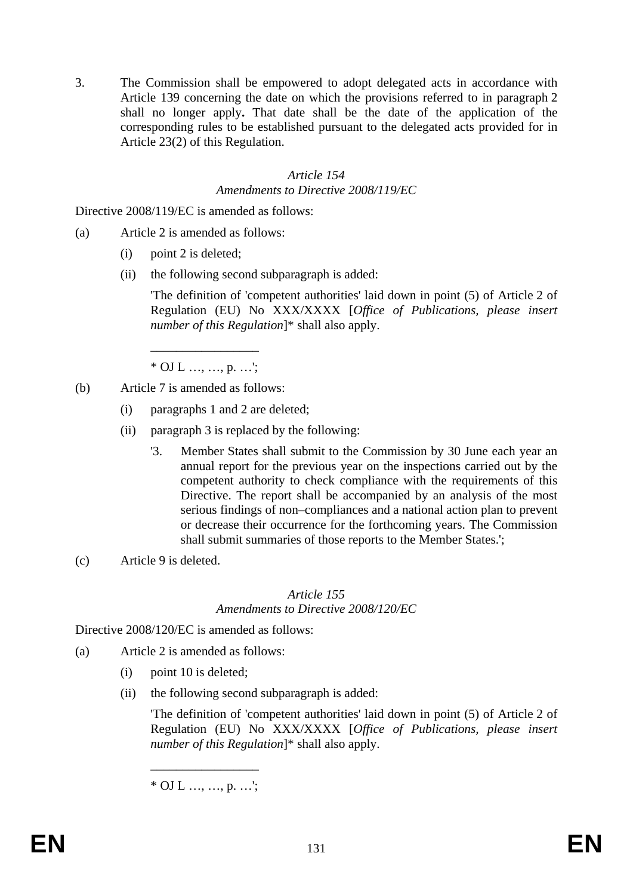3. The Commission shall be empowered to adopt delegated acts in accordance with Article 139 concerning the date on which the provisions referred to in paragraph 2 shall no longer apply**.** That date shall be the date of the application of the corresponding rules to be established pursuant to the delegated acts provided for in Article 23(2) of this Regulation.

#### *Article 154 Amendments to Directive 2008/119/EC*

Directive 2008/119/EC is amended as follows:

- (a) Article 2 is amended as follows:
	- (i) point 2 is deleted;
	- (ii) the following second subparagraph is added:

'The definition of 'competent authorities' laid down in point (5) of Article 2 of Regulation (EU) No XXX/XXXX [*Office of Publications, please insert number of this Regulation*]\* shall also apply.

\_\_\_\_\_\_\_\_\_\_\_\_\_\_\_\_\_  $*$  OJ L ..., ..., p. ...':

- (b) Article 7 is amended as follows:
	- (i) paragraphs 1 and 2 are deleted;
	- (ii) paragraph 3 is replaced by the following:
		- '3. Member States shall submit to the Commission by 30 June each year an annual report for the previous year on the inspections carried out by the competent authority to check compliance with the requirements of this Directive. The report shall be accompanied by an analysis of the most serious findings of non–compliances and a national action plan to prevent or decrease their occurrence for the forthcoming years. The Commission shall submit summaries of those reports to the Member States.';
- (c) Article 9 is deleted.

#### *Article 155*

*Amendments to Directive 2008/120/EC* 

Directive 2008/120/EC is amended as follows:

- (a) Article 2 is amended as follows:
	- (i) point 10 is deleted;
	- (ii) the following second subparagraph is added:

'The definition of 'competent authorities' laid down in point (5) of Article 2 of Regulation (EU) No XXX/XXXX [*Office of Publications, please insert number of this Regulation*]\* shall also apply.

 $\overline{\phantom{a}}$  , where  $\overline{\phantom{a}}$  $*$  OJ L ..., ..., p. ...';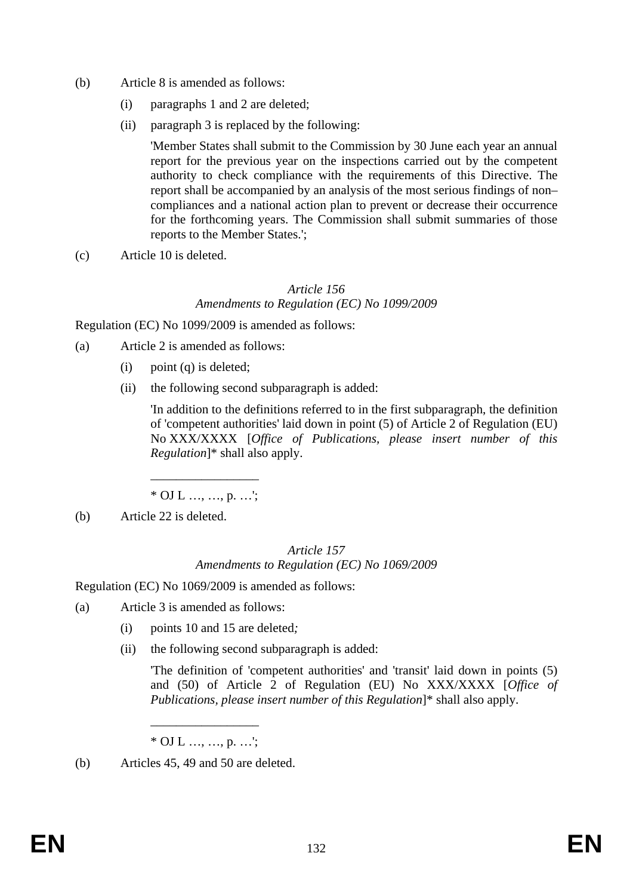- (b) Article 8 is amended as follows:
	- (i) paragraphs 1 and 2 are deleted;
	- (ii) paragraph 3 is replaced by the following:

'Member States shall submit to the Commission by 30 June each year an annual report for the previous year on the inspections carried out by the competent authority to check compliance with the requirements of this Directive. The report shall be accompanied by an analysis of the most serious findings of non– compliances and a national action plan to prevent or decrease their occurrence for the forthcoming years. The Commission shall submit summaries of those reports to the Member States.';

(c) Article 10 is deleted.

#### *Article 156 Amendments to Regulation (EC) No 1099/2009*

Regulation (EC) No 1099/2009 is amended as follows:

- (a) Article 2 is amended as follows:
	- $(i)$  point  $(a)$  is deleted:
	- (ii) the following second subparagraph is added:

'In addition to the definitions referred to in the first subparagraph, the definition of 'competent authorities' laid down in point (5) of Article 2 of Regulation (EU) No XXX/XXXX [*Office of Publications, please insert number of this Regulation*]\* shall also apply.

\_\_\_\_\_\_\_\_\_\_\_\_\_\_\_\_\_  $*$  OJ L ..., ..., p. ...';

(b) Article 22 is deleted.

## *Article 157 Amendments to Regulation (EC) No 1069/2009*

Regulation (EC) No 1069/2009 is amended as follows:

- (a) Article 3 is amended as follows:
	- (i) points 10 and 15 are deleted*;*
	- (ii) the following second subparagraph is added:

'The definition of 'competent authorities' and 'transit' laid down in points (5) and (50) of Article 2 of Regulation (EU) No XXX/XXXX [*Office of Publications, please insert number of this Regulation*]\* shall also apply.

\_\_\_\_\_\_\_\_\_\_\_\_\_\_\_\_\_  $*$  OJ L ..., ..., p. ...';

<sup>(</sup>b) Articles 45, 49 and 50 are deleted.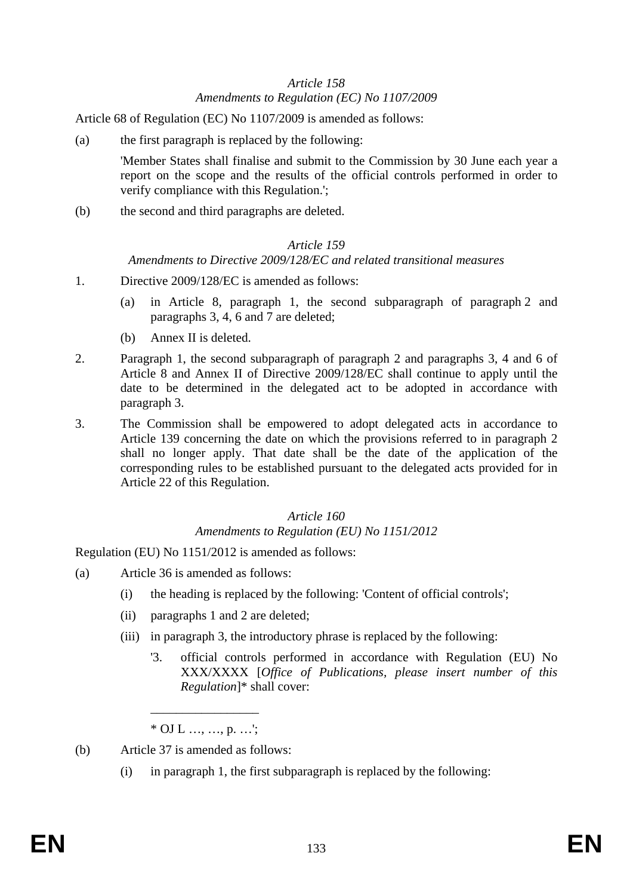## *Article 158 Amendments to Regulation (EC) No 1107/2009*

Article 68 of Regulation (EC) No 1107/2009 is amended as follows:

(a) the first paragraph is replaced by the following:

'Member States shall finalise and submit to the Commission by 30 June each year a report on the scope and the results of the official controls performed in order to verify compliance with this Regulation.';

(b) the second and third paragraphs are deleted.

#### *Article 159*

#### *Amendments to Directive 2009/128/EC and related transitional measures*

- 1. Directive 2009/128/EC is amended as follows:
	- (a) in Article 8, paragraph 1, the second subparagraph of paragraph 2 and paragraphs 3, 4, 6 and 7 are deleted;
	- (b) Annex II is deleted.
- 2. Paragraph 1, the second subparagraph of paragraph 2 and paragraphs 3, 4 and 6 of Article 8 and Annex II of Directive 2009/128/EC shall continue to apply until the date to be determined in the delegated act to be adopted in accordance with paragraph 3.
- 3. The Commission shall be empowered to adopt delegated acts in accordance to Article 139 concerning the date on which the provisions referred to in paragraph 2 shall no longer apply. That date shall be the date of the application of the corresponding rules to be established pursuant to the delegated acts provided for in Article 22 of this Regulation.

## *Article 160*

## *Amendments to Regulation (EU) No 1151/2012*

Regulation (EU) No 1151/2012 is amended as follows:

- (a) Article 36 is amended as follows:
	- (i) the heading is replaced by the following: 'Content of official controls';
	- (ii) paragraphs 1 and 2 are deleted;
	- (iii) in paragraph 3, the introductory phrase is replaced by the following:
		- '3. official controls performed in accordance with Regulation (EU) No XXX/XXXX [*Office of Publications, please insert number of this Regulation*]\* shall cover:

\_\_\_\_\_\_\_\_\_\_\_\_\_\_\_\_\_  $*$  OJ L ..., ..., p. ...':

- (b) Article 37 is amended as follows:
	- (i) in paragraph 1, the first subparagraph is replaced by the following: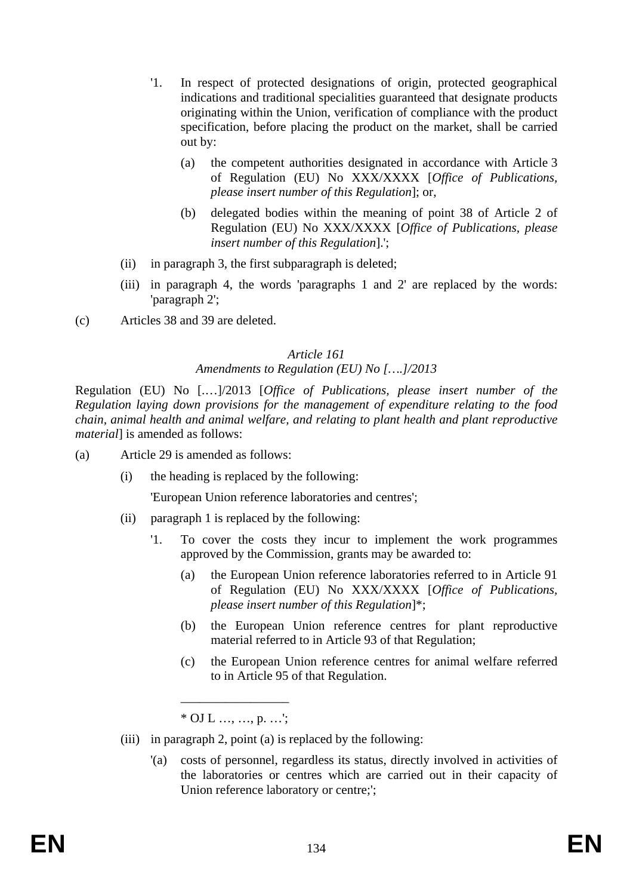- '1. In respect of protected designations of origin, protected geographical indications and traditional specialities guaranteed that designate products originating within the Union, verification of compliance with the product specification, before placing the product on the market, shall be carried out by:
	- (a) the competent authorities designated in accordance with Article 3 of Regulation (EU) No XXX/XXXX [*Office of Publications, please insert number of this Regulation*]; or,
	- (b) delegated bodies within the meaning of point 38 of Article 2 of Regulation (EU) No XXX/XXXX [*Office of Publications, please insert number of this Regulation*].';
- (ii) in paragraph 3, the first subparagraph is deleted;
- (iii) in paragraph 4, the words 'paragraphs 1 and 2' are replaced by the words: 'paragraph 2';
- (c) Articles 38 and 39 are deleted.

## *Amendments to Regulation (EU) No [….]/2013*

Regulation (EU) No [.…]/2013 [*Office of Publications, please insert number of the Regulation laying down provisions for the management of expenditure relating to the food chain, animal health and animal welfare, and relating to plant health and plant reproductive material*] is amended as follows:

- (a) Article 29 is amended as follows:
	- (i) the heading is replaced by the following:

'European Union reference laboratories and centres';

- (ii) paragraph 1 is replaced by the following:
	- '1. To cover the costs they incur to implement the work programmes approved by the Commission, grants may be awarded to:
		- (a) the European Union reference laboratories referred to in Article 91 of Regulation (EU) No XXX/XXXX [*Office of Publications, please insert number of this Regulation*]\*;
		- (b) the European Union reference centres for plant reproductive material referred to in Article 93 of that Regulation;
		- (c) the European Union reference centres for animal welfare referred to in Article 95 of that Regulation.

\_\_\_\_\_\_\_\_\_\_\_\_\_\_\_\_\_  $*$  OJ L .... ... p. ...':

- (iii) in paragraph 2, point (a) is replaced by the following:
	- '(a) costs of personnel, regardless its status, directly involved in activities of the laboratories or centres which are carried out in their capacity of Union reference laboratory or centre;';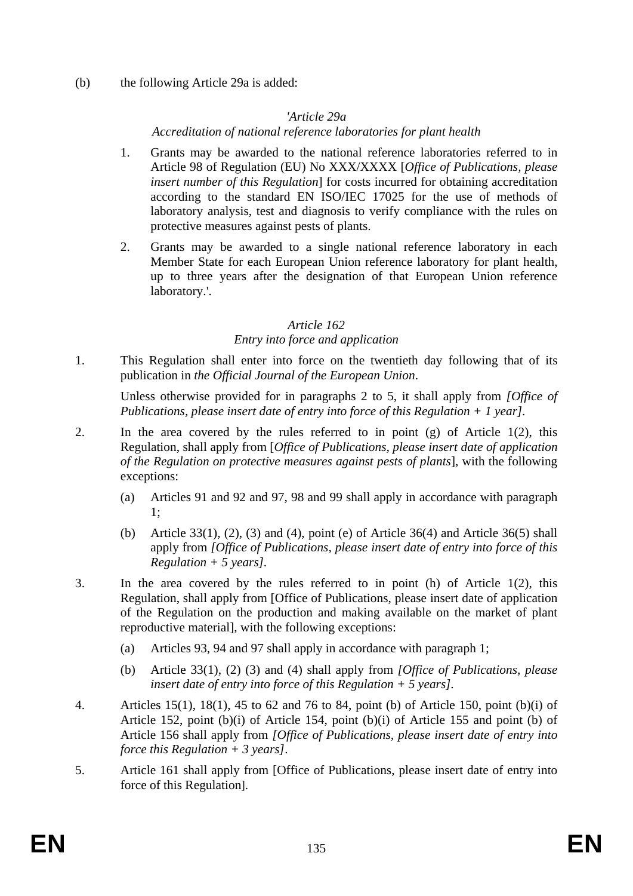(b) the following Article 29a is added:

## *'Article 29a*

*Accreditation of national reference laboratories for plant health* 

- 1. Grants may be awarded to the national reference laboratories referred to in Article 98 of Regulation (EU) No XXX/XXXX [*Office of Publications, please insert number of this Regulation*] for costs incurred for obtaining accreditation according to the standard EN ISO/IEC 17025 for the use of methods of laboratory analysis, test and diagnosis to verify compliance with the rules on protective measures against pests of plants.
- 2. Grants may be awarded to a single national reference laboratory in each Member State for each European Union reference laboratory for plant health, up to three years after the designation of that European Union reference laboratory.'.

## *Article 162*

## *Entry into force and application*

1. This Regulation shall enter into force on the twentieth day following that of its publication in *the Official Journal of the European Union*.

Unless otherwise provided for in paragraphs 2 to 5, it shall apply from *[Office of Publications, please insert date of entry into force of this Regulation + 1 year].*

- 2. In the area covered by the rules referred to in point (g) of Article 1(2), this Regulation, shall apply from [*Office of Publications, please insert date of application of the Regulation on protective measures against pests of plants*], with the following exceptions:
	- (a) Articles 91 and 92 and 97, 98 and 99 shall apply in accordance with paragraph 1;
	- (b) Article 33(1), (2), (3) and (4), point (e) of Article 36(4) and Article 36(5) shall apply from *[Office of Publications, please insert date of entry into force of this Regulation + 5 years].*
- 3. In the area covered by the rules referred to in point (h) of Article 1(2), this Regulation, shall apply from [Office of Publications, please insert date of application of the Regulation on the production and making available on the market of plant reproductive material], with the following exceptions:
	- (a) Articles 93, 94 and 97 shall apply in accordance with paragraph 1;
	- (b) Article 33(1), (2) (3) and (4) shall apply from *[Office of Publications, please insert date of entry into force of this Regulation + 5 years].*
- 4. Articles 15(1), 18(1), 45 to 62 and 76 to 84, point (b) of Article 150, point (b)(i) of Article 152, point (b)(i) of Article 154, point (b)(i) of Article 155 and point (b) of Article 156 shall apply from *[Office of Publications, please insert date of entry into force this Regulation + 3 years]*.
- 5. Article 161 shall apply from [Office of Publications, please insert date of entry into force of this Regulation].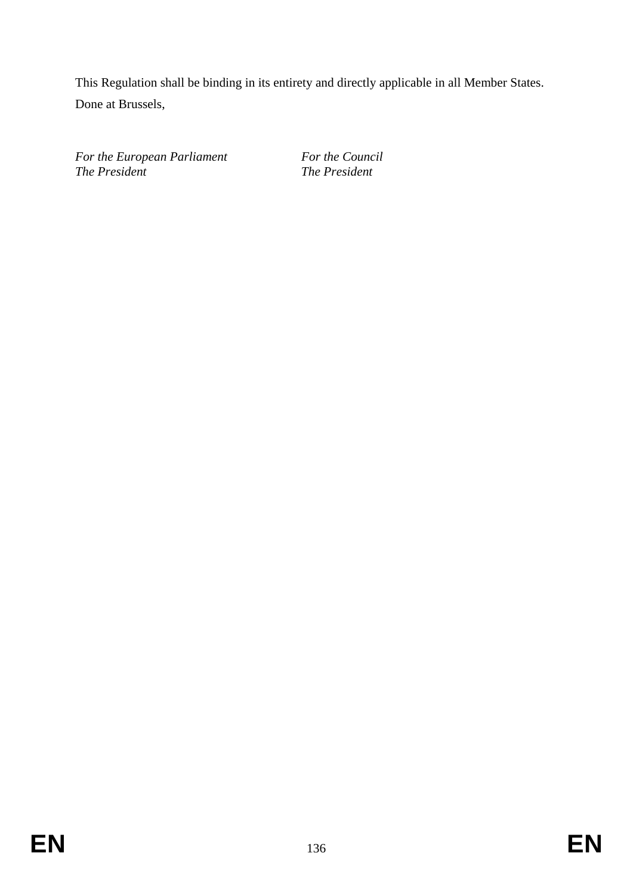This Regulation shall be binding in its entirety and directly applicable in all Member States. Done at Brussels,

*For the European Parliament For the Council*<br>The President **The President** 

*The President The President*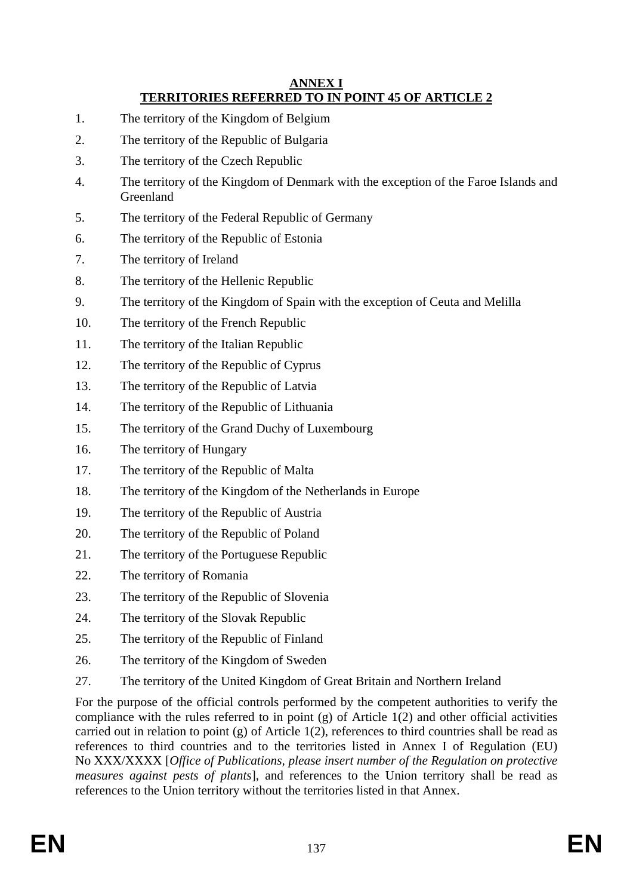#### **ANNEX I TERRITORIES REFERRED TO IN POINT 45 OF ARTICLE 2**

- 1. The territory of the Kingdom of Belgium
- 2. The territory of the Republic of Bulgaria
- 3. The territory of the Czech Republic
- 4. The territory of the Kingdom of Denmark with the exception of the Faroe Islands and Greenland
- 5. The territory of the Federal Republic of Germany
- 6. The territory of the Republic of Estonia
- 7. The territory of Ireland
- 8. The territory of the Hellenic Republic
- 9. The territory of the Kingdom of Spain with the exception of Ceuta and Melilla
- 10. The territory of the French Republic
- 11. The territory of the Italian Republic
- 12. The territory of the Republic of Cyprus
- 13. The territory of the Republic of Latvia
- 14. The territory of the Republic of Lithuania
- 15. The territory of the Grand Duchy of Luxembourg
- 16. The territory of Hungary
- 17. The territory of the Republic of Malta
- 18. The territory of the Kingdom of the Netherlands in Europe
- 19. The territory of the Republic of Austria
- 20. The territory of the Republic of Poland
- 21. The territory of the Portuguese Republic
- 22. The territory of Romania
- 23. The territory of the Republic of Slovenia
- 24. The territory of the Slovak Republic
- 25. The territory of the Republic of Finland
- 26. The territory of the Kingdom of Sweden
- 27. The territory of the United Kingdom of Great Britain and Northern Ireland

For the purpose of the official controls performed by the competent authorities to verify the compliance with the rules referred to in point (g) of Article 1(2) and other official activities carried out in relation to point (g) of Article 1(2), references to third countries shall be read as references to third countries and to the territories listed in Annex I of Regulation (EU) No XXX/XXXX [*Office of Publications, please insert number of the Regulation on protective measures against pests of plants*], and references to the Union territory shall be read as references to the Union territory without the territories listed in that Annex.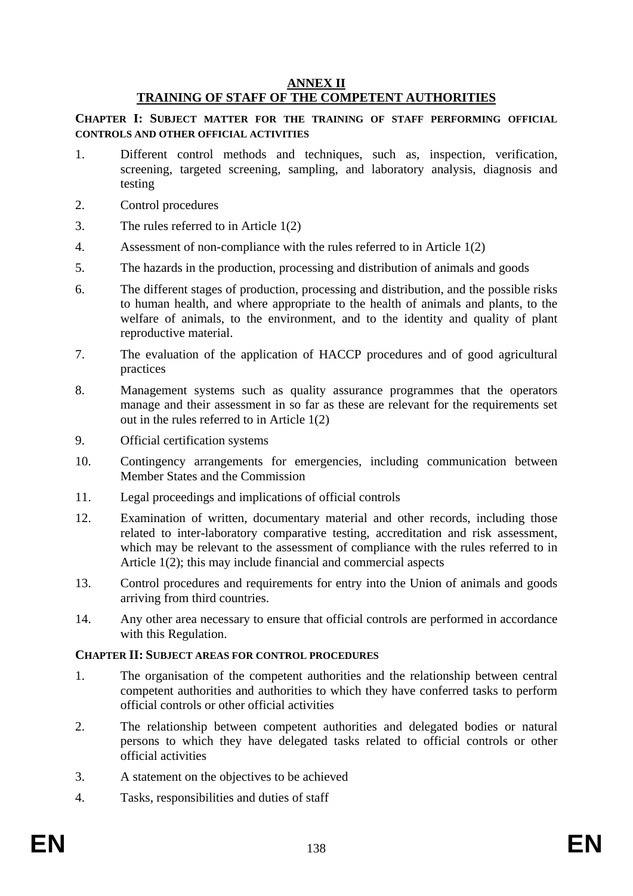## **ANNEX II**

## **TRAINING OF STAFF OF THE COMPETENT AUTHORITIES**

**CHAPTER I: SUBJECT MATTER FOR THE TRAINING OF STAFF PERFORMING OFFICIAL CONTROLS AND OTHER OFFICIAL ACTIVITIES**

- 1. Different control methods and techniques, such as, inspection, verification, screening, targeted screening, sampling, and laboratory analysis, diagnosis and testing
- 2. Control procedures
- 3. The rules referred to in Article 1(2)
- 4. Assessment of non-compliance with the rules referred to in Article 1(2)
- 5. The hazards in the production, processing and distribution of animals and goods
- 6. The different stages of production, processing and distribution, and the possible risks to human health, and where appropriate to the health of animals and plants, to the welfare of animals, to the environment, and to the identity and quality of plant reproductive material.
- 7. The evaluation of the application of HACCP procedures and of good agricultural practices
- 8. Management systems such as quality assurance programmes that the operators manage and their assessment in so far as these are relevant for the requirements set out in the rules referred to in Article 1(2)
- 9. Official certification systems
- 10. Contingency arrangements for emergencies, including communication between Member States and the Commission
- 11. Legal proceedings and implications of official controls
- 12. Examination of written, documentary material and other records, including those related to inter-laboratory comparative testing, accreditation and risk assessment, which may be relevant to the assessment of compliance with the rules referred to in Article 1(2); this may include financial and commercial aspects
- 13. Control procedures and requirements for entry into the Union of animals and goods arriving from third countries.
- 14. Any other area necessary to ensure that official controls are performed in accordance with this Regulation.

#### **CHAPTER II: SUBJECT AREAS FOR CONTROL PROCEDURES**

- 1. The organisation of the competent authorities and the relationship between central competent authorities and authorities to which they have conferred tasks to perform official controls or other official activities
- 2. The relationship between competent authorities and delegated bodies or natural persons to which they have delegated tasks related to official controls or other official activities
- 3. A statement on the objectives to be achieved
- 4. Tasks, responsibilities and duties of staff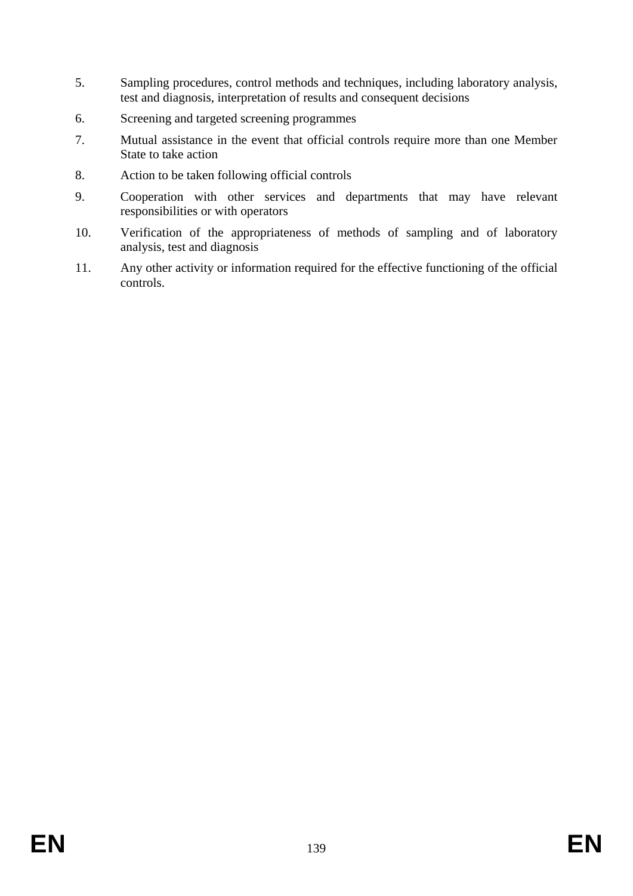- 5. Sampling procedures, control methods and techniques, including laboratory analysis, test and diagnosis, interpretation of results and consequent decisions
- 6. Screening and targeted screening programmes
- 7. Mutual assistance in the event that official controls require more than one Member State to take action
- 8. Action to be taken following official controls
- 9. Cooperation with other services and departments that may have relevant responsibilities or with operators
- 10. Verification of the appropriateness of methods of sampling and of laboratory analysis, test and diagnosis
- 11. Any other activity or information required for the effective functioning of the official controls.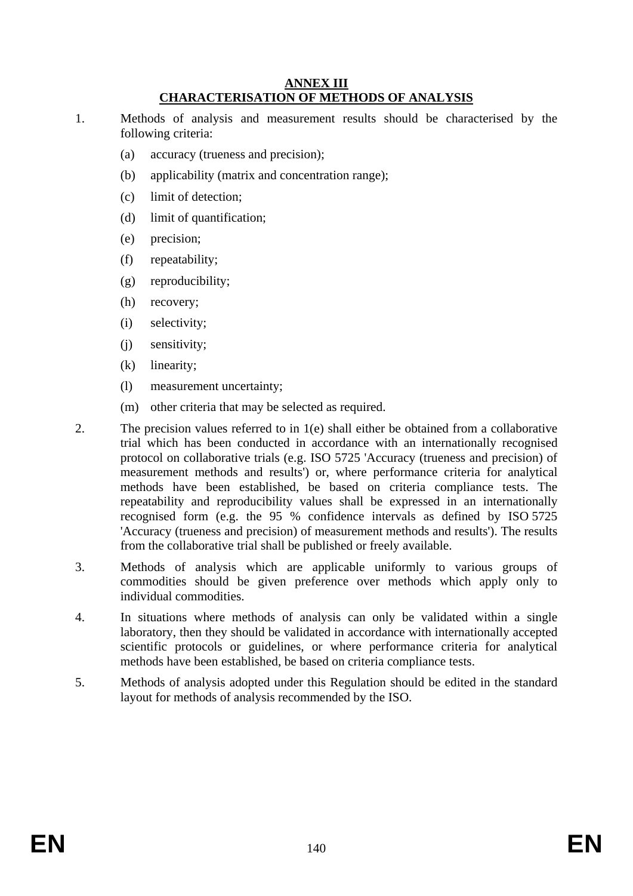#### **ANNEX III CHARACTERISATION OF METHODS OF ANALYSIS**

- 1. Methods of analysis and measurement results should be characterised by the following criteria:
	- (a) accuracy (trueness and precision);
	- (b) applicability (matrix and concentration range);
	- (c) limit of detection;
	- (d) limit of quantification;
	- (e) precision;
	- (f) repeatability;
	- (g) reproducibility;
	- (h) recovery;
	- (i) selectivity;
	- (j) sensitivity;
	- (k) linearity;
	- (l) measurement uncertainty;
	- (m) other criteria that may be selected as required.
- 2. The precision values referred to in 1(e) shall either be obtained from a collaborative trial which has been conducted in accordance with an internationally recognised protocol on collaborative trials (e.g. ISO 5725 'Accuracy (trueness and precision) of measurement methods and results') or, where performance criteria for analytical methods have been established, be based on criteria compliance tests. The repeatability and reproducibility values shall be expressed in an internationally recognised form (e.g. the 95 % confidence intervals as defined by ISO 5725 'Accuracy (trueness and precision) of measurement methods and results'). The results from the collaborative trial shall be published or freely available.
- 3. Methods of analysis which are applicable uniformly to various groups of commodities should be given preference over methods which apply only to individual commodities.
- 4. In situations where methods of analysis can only be validated within a single laboratory, then they should be validated in accordance with internationally accepted scientific protocols or guidelines, or where performance criteria for analytical methods have been established, be based on criteria compliance tests.
- 5. Methods of analysis adopted under this Regulation should be edited in the standard layout for methods of analysis recommended by the ISO.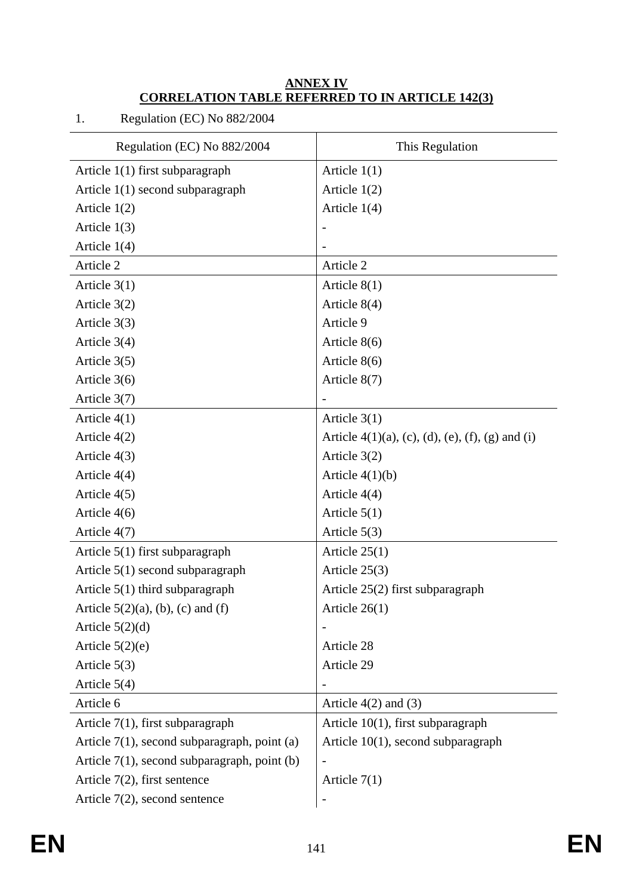### **ANNEX IV CORRELATION TABLE REFERRED TO IN ARTICLE 142(3)**

| Regulation (EC) No 882/2004                     | This Regulation                                     |
|-------------------------------------------------|-----------------------------------------------------|
| Article $1(1)$ first subparagraph               | Article $1(1)$                                      |
| Article 1(1) second subparagraph                | Article $1(2)$                                      |
| Article $1(2)$                                  | Article $1(4)$                                      |
| Article $1(3)$                                  |                                                     |
| Article 1(4)                                    |                                                     |
| Article 2                                       | Article 2                                           |
| Article $3(1)$                                  | Article $8(1)$                                      |
| Article 3(2)                                    | Article 8(4)                                        |
| Article $3(3)$                                  | Article 9                                           |
| Article $3(4)$                                  | Article $8(6)$                                      |
| Article 3(5)                                    | Article $8(6)$                                      |
| Article 3(6)                                    | Article 8(7)                                        |
| Article 3(7)                                    |                                                     |
| Article $4(1)$                                  | Article $3(1)$                                      |
| Article 4(2)                                    | Article $4(1)(a)$ , (c), (d), (e), (f), (g) and (i) |
| Article 4(3)                                    | Article 3(2)                                        |
| Article $4(4)$                                  | Article $4(1)(b)$                                   |
| Article $4(5)$                                  | Article $4(4)$                                      |
| Article $4(6)$                                  | Article $5(1)$                                      |
| Article 4(7)                                    | Article $5(3)$                                      |
| Article 5(1) first subparagraph                 | Article $25(1)$                                     |
| Article $5(1)$ second subparagraph              | Article $25(3)$                                     |
| Article $5(1)$ third subparagraph               | Article 25(2) first subparagraph                    |
| Article $5(2)(a)$ , (b), (c) and (f)            | Article $26(1)$                                     |
| Article $5(2)(d)$                               |                                                     |
| Article $5(2)(e)$                               | Article 28                                          |
| Article $5(3)$                                  | Article 29                                          |
| Article $5(4)$                                  |                                                     |
| Article 6                                       | Article $4(2)$ and $(3)$                            |
| Article $7(1)$ , first subparagraph             | Article $10(1)$ , first subparagraph                |
| Article $7(1)$ , second subparagraph, point (a) | Article $10(1)$ , second subparagraph               |
| Article $7(1)$ , second subparagraph, point (b) |                                                     |
| Article $7(2)$ , first sentence                 | Article $7(1)$                                      |
| Article $7(2)$ , second sentence                |                                                     |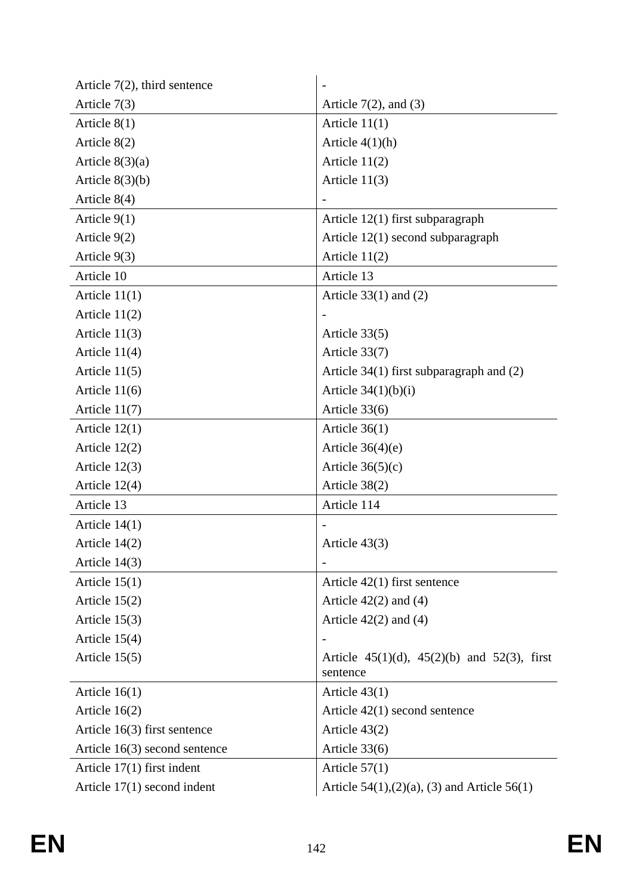| Article $7(2)$ , third sentence |                                                         |
|---------------------------------|---------------------------------------------------------|
| Article $7(3)$                  | Article $7(2)$ , and $(3)$                              |
| Article $8(1)$                  | Article $11(1)$                                         |
| Article 8(2)                    | Article $4(1)(h)$                                       |
| Article $8(3)(a)$               | Article $11(2)$                                         |
| Article $8(3)(b)$               | Article $11(3)$                                         |
| Article $8(4)$                  |                                                         |
| Article $9(1)$                  | Article $12(1)$ first subparagraph                      |
| Article $9(2)$                  | Article 12(1) second subparagraph                       |
| Article $9(3)$                  | Article $11(2)$                                         |
| Article 10                      | Article 13                                              |
| Article $11(1)$                 | Article $33(1)$ and $(2)$                               |
| Article $11(2)$                 |                                                         |
| Article $11(3)$                 | Article $33(5)$                                         |
| Article $11(4)$                 | Article 33(7)                                           |
| Article $11(5)$                 | Article $34(1)$ first subparagraph and $(2)$            |
| Article $11(6)$                 | Article $34(1)(b)(i)$                                   |
| Article $11(7)$                 | Article 33(6)                                           |
| Article $12(1)$                 | Article $36(1)$                                         |
| Article $12(2)$                 | Article $36(4)(e)$                                      |
| Article $12(3)$                 | Article $36(5)(c)$                                      |
| Article $12(4)$                 | Article 38(2)                                           |
| Article 13                      | Article 114                                             |
| Article $14(1)$                 |                                                         |
| Article $14(2)$                 | Article $43(3)$                                         |
| Article 14(3)                   |                                                         |
| Article $15(1)$                 | Article $42(1)$ first sentence                          |
| Article $15(2)$                 | Article $42(2)$ and $(4)$                               |
| Article $15(3)$                 | Article $42(2)$ and $(4)$                               |
| Article $15(4)$                 |                                                         |
| Article $15(5)$                 | Article 45(1)(d), 45(2)(b) and 52(3), first<br>sentence |
| Article $16(1)$                 | Article $43(1)$                                         |
| Article $16(2)$                 | Article $42(1)$ second sentence                         |
| Article $16(3)$ first sentence  | Article $43(2)$                                         |
| Article $16(3)$ second sentence | Article 33(6)                                           |
| Article $17(1)$ first indent    | Article $57(1)$                                         |
| Article $17(1)$ second indent   | Article $54(1)$ , $(2)(a)$ , $(3)$ and Article $56(1)$  |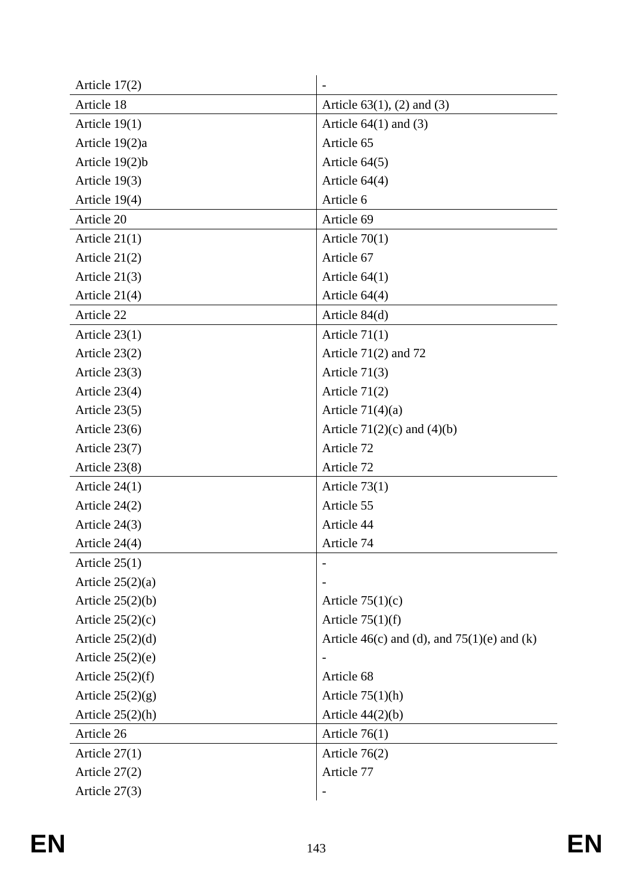| Article $17(2)$    |                                                 |
|--------------------|-------------------------------------------------|
| Article 18         | Article $63(1)$ , (2) and (3)                   |
| Article $19(1)$    | Article $64(1)$ and $(3)$                       |
| Article 19(2)a     | Article 65                                      |
| Article $19(2)b$   | Article $64(5)$                                 |
| Article $19(3)$    | Article $64(4)$                                 |
| Article 19(4)      | Article 6                                       |
| Article 20         | Article 69                                      |
| Article $21(1)$    | Article $70(1)$                                 |
| Article $21(2)$    | Article 67                                      |
| Article $21(3)$    | Article $64(1)$                                 |
| Article 21(4)      | Article $64(4)$                                 |
| Article 22         | Article $84(d)$                                 |
| Article $23(1)$    | Article $71(1)$                                 |
| Article $23(2)$    | Article $71(2)$ and $72$                        |
| Article $23(3)$    | Article $71(3)$                                 |
| Article $23(4)$    | Article $71(2)$                                 |
| Article $23(5)$    | Article $71(4)(a)$                              |
| Article $23(6)$    | Article $71(2)(c)$ and $(4)(b)$                 |
| Article 23(7)      | Article 72                                      |
| Article 23(8)      | Article 72                                      |
| Article $24(1)$    | Article $73(1)$                                 |
| Article $24(2)$    | Article 55                                      |
| Article $24(3)$    | Article 44                                      |
| Article 24(4)      | Article 74                                      |
| Article $25(1)$    |                                                 |
| Article $25(2)(a)$ |                                                 |
| Article $25(2)(b)$ | Article $75(1)(c)$                              |
| Article $25(2)(c)$ | Article $75(1)(f)$                              |
| Article $25(2)(d)$ | Article $46(c)$ and (d), and $75(1)(e)$ and (k) |
| Article $25(2)(e)$ |                                                 |
| Article $25(2)(f)$ | Article 68                                      |
| Article $25(2)(g)$ | Article $75(1)(h)$                              |
| Article $25(2)(h)$ | Article $44(2)(b)$                              |
| Article 26         | Article $76(1)$                                 |
| Article $27(1)$    | Article $76(2)$                                 |
| Article $27(2)$    | Article 77                                      |
| Article $27(3)$    |                                                 |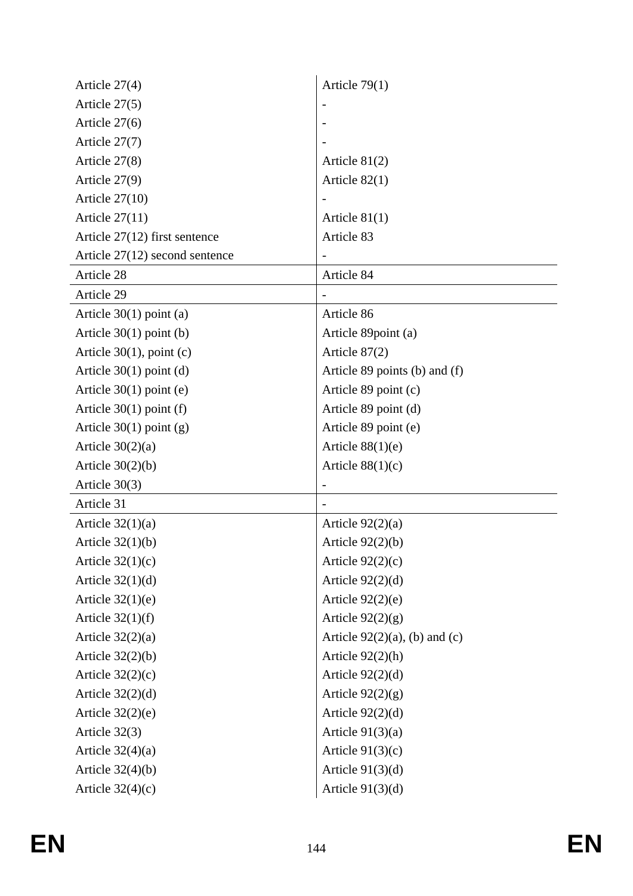| Article 27(4)                    | Article $79(1)$                  |
|----------------------------------|----------------------------------|
| Article $27(5)$                  |                                  |
| Article $27(6)$                  |                                  |
| Article 27(7)                    |                                  |
| Article $27(8)$                  | Article $81(2)$                  |
| Article 27(9)                    | Article $82(1)$                  |
| Article $27(10)$                 |                                  |
| Article $27(11)$                 | Article $81(1)$                  |
| Article $27(12)$ first sentence  | Article 83                       |
| Article $27(12)$ second sentence |                                  |
| Article 28                       | Article 84                       |
| Article 29                       |                                  |
| Article $30(1)$ point (a)        | Article 86                       |
| Article $30(1)$ point (b)        | Article 89 point (a)             |
| Article $30(1)$ , point (c)      | Article 87(2)                    |
| Article $30(1)$ point (d)        | Article 89 points (b) and (f)    |
| Article $30(1)$ point (e)        | Article 89 point (c)             |
| Article $30(1)$ point (f)        | Article 89 point (d)             |
| Article $30(1)$ point (g)        | Article 89 point (e)             |
| Article $30(2)(a)$               | Article $88(1)(e)$               |
| Article $30(2)(b)$               | Article $88(1)(c)$               |
| Article $30(3)$                  |                                  |
| Article 31                       |                                  |
| Article $32(1)(a)$               | Article $92(2)(a)$               |
| Article $32(1)(b)$               | Article $92(2)(b)$               |
| Article $32(1)(c)$               | Article $92(2)(c)$               |
| Article $32(1)(d)$               | Article $92(2)(d)$               |
| Article $32(1)(e)$               | Article $92(2)(e)$               |
| Article $32(1)(f)$               | Article $92(2)(g)$               |
| Article $32(2)(a)$               | Article $92(2)(a)$ , (b) and (c) |
| Article $32(2)(b)$               | Article $92(2)(h)$               |
| Article $32(2)(c)$               | Article $92(2)(d)$               |
| Article $32(2)(d)$               | Article $92(2)(g)$               |
| Article $32(2)(e)$               | Article $92(2)(d)$               |
| Article 32(3)                    | Article $91(3)(a)$               |
| Article $32(4)(a)$               | Article $91(3)(c)$               |
| Article $32(4)(b)$               | Article $91(3)(d)$               |
| Article $32(4)(c)$               | Article $91(3)(d)$               |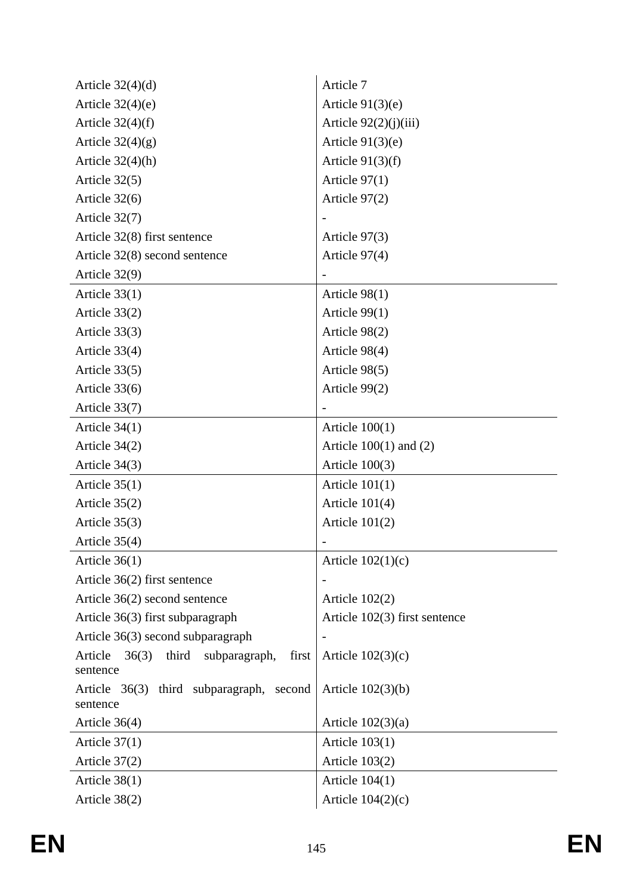| Article $32(4)(d)$                                 | Article 7                       |
|----------------------------------------------------|---------------------------------|
| Article $32(4)(e)$                                 | Article $91(3)(e)$              |
| Article $32(4)(f)$                                 | Article 92(2)(j)(iii)           |
| Article $32(4)(g)$                                 | Article $91(3)(e)$              |
| Article $32(4)(h)$                                 | Article $91(3)(f)$              |
| Article $32(5)$                                    | Article $97(1)$                 |
| Article $32(6)$                                    | Article $97(2)$                 |
| Article 32(7)                                      |                                 |
| Article $32(8)$ first sentence                     | Article 97(3)                   |
| Article $32(8)$ second sentence                    | Article 97(4)                   |
| Article 32(9)                                      |                                 |
| Article $33(1)$                                    | Article $98(1)$                 |
| Article 33(2)                                      | Article 99(1)                   |
| Article 33(3)                                      | Article 98(2)                   |
| Article 33(4)                                      | Article 98(4)                   |
| Article $33(5)$                                    | Article 98(5)                   |
| Article $33(6)$                                    | Article 99(2)                   |
| Article 33(7)                                      |                                 |
| Article $34(1)$                                    | Article $100(1)$                |
| Article $34(2)$                                    | Article $100(1)$ and $(2)$      |
| Article $34(3)$                                    | Article $100(3)$                |
| Article $35(1)$                                    | Article $101(1)$                |
| Article $35(2)$                                    | Article $101(4)$                |
| Article $35(3)$                                    | Article $101(2)$                |
| Article $35(4)$                                    |                                 |
| Article $36(1)$                                    | Article $102(1)(c)$             |
| Article $36(2)$ first sentence                     |                                 |
| Article 36(2) second sentence                      | Article $102(2)$                |
| Article 36(3) first subparagraph                   | Article $102(3)$ first sentence |
| Article 36(3) second subparagraph                  |                                 |
| third<br>Article $36(3)$<br>subparagraph,<br>first | Article $102(3)(c)$             |
| sentence                                           |                                 |
| Article 36(3) third subparagraph, second           | Article $102(3)(b)$             |
| sentence                                           |                                 |
| Article $36(4)$                                    | Article $102(3)(a)$             |
| Article $37(1)$                                    | Article $103(1)$                |
| Article $37(2)$                                    | Article $103(2)$                |
| Article $38(1)$                                    | Article $104(1)$                |
| Article 38(2)                                      | Article $104(2)(c)$             |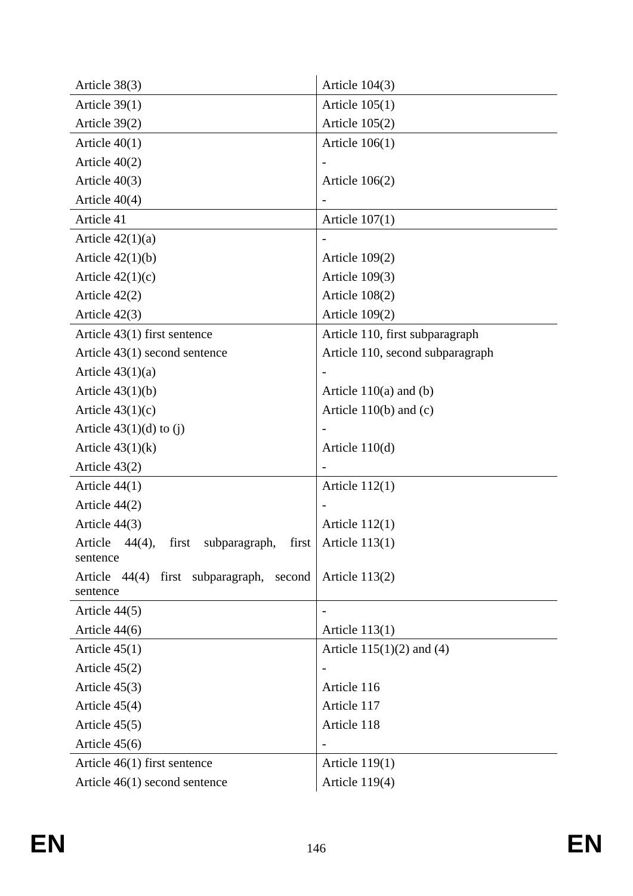| Article $38(3)$                                        | Article $104(3)$                 |
|--------------------------------------------------------|----------------------------------|
| Article $39(1)$                                        | Article $105(1)$                 |
| Article $39(2)$                                        | Article $105(2)$                 |
| Article $40(1)$                                        | Article $106(1)$                 |
| Article $40(2)$                                        |                                  |
| Article $40(3)$                                        | Article $106(2)$                 |
| Article $40(4)$                                        |                                  |
| Article 41                                             | Article $107(1)$                 |
| Article $42(1)(a)$                                     |                                  |
| Article $42(1)(b)$                                     | Article $109(2)$                 |
| Article $42(1)(c)$                                     | Article $109(3)$                 |
| Article $42(2)$                                        | Article $108(2)$                 |
| Article $42(3)$                                        | Article $109(2)$                 |
| Article $43(1)$ first sentence                         | Article 110, first subparagraph  |
| Article $43(1)$ second sentence                        | Article 110, second subparagraph |
| Article $43(1)(a)$                                     |                                  |
| Article $43(1)(b)$                                     | Article $110(a)$ and (b)         |
| Article $43(1)(c)$                                     | Article $110(b)$ and (c)         |
| Article $43(1)(d)$ to (j)                              |                                  |
| Article $43(1)(k)$                                     | Article $110(d)$                 |
| Article $43(2)$                                        |                                  |
| Article $44(1)$                                        | Article $112(1)$                 |
| Article $44(2)$                                        |                                  |
| Article $44(3)$                                        | Article $112(1)$                 |
| first  <br>Article<br>44(4),<br>first<br>subparagraph, | Article $113(1)$                 |
| sentence<br>Article 44(4) first subparagraph, second   | Article $113(2)$                 |
| sentence                                               |                                  |
| Article $44(5)$                                        |                                  |
| Article 44(6)                                          | Article 113(1)                   |
| Article $45(1)$                                        | Article $115(1)(2)$ and (4)      |
| Article $45(2)$                                        |                                  |
| Article $45(3)$                                        | Article 116                      |
| Article $45(4)$                                        | Article 117                      |
| Article $45(5)$                                        | Article 118                      |
| Article $45(6)$                                        |                                  |
| Article $46(1)$ first sentence                         | Article $119(1)$                 |
| Article $46(1)$ second sentence                        | Article 119(4)                   |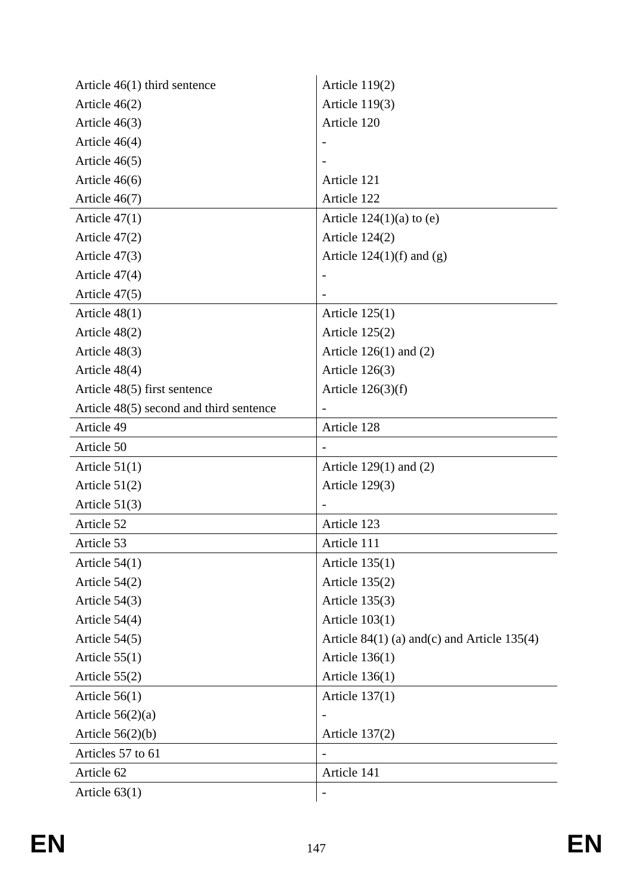| Article 46(1) third sentence            | Article $119(2)$                               |
|-----------------------------------------|------------------------------------------------|
| Article $46(2)$                         | Article $119(3)$                               |
| Article $46(3)$                         | Article 120                                    |
| Article $46(4)$                         |                                                |
| Article 46(5)                           |                                                |
| Article $46(6)$                         | Article 121                                    |
| Article 46(7)                           | Article 122                                    |
| Article $47(1)$                         | Article $124(1)(a)$ to (e)                     |
| Article $47(2)$                         | Article $124(2)$                               |
| Article $47(3)$                         | Article $124(1)(f)$ and $(g)$                  |
| Article $47(4)$                         |                                                |
| Article 47(5)                           |                                                |
| Article $48(1)$                         | Article $125(1)$                               |
| Article 48(2)                           | Article $125(2)$                               |
| Article 48(3)                           | Article $126(1)$ and $(2)$                     |
| Article 48(4)                           | Article $126(3)$                               |
| Article 48(5) first sentence            | Article $126(3)(f)$                            |
| Article 48(5) second and third sentence |                                                |
| Article 49                              | Article 128                                    |
| Article 50                              |                                                |
| Article $51(1)$                         | Article $129(1)$ and $(2)$                     |
| Article $51(2)$                         | Article $129(3)$                               |
| Article $51(3)$                         |                                                |
| Article 52                              | Article 123                                    |
| Article 53                              | Article 111                                    |
| Article $54(1)$                         | Article $135(1)$                               |
| Article $54(2)$                         | Article $135(2)$                               |
| Article $54(3)$                         | Article $135(3)$                               |
| Article 54(4)                           | Article $103(1)$                               |
| Article 54(5)                           | Article $84(1)$ (a) and (c) and Article 135(4) |
| Article $55(1)$                         | Article $136(1)$                               |
| Article $55(2)$                         | Article $136(1)$                               |
| Article $56(1)$                         | Article $137(1)$                               |
|                                         |                                                |
| Article $56(2)(a)$                      |                                                |
| Article $56(2)(b)$                      | <b>Article 137(2)</b>                          |
| Articles 57 to 61                       |                                                |
| Article 62                              | Article 141                                    |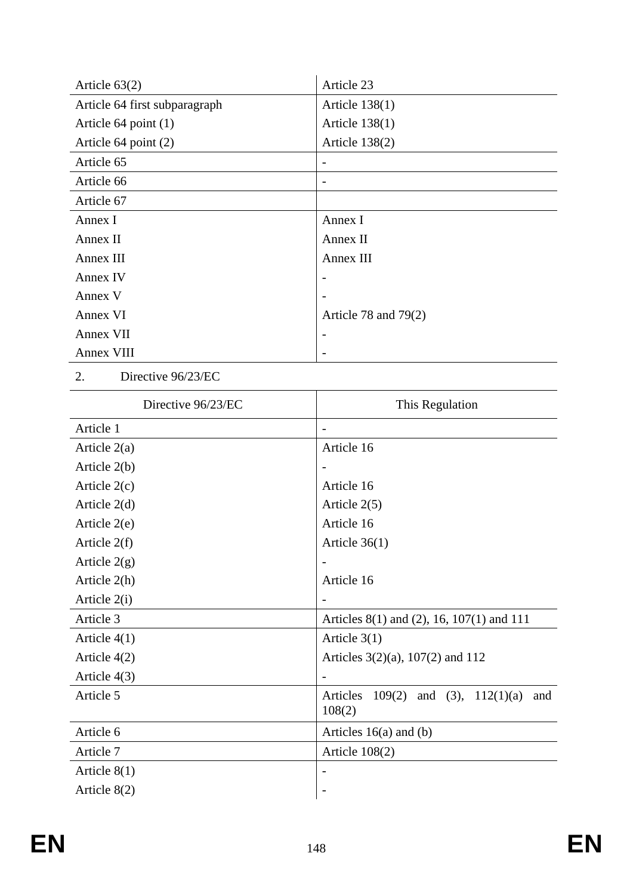| Article $63(2)$               | Article 23             |
|-------------------------------|------------------------|
| Article 64 first subparagraph | Article $138(1)$       |
| Article 64 point (1)          | Article $138(1)$       |
| Article 64 point (2)          | Article $138(2)$       |
| Article 65                    |                        |
| Article 66                    |                        |
| Article 67                    |                        |
| Annex I                       | Annex I                |
| Annex II                      | Annex II               |
| Annex III                     | Annex III              |
| Annex IV                      |                        |
| Annex V                       |                        |
| Annex VI                      | Article 78 and $79(2)$ |
| Annex VII                     |                        |
| Annex VIII                    |                        |

2. Directive 96/23/EC

| Directive 96/23/EC | This Regulation                                                |
|--------------------|----------------------------------------------------------------|
| Article 1          | -                                                              |
| Article $2(a)$     | Article 16                                                     |
| Article 2(b)       | $\overline{\phantom{a}}$                                       |
| Article $2(c)$     | Article 16                                                     |
| Article $2(d)$     | Article $2(5)$                                                 |
| Article 2(e)       | Article 16                                                     |
| Article $2(f)$     | Article $36(1)$                                                |
| Article $2(g)$     |                                                                |
| Article 2(h)       | Article 16                                                     |
| Article 2(i)       |                                                                |
| Article 3          | Articles $8(1)$ and $(2)$ , 16, 107(1) and 111                 |
| Article $4(1)$     | Article $3(1)$                                                 |
| Article $4(2)$     | Articles $3(2)(a)$ , $107(2)$ and 112                          |
| Article 4(3)       |                                                                |
| Article 5          | Articles<br>$109(2)$ and $(3)$ ,<br>112(1)(a)<br>and<br>108(2) |
| Article 6          | Articles $16(a)$ and (b)                                       |
| Article 7          | Article $108(2)$                                               |
| Article $8(1)$     |                                                                |
| Article 8(2)       |                                                                |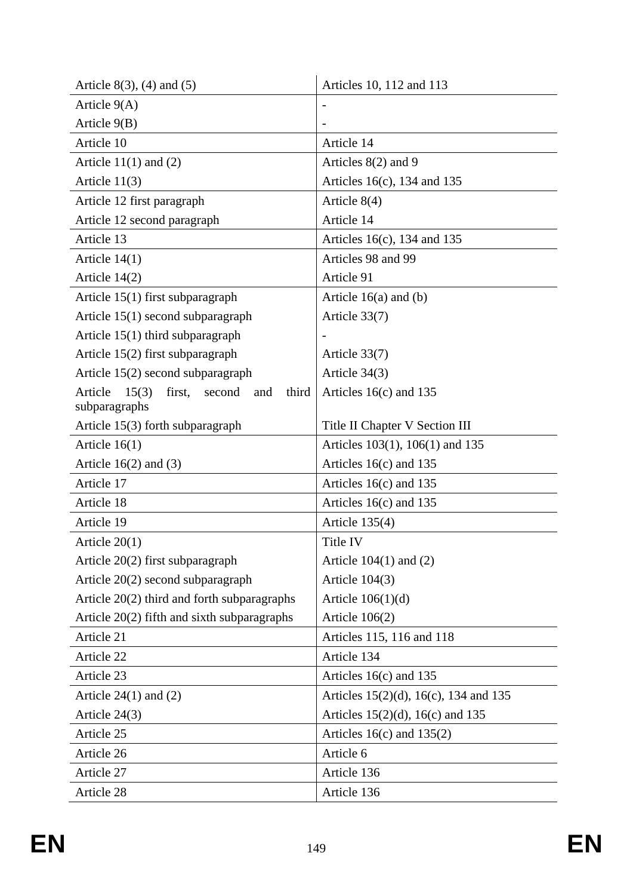| Article $8(3)$ , $(4)$ and $(5)$                     | Articles 10, 112 and 113              |
|------------------------------------------------------|---------------------------------------|
| Article $9(A)$                                       |                                       |
| Article $9(B)$                                       |                                       |
| Article 10                                           | Article 14                            |
| Article $11(1)$ and $(2)$                            | Articles 8(2) and 9                   |
| Article $11(3)$                                      | Articles 16(c), 134 and 135           |
| Article 12 first paragraph                           | Article $8(4)$                        |
| Article 12 second paragraph                          | Article 14                            |
| Article 13                                           | Articles $16(c)$ , 134 and 135        |
| Article $14(1)$                                      | Articles 98 and 99                    |
| Article $14(2)$                                      | Article 91                            |
| Article $15(1)$ first subparagraph                   | Article $16(a)$ and (b)               |
| Article $15(1)$ second subparagraph                  | Article 33(7)                         |
| Article $15(1)$ third subparagraph                   |                                       |
| Article 15(2) first subparagraph                     | Article 33(7)                         |
| Article 15(2) second subparagraph                    | Article $34(3)$                       |
| Article<br>15(3)<br>first,<br>third<br>second<br>and | Articles $16(c)$ and 135              |
| subparagraphs                                        |                                       |
| Article 15(3) forth subparagraph                     | Title II Chapter V Section III        |
| Article $16(1)$                                      | Articles 103(1), 106(1) and 135       |
| Article $16(2)$ and $(3)$                            | Articles $16(c)$ and 135              |
| Article 17                                           | Articles $16(c)$ and 135              |
| Article 18                                           | Articles $16(c)$ and 135              |
| Article 19                                           | Article 135(4)                        |
| Article $20(1)$                                      | Title IV                              |
| Article $20(2)$ first subparagraph                   | Article $104(1)$ and $(2)$            |
| Article $20(2)$ second subparagraph                  | Article $104(3)$                      |
| Article 20(2) third and forth subparagraphs          | Article $106(1)(d)$                   |
| Article $20(2)$ fifth and sixth subparagraphs        | Article $106(2)$                      |
| Article 21                                           | Articles 115, 116 and 118             |
| Article 22                                           | Article 134                           |
| Article 23                                           | Articles $16(c)$ and 135              |
| Article $24(1)$ and $(2)$                            | Articles 15(2)(d), 16(c), 134 and 135 |
| Article $24(3)$                                      | Articles $15(2)(d)$ , $16(c)$ and 135 |
| Article 25                                           | Articles $16(c)$ and $135(2)$         |
| Article 26                                           | Article 6                             |
| Article 27                                           | Article 136                           |
| Article 28                                           | Article 136                           |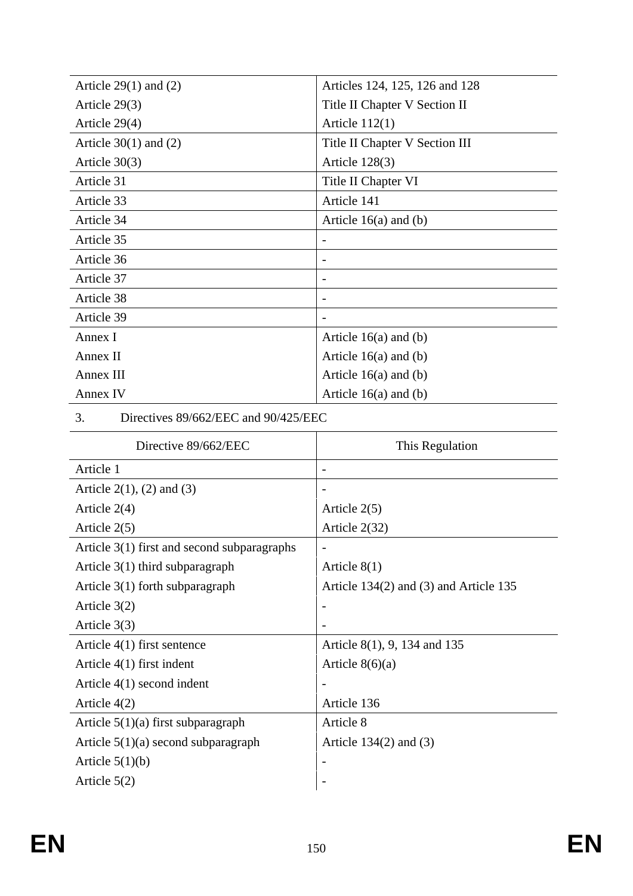| Article $29(1)$ and $(2)$                   | Articles 124, 125, 126 and 128         |
|---------------------------------------------|----------------------------------------|
| Article 29(3)                               | Title II Chapter V Section II          |
| Article 29(4)                               | Article $112(1)$                       |
| Article $30(1)$ and $(2)$                   | Title II Chapter V Section III         |
| Article $30(3)$                             | Article $128(3)$                       |
| Article 31                                  | Title II Chapter VI                    |
| Article 33                                  | Article 141                            |
| Article 34                                  | Article $16(a)$ and (b)                |
| Article 35                                  | $\overline{\phantom{0}}$               |
| Article 36                                  |                                        |
| Article 37                                  |                                        |
| Article 38                                  |                                        |
| Article 39                                  |                                        |
| Annex I                                     | Article $16(a)$ and (b)                |
| Annex II                                    | Article $16(a)$ and (b)                |
| Annex III                                   | Article $16(a)$ and (b)                |
| Annex IV                                    | Article $16(a)$ and (b)                |
| Directives 89/662/EEC and 90/425/EEC<br>3.  |                                        |
| Directive 89/662/EEC                        | This Regulation                        |
|                                             |                                        |
| Article 1                                   | $\overline{\phantom{0}}$               |
| Article $2(1)$ , $(2)$ and $(3)$            |                                        |
| Article $2(4)$                              | Article $2(5)$                         |
| Article $2(5)$                              | Article 2(32)                          |
| Article 3(1) first and second subparagraphs |                                        |
| Article $3(1)$ third subparagraph           | Article $8(1)$                         |
| Article $3(1)$ forth subparagraph           | Article 134(2) and (3) and Article 135 |
| Article $3(2)$                              |                                        |
| Article $3(3)$                              |                                        |
| Article $4(1)$ first sentence               | Article 8(1), 9, 134 and 135           |
| Article 4(1) first indent                   | Article $8(6)(a)$                      |
| Article $4(1)$ second indent                |                                        |
| Article $4(2)$                              | Article 136                            |
| Article $5(1)(a)$ first subparagraph        | Article 8                              |
| Article $5(1)(a)$ second subparagraph       | Article $134(2)$ and $(3)$             |
| Article $5(1)(b)$                           |                                        |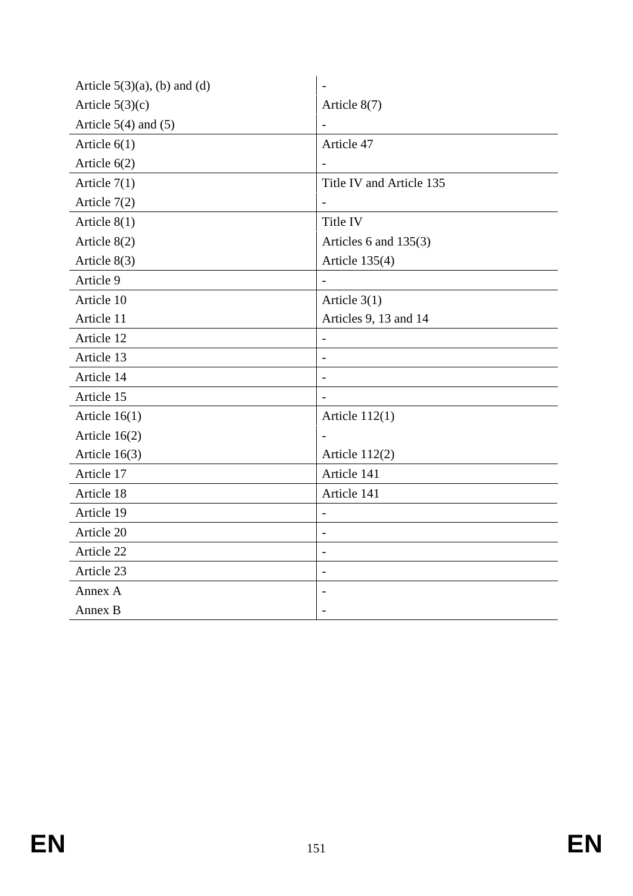| Article $5(3)(a)$ , (b) and (d) |                          |
|---------------------------------|--------------------------|
| Article $5(3)(c)$               | Article $8(7)$           |
| Article $5(4)$ and $(5)$        |                          |
| Article $6(1)$                  | Article 47               |
| Article $6(2)$                  |                          |
| Article $7(1)$                  | Title IV and Article 135 |
| Article $7(2)$                  |                          |
| Article $8(1)$                  | Title IV                 |
| Article 8(2)                    | Articles 6 and $135(3)$  |
| Article $8(3)$                  | Article $135(4)$         |
| Article 9                       |                          |
| Article 10                      | Article $3(1)$           |
| Article 11                      | Articles 9, 13 and 14    |
| Article 12                      | $\overline{\phantom{0}}$ |
| Article 13                      |                          |
| Article 14                      |                          |
| Article 15                      |                          |
| Article $16(1)$                 | Article $112(1)$         |
| Article $16(2)$                 |                          |
| Article $16(3)$                 | Article 112(2)           |
| Article 17                      | Article 141              |
| Article 18                      | Article 141              |
| Article 19                      | $\overline{\phantom{0}}$ |
| Article 20                      |                          |
| Article 22                      |                          |
| Article 23                      |                          |
| Annex A                         |                          |
| Annex B                         |                          |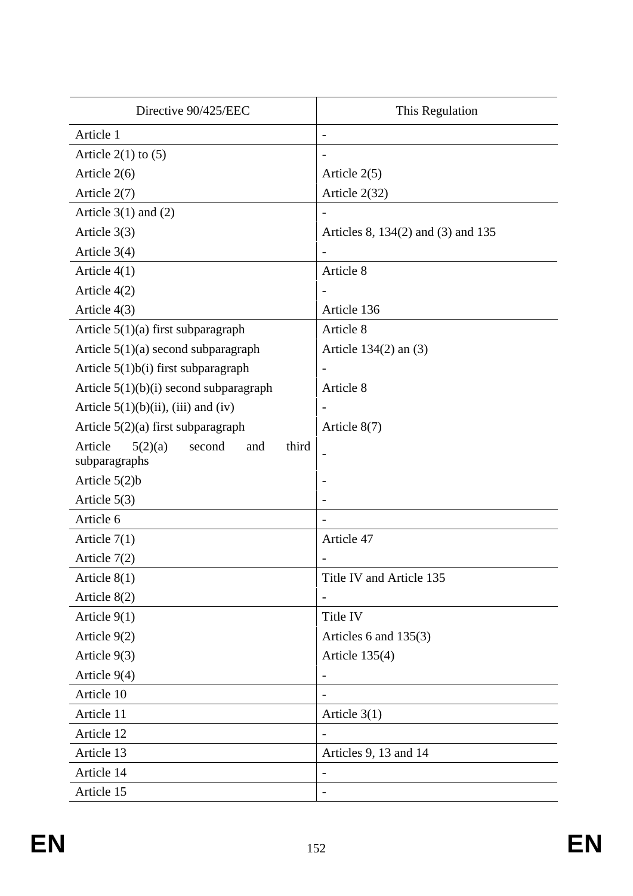| Directive 90/425/EEC                                          | This Regulation                    |
|---------------------------------------------------------------|------------------------------------|
| Article 1                                                     | $\overline{\phantom{a}}$           |
| Article $2(1)$ to $(5)$                                       |                                    |
| Article $2(6)$                                                | Article $2(5)$                     |
| Article $2(7)$                                                | Article 2(32)                      |
| Article $3(1)$ and $(2)$                                      |                                    |
| Article $3(3)$                                                | Articles 8, 134(2) and (3) and 135 |
| Article $3(4)$                                                |                                    |
| Article $4(1)$                                                | Article 8                          |
| Article $4(2)$                                                |                                    |
| Article $4(3)$                                                | Article 136                        |
| Article $5(1)(a)$ first subparagraph                          | Article 8                          |
| Article $5(1)(a)$ second subparagraph                         | Article $134(2)$ an $(3)$          |
| Article $5(1)b(i)$ first subparagraph                         |                                    |
| Article $5(1)(b)(i)$ second subparagraph                      | Article 8                          |
| Article $5(1)(b)(ii)$ , (iii) and (iv)                        |                                    |
| Article $5(2)(a)$ first subparagraph                          | Article 8(7)                       |
| Article<br>second<br>third<br>5(2)(a)<br>and<br>subparagraphs |                                    |
| Article $5(2)b$                                               |                                    |
| Article $5(3)$                                                |                                    |
| Article 6                                                     |                                    |
| Article $7(1)$                                                | Article 47                         |
| Article $7(2)$                                                |                                    |
| Article $8(1)$                                                | Title IV and Article 135           |
| Article 8(2)                                                  |                                    |
| Article $9(1)$                                                | Title IV                           |
| Article $9(2)$                                                | Articles 6 and $135(3)$            |
| Article $9(3)$                                                | Article $135(4)$                   |
| Article $9(4)$                                                |                                    |
| Article 10                                                    |                                    |
| Article 11                                                    | Article $3(1)$                     |
| Article 12                                                    |                                    |
| Article 13                                                    | Articles 9, 13 and 14              |
| Article 14                                                    |                                    |
| Article 15                                                    |                                    |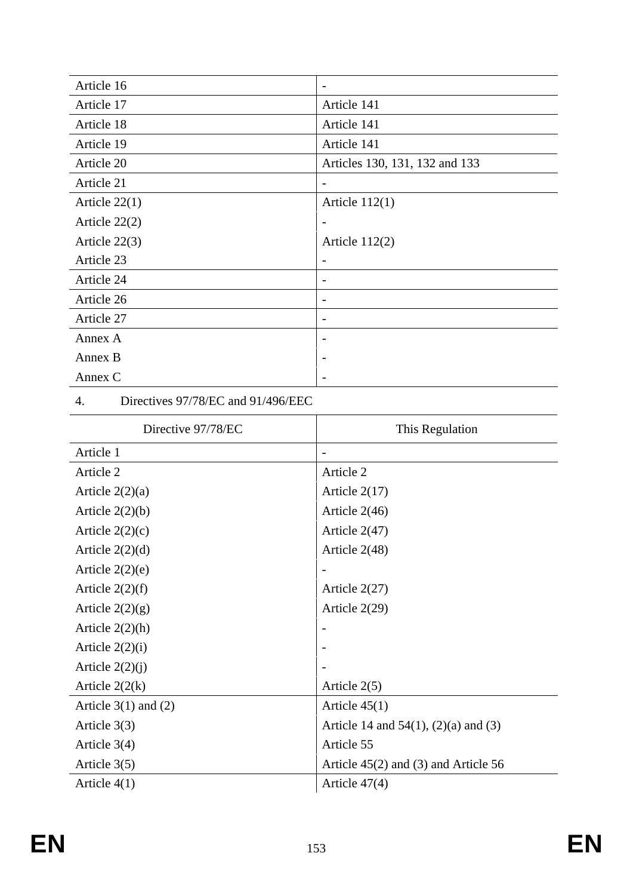| Article 16      |                                |
|-----------------|--------------------------------|
| Article 17      | Article 141                    |
| Article 18      | Article 141                    |
| Article 19      | Article 141                    |
| Article 20      | Articles 130, 131, 132 and 133 |
| Article 21      |                                |
| Article $22(1)$ | Article $112(1)$               |
| Article $22(2)$ |                                |
| Article $22(3)$ | Article $112(2)$               |
| Article 23      |                                |
| Article 24      |                                |
| Article 26      |                                |
| Article 27      |                                |
| Annex A         |                                |
| Annex B         |                                |
| Annex C         |                                |

4. Directives 97/78/EC and 91/496/EEC

| Directive 97/78/EC       | This Regulation                             |
|--------------------------|---------------------------------------------|
| Article 1                |                                             |
| Article 2                | Article 2                                   |
| Article $2(2)(a)$        | Article $2(17)$                             |
| Article $2(2)(b)$        | Article $2(46)$                             |
| Article $2(2)(c)$        | Article $2(47)$                             |
| Article $2(2)(d)$        | Article 2(48)                               |
| Article $2(2)(e)$        |                                             |
| Article $2(2)(f)$        | Article 2(27)                               |
| Article $2(2)(g)$        | Article $2(29)$                             |
| Article $2(2)(h)$        |                                             |
| Article $2(2)(i)$        |                                             |
| Article $2(2)(j)$        |                                             |
| Article $2(2(k))$        | Article $2(5)$                              |
| Article $3(1)$ and $(2)$ | Article $45(1)$                             |
| Article $3(3)$           | Article 14 and $54(1)$ , $(2)(a)$ and $(3)$ |
| Article $3(4)$           | Article 55                                  |
| Article $3(5)$           | Article $45(2)$ and $(3)$ and Article 56    |
| Article $4(1)$           | Article $47(4)$                             |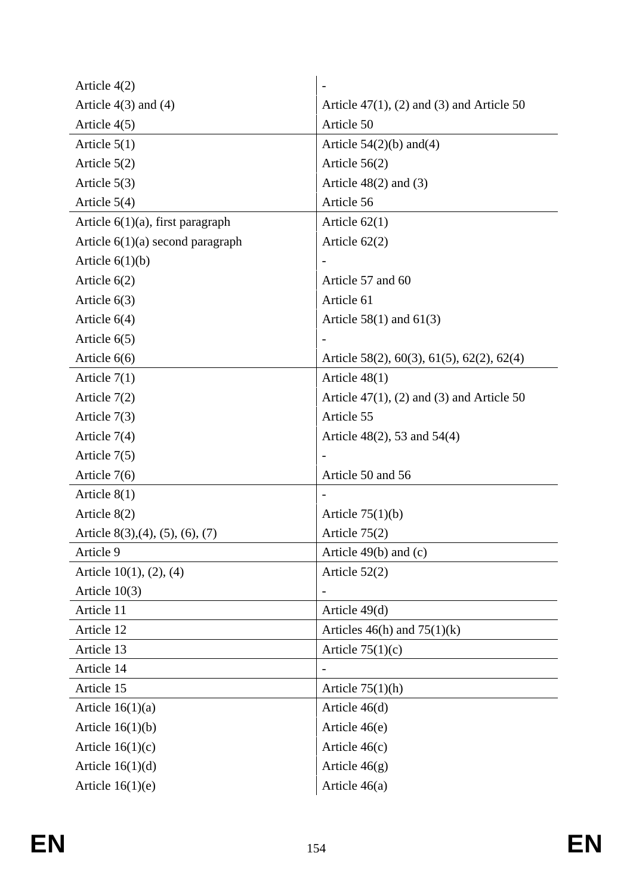| Article $4(2)$                                 |                                              |
|------------------------------------------------|----------------------------------------------|
| Article $4(3)$ and $(4)$                       | Article $47(1)$ , (2) and (3) and Article 50 |
| Article $4(5)$                                 | Article 50                                   |
| Article $5(1)$                                 | Article $54(2)(b)$ and $(4)$                 |
| Article $5(2)$                                 | Article $56(2)$                              |
| Article $5(3)$                                 | Article $48(2)$ and $(3)$                    |
| Article $5(4)$                                 | Article 56                                   |
| Article $6(1)(a)$ , first paragraph            | Article $62(1)$                              |
| Article $6(1)(a)$ second paragraph             | Article $62(2)$                              |
| Article $6(1)(b)$                              |                                              |
| Article $6(2)$                                 | Article 57 and 60                            |
| Article $6(3)$                                 | Article 61                                   |
| Article $6(4)$                                 | Article $58(1)$ and $61(3)$                  |
| Article $6(5)$                                 |                                              |
| Article $6(6)$                                 | Article 58(2), 60(3), 61(5), 62(2), 62(4)    |
| Article $7(1)$                                 | Article $48(1)$                              |
| Article $7(2)$                                 | Article $47(1)$ , (2) and (3) and Article 50 |
| Article $7(3)$                                 | Article 55                                   |
| Article $7(4)$                                 | Article 48(2), 53 and 54(4)                  |
| Article $7(5)$                                 |                                              |
| Article $7(6)$                                 | Article 50 and 56                            |
| Article $8(1)$                                 |                                              |
| Article 8(2)                                   | Article $75(1)(b)$                           |
| Article $8(3)$ , $(4)$ , $(5)$ , $(6)$ , $(7)$ | Article $75(2)$                              |
| Article 9                                      | Article $49(b)$ and (c)                      |
| Article $10(1)$ , $(2)$ , $(4)$                | Article $52(2)$                              |
| Article $10(3)$                                |                                              |
| Article 11                                     | Article 49(d)                                |
| Article 12                                     | Articles $46(h)$ and $75(1)(k)$              |
| Article 13                                     | Article $75(1)(c)$                           |
| Article 14                                     |                                              |
| Article 15                                     | Article $75(1)(h)$                           |
| Article $16(1)(a)$                             | Article $46(d)$                              |
| Article $16(1)(b)$                             | Article 46(e)                                |
| Article $16(1)(c)$                             | Article $46(c)$                              |
| Article $16(1)(d)$                             | Article $46(g)$                              |
| Article $16(1)(e)$                             | Article $46(a)$                              |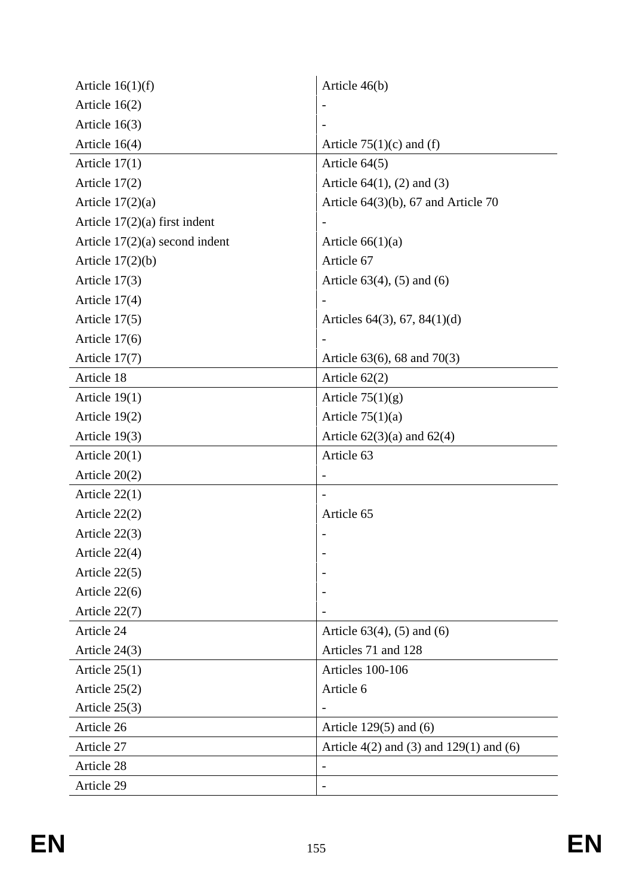| Article $16(1)(f)$               | Article 46(b)                                   |
|----------------------------------|-------------------------------------------------|
| Article $16(2)$                  |                                                 |
| Article $16(3)$                  |                                                 |
| Article $16(4)$                  | Article $75(1)(c)$ and (f)                      |
| Article $17(1)$                  | Article $64(5)$                                 |
| Article $17(2)$                  | Article $64(1)$ , (2) and (3)                   |
| Article $17(2)(a)$               | Article $64(3)(b)$ , 67 and Article 70          |
| Article $17(2)(a)$ first indent  |                                                 |
| Article $17(2)(a)$ second indent | Article $66(1)(a)$                              |
| Article $17(2)(b)$               | Article 67                                      |
| Article $17(3)$                  | Article $63(4)$ , $(5)$ and $(6)$               |
| Article 17(4)                    |                                                 |
| Article $17(5)$                  | Articles $64(3)$ , $67$ , $84(1)(d)$            |
| Article $17(6)$                  |                                                 |
| Article $17(7)$                  | Article $63(6)$ , 68 and $70(3)$                |
| Article 18                       | Article $62(2)$                                 |
| Article $19(1)$                  | Article $75(1)(g)$                              |
| Article $19(2)$                  | Article $75(1)(a)$                              |
| Article $19(3)$                  | Article $62(3)(a)$ and $62(4)$                  |
| Article $20(1)$                  | Article 63                                      |
| Article $20(2)$                  |                                                 |
| Article 22(1)                    |                                                 |
| Article $22(2)$                  | Article 65                                      |
| Article $22(3)$                  |                                                 |
| Article 22(4)                    |                                                 |
| Article 22(5)                    |                                                 |
| Article 22(6)                    |                                                 |
| Article 22(7)                    |                                                 |
| Article 24                       | Article $63(4)$ , $(5)$ and $(6)$               |
| Article $24(3)$                  | Articles 71 and 128                             |
| Article $25(1)$                  | Articles 100-106                                |
| Article $25(2)$                  | Article 6                                       |
| Article $25(3)$                  |                                                 |
| Article 26                       | Article $129(5)$ and $(6)$                      |
| Article 27                       | Article $4(2)$ and $(3)$ and $129(1)$ and $(6)$ |
| Article 28                       |                                                 |
| Article 29                       |                                                 |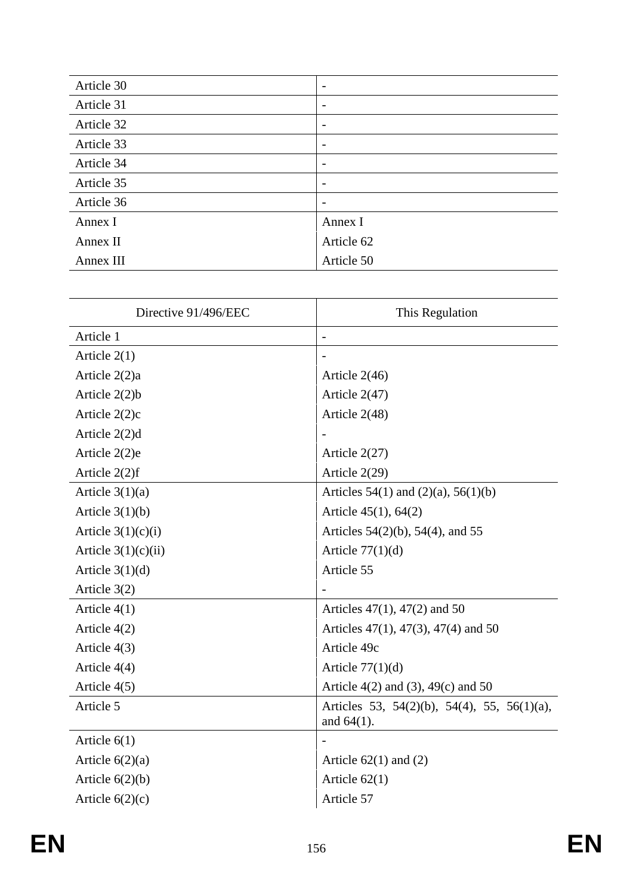| Article 30 | $\overline{\phantom{0}}$ |
|------------|--------------------------|
| Article 31 | $\overline{\phantom{0}}$ |
| Article 32 |                          |
| Article 33 | $\overline{\phantom{0}}$ |
| Article 34 | -                        |
| Article 35 | -                        |
| Article 36 |                          |
| Annex I    | Annex I                  |
| Annex II   | Article 62               |
| Annex III  | Article 50               |

| Directive 91/496/EEC  | This Regulation                                              |
|-----------------------|--------------------------------------------------------------|
| Article 1             |                                                              |
| Article $2(1)$        |                                                              |
| Article 2(2)a         | Article $2(46)$                                              |
| Article 2(2)b         | Article 2(47)                                                |
| Article 2(2)c         | Article 2(48)                                                |
| Article 2(2)d         |                                                              |
| Article 2(2)e         | Article $2(27)$                                              |
| Article $2(2)f$       | Article 2(29)                                                |
| Article $3(1)(a)$     | Articles $54(1)$ and $(2)(a)$ , $56(1)(b)$                   |
| Article $3(1)(b)$     | Article 45(1), 64(2)                                         |
| Article $3(1)(c)(i)$  | Articles $54(2)(b)$ , $54(4)$ , and $55$                     |
| Article $3(1)(c)(ii)$ | Article $77(1)(d)$                                           |
| Article $3(1)(d)$     | Article 55                                                   |
| Article $3(2)$        |                                                              |
| Article $4(1)$        | Articles $47(1)$ , $47(2)$ and 50                            |
| Article 4(2)          | Articles $47(1)$ , $47(3)$ , $47(4)$ and 50                  |
| Article 4(3)          | Article 49c                                                  |
| Article 4(4)          | Article $77(1)(d)$                                           |
| Article 4(5)          | Article $4(2)$ and $(3)$ , $49(c)$ and 50                    |
| Article 5             | Articles 53, 54(2)(b), 54(4), 55, 56(1)(a),<br>and $64(1)$ . |
| Article $6(1)$        |                                                              |
| Article $6(2)(a)$     | Article $62(1)$ and $(2)$                                    |
| Article $6(2)(b)$     | Article $62(1)$                                              |
| Article $6(2)(c)$     | Article 57                                                   |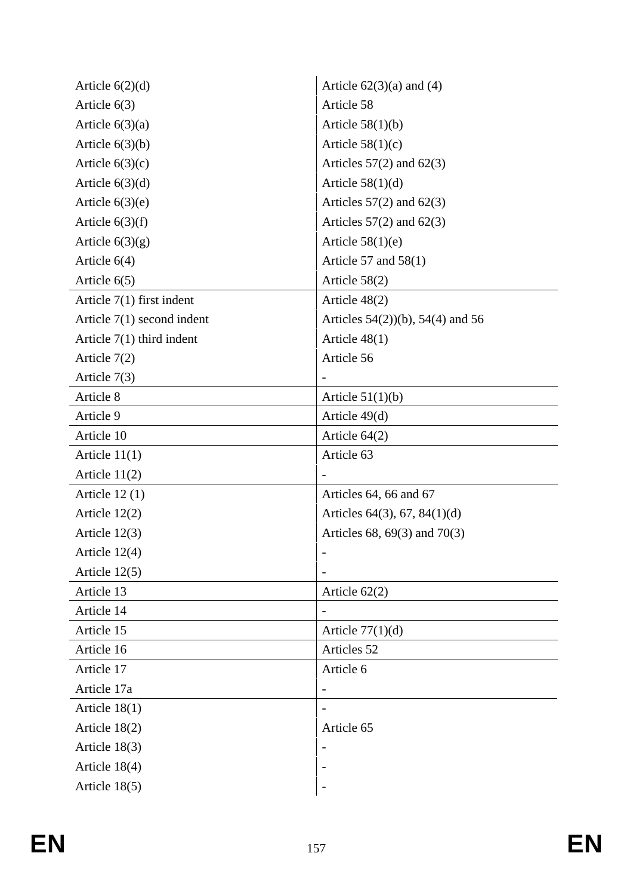| Article $6(2)(d)$            | Article $62(3)(a)$ and $(4)$           |
|------------------------------|----------------------------------------|
| Article $6(3)$               | Article 58                             |
| Article $6(3)(a)$            | Article $58(1)(b)$                     |
| Article $6(3)(b)$            | Article $58(1)(c)$                     |
| Article $6(3)(c)$            | Articles $57(2)$ and $62(3)$           |
| Article $6(3)(d)$            | Article $58(1)(d)$                     |
| Article $6(3)(e)$            | Articles $57(2)$ and $62(3)$           |
| Article $6(3)(f)$            | Articles $57(2)$ and $62(3)$           |
| Article $6(3)(g)$            | Article $58(1)(e)$                     |
| Article $6(4)$               | Article 57 and $58(1)$                 |
| Article $6(5)$               | Article $58(2)$                        |
| Article $7(1)$ first indent  | Article $48(2)$                        |
| Article $7(1)$ second indent | Articles $54(2)$ (b), $54(4)$ and $56$ |
| Article $7(1)$ third indent  | Article $48(1)$                        |
| Article $7(2)$               | Article 56                             |
| Article $7(3)$               |                                        |
| Article 8                    | Article $51(1)(b)$                     |
| Article 9                    | Article 49(d)                          |
| Article 10                   | Article $64(2)$                        |
| Article $11(1)$              | Article 63                             |
| Article $11(2)$              |                                        |
| Article $12(1)$              | Articles 64, 66 and 67                 |
| Article $12(2)$              | Articles $64(3)$ , $67$ , $84(1)(d)$   |
| Article $12(3)$              | Articles 68, 69(3) and 70(3)           |
| Article 12(4)                |                                        |
| Article $12(5)$              |                                        |
| Article 13                   | Article $62(2)$                        |
| Article 14                   |                                        |
| Article 15                   | Article $77(1)(d)$                     |
| Article 16                   | Articles 52                            |
| Article 17                   | Article 6                              |
| Article 17a                  |                                        |
| Article $18(1)$              |                                        |
| Article $18(2)$              | Article 65                             |
| Article $18(3)$              |                                        |
| Article 18(4)                |                                        |
| Article 18(5)                |                                        |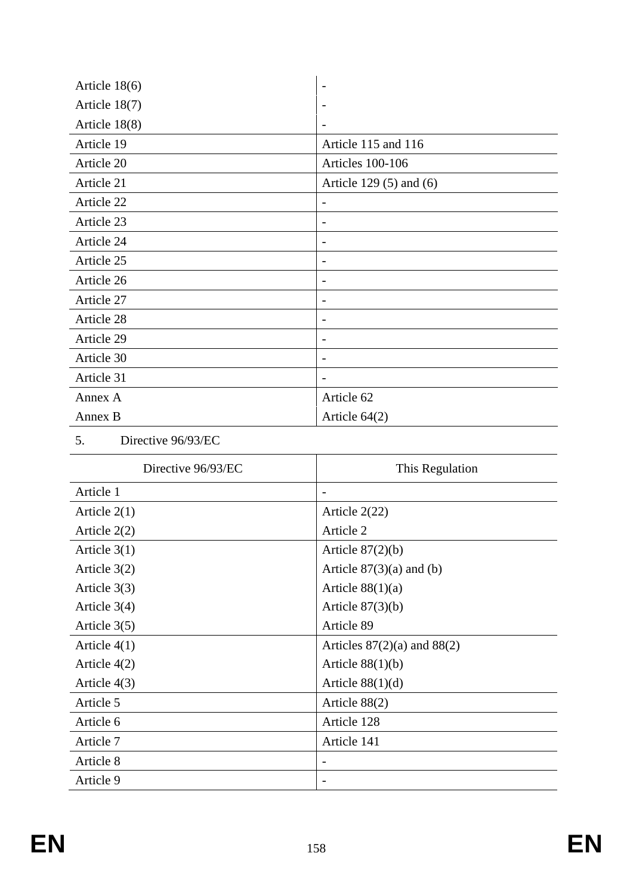| Article $18(6)$ |                             |
|-----------------|-----------------------------|
| Article 18(7)   |                             |
| Article 18(8)   |                             |
| Article 19      | Article 115 and 116         |
| Article 20      | Articles 100-106            |
| Article 21      | Article 129 $(5)$ and $(6)$ |
| Article 22      | $\overline{a}$              |
| Article 23      | $\overline{\phantom{a}}$    |
| Article 24      | $\overline{\phantom{a}}$    |
| Article 25      |                             |
| Article 26      |                             |
| Article 27      |                             |
| Article 28      |                             |
| Article 29      |                             |
| Article 30      |                             |
| Article 31      | $\overline{a}$              |
| Annex A         | Article 62                  |
| Annex B         | Article $64(2)$             |

## 5. Directive 96/93/EC

| Directive 96/93/EC | This Regulation                 |
|--------------------|---------------------------------|
| Article 1          |                                 |
| Article $2(1)$     | Article $2(22)$                 |
| Article $2(2)$     | Article 2                       |
| Article $3(1)$     | Article $87(2)(b)$              |
| Article $3(2)$     | Article $87(3)(a)$ and (b)      |
| Article $3(3)$     | Article $88(1)(a)$              |
| Article $3(4)$     | Article $87(3)(b)$              |
| Article $3(5)$     | Article 89                      |
| Article $4(1)$     | Articles $87(2)(a)$ and $88(2)$ |
| Article $4(2)$     | Article $88(1)(b)$              |
| Article $4(3)$     | Article $88(1)(d)$              |
| Article 5          | Article $88(2)$                 |
| Article 6          | Article 128                     |
| Article 7          | Article 141                     |
| Article 8          |                                 |
| Article 9          |                                 |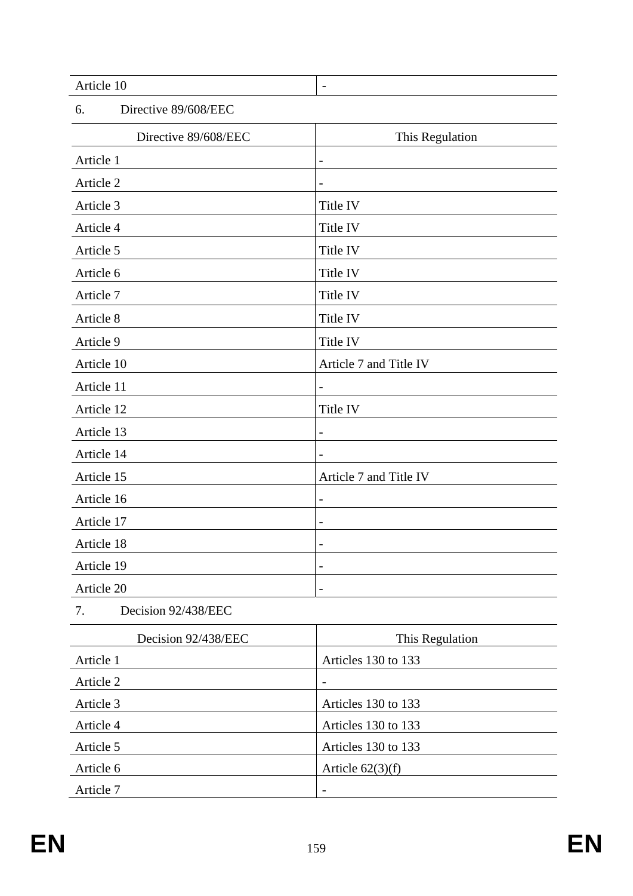| Article 10                 | $\overline{\phantom{0}}$ |
|----------------------------|--------------------------|
| 6.<br>Directive 89/608/EEC |                          |
| Directive 89/608/EEC       | This Regulation          |
| Article 1                  | $\overline{\phantom{a}}$ |
| Article 2                  | $\overline{\phantom{m}}$ |
| Article 3                  | Title IV                 |
| Article 4                  | Title IV                 |
| Article 5                  | Title IV                 |
| Article 6                  | Title IV                 |
| Article 7                  | Title IV                 |
| Article 8                  | Title IV                 |
| Article 9                  | Title IV                 |
| Article 10                 | Article 7 and Title IV   |
| Article 11                 | $\qquad \qquad -$        |
| Article 12                 | Title IV                 |
| Article 13                 | $\qquad \qquad -$        |
| Article 14                 |                          |
| Article 15                 | Article 7 and Title IV   |
| Article 16                 | $\overline{\phantom{a}}$ |
| Article 17                 | $\overline{\phantom{a}}$ |
| Article 18                 |                          |
| Article 19                 | $\overline{a}$           |
| Article 20                 | $\overline{\phantom{a}}$ |
| Decision 92/438/EEC<br>7.  |                          |
| Decision 92/438/EEC        | This Regulation          |
| Article 1                  | Articles 130 to 133      |
| Article 2                  |                          |
| Article 3                  | Articles 130 to 133      |
| Article 4                  | Articles 130 to 133      |

Article 5 Articles 130 to 133

Article 62(3)(f)  $\left| \text{Article } 62(3)(f) \right|$ 

Article 7 and 2011 and 2012 and 2014 and 2014 and 2014 and 2014 and 2014 and 2014 and 2014 and 2014 and 2014 and 2014 and 2014 and 2014 and 2014 and 2014 and 2014 and 2014 and 2014 and 2014 and 2014 and 2014 and 2014 and 2